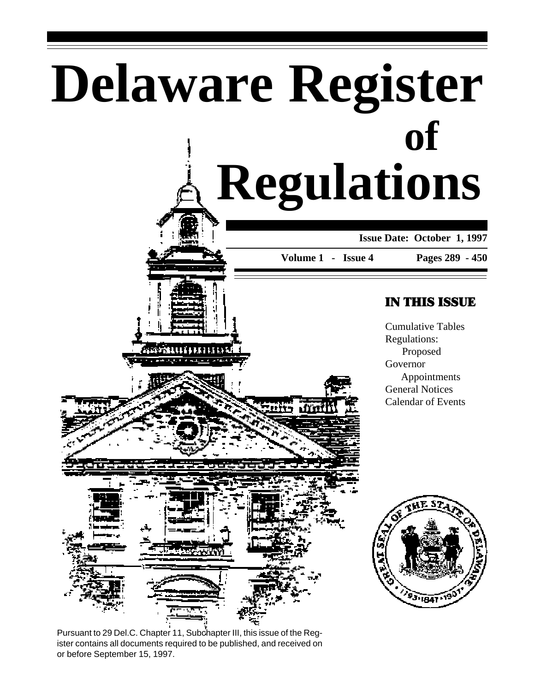# **Delaware Register Regulations of**

### **Issue Date: October 1, 1997**

**Volume 1 - Issue 4**

#### **Pages 289 - 450**

### IN THIS ISSUE

Cumulative Tables Regulations: Proposed Governor Appointments General Notices Calendar of Events



1888

Pursuant to 29 Del.C. Chapter 11, Subchapter III, this issue of the Register contains all documents required to be published, and received on or before September 15, 1997.

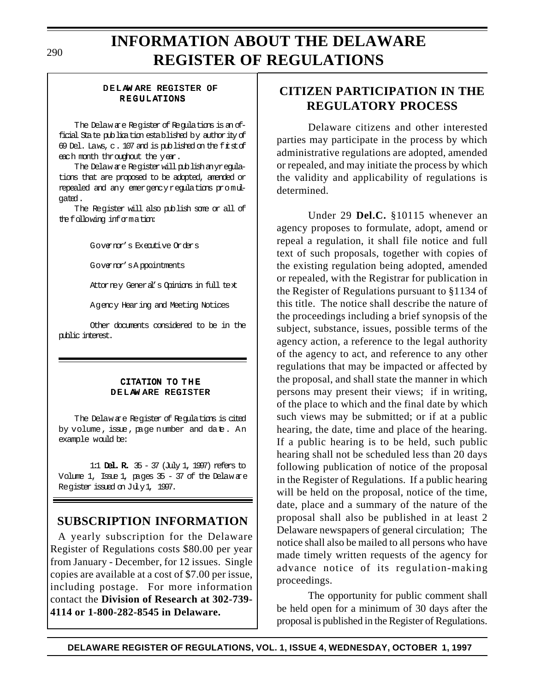# **INFORMATION ABOUT THE DELAWARE REGISTER OF REGULATIONS**

#### DELAW ARE REGISTER OF REGULATIONS

The Delaw are Register of Regulations is an official State publication established by authority of 69 Del. Laws,  $c$ . 107 and is published on the first of each month throughout the year.

The Delaw are Register will publish anyregulations that are proposed to be adopted, amended or repealed and any emergency regulations promulgated.

The Register will also publish some or all of the following information:

Governor's Executive Orders

Governor's A ppointments

Attorney General's Opinions in full text

Agency Hearing and Meeting Notices

Other documents considered to be in the public interest.

#### CITATION TO THE DELAW ARE REGISTER

The Delaw are Register of Regulations is cited by volume, issue, page number and date. An example would be:

1:1 Del. R. 35 - 37 (July 1, 1997) refers to Volume 1, Issue 1, pages 35 - 37 of the Delaw are Register issued on July 1, 1997.

### **SUBSCRIPTION INFORMATION**

A yearly subscription for the Delaware Register of Regulations costs \$80.00 per year from January - December, for 12 issues. Single copies are available at a cost of \$7.00 per issue, including postage. For more information contact the **Division of Research at 302-739- 4114 or 1-800-282-8545 in Delaware.**

### **CITIZEN PARTICIPATION IN THE REGULATORY PROCESS**

Delaware citizens and other interested parties may participate in the process by which administrative regulations are adopted, amended or repealed, and may initiate the process by which the validity and applicability of regulations is determined.

Under 29 **Del.C.** §10115 whenever an agency proposes to formulate, adopt, amend or repeal a regulation, it shall file notice and full text of such proposals, together with copies of the existing regulation being adopted, amended or repealed, with the Registrar for publication in the Register of Regulations pursuant to §1134 of this title. The notice shall describe the nature of the proceedings including a brief synopsis of the subject, substance, issues, possible terms of the agency action, a reference to the legal authority of the agency to act, and reference to any other regulations that may be impacted or affected by the proposal, and shall state the manner in which persons may present their views; if in writing, of the place to which and the final date by which such views may be submitted; or if at a public hearing, the date, time and place of the hearing. If a public hearing is to be held, such public hearing shall not be scheduled less than 20 days following publication of notice of the proposal in the Register of Regulations. If a public hearing will be held on the proposal, notice of the time, date, place and a summary of the nature of the proposal shall also be published in at least 2 Delaware newspapers of general circulation; The notice shall also be mailed to all persons who have made timely written requests of the agency for advance notice of its regulation-making proceedings.

The opportunity for public comment shall be held open for a minimum of 30 days after the proposal is published in the Register of Regulations.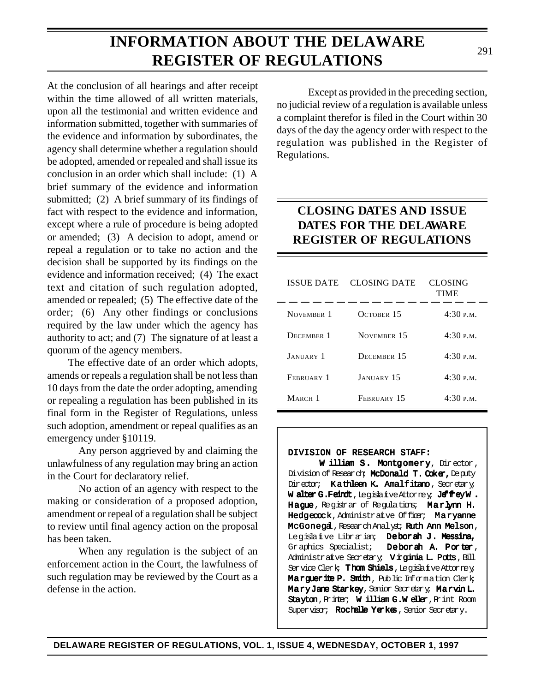**INFORMATION ABOUT THE DELAWARE**

**REGISTER OF REGULATIONS**

upon all the testimonial and written evidence and information submitted, together with summaries of the evidence and information by subordinates, the agency shall determine whether a regulation should be adopted, amended or repealed and shall issue its conclusion in an order which shall include: (1) A brief summary of the evidence and information submitted; (2) A brief summary of its findings of fact with respect to the evidence and information, except where a rule of procedure is being adopted or amended; (3) A decision to adopt, amend or repeal a regulation or to take no action and the decision shall be supported by its findings on the evidence and information received; (4) The exact text and citation of such regulation adopted, amended or repealed; (5) The effective date of the order; (6) Any other findings or conclusions required by the law under which the agency has authority to act; and (7) The signature of at least a quorum of the agency members.

At the conclusion of all hearings and after receipt

The effective date of an order which adopts, amends or repeals a regulation shall be not less than 10 days from the date the order adopting, amending or repealing a regulation has been published in its final form in the Register of Regulations, unless such adoption, amendment or repeal qualifies as an emergency under §10119.

Any person aggrieved by and claiming the unlawfulness of any regulation may bring an action in the Court for declaratory relief.

No action of an agency with respect to the making or consideration of a proposed adoption, amendment or repeal of a regulation shall be subject to review until final agency action on the proposal has been taken.

When any regulation is the subject of an enforcement action in the Court, the lawfulness of such regulation may be reviewed by the Court as a defense in the action.

Except as provided in the preceding section, no judicial review of a regulation is available unless a complaint therefor is filed in the Court within 30 days of the day the agency order with respect to the regulation was published in the Register of Regulations.

### **CLOSING DATES AND ISSUE DATES FOR THE DELAWARE REGISTER OF REGULATIONS**

| <b>ISSUE DATE</b>  | CLOSING DATE       | <b>CLOSING</b><br><b>TIME</b> |
|--------------------|--------------------|-------------------------------|
| NOVEMBER 1         | OCTOBER 15         | 4:30P.M.                      |
| <b>DECEMBER 1</b>  | NOVEMBER 15        | 4:30P.M.                      |
| JANUARY 1          | <b>DECEMBER 15</b> | 4:30P.M.                      |
| FEBRUARY 1         | <b>JANUARY 15</b>  | 4:30P.M.                      |
| MARCH <sub>1</sub> | FEBRUARY 15        | 4:30P.M.                      |

#### DIVISION OF RESEARCH STAFF:

W illiam S. Montgomery, Director, Division of Research; McDonald T. Coker, Deputy Director; Kathleen K. Amalfitano, Secretary; W alter G.Feindt, Legislatve Attorney; JeffreyW. Hague, Registrar of Regulations; Marlynn H. Hedgecock, Administrative Officer; Maryanne McGonegal, Research Analyst; Ruth Ann Melson, Legislative Librarian; Deborah J. Messina, Graphics Specialist; Deborah A. Porter, Administrative Secretary; Virginia L. Potts, Bill Service Clerk; Thom Shiels, Legislative Attorney; Marquerite P. Smith, Public Information Clerk; Mary Jane Starkey, Senior Secretary; Marvin L. Stayton, Printer; William G.W eller, Print Room Supervisor; Rochelle Yerkes, Senior Secretary.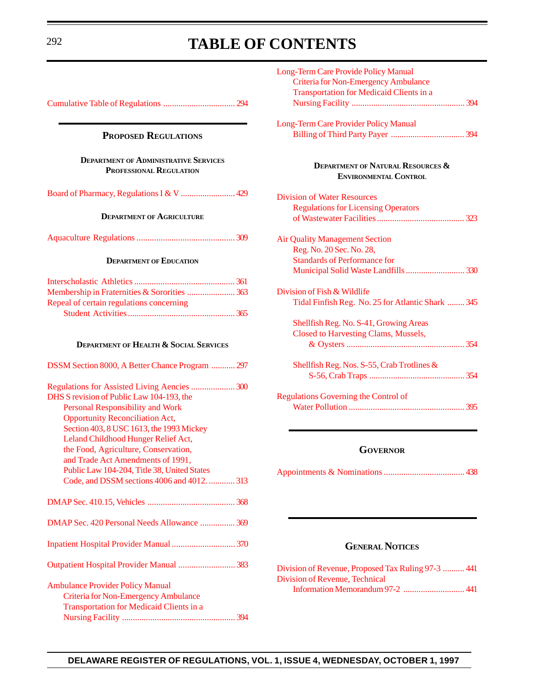# <span id="page-3-3"></span><span id="page-3-2"></span><span id="page-3-0"></span><sup>292</sup> **TABLE OF CONTENTS**

<span id="page-3-4"></span><span id="page-3-1"></span>

| <b>PROPOSED REGULATIONS</b>                                                                                                                                                                                                                                                                                                                                                                                                                  |
|----------------------------------------------------------------------------------------------------------------------------------------------------------------------------------------------------------------------------------------------------------------------------------------------------------------------------------------------------------------------------------------------------------------------------------------------|
| <b>DEPARTMENT OF ADMINISTRATIVE SERVICES</b><br><b>PROFESSIONAL REGULATION</b>                                                                                                                                                                                                                                                                                                                                                               |
| Board of Pharmacy, Regulations I & V  429                                                                                                                                                                                                                                                                                                                                                                                                    |
| <b>DEPARTMENT OF AGRICULTURE</b>                                                                                                                                                                                                                                                                                                                                                                                                             |
|                                                                                                                                                                                                                                                                                                                                                                                                                                              |
| <b>DEPARTMENT OF EDUCATION</b>                                                                                                                                                                                                                                                                                                                                                                                                               |
| Membership in Fraternities & Sororities  363<br>Repeal of certain regulations concerning                                                                                                                                                                                                                                                                                                                                                     |
| <b>DEPARTMENT OF HEALTH &amp; SOCIAL SERVICES</b>                                                                                                                                                                                                                                                                                                                                                                                            |
| DSSM Section 8000, A Better Chance Program  297                                                                                                                                                                                                                                                                                                                                                                                              |
| Regulations for Assisted Living Aencies  300<br>DHS S revision of Public Law 104-193, the<br><b>Personal Responsibility and Work</b><br><b>Opportunity Reconciliation Act,</b><br>Section 403, 8 USC 1613, the 1993 Mickey<br>Leland Childhood Hunger Relief Act,<br>the Food, Agriculture, Conservation,<br>and Trade Act Amendments of 1991,<br>Public Law 104-204, Title 38, United States<br>Code, and DSSM sections 4006 and 4012.  313 |
|                                                                                                                                                                                                                                                                                                                                                                                                                                              |
| DMAP Sec. 420 Personal Needs Allowance  369                                                                                                                                                                                                                                                                                                                                                                                                  |
| Inpatient Hospital Provider Manual  370                                                                                                                                                                                                                                                                                                                                                                                                      |
| Outpatient Hospital Provider Manual  383                                                                                                                                                                                                                                                                                                                                                                                                     |
| <b>Ambulance Provider Policy Manual</b><br><b>Criteria for Non-Emergency Ambulance</b><br><b>Transportation for Medicaid Clients in a</b>                                                                                                                                                                                                                                                                                                    |

| Long-Term Care Provide Policy Manual                                         |
|------------------------------------------------------------------------------|
| <b>Criteria for Non-Emergency Ambulance</b>                                  |
| <b>Transportation for Medicaid Clients in a</b>                              |
|                                                                              |
| Long-Term Care Provider Policy Manual                                        |
|                                                                              |
| <b>DEPARTMENT OF NATURAL RESOURCES &amp;</b><br><b>ENVIRONMENTAL CONTROL</b> |
| <b>Division of Water Resources</b>                                           |
| <b>Regulations for Licensing Operators</b>                                   |
|                                                                              |
| <b>Air Quality Management Section</b>                                        |
| Reg. No. 20 Sec. No. 28,                                                     |
| <b>Standards of Performance for</b>                                          |
| Municipal Solid Waste Landfills  330                                         |
| Division of Fish & Wildlife                                                  |
| Tidal Finfish Reg. No. 25 for Atlantic Shark  345                            |
| Shellfish Reg. No. S-41, Growing Areas                                       |
| <b>Closed to Harvesting Clams, Mussels,</b>                                  |
|                                                                              |
| Shellfish Reg. Nos. S-55, Crab Trotlines &                                   |
|                                                                              |
| <b>Regulations Governing the Control of</b>                                  |
|                                                                              |

#### **GOVERNOR**

[Appointments & Nominations.....................................](#page-149-0) 438

#### **GENERAL NOTICES**

[Division of Revenue, Proposed Tax Ruling 97-3](#page-152-0) .......... 441 Division of Revenue, Technical [Information Memorandum 97-2](#page-152-0) ............................ 441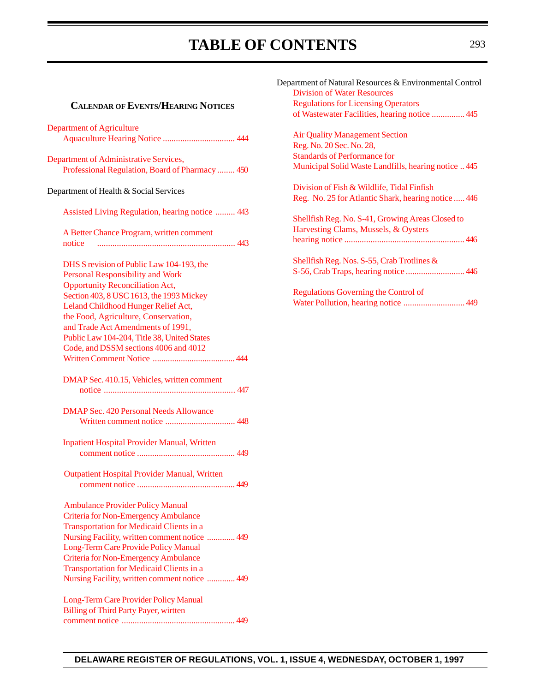## TABLE OF CONTENTS 293

### **CALENDAR OFEVENTS/HEARING NOTICES**

| <b>Department of Agriculture</b>                    |
|-----------------------------------------------------|
|                                                     |
|                                                     |
| Department of Administrative Services,              |
| Professional Regulation, Board of Pharmacy  450     |
| Department of Health & Social Services              |
|                                                     |
| Assisted Living Regulation, hearing notice  443     |
| A Better Chance Program, written comment            |
| notice                                              |
|                                                     |
| DHS S revision of Public Law 104-193, the           |
| <b>Personal Responsibility and Work</b>             |
| <b>Opportunity Reconciliation Act,</b>              |
| Section 403, 8 USC 1613, the 1993 Mickey            |
| Leland Childhood Hunger Relief Act,                 |
| the Food, Agriculture, Conservation,                |
| and Trade Act Amendments of 1991,                   |
| Public Law 104-204, Title 38, United States         |
| Code, and DSSM sections 4006 and 4012               |
|                                                     |
| DMAP Sec. 410.15, Vehicles, written comment         |
|                                                     |
| <b>DMAP Sec. 420 Personal Needs Allowance</b>       |
|                                                     |
| <b>Inpatient Hospital Provider Manual, Written</b>  |
|                                                     |
|                                                     |
| <b>Outpatient Hospital Provider Manual, Written</b> |
|                                                     |
|                                                     |
| <b>Ambulance Provider Policy Manual</b>             |
| <b>Criteria for Non-Emergency Ambulance</b>         |
| <b>Transportation for Medicaid Clients in a</b>     |
| Nursing Facility, written comment notice  449       |
| Long-Term Care Provide Policy Manual                |
| <b>Criteria for Non-Emergency Ambulance</b>         |
| <b>Transportation for Medicaid Clients in a</b>     |
| Nursing Facility, written comment notice  449       |
| Long-Term Care Provider Policy Manual               |
| <b>Billing of Third Party Payer, wirtten</b>        |
|                                                     |

| Department of Natural Resources & Environmental Control |
|---------------------------------------------------------|
| <b>Division of Water Resources</b>                      |
| <b>Regulations for Licensing Operators</b>              |
| of Wastewater Facilities, hearing notice  445           |
| <b>Air Quality Management Section</b>                   |
| Reg. No. 20 Sec. No. 28,                                |
| <b>Standards of Performance for</b>                     |
| Municipal Solid Waste Landfills, hearing notice  445    |
| Division of Fish & Wildlife, Tidal Finfish              |
| Reg. No. 25 for Atlantic Shark, hearing notice  446     |
| Shellfish Reg. No. S-41, Growing Areas Closed to        |
| Harvesting Clams, Mussels, & Oysters                    |
|                                                         |
| Shellfish Reg. Nos. S-55, Crab Trotlines &              |
|                                                         |
| Regulations Governing the Control of                    |
|                                                         |
|                                                         |
|                                                         |
|                                                         |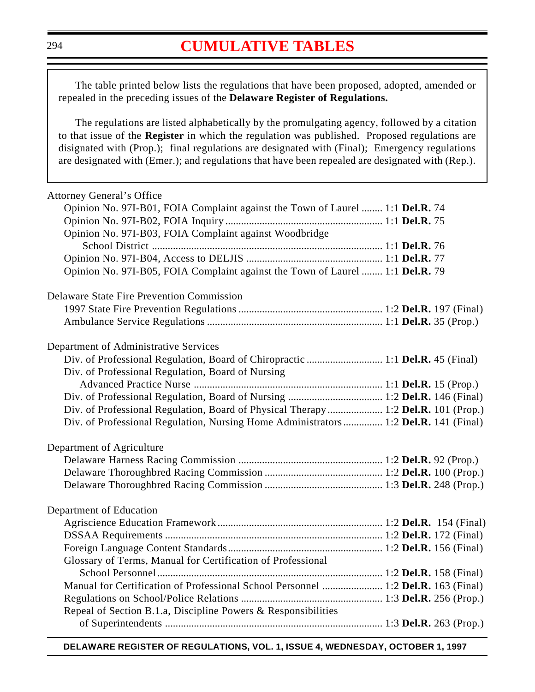### **[CUMULATIVE TABLES](#page-3-0)**

<span id="page-5-0"></span>The table printed below lists the regulations that have been proposed, adopted, amended or repealed in the preceding issues of the **Delaware Register of Regulations.**

The regulations are listed alphabetically by the promulgating agency, followed by a citation to that issue of the **Register** in which the regulation was published. Proposed regulations are disignated with (Prop.); final regulations are designated with (Final); Emergency regulations are designated with (Emer.); and regulations that have been repealed are designated with (Rep.).

| <b>Attorney General's Office</b>                                                    |  |
|-------------------------------------------------------------------------------------|--|
| Opinion No. 97I-B01, FOIA Complaint against the Town of Laurel  1:1 Del.R. 74       |  |
|                                                                                     |  |
| Opinion No. 97I-B03, FOIA Complaint against Woodbridge                              |  |
|                                                                                     |  |
|                                                                                     |  |
| Opinion No. 97I-B05, FOIA Complaint against the Town of Laurel  1:1 Del.R. 79       |  |
| <b>Delaware State Fire Prevention Commission</b>                                    |  |
|                                                                                     |  |
|                                                                                     |  |
| Department of Administrative Services                                               |  |
| Div. of Professional Regulation, Board of Chiropractic  1:1 Del.R. 45 (Final)       |  |
| Div. of Professional Regulation, Board of Nursing                                   |  |
|                                                                                     |  |
|                                                                                     |  |
| Div. of Professional Regulation, Board of Physical Therapy  1:2 Del.R. 101 (Prop.)  |  |
| Div. of Professional Regulation, Nursing Home Administrators 1:2 Del.R. 141 (Final) |  |
| Department of Agriculture                                                           |  |
|                                                                                     |  |
|                                                                                     |  |
|                                                                                     |  |
| Department of Education                                                             |  |
|                                                                                     |  |
|                                                                                     |  |
|                                                                                     |  |
| Glossary of Terms, Manual for Certification of Professional                         |  |
|                                                                                     |  |
| Manual for Certification of Professional School Personnel  1:2 Del.R. 163 (Final)   |  |
|                                                                                     |  |
| Repeal of Section B.1.a, Discipline Powers & Responsibilities                       |  |
|                                                                                     |  |

#### **DELAWARE REGISTER OF REGULATIONS, VOL. 1, ISSUE 4, WEDNESDAY, OCTOBER 1, 1997**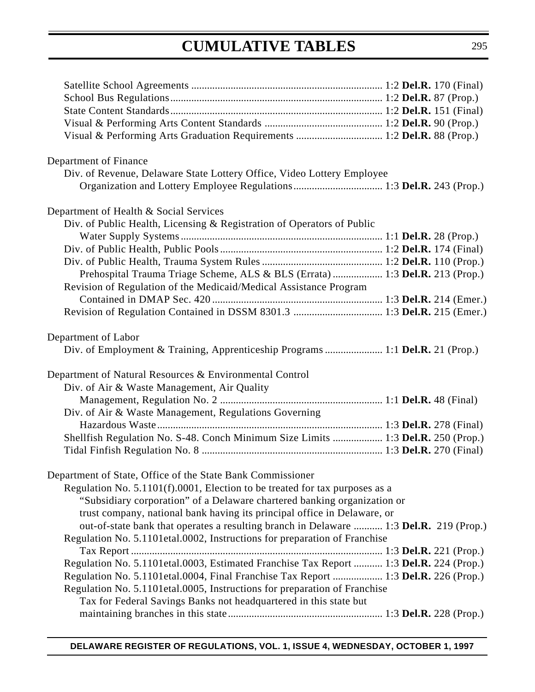# **CUMULATIVE TABLES**

| Department of Finance                                                                  |  |
|----------------------------------------------------------------------------------------|--|
| Div. of Revenue, Delaware State Lottery Office, Video Lottery Employee                 |  |
|                                                                                        |  |
| Department of Health & Social Services                                                 |  |
| Div. of Public Health, Licensing & Registration of Operators of Public                 |  |
|                                                                                        |  |
|                                                                                        |  |
|                                                                                        |  |
| Prehospital Trauma Triage Scheme, ALS & BLS (Errata)  1:3 Del.R. 213 (Prop.)           |  |
| Revision of Regulation of the Medicaid/Medical Assistance Program                      |  |
|                                                                                        |  |
|                                                                                        |  |
| Department of Labor                                                                    |  |
| Div. of Employment & Training, Apprenticeship Programs  1:1 Del.R. 21 (Prop.)          |  |
| Department of Natural Resources & Environmental Control                                |  |
| Div. of Air & Waste Management, Air Quality                                            |  |
|                                                                                        |  |
| Div. of Air & Waste Management, Regulations Governing                                  |  |
|                                                                                        |  |
| Shellfish Regulation No. S-48. Conch Minimum Size Limits  1:3 Del.R. 250 (Prop.)       |  |
|                                                                                        |  |
| Department of State, Office of the State Bank Commissioner                             |  |
| Regulation No. 5.1101(f).0001, Election to be treated for tax purposes as a            |  |
| "Subsidiary corporation" of a Delaware chartered banking organization or               |  |
| trust company, national bank having its principal office in Delaware, or               |  |
| out-of-state bank that operates a resulting branch in Delaware  1:3 Del.R. 219 (Prop.) |  |
| Regulation No. 5.1101etal.0002, Instructions for preparation of Franchise              |  |
|                                                                                        |  |
| Regulation No. 5.1101etal.0003, Estimated Franchise Tax Report  1:3 Del.R. 224 (Prop.) |  |
| Regulation No. 5.1101etal.0004, Final Franchise Tax Report  1:3 Del.R. 226 (Prop.)     |  |
| Regulation No. 5.1101etal.0005, Instructions for preparation of Franchise              |  |
| Tax for Federal Savings Banks not headquartered in this state but                      |  |
|                                                                                        |  |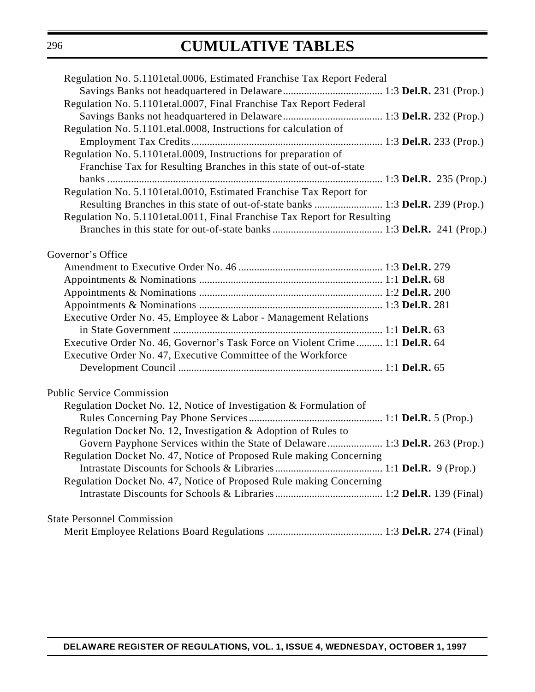# **CUMULATIVE TABLES**

| Regulation No. 5.1101 et al.0006, Estimated Franchise Tax Report Federal       |  |
|--------------------------------------------------------------------------------|--|
|                                                                                |  |
| Regulation No. 5.1101etal.0007, Final Franchise Tax Report Federal             |  |
|                                                                                |  |
| Regulation No. 5.1101.etal.0008, Instructions for calculation of               |  |
|                                                                                |  |
| Regulation No. 5.1101 et al. 0009, Instructions for preparation of             |  |
| Franchise Tax for Resulting Branches in this state of out-of-state             |  |
|                                                                                |  |
| Regulation No. 5.1101etal.0010, Estimated Franchise Tax Report for             |  |
|                                                                                |  |
| Resulting Branches in this state of out-of-state banks  1:3 Del.R. 239 (Prop.) |  |
| Regulation No. 5.1101etal.0011, Final Franchise Tax Report for Resulting       |  |
|                                                                                |  |
|                                                                                |  |
| Governor's Office                                                              |  |
|                                                                                |  |
|                                                                                |  |
|                                                                                |  |
|                                                                                |  |
| Executive Order No. 45, Employee & Labor - Management Relations                |  |
|                                                                                |  |
| Executive Order No. 46, Governor's Task Force on Violent Crime 1:1 Del.R. 64   |  |
| Executive Order No. 47, Executive Committee of the Workforce                   |  |
|                                                                                |  |
|                                                                                |  |
| <b>Public Service Commission</b>                                               |  |
| Regulation Docket No. 12, Notice of Investigation & Formulation of             |  |
|                                                                                |  |
| Regulation Docket No. 12, Investigation & Adoption of Rules to                 |  |
| Govern Payphone Services within the State of Delaware 1:3 Del.R. 263 (Prop.)   |  |
| Regulation Docket No. 47, Notice of Proposed Rule making Concerning            |  |
|                                                                                |  |
| Regulation Docket No. 47, Notice of Proposed Rule making Concerning            |  |
|                                                                                |  |
|                                                                                |  |
| <b>State Personnel Commission</b>                                              |  |
|                                                                                |  |
|                                                                                |  |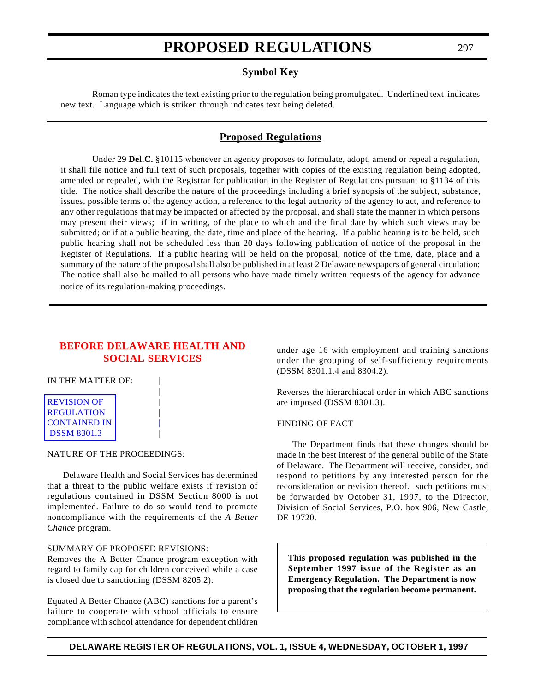#### **Symbol Key**

<span id="page-8-0"></span>Roman type indicates the text existing prior to the regulation being promulgated. Underlined text indicates new text. Language which is striken through indicates text being deleted.

#### **Proposed Regulations**

Under 29 **Del.C.** §10115 whenever an agency proposes to formulate, adopt, amend or repeal a regulation, it shall file notice and full text of such proposals, together with copies of the existing regulation being adopted, amended or repealed, with the Registrar for publication in the Register of Regulations pursuant to §1134 of this title. The notice shall describe the nature of the proceedings including a brief synopsis of the subject, substance, issues, possible terms of the agency action, a reference to the legal authority of the agency to act, and reference to any other regulations that may be impacted or affected by the proposal, and shall state the manner in which persons may present their views; if in writing, of the place to which and the final date by which such views may be submitted; or if at a public hearing, the date, time and place of the hearing. If a public hearing is to be held, such public hearing shall not be scheduled less than 20 days following publication of notice of the proposal in the Register of Regulations. If a public hearing will be held on the proposal, notice of the time, date, place and a summary of the nature of the proposal shall also be published in at least 2 Delaware newspapers of general circulation; The notice shall also be mailed to all persons who have made timely written requests of the agency for advance notice of its regulation-making proceedings.

#### **[BEFORE DELAWARE HEALTH AND](#page-3-1) SOCIAL SERVICES**

|

#### IN THE MATTER OF:

| <b>REVISION OF</b>  |  |
|---------------------|--|
| <b>REGULATION</b>   |  |
| <b>CONTAINED IN</b> |  |
| <b>DSSM 8301.3</b>  |  |

#### NATURE OF THE PROCEEDINGS:

Delaware Health and Social Services has determined that a threat to the public welfare exists if revision of regulations contained in DSSM Section 8000 is not implemented. Failure to do so would tend to promote noncompliance with the requirements of the *A Better Chance* program.

#### SUMMARY OF PROPOSED REVISIONS:

Removes the A Better Chance program exception with regard to family cap for children conceived while a case is closed due to sanctioning (DSSM 8205.2).

Equated A Better Chance (ABC) sanctions for a parent's failure to cooperate with school officials to ensure compliance with school attendance for dependent children under age 16 with employment and training sanctions under the grouping of self-sufficiency requirements (DSSM 8301.1.4 and 8304.2).

Reverses the hierarchiacal order in which ABC sanctions are imposed (DSSM 8301.3).

#### FINDING OF FACT

The Department finds that these changes should be made in the best interest of the general public of the State of Delaware. The Department will receive, consider, and respond to petitions by any interested person for the reconsideration or revision thereof. such petitions must be forwarded by October 31, 1997, to the Director, Division of Social Services, P.O. box 906, New Castle, DE 19720.

**This proposed regulation was published in the September 1997 issue of the Register as an Emergency Regulation. The Department is now proposing that the regulation become permanent.**

**DELAWARE REGISTER OF REGULATIONS, VOL. 1, ISSUE 4, WEDNESDAY, OCTOBER 1, 1997**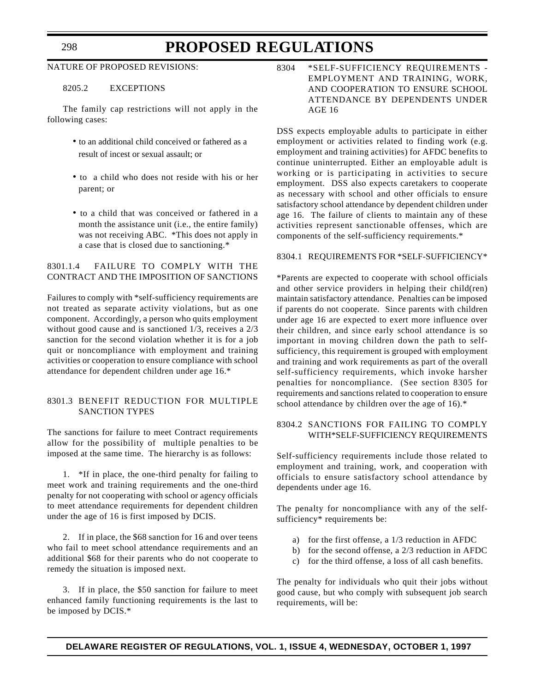#### NATURE OF PROPOSED REVISIONS:

#### 8205.2 EXCEPTIONS

The family cap restrictions will not apply in the following cases:

- to an additional child conceived or fathered as a result of incest or sexual assault; or
- to a child who does not reside with his or her parent; or
- to a child that was conceived or fathered in a month the assistance unit (i.e., the entire family) was not receiving ABC. \*This does not apply in a case that is closed due to sanctioning.\*

#### 8301.1.4 FAILURE TO COMPLY WITH THE CONTRACT AND THE IMPOSITION OF SANCTIONS

Failures to comply with \*self-sufficiency requirements are not treated as separate activity violations, but as one component. Accordingly, a person who quits employment without good cause and is sanctioned 1/3, receives a 2/3 sanction for the second violation whether it is for a job quit or noncompliance with employment and training activities or cooperation to ensure compliance with school attendance for dependent children under age 16.\*

#### 8301.3 BENEFIT REDUCTION FOR MULTIPLE SANCTION TYPES

The sanctions for failure to meet Contract requirements allow for the possibility of multiple penalties to be imposed at the same time. The hierarchy is as follows:

1. \*If in place, the one-third penalty for failing to meet work and training requirements and the one-third penalty for not cooperating with school or agency officials to meet attendance requirements for dependent children under the age of 16 is first imposed by DCIS.

2. If in place, the \$68 sanction for 16 and over teens who fail to meet school attendance requirements and an additional \$68 for their parents who do not cooperate to remedy the situation is imposed next.

3. If in place, the \$50 sanction for failure to meet enhanced family functioning requirements is the last to be imposed by DCIS.\*

8304 \*SELF-SUFFICIENCY REQUIREMENTS - EMPLOYMENT AND TRAINING, WORK, AND COOPERATION TO ENSURE SCHOOL ATTENDANCE BY DEPENDENTS UNDER AGE 16

DSS expects employable adults to participate in either employment or activities related to finding work (e.g. employment and training activities) for AFDC benefits to continue uninterrupted. Either an employable adult is working or is participating in activities to secure employment. DSS also expects caretakers to cooperate as necessary with school and other officials to ensure satisfactory school attendance by dependent children under age 16. The failure of clients to maintain any of these activities represent sanctionable offenses, which are components of the self-sufficiency requirements.\*

#### 8304.1 REQUIREMENTS FOR \*SELF-SUFFICIENCY\*

\*Parents are expected to cooperate with school officials and other service providers in helping their child(ren) maintain satisfactory attendance. Penalties can be imposed if parents do not cooperate. Since parents with children under age 16 are expected to exert more influence over their children, and since early school attendance is so important in moving children down the path to selfsufficiency, this requirement is grouped with employment and training and work requirements as part of the overall self-sufficiency requirements, which invoke harsher penalties for noncompliance. (See section 8305 for requirements and sanctions related to cooperation to ensure school attendance by children over the age of 16).\*

#### 8304.2 SANCTIONS FOR FAILING TO COMPLY WITH\*SELF-SUFFICIENCY REQUIREMENTS

Self-sufficiency requirements include those related to employment and training, work, and cooperation with officials to ensure satisfactory school attendance by dependents under age 16.

The penalty for noncompliance with any of the selfsufficiency\* requirements be:

- a) for the first offense, a 1/3 reduction in AFDC
- b) for the second offense, a 2/3 reduction in AFDC
- c) for the third offense, a loss of all cash benefits.

The penalty for individuals who quit their jobs without good cause, but who comply with subsequent job search requirements, will be:

#### **DELAWARE REGISTER OF REGULATIONS, VOL. 1, ISSUE 4, WEDNESDAY, OCTOBER 1, 1997**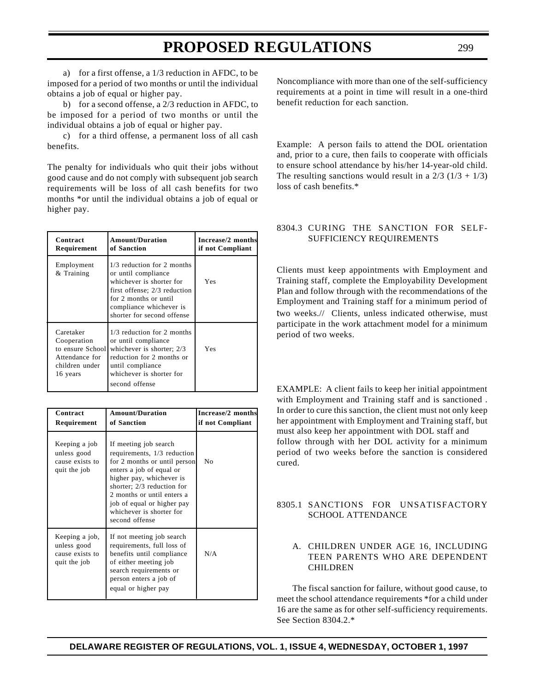a) for a first offense, a 1/3 reduction in AFDC, to be imposed for a period of two months or until the individual obtains a job of equal or higher pay.

b) for a second offense, a 2/3 reduction in AFDC, to be imposed for a period of two months or until the individual obtains a job of equal or higher pay.

c) for a third offense, a permanent loss of all cash benefits.

The penalty for individuals who quit their jobs without good cause and do not comply with subsequent job search requirements will be loss of all cash benefits for two months \*or until the individual obtains a job of equal or higher pay.

| Contract<br>Requirement                                                                      | <b>Amount/Duration</b><br>of Sanction                                                                                                                                                           | Increase/2 months<br>if not Compliant |
|----------------------------------------------------------------------------------------------|-------------------------------------------------------------------------------------------------------------------------------------------------------------------------------------------------|---------------------------------------|
| Employment<br>& Training                                                                     | 1/3 reduction for 2 months<br>or until compliance<br>whichever is shorter for<br>first offense; 2/3 reduction<br>for 2 months or until<br>compliance whichever is<br>shorter for second offense | Yes                                   |
| Caretaker<br>Cooperation<br>to ensure School<br>Attendance for<br>children under<br>16 years | 1/3 reduction for 2 months<br>or until compliance<br>whichever is shorter; 2/3<br>reduction for 2 months or<br>until compliance<br>whichever is shorter for<br>second offense                   | Yes                                   |

| Contract<br>Requirement                                          | <b>Amount/Duration</b><br>of Sanction                                                                                                                                                                                                                                                | Increase/2 months<br>if not Compliant |
|------------------------------------------------------------------|--------------------------------------------------------------------------------------------------------------------------------------------------------------------------------------------------------------------------------------------------------------------------------------|---------------------------------------|
| Keeping a job<br>unless good<br>cause exists to<br>quit the job  | If meeting job search<br>requirements, 1/3 reduction<br>for 2 months or until person<br>enters a job of equal or<br>higher pay, whichever is<br>shorter; 2/3 reduction for<br>2 months or until enters a<br>job of equal or higher pay<br>whichever is shorter for<br>second offense | No                                    |
| Keeping a job,<br>unless good<br>cause exists to<br>quit the job | If not meeting job search<br>requirements, full loss of<br>benefits until compliance<br>of either meeting job<br>search requirements or<br>person enters a job of<br>equal or higher pay                                                                                             | N/A                                   |

Noncompliance with more than one of the self-sufficiency requirements at a point in time will result in a one-third benefit reduction for each sanction.

Example: A person fails to attend the DOL orientation and, prior to a cure, then fails to cooperate with officials to ensure school attendance by his/her 14-year-old child. The resulting sanctions would result in a  $2/3$  ( $1/3 + 1/3$ ) loss of cash benefits.\*

#### 8304.3 CURING THE SANCTION FOR SELF-SUFFICIENCY REQUIREMENTS

Clients must keep appointments with Employment and Training staff, complete the Employability Development Plan and follow through with the recommendations of the Employment and Training staff for a minimum period of two weeks.// Clients, unless indicated otherwise, must participate in the work attachment model for a minimum period of two weeks.

EXAMPLE: A client fails to keep her initial appointment with Employment and Training staff and is sanctioned . In order to cure this sanction, the client must not only keep her appointment with Employment and Training staff, but must also keep her appointment with DOL staff and follow through with her DOL activity for a minimum period of two weeks before the sanction is considered cured.

#### 8305.1 SANCTIONS FOR UNSATISFACTORY SCHOOL ATTENDANCE

#### A. CHILDREN UNDER AGE 16, INCLUDING TEEN PARENTS WHO ARE DEPENDENT CHILDREN

The fiscal sanction for failure, without good cause, to meet the school attendance requirements \*for a child under 16 are the same as for other self-sufficiency requirements. See Section 8304.2.\*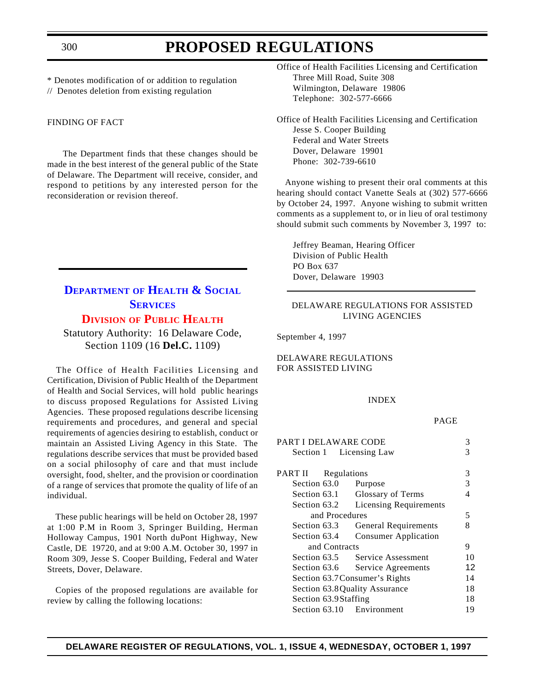<span id="page-11-0"></span>\* Denotes modification of or addition to regulation // Denotes deletion from existing regulation

#### FINDING OF FACT

The Department finds that these changes should be made in the best interest of the general public of the State of Delaware. The Department will receive, consider, and respond to petitions by any interested person for the reconsideration or revision thereof.

### **DEPARTMENT OF [HEALTH & SOCIAL](http://www.state.de.us/govern/agencies/dhss/irm/dhss.htm) SERVICES [DIVISION](#page-3-2) OF PUBLIC HEALTH**

Statutory Authority: 16 Delaware Code, Section 1109 (16 **Del.C.** 1109)

The Office of Health Facilities Licensing and Certification, Division of Public Health of the Department of Health and Social Services, will hold public hearings to discuss proposed Regulations for Assisted Living Agencies. These proposed regulations describe licensing requirements and procedures, and general and special requirements of agencies desiring to establish, conduct or maintain an Assisted Living Agency in this State. The regulations describe services that must be provided based on a social philosophy of care and that must include oversight, food, shelter, and the provision or coordination of a range of services that promote the quality of life of an individual.

These public hearings will be held on October 28, 1997 at 1:00 P.M in Room 3, Springer Building, Herman Holloway Campus, 1901 North duPont Highway, New Castle, DE 19720, and at 9:00 A.M. October 30, 1997 in Room 309, Jesse S. Cooper Building, Federal and Water Streets, Dover, Delaware.

Copies of the proposed regulations are available for review by calling the following locations:

Office of Health Facilities Licensing and Certification Three Mill Road, Suite 308 Wilmington, Delaware 19806 Telephone: 302-577-6666

Office of Health Facilities Licensing and Certification Jesse S. Cooper Building Federal and Water Streets Dover, Delaware 19901 Phone: 302-739-6610

Anyone wishing to present their oral comments at this hearing should contact Vanette Seals at (302) 577-6666 by October 24, 1997. Anyone wishing to submit written comments as a supplement to, or in lieu of oral testimony should submit such comments by November 3, 1997 to:

Jeffrey Beaman, Hearing Officer Division of Public Health PO Box 637 Dover, Delaware 19903

#### DELAWARE REGULATIONS FOR ASSISTED LIVING AGENCIES

September 4, 1997

DELAWARE REGULATIONS FOR ASSISTED LIVING

#### INDEX

#### PAGE

| <b>PART I DELAWARE CODE</b> |                                 | 3  |
|-----------------------------|---------------------------------|----|
| Section 1 Licensing Law     |                                 | 3  |
|                             |                                 |    |
| PART II<br>Regulations      |                                 | 3  |
| Section 63.0                | Purpose                         | 3  |
| Section 63.1                | Glossary of Terms               | 4  |
| Section 63.2                | <b>Licensing Requirements</b>   |    |
| and Procedures              |                                 | 5  |
| Section 63.3                | General Requirements            | 8  |
| Section 63.4                | <b>Consumer Application</b>     |    |
| and Contracts               |                                 | 9  |
|                             | Section 63.5 Service Assessment | 10 |
| Section 63.6                | Service Agreements              | 12 |
|                             | Section 63.7 Consumer's Rights  | 14 |
|                             | Section 63.8 Quality Assurance  | 18 |
| Section 63.9Staffing        |                                 | 18 |
| Section 63.10 Environment   |                                 | 19 |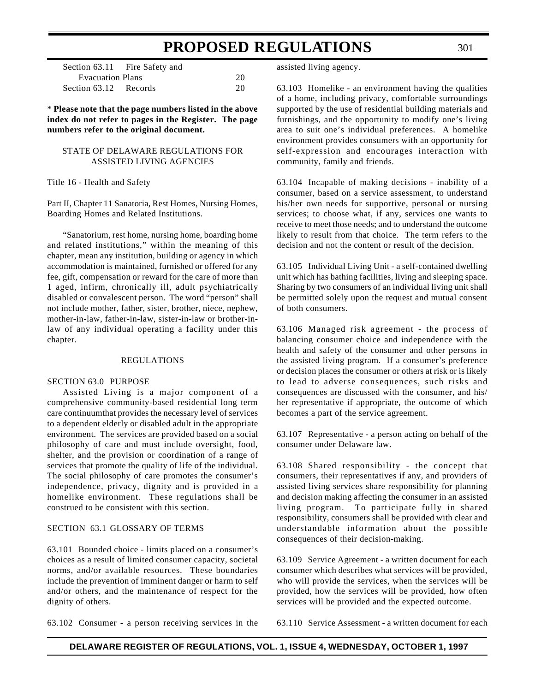|                         | Section 63.11 Fire Safety and |    |
|-------------------------|-------------------------------|----|
| <b>Evacuation Plans</b> |                               | 20 |
| Section 63.12 Records   |                               | 20 |

\* **Please note that the page numbers listed in the above index do not refer to pages in the Register. The page numbers refer to the original document.**

#### STATE OF DELAWARE REGULATIONS FOR ASSISTED LIVING AGENCIES

Title 16 - Health and Safety

Part II, Chapter 11 Sanatoria, Rest Homes, Nursing Homes, Boarding Homes and Related Institutions.

"Sanatorium, rest home, nursing home, boarding home and related institutions," within the meaning of this chapter, mean any institution, building or agency in which accommodation is maintained, furnished or offered for any fee, gift, compensation or reward for the care of more than 1 aged, infirm, chronically ill, adult psychiatrically disabled or convalescent person. The word "person" shall not include mother, father, sister, brother, niece, nephew, mother-in-law, father-in-law, sister-in-law or brother-inlaw of any individual operating a facility under this chapter.

#### REGULATIONS

#### SECTION 63.0 PURPOSE

Assisted Living is a major component of a comprehensive community-based residential long term care continuumthat provides the necessary level of services to a dependent elderly or disabled adult in the appropriate environment. The services are provided based on a social philosophy of care and must include oversight, food, shelter, and the provision or coordination of a range of services that promote the quality of life of the individual. The social philosophy of care promotes the consumer's independence, privacy, dignity and is provided in a homelike environment. These regulations shall be construed to be consistent with this section.

#### SECTION 63.1 GLOSSARY OF TERMS

63.101 Bounded choice - limits placed on a consumer's choices as a result of limited consumer capacity, societal norms, and/or available resources. These boundaries include the prevention of imminent danger or harm to self and/or others, and the maintenance of respect for the dignity of others.

assisted living agency.

63.103 Homelike - an environment having the qualities of a home, including privacy, comfortable surroundings supported by the use of residential building materials and furnishings, and the opportunity to modify one's living area to suit one's individual preferences. A homelike environment provides consumers with an opportunity for self-expression and encourages interaction with community, family and friends.

63.104 Incapable of making decisions - inability of a consumer, based on a service assessment, to understand his/her own needs for supportive, personal or nursing services; to choose what, if any, services one wants to receive to meet those needs; and to understand the outcome likely to result from that choice. The term refers to the decision and not the content or result of the decision.

63.105 Individual Living Unit - a self-contained dwelling unit which has bathing facilities, living and sleeping space. Sharing by two consumers of an individual living unit shall be permitted solely upon the request and mutual consent of both consumers.

63.106 Managed risk agreement - the process of balancing consumer choice and independence with the health and safety of the consumer and other persons in the assisted living program. If a consumer's preference or decision places the consumer or others at risk or is likely to lead to adverse consequences, such risks and consequences are discussed with the consumer, and his/ her representative if appropriate, the outcome of which becomes a part of the service agreement.

63.107 Representative - a person acting on behalf of the consumer under Delaware law.

63.108 Shared responsibility - the concept that consumers, their representatives if any, and providers of assisted living services share responsibility for planning and decision making affecting the consumer in an assisted living program. To participate fully in shared responsibility, consumers shall be provided with clear and understandable information about the possible consequences of their decision-making.

63.109 Service Agreement - a written document for each consumer which describes what services will be provided, who will provide the services, when the services will be provided, how the services will be provided, how often services will be provided and the expected outcome.

63.102 Consumer - a person receiving services in the

63.110 Service Assessment - a written document for each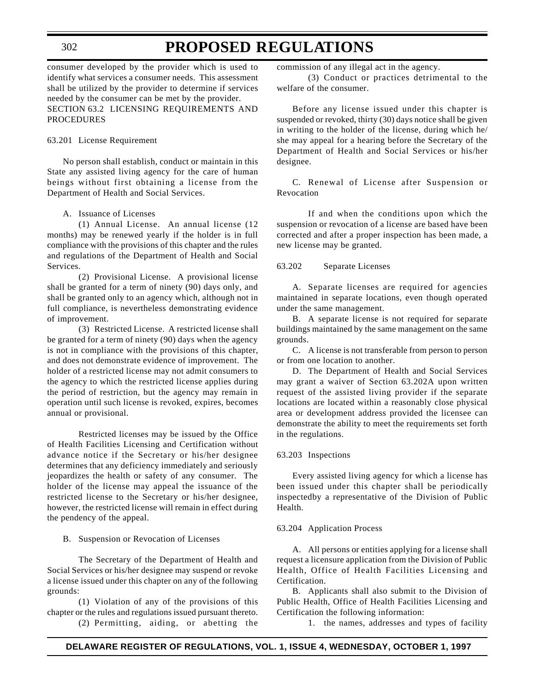#### 302

### **PROPOSED REGULATIONS**

consumer developed by the provider which is used to identify what services a consumer needs. This assessment shall be utilized by the provider to determine if services needed by the consumer can be met by the provider. SECTION 63.2 LICENSING REQUIREMENTS AND PROCEDURES

#### 63.201 License Requirement

No person shall establish, conduct or maintain in this State any assisted living agency for the care of human beings without first obtaining a license from the Department of Health and Social Services.

#### A. Issuance of Licenses

(1) Annual License. An annual license (12 months) may be renewed yearly if the holder is in full compliance with the provisions of this chapter and the rules and regulations of the Department of Health and Social Services.

(2) Provisional License. A provisional license shall be granted for a term of ninety (90) days only, and shall be granted only to an agency which, although not in full compliance, is nevertheless demonstrating evidence of improvement.

(3) Restricted License. A restricted license shall be granted for a term of ninety (90) days when the agency is not in compliance with the provisions of this chapter, and does not demonstrate evidence of improvement. The holder of a restricted license may not admit consumers to the agency to which the restricted license applies during the period of restriction, but the agency may remain in operation until such license is revoked, expires, becomes annual or provisional.

Restricted licenses may be issued by the Office of Health Facilities Licensing and Certification without advance notice if the Secretary or his/her designee determines that any deficiency immediately and seriously jeopardizes the health or safety of any consumer. The holder of the license may appeal the issuance of the restricted license to the Secretary or his/her designee, however, the restricted license will remain in effect during the pendency of the appeal.

B. Suspension or Revocation of Licenses

The Secretary of the Department of Health and Social Services or his/her designee may suspend or revoke a license issued under this chapter on any of the following grounds:

(1) Violation of any of the provisions of this chapter or the rules and regulations issued pursuant thereto.

(2) Permitting, aiding, or abetting the

commission of any illegal act in the agency.

(3) Conduct or practices detrimental to the welfare of the consumer.

Before any license issued under this chapter is suspended or revoked, thirty (30) days notice shall be given in writing to the holder of the license, during which he/ she may appeal for a hearing before the Secretary of the Department of Health and Social Services or his/her designee.

C. Renewal of License after Suspension or Revocation

If and when the conditions upon which the suspension or revocation of a license are based have been corrected and after a proper inspection has been made, a new license may be granted.

#### 63.202 Separate Licenses

A. Separate licenses are required for agencies maintained in separate locations, even though operated under the same management.

B. A separate license is not required for separate buildings maintained by the same management on the same grounds.

C. A license is not transferable from person to person or from one location to another.

D. The Department of Health and Social Services may grant a waiver of Section 63.202A upon written request of the assisted living provider if the separate locations are located within a reasonably close physical area or development address provided the licensee can demonstrate the ability to meet the requirements set forth in the regulations.

#### 63.203 Inspections

Every assisted living agency for which a license has been issued under this chapter shall be periodically inspectedby a representative of the Division of Public Health.

#### 63.204 Application Process

A. All persons or entities applying for a license shall request a licensure application from the Division of Public Health, Office of Health Facilities Licensing and Certification.

B. Applicants shall also submit to the Division of Public Health, Office of Health Facilities Licensing and Certification the following information:

1. the names, addresses and types of facility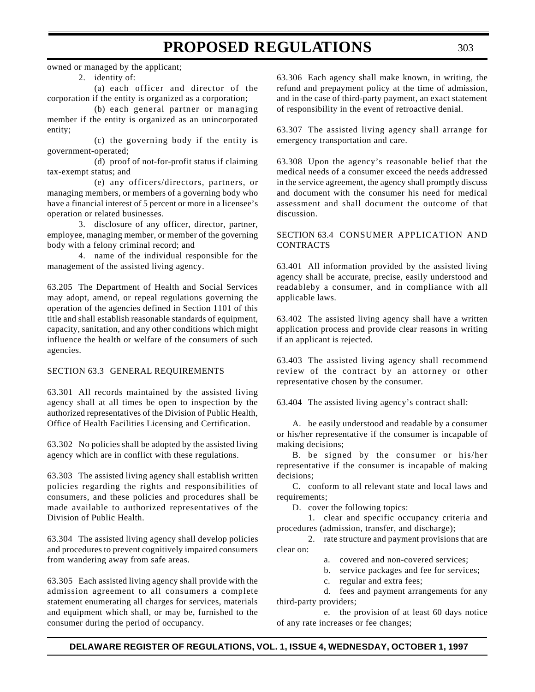owned or managed by the applicant;

#### 2. identity of:

(a) each officer and director of the corporation if the entity is organized as a corporation;

(b) each general partner or managing member if the entity is organized as an unincorporated entity;

(c) the governing body if the entity is government-operated;

(d) proof of not-for-profit status if claiming tax-exempt status; and

(e) any officers/directors, partners, or managing members, or members of a governing body who have a financial interest of 5 percent or more in a licensee's operation or related businesses.

3. disclosure of any officer, director, partner, employee, managing member, or member of the governing body with a felony criminal record; and

4. name of the individual responsible for the management of the assisted living agency.

63.205 The Department of Health and Social Services may adopt, amend, or repeal regulations governing the operation of the agencies defined in Section 1101 of this title and shall establish reasonable standards of equipment, capacity, sanitation, and any other conditions which might influence the health or welfare of the consumers of such agencies.

#### SECTION 63.3 GENERAL REQUIREMENTS

63.301 All records maintained by the assisted living agency shall at all times be open to inspection by the authorized representatives of the Division of Public Health, Office of Health Facilities Licensing and Certification.

63.302 No policies shall be adopted by the assisted living agency which are in conflict with these regulations.

63.303 The assisted living agency shall establish written policies regarding the rights and responsibilities of consumers, and these policies and procedures shall be made available to authorized representatives of the Division of Public Health.

63.304 The assisted living agency shall develop policies and procedures to prevent cognitively impaired consumers from wandering away from safe areas.

63.305 Each assisted living agency shall provide with the admission agreement to all consumers a complete statement enumerating all charges for services, materials and equipment which shall, or may be, furnished to the consumer during the period of occupancy.

63.306 Each agency shall make known, in writing, the refund and prepayment policy at the time of admission, and in the case of third-party payment, an exact statement of responsibility in the event of retroactive denial.

63.307 The assisted living agency shall arrange for emergency transportation and care.

63.308 Upon the agency's reasonable belief that the medical needs of a consumer exceed the needs addressed in the service agreement, the agency shall promptly discuss and document with the consumer his need for medical assessment and shall document the outcome of that discussion.

#### SECTION 63.4 CONSUMER APPLICATION AND CONTRACTS

63.401 All information provided by the assisted living agency shall be accurate, precise, easily understood and readableby a consumer, and in compliance with all applicable laws.

63.402 The assisted living agency shall have a written application process and provide clear reasons in writing if an applicant is rejected.

63.403 The assisted living agency shall recommend review of the contract by an attorney or other representative chosen by the consumer.

63.404 The assisted living agency's contract shall:

A. be easily understood and readable by a consumer or his/her representative if the consumer is incapable of making decisions;

B. be signed by the consumer or his/her representative if the consumer is incapable of making decisions;

C. conform to all relevant state and local laws and requirements;

D. cover the following topics:

1. clear and specific occupancy criteria and procedures (admission, transfer, and discharge);

2. rate structure and payment provisions that are clear on:

- a. covered and non-covered services;
- b. service packages and fee for services;
- c. regular and extra fees;

d. fees and payment arrangements for any third-party providers;

e. the provision of at least 60 days notice of any rate increases or fee changes;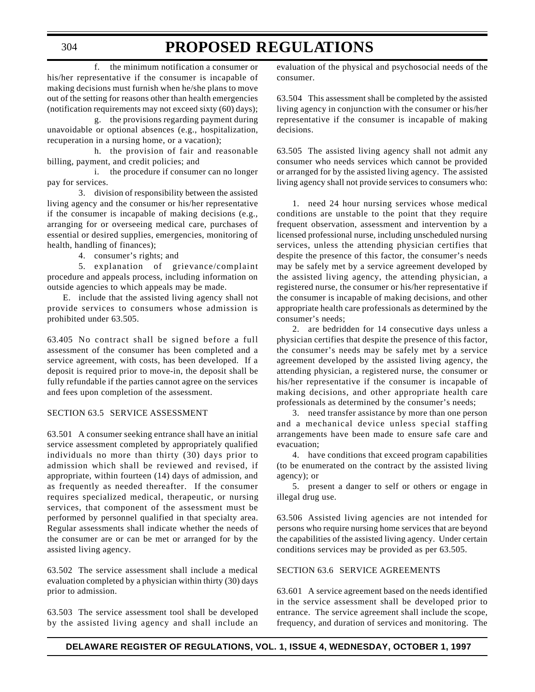f. the minimum notification a consumer or his/her representative if the consumer is incapable of making decisions must furnish when he/she plans to move out of the setting for reasons other than health emergencies (notification requirements may not exceed sixty (60) days);

g. the provisions regarding payment during unavoidable or optional absences (e.g., hospitalization, recuperation in a nursing home, or a vacation);

h. the provision of fair and reasonable billing, payment, and credit policies; and

i. the procedure if consumer can no longer pay for services.

3. division of responsibility between the assisted living agency and the consumer or his/her representative if the consumer is incapable of making decisions (e.g., arranging for or overseeing medical care, purchases of essential or desired supplies, emergencies, monitoring of health, handling of finances);

4. consumer's rights; and

5. explanation of grievance/complaint procedure and appeals process, including information on outside agencies to which appeals may be made.

E. include that the assisted living agency shall not provide services to consumers whose admission is prohibited under 63.505.

63.405 No contract shall be signed before a full assessment of the consumer has been completed and a service agreement, with costs, has been developed. If a deposit is required prior to move-in, the deposit shall be fully refundable if the parties cannot agree on the services and fees upon completion of the assessment.

#### SECTION 63.5 SERVICE ASSESSMENT

63.501 A consumer seeking entrance shall have an initial service assessment completed by appropriately qualified individuals no more than thirty (30) days prior to admission which shall be reviewed and revised, if appropriate, within fourteen (14) days of admission, and as frequently as needed thereafter. If the consumer requires specialized medical, therapeutic, or nursing services, that component of the assessment must be performed by personnel qualified in that specialty area. Regular assessments shall indicate whether the needs of the consumer are or can be met or arranged for by the assisted living agency.

63.502 The service assessment shall include a medical evaluation completed by a physician within thirty (30) days prior to admission.

63.503 The service assessment tool shall be developed by the assisted living agency and shall include an

evaluation of the physical and psychosocial needs of the consumer.

63.504 This assessment shall be completed by the assisted living agency in conjunction with the consumer or his/her representative if the consumer is incapable of making decisions.

63.505 The assisted living agency shall not admit any consumer who needs services which cannot be provided or arranged for by the assisted living agency. The assisted living agency shall not provide services to consumers who:

1. need 24 hour nursing services whose medical conditions are unstable to the point that they require frequent observation, assessment and intervention by a licensed professional nurse, including unscheduled nursing services, unless the attending physician certifies that despite the presence of this factor, the consumer's needs may be safely met by a service agreement developed by the assisted living agency, the attending physician, a registered nurse, the consumer or his/her representative if the consumer is incapable of making decisions, and other appropriate health care professionals as determined by the consumer's needs;

2. are bedridden for 14 consecutive days unless a physician certifies that despite the presence of this factor, the consumer's needs may be safely met by a service agreement developed by the assisted living agency, the attending physician, a registered nurse, the consumer or his/her representative if the consumer is incapable of making decisions, and other appropriate health care professionals as determined by the consumer's needs;

3. need transfer assistance by more than one person and a mechanical device unless special staffing arrangements have been made to ensure safe care and evacuation;

4. have conditions that exceed program capabilities (to be enumerated on the contract by the assisted living agency); or

5. present a danger to self or others or engage in illegal drug use.

63.506 Assisted living agencies are not intended for persons who require nursing home services that are beyond the capabilities of the assisted living agency. Under certain conditions services may be provided as per 63.505.

#### SECTION 63.6 SERVICE AGREEMENTS

63.601 A service agreement based on the needs identified in the service assessment shall be developed prior to entrance. The service agreement shall include the scope, frequency, and duration of services and monitoring. The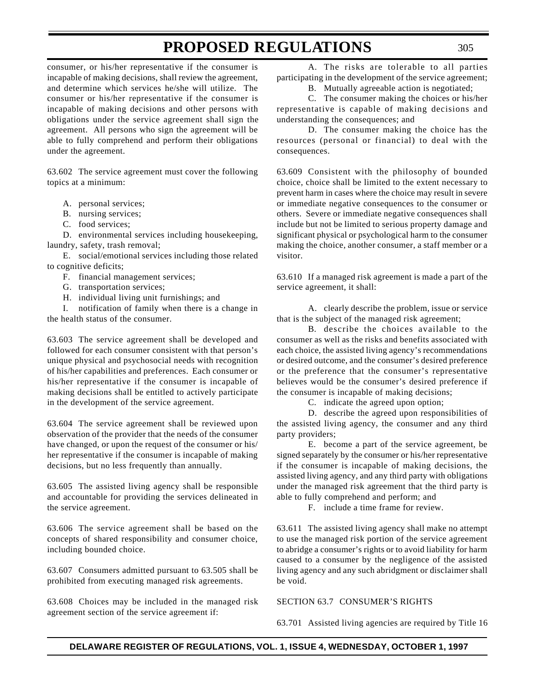consumer, or his/her representative if the consumer is incapable of making decisions, shall review the agreement, and determine which services he/she will utilize. The consumer or his/her representative if the consumer is incapable of making decisions and other persons with obligations under the service agreement shall sign the agreement. All persons who sign the agreement will be able to fully comprehend and perform their obligations under the agreement.

63.602 The service agreement must cover the following topics at a minimum:

- A. personal services;
- B. nursing services;
- C. food services;

D. environmental services including housekeeping, laundry, safety, trash removal;

E. social/emotional services including those related to cognitive deficits;

F. financial management services;

- G. transportation services;
- H. individual living unit furnishings; and

I. notification of family when there is a change in the health status of the consumer.

63.603 The service agreement shall be developed and followed for each consumer consistent with that person's unique physical and psychosocial needs with recognition of his/her capabilities and preferences. Each consumer or his/her representative if the consumer is incapable of making decisions shall be entitled to actively participate in the development of the service agreement.

63.604 The service agreement shall be reviewed upon observation of the provider that the needs of the consumer have changed, or upon the request of the consumer or his/ her representative if the consumer is incapable of making decisions, but no less frequently than annually.

63.605 The assisted living agency shall be responsible and accountable for providing the services delineated in the service agreement.

63.606 The service agreement shall be based on the concepts of shared responsibility and consumer choice, including bounded choice.

63.607 Consumers admitted pursuant to 63.505 shall be prohibited from executing managed risk agreements.

63.608 Choices may be included in the managed risk agreement section of the service agreement if:

A. The risks are tolerable to all parties participating in the development of the service agreement;

B. Mutually agreeable action is negotiated;

C. The consumer making the choices or his/her representative is capable of making decisions and understanding the consequences; and

D. The consumer making the choice has the resources (personal or financial) to deal with the consequences.

63.609 Consistent with the philosophy of bounded choice, choice shall be limited to the extent necessary to prevent harm in cases where the choice may result in severe or immediate negative consequences to the consumer or others. Severe or immediate negative consequences shall include but not be limited to serious property damage and significant physical or psychological harm to the consumer making the choice, another consumer, a staff member or a visitor.

63.610 If a managed risk agreement is made a part of the service agreement, it shall:

A. clearly describe the problem, issue or service that is the subject of the managed risk agreement;

B. describe the choices available to the consumer as well as the risks and benefits associated with each choice, the assisted living agency's recommendations or desired outcome, and the consumer's desired preference or the preference that the consumer's representative believes would be the consumer's desired preference if the consumer is incapable of making decisions;

C. indicate the agreed upon option;

D. describe the agreed upon responsibilities of the assisted living agency, the consumer and any third party providers;

E. become a part of the service agreement, be signed separately by the consumer or his/her representative if the consumer is incapable of making decisions, the assisted living agency, and any third party with obligations under the managed risk agreement that the third party is able to fully comprehend and perform; and

F. include a time frame for review.

63.611 The assisted living agency shall make no attempt to use the managed risk portion of the service agreement to abridge a consumer's rights or to avoid liability for harm caused to a consumer by the negligence of the assisted living agency and any such abridgment or disclaimer shall be void.

SECTION 63.7 CONSUMER'S RIGHTS

63.701 Assisted living agencies are required by Title 16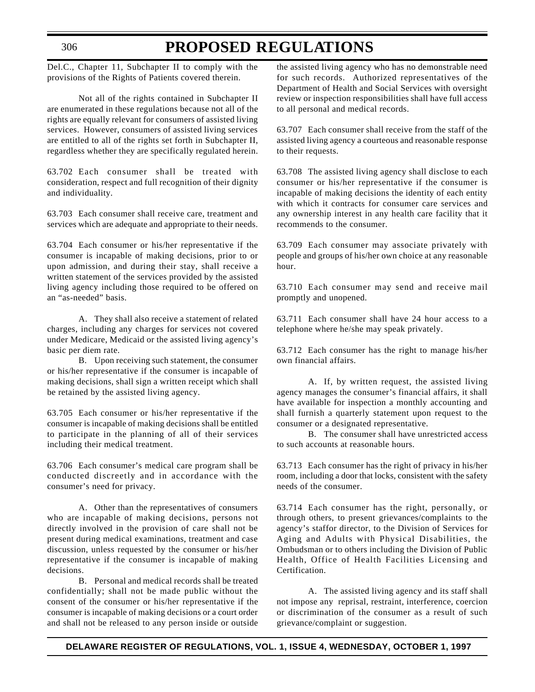#### 306

### **PROPOSED REGULATIONS**

Del.C., Chapter 11, Subchapter II to comply with the provisions of the Rights of Patients covered therein.

Not all of the rights contained in Subchapter II are enumerated in these regulations because not all of the rights are equally relevant for consumers of assisted living services. However, consumers of assisted living services are entitled to all of the rights set forth in Subchapter II, regardless whether they are specifically regulated herein.

63.702 Each consumer shall be treated with consideration, respect and full recognition of their dignity and individuality.

63.703 Each consumer shall receive care, treatment and services which are adequate and appropriate to their needs.

63.704 Each consumer or his/her representative if the consumer is incapable of making decisions, prior to or upon admission, and during their stay, shall receive a written statement of the services provided by the assisted living agency including those required to be offered on an "as-needed" basis.

A. They shall also receive a statement of related charges, including any charges for services not covered under Medicare, Medicaid or the assisted living agency's basic per diem rate.

B. Upon receiving such statement, the consumer or his/her representative if the consumer is incapable of making decisions, shall sign a written receipt which shall be retained by the assisted living agency.

63.705 Each consumer or his/her representative if the consumer is incapable of making decisions shall be entitled to participate in the planning of all of their services including their medical treatment.

63.706 Each consumer's medical care program shall be conducted discreetly and in accordance with the consumer's need for privacy.

A. Other than the representatives of consumers who are incapable of making decisions, persons not directly involved in the provision of care shall not be present during medical examinations, treatment and case discussion, unless requested by the consumer or his/her representative if the consumer is incapable of making decisions.

B. Personal and medical records shall be treated confidentially; shall not be made public without the consent of the consumer or his/her representative if the consumer is incapable of making decisions or a court order and shall not be released to any person inside or outside

the assisted living agency who has no demonstrable need for such records. Authorized representatives of the Department of Health and Social Services with oversight review or inspection responsibilities shall have full access to all personal and medical records.

63.707 Each consumer shall receive from the staff of the assisted living agency a courteous and reasonable response to their requests.

63.708 The assisted living agency shall disclose to each consumer or his/her representative if the consumer is incapable of making decisions the identity of each entity with which it contracts for consumer care services and any ownership interest in any health care facility that it recommends to the consumer.

63.709 Each consumer may associate privately with people and groups of his/her own choice at any reasonable hour.

63.710 Each consumer may send and receive mail promptly and unopened.

63.711 Each consumer shall have 24 hour access to a telephone where he/she may speak privately.

63.712 Each consumer has the right to manage his/her own financial affairs.

A. If, by written request, the assisted living agency manages the consumer's financial affairs, it shall have available for inspection a monthly accounting and shall furnish a quarterly statement upon request to the consumer or a designated representative.

B. The consumer shall have unrestricted access to such accounts at reasonable hours.

63.713 Each consumer has the right of privacy in his/her room, including a door that locks, consistent with the safety needs of the consumer.

63.714 Each consumer has the right, personally, or through others, to present grievances/complaints to the agency's staffor director, to the Division of Services for Aging and Adults with Physical Disabilities, the Ombudsman or to others including the Division of Public Health, Office of Health Facilities Licensing and Certification.

A. The assisted living agency and its staff shall not impose any reprisal, restraint, interference, coercion or discrimination of the consumer as a result of such grievance/complaint or suggestion.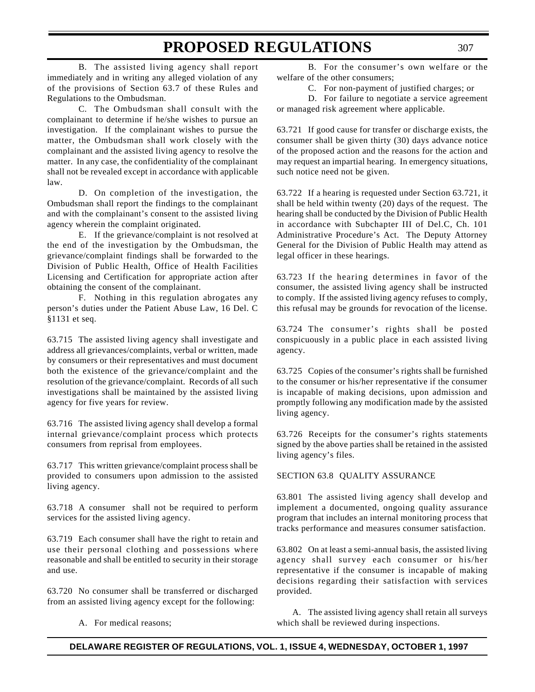B. The assisted living agency shall report immediately and in writing any alleged violation of any of the provisions of Section 63.7 of these Rules and Regulations to the Ombudsman.

C. The Ombudsman shall consult with the complainant to determine if he/she wishes to pursue an investigation. If the complainant wishes to pursue the matter, the Ombudsman shall work closely with the complainant and the assisted living agency to resolve the matter. In any case, the confidentiality of the complainant shall not be revealed except in accordance with applicable law.

D. On completion of the investigation, the Ombudsman shall report the findings to the complainant and with the complainant's consent to the assisted living agency wherein the complaint originated.

E. If the grievance/complaint is not resolved at the end of the investigation by the Ombudsman, the grievance/complaint findings shall be forwarded to the Division of Public Health, Office of Health Facilities Licensing and Certification for appropriate action after obtaining the consent of the complainant.

F. Nothing in this regulation abrogates any person's duties under the Patient Abuse Law, 16 Del. C §1131 et seq.

63.715 The assisted living agency shall investigate and address all grievances/complaints, verbal or written, made by consumers or their representatives and must document both the existence of the grievance/complaint and the resolution of the grievance/complaint. Records of all such investigations shall be maintained by the assisted living agency for five years for review.

63.716 The assisted living agency shall develop a formal internal grievance/complaint process which protects consumers from reprisal from employees.

63.717 This written grievance/complaint process shall be provided to consumers upon admission to the assisted living agency.

63.718 A consumer shall not be required to perform services for the assisted living agency.

63.719 Each consumer shall have the right to retain and use their personal clothing and possessions where reasonable and shall be entitled to security in their storage and use.

63.720 No consumer shall be transferred or discharged from an assisted living agency except for the following:

A. For medical reasons;

B. For the consumer's own welfare or the welfare of the other consumers;

C. For non-payment of justified charges; or

D. For failure to negotiate a service agreement or managed risk agreement where applicable.

63.721 If good cause for transfer or discharge exists, the consumer shall be given thirty (30) days advance notice of the proposed action and the reasons for the action and may request an impartial hearing. In emergency situations, such notice need not be given.

63.722 If a hearing is requested under Section 63.721, it shall be held within twenty (20) days of the request. The hearing shall be conducted by the Division of Public Health in accordance with Subchapter III of Del.C, Ch. 101 Administrative Procedure's Act. The Deputy Attorney General for the Division of Public Health may attend as legal officer in these hearings.

63.723 If the hearing determines in favor of the consumer, the assisted living agency shall be instructed to comply. If the assisted living agency refuses to comply, this refusal may be grounds for revocation of the license.

63.724 The consumer's rights shall be posted conspicuously in a public place in each assisted living agency.

63.725 Copies of the consumer's rights shall be furnished to the consumer or his/her representative if the consumer is incapable of making decisions, upon admission and promptly following any modification made by the assisted living agency.

63.726 Receipts for the consumer's rights statements signed by the above parties shall be retained in the assisted living agency's files.

#### SECTION 63.8 QUALITY ASSURANCE

63.801 The assisted living agency shall develop and implement a documented, ongoing quality assurance program that includes an internal monitoring process that tracks performance and measures consumer satisfaction.

63.802 On at least a semi-annual basis, the assisted living agency shall survey each consumer or his/her representative if the consumer is incapable of making decisions regarding their satisfaction with services provided.

A. The assisted living agency shall retain all surveys which shall be reviewed during inspections.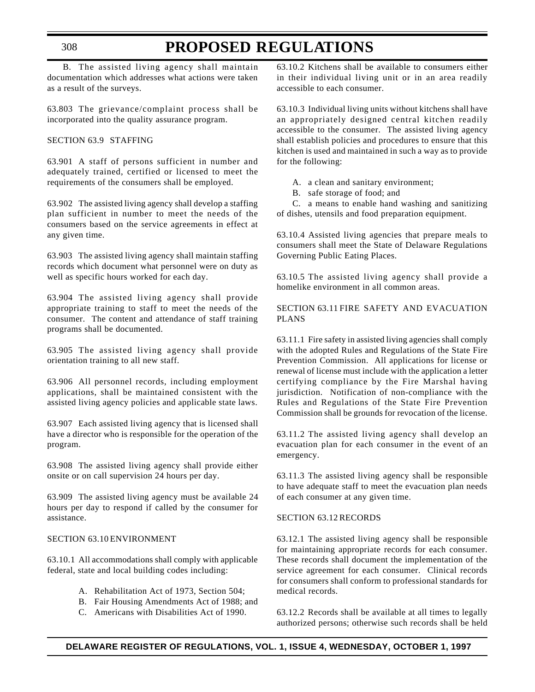B. The assisted living agency shall maintain documentation which addresses what actions were taken as a result of the surveys.

63.803 The grievance/complaint process shall be incorporated into the quality assurance program.

#### SECTION 63.9 STAFFING

63.901 A staff of persons sufficient in number and adequately trained, certified or licensed to meet the requirements of the consumers shall be employed.

63.902 The assisted living agency shall develop a staffing plan sufficient in number to meet the needs of the consumers based on the service agreements in effect at any given time.

63.903 The assisted living agency shall maintain staffing records which document what personnel were on duty as well as specific hours worked for each day.

63.904 The assisted living agency shall provide appropriate training to staff to meet the needs of the consumer. The content and attendance of staff training programs shall be documented.

63.905 The assisted living agency shall provide orientation training to all new staff.

63.906 All personnel records, including employment applications, shall be maintained consistent with the assisted living agency policies and applicable state laws.

63.907 Each assisted living agency that is licensed shall have a director who is responsible for the operation of the program.

63.908 The assisted living agency shall provide either onsite or on call supervision 24 hours per day.

63.909 The assisted living agency must be available 24 hours per day to respond if called by the consumer for assistance.

#### SECTION 63.10 ENVIRONMENT

63.10.1 All accommodations shall comply with applicable federal, state and local building codes including:

- A. Rehabilitation Act of 1973, Section 504;
- B. Fair Housing Amendments Act of 1988; and
- C. Americans with Disabilities Act of 1990.

63.10.2 Kitchens shall be available to consumers either in their individual living unit or in an area readily accessible to each consumer.

63.10.3 Individual living units without kitchens shall have an appropriately designed central kitchen readily accessible to the consumer. The assisted living agency shall establish policies and procedures to ensure that this kitchen is used and maintained in such a way as to provide for the following:

- A. a clean and sanitary environment;
- B. safe storage of food; and

C. a means to enable hand washing and sanitizing of dishes, utensils and food preparation equipment.

63.10.4 Assisted living agencies that prepare meals to consumers shall meet the State of Delaware Regulations Governing Public Eating Places.

63.10.5 The assisted living agency shall provide a homelike environment in all common areas.

SECTION 63.11 FIRE SAFETY AND EVACUATION PLANS

63.11.1 Fire safety in assisted living agencies shall comply with the adopted Rules and Regulations of the State Fire Prevention Commission. All applications for license or renewal of license must include with the application a letter certifying compliance by the Fire Marshal having jurisdiction. Notification of non-compliance with the Rules and Regulations of the State Fire Prevention Commission shall be grounds for revocation of the license.

63.11.2 The assisted living agency shall develop an evacuation plan for each consumer in the event of an emergency.

63.11.3 The assisted living agency shall be responsible to have adequate staff to meet the evacuation plan needs of each consumer at any given time.

#### SECTION 63.12 RECORDS

63.12.1 The assisted living agency shall be responsible for maintaining appropriate records for each consumer. These records shall document the implementation of the service agreement for each consumer. Clinical records for consumers shall conform to professional standards for medical records.

63.12.2 Records shall be available at all times to legally authorized persons; otherwise such records shall be held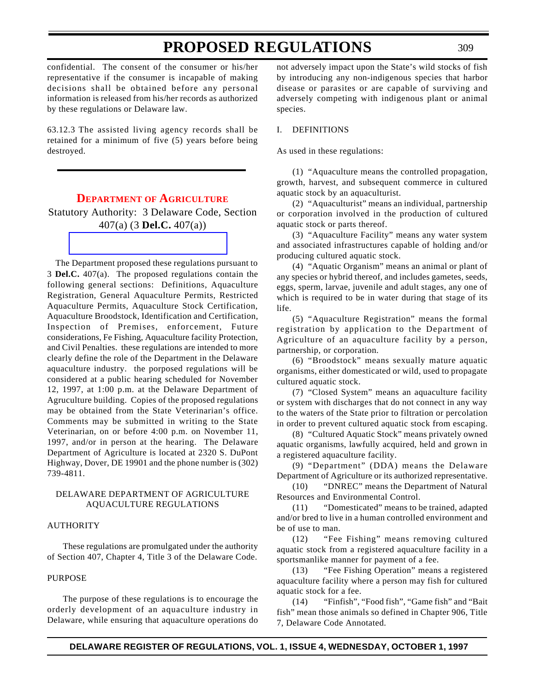confidential. The consent of the consumer or his/her representative if the consumer is incapable of making decisions shall be obtained before any personal information is released from his/her records as authorized by these regulations or Delaware law.

<span id="page-20-0"></span>63.12.3 The assisted living agency records shall be retained for a minimum of five (5) years before being destroyed.

### **DEPARTMENT OF [AGRICULTURE](#page-3-3)**

Statutory Authority: 3 Delaware Code, Section 407(a) (3 **Del.C.** 407(a))

The Department proposed these regulations pursuant to 3 **Del.C.** 407(a). The proposed regulations contain the following general sections: Definitions, Aquaculture Registration, General Aquaculture Permits, Restricted Aquaculture Permits, Aquaculture Stock Certification, Aquaculture Broodstock, Identification and Certification, Inspection of Premises, enforcement, Future considerations, Fe Fishing, Aquaculture facility Protection, and Civil Penalties. these regulations are intended to more clearly define the role of the Department in the Delaware aquaculture industry. the porposed regulations will be considered at a public hearing scheduled for November 12, 1997, at 1:00 p.m. at the Delaware Department of Agruculture building. Copies of the proposed regulations may be obtained from the State Veterinarian's office. Comments may be submitted in writing to the State Veterinarian, on or before 4:00 p.m. on November 11, 1997, and/or in person at the hearing. The Delaware Department of Agriculture is located at 2320 S. DuPont Highway, Dover, DE 19901 and the phone number is (302) 739-4811.

#### DELAWARE DEPARTMENT OF AGRICULTURE AQUACULTURE REGULATIONS

#### AUTHORITY

These regulations are promulgated under the authority of Section 407, Chapter 4, Title 3 of the Delaware Code.

#### PURPOSE

The purpose of these regulations is to encourage the orderly development of an aquaculture industry in Delaware, while ensuring that aquaculture operations do

not adversely impact upon the State's wild stocks of fish by introducing any non-indigenous species that harbor disease or parasites or are capable of surviving and adversely competing with indigenous plant or animal species.

#### I. DEFINITIONS

As used in these regulations:

(1) "Aquaculture means the controlled propagation, growth, harvest, and subsequent commerce in cultured aquatic stock by an aquaculturist.

(2) "Aquaculturist" means an individual, partnership or corporation involved in the production of cultured aquatic stock or parts thereof.

(3) "Aquaculture Facility" means any water system and associated infrastructures capable of holding and/or producing cultured aquatic stock.

(4) "Aquatic Organism" means an animal or plant of any species or hybrid thereof, and includes gametes, seeds, eggs, sperm, larvae, juvenile and adult stages, any one of which is required to be in water during that stage of its life.

(5) "Aquaculture Registration" means the formal registration by application to the Department of Agriculture of an aquaculture facility by a person, partnership, or corporation.

(6) "Broodstock" means sexually mature aquatic organisms, either domesticated or wild, used to propagate cultured aquatic stock.

(7) "Closed System" means an aquaculture facility or system with discharges that do not connect in any way to the waters of the State prior to filtration or percolation in order to prevent cultured aquatic stock from escaping.

(8) "Cultured Aquatic Stock" means privately owned aquatic organisms, lawfully acquired, held and grown in a registered aquaculture facility.

(9) "Department" (DDA) means the Delaware Department of Agriculture or its authorized representative.

(10) "DNREC" means the Department of Natural Resources and Environmental Control.

(11) "Domesticated" means to be trained, adapted and/or bred to live in a human controlled environment and be of use to man.

(12) "Fee Fishing" means removing cultured aquatic stock from a registered aquaculture facility in a sportsmanlike manner for payment of a fee.

(13) "Fee Fishing Operation" means a registered aquaculture facility where a person may fish for cultured aquatic stock for a fee.

(14) "Finfish", "Food fish", "Game fish" and "Bait fish" mean those animals so defined in Chapter 906, Title 7, Delaware Code Annotated.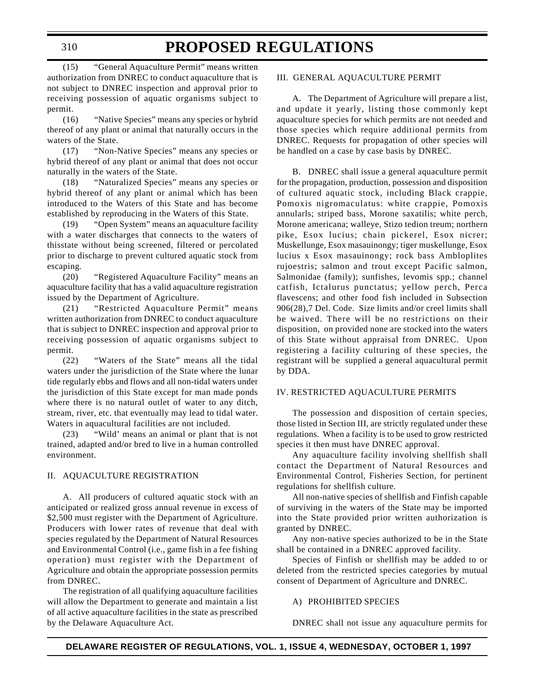### (15) "General Aquaculture Permit" means written authorization from DNREC to conduct aquaculture that is not subject to DNREC inspection and approval prior to

permit. (16) "Native Species" means any species or hybrid thereof of any plant or animal that naturally occurs in the waters of the State.

receiving possession of aquatic organisms subject to

(17) "Non-Native Species" means any species or hybrid thereof of any plant or animal that does not occur naturally in the waters of the State.

(18) "Naturalized Species" means any species or hybrid thereof of any plant or animal which has been introduced to the Waters of this State and has become established by reproducing in the Waters of this State.

(19) "Open System" means an aquaculture facility with a water discharges that connects to the waters of thisstate without being screened, filtered or percolated prior to discharge to prevent cultured aquatic stock from escaping.

(20) "Registered Aquaculture Facility" means an aquaculture facility that has a valid aquaculture registration issued by the Department of Agriculture.

(21) "Restricted Aquaculture Permit" means written authorization from DNREC to conduct aquaculture that is subject to DNREC inspection and approval prior to receiving possession of aquatic organisms subject to permit.

(22) "Waters of the State" means all the tidal waters under the jurisdiction of the State where the lunar tide regularly ebbs and flows and all non-tidal waters under the jurisdiction of this State except for man made ponds where there is no natural outlet of water to any ditch, stream, river, etc. that eventually may lead to tidal water. Waters in aquacultural facilities are not included.

(23) "Wild' means an animal or plant that is not trained, adapted and/or bred to live in a human controlled environment.

#### II. AQUACULTURE REGISTRATION

A. All producers of cultured aquatic stock with an anticipated or realized gross annual revenue in excess of \$2,500 must register with the Department of Agriculture. Producers with lower rates of revenue that deal with species regulated by the Department of Natural Resources and Environmental Control (i.e., game fish in a fee fishing operation) must register with the Department of Agriculture and obtain the appropriate possession permits from DNREC.

The registration of all qualifying aquaculture facilities will allow the Department to generate and maintain a list of all active aquaculture facilities in the state as prescribed by the Delaware Aquaculture Act.

#### III. GENERAL AQUACULTURE PERMIT

A. The Department of Agriculture will prepare a list, and update it yearly, listing those commonly kept aquaculture species for which permits are not needed and those species which require additional permits from DNREC. Requests for propagation of other species will be handled on a case by case basis by DNREC.

B. DNREC shall issue a general aquaculture permit for the propagation, production, possession and disposition of cultured aquatic stock, including Black crappie, Pomoxis nigromaculatus: white crappie, Pomoxis annularls; striped bass, Morone saxatilis; white perch, Morone americana; walleye, Stizo tedion treum; northern pike, Esox lucius; chain pickerel, Esox nicrer; Muskellunge, Esox masauinongy; tiger muskellunge, Esox lucius x Esox masauinongy; rock bass Ambloplites rujoestris; salmon and trout except Pacific salmon, Salmonidae (family); sunfishes, levomis spp.; channel catfish, Ictalurus punctatus; yellow perch, Perca flavescens; and other food fish included in Subsection 906(28),7 Del. Code. Size limits and/or creel limits shall be waived. There will be no restrictions on their disposition, on provided none are stocked into the waters of this State without appraisal from DNREC. Upon registering a facility culturing of these species, the registrant will be supplied a general aquacultural permit by DDA.

#### IV. RESTRICTED AQUACULTURE PERMITS

The possession and disposition of certain species, those listed in Section III, are strictly regulated under these regulations. When a facility is to be used to grow restricted species it then must have DNREC approval.

Any aquaculture facility involving shellfish shall contact the Department of Natural Resources and Environmental Control, Fisheries Section, for pertinent regulations for shellfish culture.

All non-native species of shellfish and Finfish capable of surviving in the waters of the State may be imported into the State provided prior written authorization is granted by DNREC.

Any non-native species authorized to be in the State shall be contained in a DNREC approved facility.

Species of Finfish or shellfish may be added to or deleted from the restricted species categories by mutual consent of Department of Agriculture and DNREC.

#### A) PROHIBITED SPECIES

DNREC shall not issue any aquaculture permits for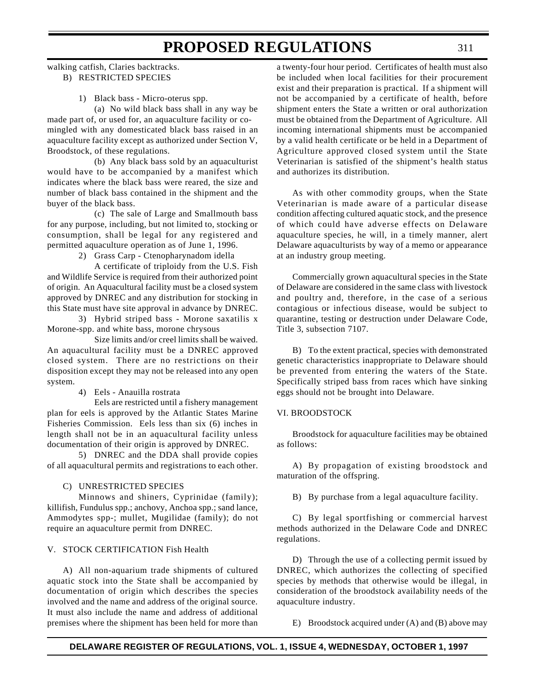#### walking catfish, Claries backtracks. B) RESTRICTED SPECIES

1) Black bass - Micro-oterus spp.

(a) No wild black bass shall in any way be made part of, or used for, an aquaculture facility or comingled with any domesticated black bass raised in an aquaculture facility except as authorized under Section V, Broodstock, of these regulations.

(b) Any black bass sold by an aquaculturist would have to be accompanied by a manifest which indicates where the black bass were reared, the size and number of black bass contained in the shipment and the buyer of the black bass.

(c) The sale of Large and Smallmouth bass for any purpose, including, but not limited to, stocking or consumption, shall be legal for any registered and permitted aquaculture operation as of June 1, 1996.

2) Grass Carp - Ctenopharynadom idella

A certificate of triploidy from the U.S. Fish and Wildlife Service is required from their authorized point of origin. An Aquacultural facility must be a closed system approved by DNREC and any distribution for stocking in this State must have site approval in advance by DNREC.

3) Hybrid striped bass - Morone saxatilis x Morone-spp. and white bass, morone chrysous

Size limits and/or creel limits shall be waived. An aquacultural facility must be a DNREC approved closed system. There are no restrictions on their disposition except they may not be released into any open system.

4) Eels - Anauilla rostrata

Eels are restricted until a fishery management plan for eels is approved by the Atlantic States Marine Fisheries Commission. Eels less than six (6) inches in length shall not be in an aquacultural facility unless documentation of their origin is approved by DNREC.

5) DNREC and the DDA shall provide copies of all aquacultural permits and registrations to each other.

#### C) UNRESTRICTED SPECIES

Minnows and shiners, Cyprinidae (family); killifish, Fundulus spp.; anchovy, Anchoa spp.; sand lance, Ammodytes spp-; mullet, Mugilidae (family); do not require an aquaculture permit from DNREC.

#### V. STOCK CERTIFICATION Fish Health

A) All non-aquarium trade shipments of cultured aquatic stock into the State shall be accompanied by documentation of origin which describes the species involved and the name and address of the original source. It must also include the name and address of additional premises where the shipment has been held for more than a twenty-four hour period. Certificates of health must also be included when local facilities for their procurement exist and their preparation is practical. If a shipment will not be accompanied by a certificate of health, before shipment enters the State a written or oral authorization must be obtained from the Department of Agriculture. All incoming international shipments must be accompanied by a valid health certificate or be held in a Department of Agriculture approved closed system until the State Veterinarian is satisfied of the shipment's health status and authorizes its distribution.

As with other commodity groups, when the State Veterinarian is made aware of a particular disease condition affecting cultured aquatic stock, and the presence of which could have adverse effects on Delaware aquaculture species, he will, in a timely manner, alert Delaware aquaculturists by way of a memo or appearance at an industry group meeting.

Commercially grown aquacultural species in the State of Delaware are considered in the same class with livestock and poultry and, therefore, in the case of a serious contagious or infectious disease, would be subject to quarantine, testing or destruction under Delaware Code, Title 3, subsection 7107.

B) To the extent practical, species with demonstrated genetic characteristics inappropriate to Delaware should be prevented from entering the waters of the State. Specifically striped bass from races which have sinking eggs should not be brought into Delaware.

#### VI. BROODSTOCK

Broodstock for aquaculture facilities may be obtained as follows:

A) By propagation of existing broodstock and maturation of the offspring.

B) By purchase from a legal aquaculture facility.

C) By legal sportfishing or commercial harvest methods authorized in the Delaware Code and DNREC regulations.

D) Through the use of a collecting permit issued by DNREC, which authorizes the collecting of specified species by methods that otherwise would be illegal, in consideration of the broodstock availability needs of the aquaculture industry.

E) Broodstock acquired under (A) and (B) above may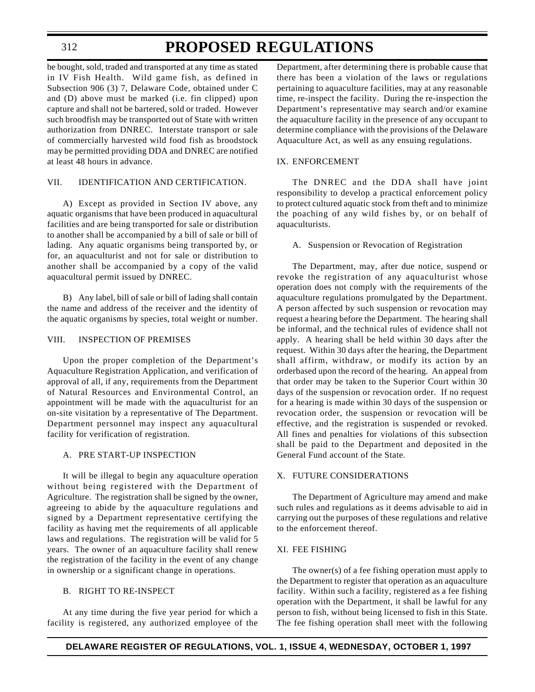312

### **PROPOSED REGULATIONS**

be bought, sold, traded and transported at any time as stated in IV Fish Health. Wild game fish, as defined in Subsection 906 (3) 7, Delaware Code, obtained under C and (D) above must be marked (i.e. fin clipped) upon capture and shall not be bartered, sold or traded. However such broodfish may be transported out of State with written authorization from DNREC. Interstate transport or sale of commercially harvested wild food fish as broodstock may be permitted providing DDA and DNREC are notified at least 48 hours in advance.

#### VII. IDENTIFICATION AND CERTIFICATION.

A) Except as provided in Section IV above, any aquatic organisms that have been produced in aquacultural facilities and are being transported for sale or distribution to another shall be accompanied by a bill of sale or bill of lading. Any aquatic organisms being transported by, or for, an aquaculturist and not for sale or distribution to another shall be accompanied by a copy of the valid aquacultural permit issued by DNREC.

B) Any label, bill of sale or bill of lading shall contain the name and address of the receiver and the identity of the aquatic organisms by species, total weight or number.

#### VIII. INSPECTION OF PREMISES

Upon the proper completion of the Department's Aquaculture Registration Application, and verification of approval of all, if any, requirements from the Department of Natural Resources and Environmental Control, an appointment will be made with the aquaculturist for an on-site visitation by a representative of The Department. Department personnel may inspect any aquacultural facility for verification of registration.

#### A. PRE START-UP INSPECTION

It will be illegal to begin any aquaculture operation without being registered with the Department of Agriculture. The registration shall be signed by the owner, agreeing to abide by the aquaculture regulations and signed by a Department representative certifying the facility as having met the requirements of all applicable laws and regulations. The registration will be valid for 5 years. The owner of an aquaculture facility shall renew the registration of the facility in the event of any change in ownership or a significant change in operations.

#### B. RIGHT TO RE-INSPECT

At any time during the five year period for which a facility is registered, any authorized employee of the

Department, after determining there is probable cause that there has been a violation of the laws or regulations pertaining to aquaculture facilities, may at any reasonable time, re-inspect the facility. During the re-inspection the Department's representative may search and/or examine the aquaculture facility in the presence of any occupant to determine compliance with the provisions of the Delaware Aquaculture Act, as well as any ensuing regulations.

#### IX. ENFORCEMENT

The DNREC and the DDA shall have joint responsibility to develop a practical enforcement policy to protect cultured aquatic stock from theft and to minimize the poaching of any wild fishes by, or on behalf of aquaculturists.

A. Suspension or Revocation of Registration

The Department, may, after due notice, suspend or revoke the registration of any aquaculturist whose operation does not comply with the requirements of the aquaculture regulations promulgated by the Department. A person affected by such suspension or revocation may request a hearing before the Department. The hearing shall be informal, and the technical rules of evidence shall not apply. A hearing shall be held within 30 days after the request. Within 30 days after the hearing, the Department shall affirm, withdraw, or modify its action by an orderbased upon the record of the hearing. An appeal from that order may be taken to the Superior Court within 30 days of the suspension or revocation order. If no request for a hearing is made within 30 days of the suspension or revocation order, the suspension or revocation will be effective, and the registration is suspended or revoked. All fines and penalties for violations of this subsection shall be paid to the Department and deposited in the General Fund account of the State.

#### X. FUTURE CONSIDERATIONS

The Department of Agriculture may amend and make such rules and regulations as it deems advisable to aid in carrying out the purposes of these regulations and relative to the enforcement thereof.

#### XI. FEE FISHING

The owner(s) of a fee fishing operation must apply to the Department to register that operation as an aquaculture facility. Within such a facility, registered as a fee fishing operation with the Department, it shall be lawful for any person to fish, without being licensed to fish in this State. The fee fishing operation shall meet with the following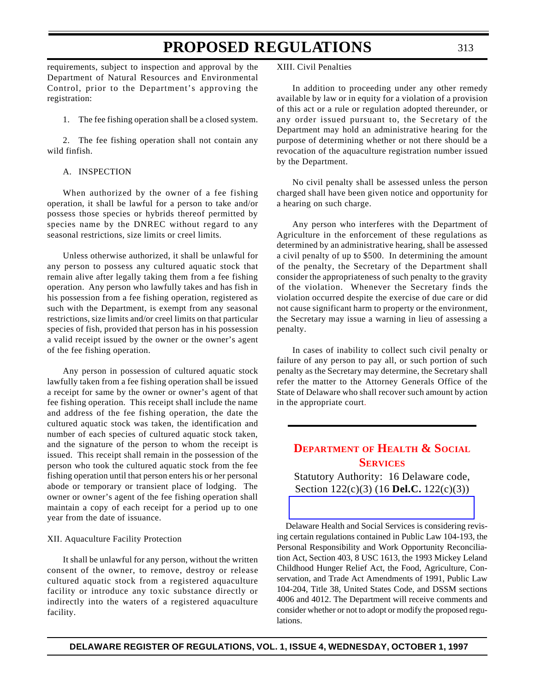requirements, subject to inspection and approval by the Department of Natural Resources and Environmental Control, prior to the Department's approving the registration:

1. The fee fishing operation shall be a closed system.

2. The fee fishing operation shall not contain any wild finfish.

A. INSPECTION

When authorized by the owner of a fee fishing operation, it shall be lawful for a person to take and/or possess those species or hybrids thereof permitted by species name by the DNREC without regard to any seasonal restrictions, size limits or creel limits.

Unless otherwise authorized, it shall be unlawful for any person to possess any cultured aquatic stock that remain alive after legally taking them from a fee fishing operation. Any person who lawfully takes and has fish in his possession from a fee fishing operation, registered as such with the Department, is exempt from any seasonal restrictions, size limits and/or creel limits on that particular species of fish, provided that person has in his possession a valid receipt issued by the owner or the owner's agent of the fee fishing operation.

<span id="page-24-0"></span>Any person in possession of cultured aquatic stock lawfully taken from a fee fishing operation shall be issued a receipt for same by the owner or owner's agent of that fee fishing operation. This receipt shall include the name and address of the fee fishing operation, the date the cultured aquatic stock was taken, the identification and number of each species of cultured aquatic stock taken, and the signature of the person to whom the receipt is issued. This receipt shall remain in the possession of the person who took the cultured aquatic stock from the fee fishing operation until that person enters his or her personal abode or temporary or transient place of lodging. The owner or owner's agent of the fee fishing operation shall maintain a copy of each receipt for a period up to one year from the date of issuance.

#### XII. Aquaculture Facility Protection

It shall be unlawful for any person, without the written consent of the owner, to remove, destroy or release cultured aquatic stock from a registered aquaculture facility or introduce any toxic substance directly or indirectly into the waters of a registered aquaculture facility.

XIII. Civil Penalties

In addition to proceeding under any other remedy available by law or in equity for a violation of a provision of this act or a rule or regulation adopted thereunder, or any order issued pursuant to, the Secretary of the Department may hold an administrative hearing for the purpose of determining whether or not there should be a revocation of the aquaculture registration number issued by the Department.

No civil penalty shall be assessed unless the person charged shall have been given notice and opportunity for a hearing on such charge.

Any person who interferes with the Department of Agriculture in the enforcement of these regulations as determined by an administrative hearing, shall be assessed a civil penalty of up to \$500. In determining the amount of the penalty, the Secretary of the Department shall consider the appropriateness of such penalty to the gravity of the violation. Whenever the Secretary finds the violation occurred despite the exercise of due care or did not cause significant harm to property or the environment, the Secretary may issue a warning in lieu of assessing a penalty.

In cases of inability to collect such civil penalty or failure of any person to pay all, or such portion of such penalty as the Secretary may determine, the Secretary shall refer the matter to the Attorney Generals Office of the State of Delaware who shall recover such amount by action in the appropriate court.

### **DEPARTMENT OF [HEALTH & SOCIAL](#page-3-4) SERVICES**

Statutory Authority: 16 Delaware code, Section 122(c)(3) (16 **Del.C.** 122(c)(3))

Delaware Health and Social Services is considering revising certain regulations contained in Public Law 104-193, the Personal Responsibility and Work Opportunity Reconciliation Act, Section 403, 8 USC 1613, the 1993 Mickey Leland Childhood Hunger Relief Act, the Food, Agriculture, Conservation, and Trade Act Amendments of 1991, Public Law 104-204, Title 38, United States Code, and DSSM sections 4006 and 4012. The Department will receive comments and consider whether or not to adopt or modify the proposed regulations.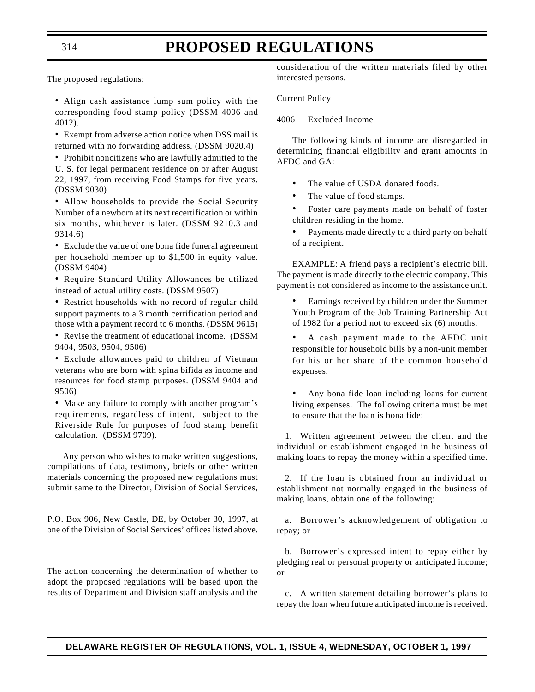The proposed regulations:

• Align cash assistance lump sum policy with the corresponding food stamp policy (DSSM 4006 and 4012).

• Exempt from adverse action notice when DSS mail is returned with no forwarding address. (DSSM 9020.4)

• Prohibit noncitizens who are lawfully admitted to the U. S. for legal permanent residence on or after August 22, 1997, from receiving Food Stamps for five years. (DSSM 9030)

• Allow households to provide the Social Security Number of a newborn at its next recertification or within six months, whichever is later. (DSSM 9210.3 and 9314.6)

• Exclude the value of one bona fide funeral agreement per household member up to \$1,500 in equity value. (DSSM 9404)

• Require Standard Utility Allowances be utilized instead of actual utility costs. (DSSM 9507)

• Restrict households with no record of regular child support payments to a 3 month certification period and those with a payment record to 6 months. (DSSM 9615)

• Revise the treatment of educational income. (DSSM 9404, 9503, 9504, 9506)

• Exclude allowances paid to children of Vietnam veterans who are born with spina bifida as income and resources for food stamp purposes. (DSSM 9404 and 9506)

• Make any failure to comply with another program's requirements, regardless of intent, subject to the Riverside Rule for purposes of food stamp benefit calculation. (DSSM 9709).

Any person who wishes to make written suggestions, compilations of data, testimony, briefs or other written materials concerning the proposed new regulations must submit same to the Director, Division of Social Services,

P.O. Box 906, New Castle, DE, by October 30, 1997, at one of the Division of Social Services' offices listed above.

The action concerning the determination of whether to adopt the proposed regulations will be based upon the results of Department and Division staff analysis and the

consideration of the written materials filed by other interested persons.

Current Policy

4006 Excluded Income

The following kinds of income are disregarded in determining financial eligibility and grant amounts in AFDC and GA:

- The value of USDA donated foods.
- The value of food stamps.
- Foster care payments made on behalf of foster children residing in the home.
- Payments made directly to a third party on behalf of a recipient.

EXAMPLE: A friend pays a recipient's electric bill. The payment is made directly to the electric company. This payment is not considered as income to the assistance unit.

- Earnings received by children under the Summer Youth Program of the Job Training Partnership Act of 1982 for a period not to exceed six (6) months.
- A cash payment made to the AFDC unit responsible for household bills by a non-unit member for his or her share of the common household expenses.

• Any bona fide loan including loans for current living expenses. The following criteria must be met to ensure that the loan is bona fide:

1. Written agreement between the client and the individual or establishment engaged in he business of making loans to repay the money within a specified time.

2. If the loan is obtained from an individual or establishment not normally engaged in the business of making loans, obtain one of the following:

a. Borrower's acknowledgement of obligation to repay; or

b. Borrower's expressed intent to repay either by pledging real or personal property or anticipated income; or

c. A written statement detailing borrower's plans to repay the loan when future anticipated income is received.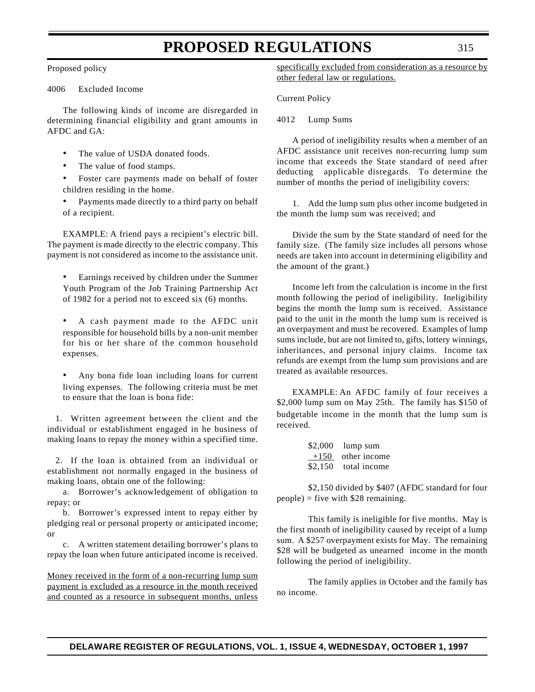#### Proposed policy

4006 Excluded Income

The following kinds of income are disregarded in determining financial eligibility and grant amounts in AFDC and GA:

- The value of USDA donated foods.
- The value of food stamps.
- Foster care payments made on behalf of foster children residing in the home.
- Payments made directly to a third party on behalf of a recipient.

EXAMPLE: A friend pays a recipient's electric bill. The payment is made directly to the electric company. This payment is not considered as income to the assistance unit.

- Earnings received by children under the Summer Youth Program of the Job Training Partnership Act of 1982 for a period not to exceed six (6) months.
- A cash payment made to the AFDC unit responsible for household bills by a non-unit member for his or her share of the common household expenses.
- Any bona fide loan including loans for current living expenses. The following criteria must be met to ensure that the loan is bona fide:

1. Written agreement between the client and the individual or establishment engaged in he business of making loans to repay the money within a specified time.

2. If the loan is obtained from an individual or establishment not normally engaged in the business of making loans, obtain one of the following:

a. Borrower's acknowledgement of obligation to repay; or

b. Borrower's expressed intent to repay either by pledging real or personal property or anticipated income; or

c. A written statement detailing borrower's plans to repay the loan when future anticipated income is received.

Money received in the form of a non-recurring lump sum payment is excluded as a resource in the month received and counted as a resource in subsequent months, unless

specifically excluded from consideration as a resource by other federal law or regulations.

Current Policy

4012 Lump Sums

A period of ineligibility results when a member of an AFDC assistance unit receives non-recurring lump sum income that exceeds the State standard of need after deducting applicable disregards. To determine the number of months the period of ineligibility covers:

1. Add the lump sum plus other income budgeted in the month the lump sum was received; and

Divide the sum by the State standard of need for the family size. (The family size includes all persons whose needs are taken into account in determining eligibility and the amount of the grant.)

Income left from the calculation is income in the first month following the period of ineligibility. Ineligibility begins the month the lump sum is received. Assistance paid to the unit in the month the lump sum is received is an overpayment and must be recovered. Examples of lump sums include, but are not limited to, gifts, lottery winnings, inheritances, and personal injury claims. Income tax refunds are exempt from the lump sum provisions and are treated as available resources.

EXAMPLE: An AFDC family of four receives a \$2,000 lump sum on May 25th. The family has \$150 of budgetable income in the month that the lump sum is received.

| \$2,000 | lump sum     |
|---------|--------------|
| $+150$  | other income |
| \$2,150 | total income |

\$2,150 divided by \$407 (AFDC standard for four  $people) = five with $28 remaining.$ 

This family is ineligible for five months. May is the first month of ineligibility caused by receipt of a lump sum. A \$257 overpayment exists for May. The remaining \$28 will be budgeted as unearned income in the month following the period of ineligibility.

The family applies in October and the family has no income.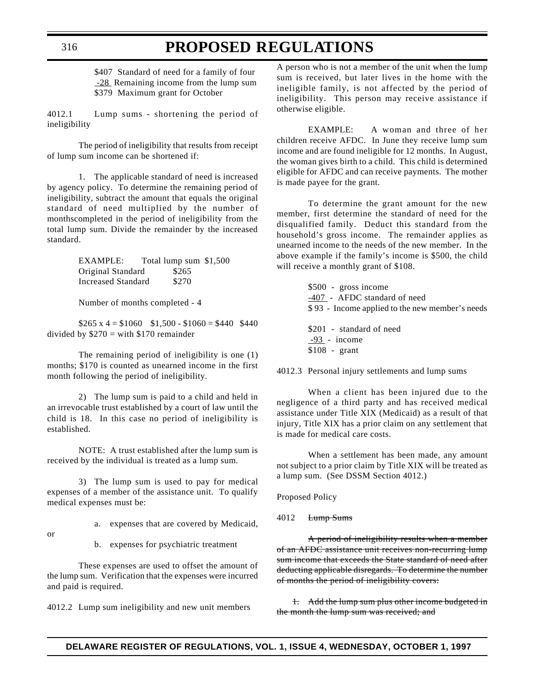\$407 Standard of need for a family of four -28 Remaining income from the lump sum \$379 Maximum grant for October

4012.1 Lump sums - shortening the period of ineligibility

The period of ineligibility that results from receipt of lump sum income can be shortened if:

1. The applicable standard of need is increased by agency policy. To determine the remaining period of ineligibility, subtract the amount that equals the original standard of need multiplied by the number of monthscompleted in the period of ineligibility from the total lump sum. Divide the remainder by the increased standard.

> EXAMPLE: Total lump sum \$1,500 Original Standard \$265 Increased Standard \$270

Number of months completed - 4

 $$265 \times 4 = $1060$   $$1,500 - $1060 = $440$  \$440 divided by  $$270 = with $170$  remainder

The remaining period of ineligibility is one (1) months; \$170 is counted as unearned income in the first month following the period of ineligibility.

2) The lump sum is paid to a child and held in an irrevocable trust established by a court of law until the child is 18. In this case no period of ineligibility is established.

NOTE: A trust established after the lump sum is received by the individual is treated as a lump sum.

3) The lump sum is used to pay for medical expenses of a member of the assistance unit. To qualify medical expenses must be:

a. expenses that are covered by Medicaid,

or

b. expenses for psychiatric treatment

These expenses are used to offset the amount of the lump sum. Verification that the expenses were incurred and paid is required.

4012.2 Lump sum ineligibility and new unit members

A person who is not a member of the unit when the lump sum is received, but later lives in the home with the ineligible family, is not affected by the period of ineligibility. This person may receive assistance if otherwise eligible.

EXAMPLE: A woman and three of her children receive AFDC. In June they receive lump sum income and are found ineligible for 12 months. In August, the woman gives birth to a child. This child is determined eligible for AFDC and can receive payments. The mother is made payee for the grant.

To determine the grant amount for the new member, first determine the standard of need for the disqualified family. Deduct this standard from the household's gross income. The remainder applies as unearned income to the needs of the new member. In the above example if the family's income is \$500, the child will receive a monthly grant of \$108.

> \$500 - gross income -407 - AFDC standard of need \$ 93 - Income applied to the new member's needs \$201 - standard of need -93 - income \$108 - grant

4012.3 Personal injury settlements and lump sums

When a client has been injured due to the negligence of a third party and has received medical assistance under Title XIX (Medicaid) as a result of that injury, Title XIX has a prior claim on any settlement that is made for medical care costs.

When a settlement has been made, any amount not subject to a prior claim by Title XIX will be treated as a lump sum. (See DSSM Section 4012.)

Proposed Policy

4012 Lump Sums

A period of ineligibility results when a member of an AFDC assistance unit receives non-recurring lump sum income that exceeds the State standard of need after deducting applicable disregards. To determine the number of months the period of ineligibility covers:

1. Add the lump sum plus other income budgeted in the month the lump sum was received; and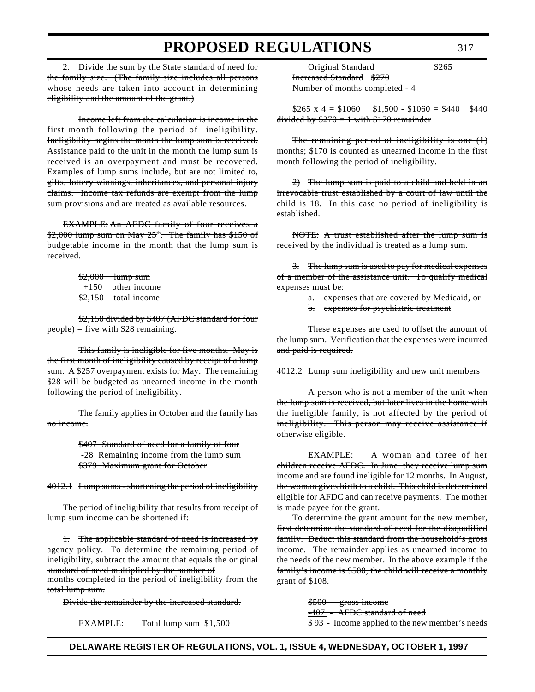2. Divide the sum by the State standard of need for the family size. (The family size includes all persons whose needs are taken into account in determining eligibility and the amount of the grant.)

Income left from the calculation is income in the first month following the period of ineligibility. Ineligibility begins the month the lump sum is received. Assistance paid to the unit in the month the lump sum is received is an overpayment and must be recovered. Examples of lump sums include, but are not limited to, gifts, lottery winnings, inheritances, and personal injury claims. Income tax refunds are exempt from the lump sum provisions and are treated as available resources.

EXAMPLE: An AFDC family of four receives a  $$2,000$  lump sum on May  $25$ <sup>th</sup>. The family has  $$150$  of budgetable income in the month that the lump sum is received.

> \$2,000 lump sum  $+150$  other income \$2,150 total income

\$2,150 divided by \$407 (AFDC standard for four  $people) = five with $28$  remaining.

This family is ineligible for five months. May is the first month of ineligibility caused by receipt of a lump sum. A \$257 overpayment exists for May. The remaining \$28 will be budgeted as unearned income in the month following the period of ineligibility.

The family applies in October and the family has no income.

> \$407 Standard of need for a family of four  $-28$  Remaining income from the lump sum \$379 Maximum grant for October

4012.1 Lump sums - shortening the period of ineligibility

The period of ineligibility that results from receipt of lump sum income can be shortened if:

1. The applicable standard of need is increased by agency policy. To determine the remaining period of ineligibility, subtract the amount that equals the original standard of need multiplied by the number of months completed in the period of ineligibility from the total lump sum.

Divide the remainder by the increased standard.

EXAMPLE: Total lump sum \$1,500

Original Standard \$265 Increased Standard \$270 Number of months completed - 4

 $$265 \times 4 = $1060 \quad $1,500 - $1060 = $440 \quad $440$ divided by  $$270 = 1$  with \$170 remainder

The remaining period of ineligibility is one (1) months; \$170 is counted as unearned income in the first month following the period of ineligibility.

 $2)$  The lump sum is paid to a child and held in an irrevocable trust established by a court of law until the child is 18. In this case no period of ineligibility is established.

NOTE: A trust established after the lump sum is received by the individual is treated as a lump sum.

3. The lump sum is used to pay for medical expenses of a member of the assistance unit. To qualify medical expenses must be:

- a. expenses that are covered by Medicaid, or
- b. expenses for psychiatric treatment

These expenses are used to offset the amount of the lump sum. Verification that the expenses were incurred and paid is required.

4012.2 Lump sum ineligibility and new unit members

A person who is not a member of the unit when the lump sum is received, but later lives in the home with the ineligible family, is not affected by the period of ineligibility. This person may receive assistance if otherwise eligible.

EXAMPLE: A woman and three of her children receive AFDC. In June they receive lump sum income and are found ineligible for 12 months. In August, the woman gives birth to a child. This child is determined eligible for AFDC and can receive payments. The mother is made payee for the grant.

To determine the grant amount for the new member, first determine the standard of need for the disqualified family. Deduct this standard from the household's gross income. The remainder applies as unearned income to the needs of the new member. In the above example if the family's income is \$500, the child will receive a monthly grant of \$108.

> \$500 - gross income -407 - AFDC standard of need \$ 93 - Income applied to the new member's needs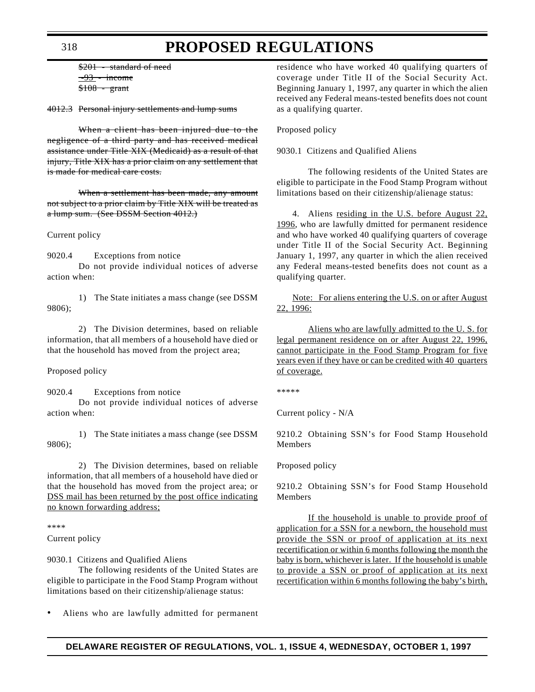\$201 - standard of need  $-93$  - income  $$108 - grant$ 

4012.3 Personal injury settlements and lump sums

When a client has been injured due to the negligence of a third party and has received medical assistance under Title XIX (Medicaid) as a result of that injury, Title XIX has a prior claim on any settlement that is made for medical care costs.

When a settlement has been made, any amount not subject to a prior claim by Title XIX will be treated as a lump sum. (See DSSM Section 4012.)

Current policy

action when:

9020.4 Exceptions from notice Do not provide individual notices of adverse

1) The State initiates a mass change (see DSSM 9806);

2) The Division determines, based on reliable information, that all members of a household have died or that the household has moved from the project area;

Proposed policy

9020.4 Exceptions from notice Do not provide individual notices of adverse action when:

1) The State initiates a mass change (see DSSM 9806);

2) The Division determines, based on reliable information, that all members of a household have died or that the household has moved from the project area; or DSS mail has been returned by the post office indicating no known forwarding address;

\*\*\*\*

Current policy

9030.1 Citizens and Qualified Aliens

The following residents of the United States are eligible to participate in the Food Stamp Program without limitations based on their citizenship/alienage status:

• Aliens who are lawfully admitted for permanent

residence who have worked 40 qualifying quarters of coverage under Title II of the Social Security Act. Beginning January 1, 1997, any quarter in which the alien received any Federal means-tested benefits does not count as a qualifying quarter.

Proposed policy

9030.1 Citizens and Qualified Aliens

The following residents of the United States are eligible to participate in the Food Stamp Program without limitations based on their citizenship/alienage status:

4. Aliens residing in the U.S. before August 22, 1996, who are lawfully dmitted for permanent residence and who have worked 40 qualifying quarters of coverage under Title II of the Social Security Act. Beginning January 1, 1997, any quarter in which the alien received any Federal means-tested benefits does not count as a qualifying quarter.

Note: For aliens entering the U.S. on or after August 22, 1996:

Aliens who are lawfully admitted to the U. S. for legal permanent residence on or after August 22, 1996, cannot participate in the Food Stamp Program for five years even if they have or can be credited with 40 quarters of coverage.

\*\*\*\*\*

Current policy - N/A

9210.2 Obtaining SSN's for Food Stamp Household Members

Proposed policy

9210.2 Obtaining SSN's for Food Stamp Household Members

If the household is unable to provide proof of application for a SSN for a newborn, the household must provide the SSN or proof of application at its next recertification or within 6 months following the month the baby is born, whichever is later. If the household is unable to provide a SSN or proof of application at its next recertification within 6 months following the baby's birth,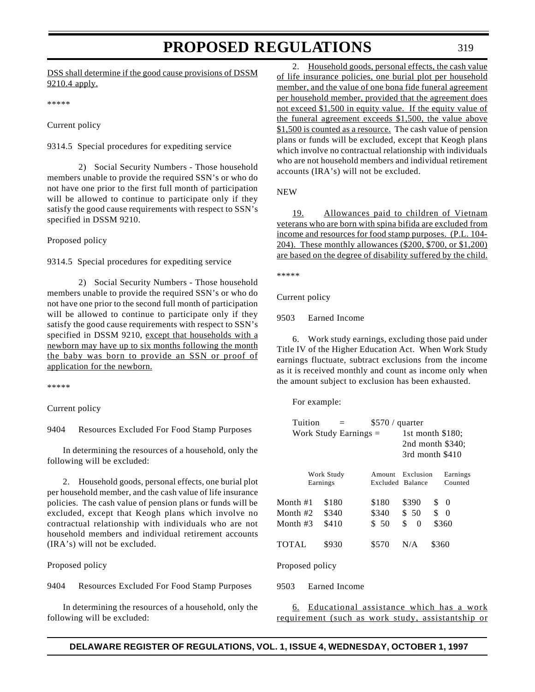#### DSS shall determine if the good cause provisions of DSSM 9210.4 apply.

\*\*\*\*\*

Current policy

9314.5 Special procedures for expediting service

2) Social Security Numbers - Those household members unable to provide the required SSN's or who do not have one prior to the first full month of participation will be allowed to continue to participate only if they satisfy the good cause requirements with respect to SSN's specified in DSSM 9210.

Proposed policy

9314.5 Special procedures for expediting service

2) Social Security Numbers - Those household members unable to provide the required SSN's or who do not have one prior to the second full month of participation will be allowed to continue to participate only if they satisfy the good cause requirements with respect to SSN's specified in DSSM 9210, except that households with a newborn may have up to six months following the month the baby was born to provide an SSN or proof of application for the newborn.

\*\*\*\*\*

Current policy

9404 Resources Excluded For Food Stamp Purposes

In determining the resources of a household, only the following will be excluded:

2. Household goods, personal effects, one burial plot per household member, and the cash value of life insurance policies. The cash value of pension plans or funds will be excluded, except that Keogh plans which involve no contractual relationship with individuals who are not household members and individual retirement accounts (IRA's) will not be excluded.

Proposed policy

9404 Resources Excluded For Food Stamp Purposes

In determining the resources of a household, only the following will be excluded:

2. Household goods, personal effects, the cash value of life insurance policies, one burial plot per household member, and the value of one bona fide funeral agreement per household member, provided that the agreement does not exceed \$1,500 in equity value. If the equity value of the funeral agreement exceeds \$1,500, the value above \$1,500 is counted as a resource. The cash value of pension plans or funds will be excluded, except that Keogh plans which involve no contractual relationship with individuals who are not household members and individual retirement accounts (IRA's) will not be excluded.

NEW

19. Allowances paid to children of Vietnam veterans who are born with spina bifida are excluded from income and resources for food stamp purposes. (P.L. 104- 204). These monthly allowances (\$200, \$700, or \$1,200) are based on the degree of disability suffered by the child.

\*\*\*\*\*

Current policy

9503 Earned Income

6. Work study earnings, excluding those paid under Title IV of the Higher Education Act. When Work Study earnings fluctuate, subtract exclusions from the income as it is received monthly and count as income only when the amount subject to exclusion has been exhausted.

For example:

| Tuition                 |          | $$570 /$ quarter   |                  |                                 |          |  |
|-------------------------|----------|--------------------|------------------|---------------------------------|----------|--|
| Work Study Earnings $=$ |          | 1st month $$180$ : |                  |                                 |          |  |
|                         |          |                    | 2nd month \$340; |                                 |          |  |
|                         |          |                    | 3rd month \$410  |                                 |          |  |
|                         |          |                    |                  |                                 |          |  |
| Work Study              |          | Amount             | Exclusion        |                                 | Earnings |  |
|                         | Earnings | Excluded Balance   |                  |                                 | Counted  |  |
| Month #1                | \$180    | \$180              | \$390            | $\begin{matrix} 0 \end{matrix}$ |          |  |
| Month #2                | \$340    | \$340              | \$50             | \$                              | $\Omega$ |  |
| Month #3                | \$410    | \$ 50              | \$<br>$\Omega$   |                                 | \$360    |  |
| TOTAL                   | \$930    | \$570              | N/A              | \$360                           |          |  |
| Proposed policy         |          |                    |                  |                                 |          |  |

9503 Earned Income

6. Educational assistance which has a work requirement (such as work study, assistantship or

### **DELAWARE REGISTER OF REGULATIONS, VOL. 1, ISSUE 4, WEDNESDAY, OCTOBER 1, 1997**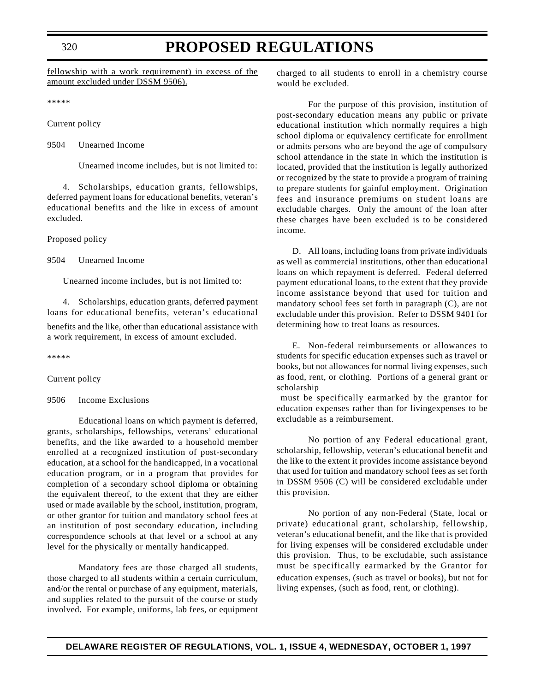320

### **PROPOSED REGULATIONS**

fellowship with a work requirement) in excess of the amount excluded under DSSM 9506).

\*\*\*\*\*

Current policy

9504 Unearned Income

Unearned income includes, but is not limited to:

4. Scholarships, education grants, fellowships, deferred payment loans for educational benefits, veteran's educational benefits and the like in excess of amount excluded.

Proposed policy

9504 Unearned Income

Unearned income includes, but is not limited to:

4. Scholarships, education grants, deferred payment loans for educational benefits, veteran's educational benefits and the like, other than educational assistance with a work requirement, in excess of amount excluded.

\*\*\*\*\*

Current policy

9506 Income Exclusions

Educational loans on which payment is deferred, grants, scholarships, fellowships, veterans' educational benefits, and the like awarded to a household member enrolled at a recognized institution of post-secondary education, at a school for the handicapped, in a vocational education program, or in a program that provides for completion of a secondary school diploma or obtaining the equivalent thereof, to the extent that they are either used or made available by the school, institution, program, or other grantor for tuition and mandatory school fees at an institution of post secondary education, including correspondence schools at that level or a school at any level for the physically or mentally handicapped.

Mandatory fees are those charged all students, those charged to all students within a certain curriculum, and/or the rental or purchase of any equipment, materials, and supplies related to the pursuit of the course or study involved. For example, uniforms, lab fees, or equipment charged to all students to enroll in a chemistry course would be excluded.

For the purpose of this provision, institution of post-secondary education means any public or private educational institution which normally requires a high school diploma or equivalency certificate for enrollment or admits persons who are beyond the age of compulsory school attendance in the state in which the institution is located, provided that the institution is legally authorized or recognized by the state to provide a program of training to prepare students for gainful employment. Origination fees and insurance premiums on student loans are excludable charges. Only the amount of the loan after these charges have been excluded is to be considered income.

D. All loans, including loans from private individuals as well as commercial institutions, other than educational loans on which repayment is deferred. Federal deferred payment educational loans, to the extent that they provide income assistance beyond that used for tuition and mandatory school fees set forth in paragraph (C), are not excludable under this provision. Refer to DSSM 9401 for determining how to treat loans as resources.

E. Non-federal reimbursements or allowances to students for specific education expenses such as travel or books, but not allowances for normal living expenses, such as food, rent, or clothing. Portions of a general grant or scholarship

 must be specifically earmarked by the grantor for education expenses rather than for livingexpenses to be excludable as a reimbursement.

No portion of any Federal educational grant, scholarship, fellowship, veteran's educational benefit and the like to the extent it provides income assistance beyond that used for tuition and mandatory school fees as set forth in DSSM 9506 (C) will be considered excludable under this provision.

No portion of any non-Federal (State, local or private) educational grant, scholarship, fellowship, veteran's educational benefit, and the like that is provided for living expenses will be considered excludable under this provision. Thus, to be excludable, such assistance must be specifically earmarked by the Grantor for education expenses, (such as travel or books), but not for living expenses, (such as food, rent, or clothing).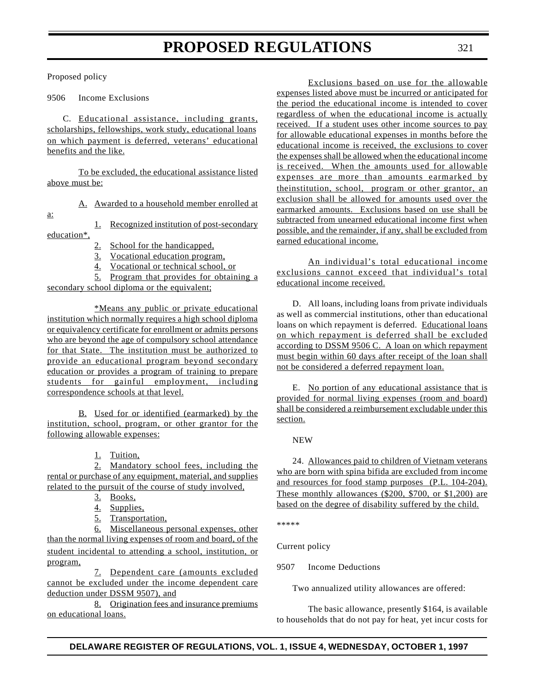Proposed policy

9506 Income Exclusions

C. Educational assistance, including grants, scholarships, fellowships, work study, educational loans on which payment is deferred, veterans' educational benefits and the like.

To be excluded, the educational assistance listed above must be:

A. Awarded to a household member enrolled at

a:

1. Recognized institution of post-secondary education\*,

- 2. School for the handicapped,
- 3. Vocational education program,
- 4. Vocational or technical school, or

5. Program that provides for obtaining a secondary school diploma or the equivalent;

\*Means any public or private educational institution which normally requires a high school diploma or equivalency certificate for enrollment or admits persons who are beyond the age of compulsory school attendance for that State. The institution must be authorized to provide an educational program beyond secondary education or provides a program of training to prepare students for gainful employment, including correspondence schools at that level.

B. Used for or identified (earmarked) by the institution, school, program, or other grantor for the following allowable expenses:

1. Tuition,

2. Mandatory school fees, including the rental or purchase of any equipment, material, and supplies related to the pursuit of the course of study involved,

- 3. Books,
- 4. Supplies,
- 5. Transportation,

6. Miscellaneous personal expenses, other than the normal living expenses of room and board, of the student incidental to attending a school, institution, or program,

7. Dependent care (amounts excluded cannot be excluded under the income dependent care deduction under DSSM 9507), and

8. Origination fees and insurance premiums on educational loans.

Exclusions based on use for the allowable expenses listed above must be incurred or anticipated for the period the educational income is intended to cover regardless of when the educational income is actually received. If a student uses other income sources to pay for allowable educational expenses in months before the educational income is received, the exclusions to cover the expenses shall be allowed when the educational income is received. When the amounts used for allowable expenses are more than amounts earmarked by theinstitution, school, program or other grantor, an exclusion shall be allowed for amounts used over the earmarked amounts. Exclusions based on use shall be subtracted from unearned educational income first when possible, and the remainder, if any, shall be excluded from earned educational income.

An individual's total educational income exclusions cannot exceed that individual's total educational income received.

D. All loans, including loans from private individuals as well as commercial institutions, other than educational loans on which repayment is deferred. Educational loans on which repayment is deferred shall be excluded according to DSSM 9506 C. A loan on which repayment must begin within 60 days after receipt of the loan shall not be considered a deferred repayment loan.

E. No portion of any educational assistance that is provided for normal living expenses (room and board) shall be considered a reimbursement excludable under this section.

NEW

24. Allowances paid to children of Vietnam veterans who are born with spina bifida are excluded from income and resources for food stamp purposes (P.L. 104-204). These monthly allowances (\$200, \$700, or \$1,200) are based on the degree of disability suffered by the child.

\*\*\*\*\*

Current policy

9507 Income Deductions

Two annualized utility allowances are offered:

The basic allowance, presently \$164, is available to households that do not pay for heat, yet incur costs for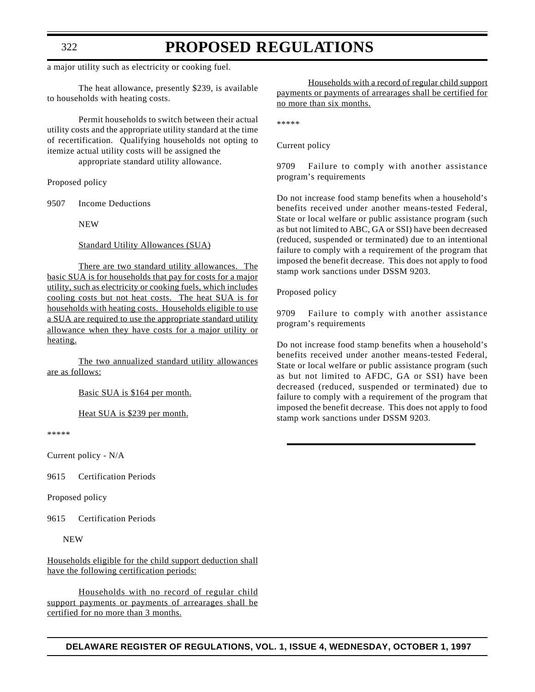a major utility such as electricity or cooking fuel.

The heat allowance, presently \$239, is available to households with heating costs.

Permit households to switch between their actual utility costs and the appropriate utility standard at the time of recertification. Qualifying households not opting to itemize actual utility costs will be assigned the

appropriate standard utility allowance.

Proposed policy

9507 Income Deductions

NEW

Standard Utility Allowances (SUA)

There are two standard utility allowances. The basic SUA is for households that pay for costs for a major utility, such as electricity or cooking fuels, which includes cooling costs but not heat costs. The heat SUA is for households with heating costs. Households eligible to use a SUA are required to use the appropriate standard utility allowance when they have costs for a major utility or heating.

The two annualized standard utility allowances are as follows:

Basic SUA is \$164 per month.

Heat SUA is \$239 per month.

\*\*\*\*\*

Current policy - N/A

9615 Certification Periods

Proposed policy

9615 Certification Periods

NEW

Households eligible for the child support deduction shall have the following certification periods:

Households with no record of regular child support payments or payments of arrearages shall be certified for no more than 3 months.

Households with a record of regular child support payments or payments of arrearages shall be certified for no more than six months.

\*\*\*\*\*

Current policy

9709 Failure to comply with another assistance program's requirements

Do not increase food stamp benefits when a household's benefits received under another means-tested Federal, State or local welfare or public assistance program (such as but not limited to ABC, GA or SSI) have been decreased (reduced, suspended or terminated) due to an intentional failure to comply with a requirement of the program that imposed the benefit decrease. This does not apply to food stamp work sanctions under DSSM 9203.

Proposed policy

9709 Failure to comply with another assistance program's requirements

Do not increase food stamp benefits when a household's benefits received under another means-tested Federal, State or local welfare or public assistance program (such as but not limited to AFDC, GA or SSI) have been decreased (reduced, suspended or terminated) due to failure to comply with a requirement of the program that imposed the benefit decrease. This does not apply to food stamp work sanctions under DSSM 9203.

**DELAWARE REGISTER OF REGULATIONS, VOL. 1, ISSUE 4, WEDNESDAY, OCTOBER 1, 1997**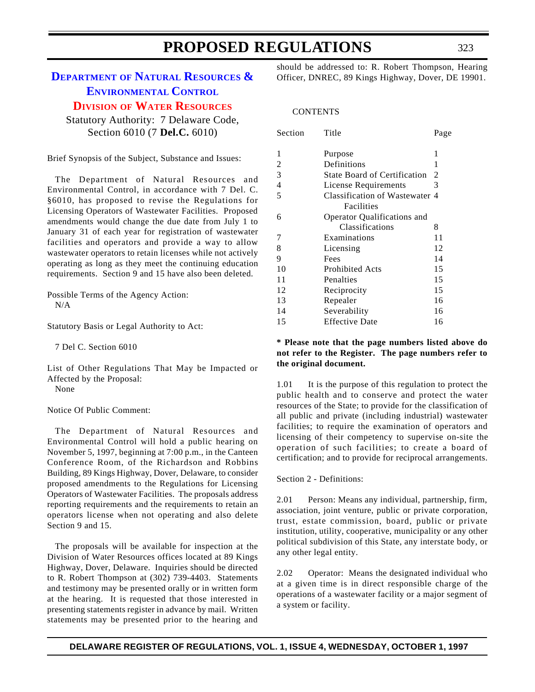### <span id="page-34-0"></span>**DEPARTMENT OF NATURAL RESOURCES & [ENVIRONMENTAL](http://www.dnrec.state.de.us/frames1.htm) CONTROL**

**DIVISION OF WATER [RESOURCES](#page-3-3)**

Statutory Authority: 7 Delaware Code, Section 6010 (7 **Del.C.** 6010)

Brief Synopsis of the Subject, Substance and Issues:

The Department of Natural Resources and Environmental Control, in accordance with 7 Del. C. §6010, has proposed to revise the Regulations for Licensing Operators of Wastewater Facilities. Proposed amendments would change the due date from July 1 to January 31 of each year for registration of wastewater facilities and operators and provide a way to allow wastewater operators to retain licenses while not actively operating as long as they meet the continuing education requirements. Section 9 and 15 have also been deleted.

Possible Terms of the Agency Action: N/A

Statutory Basis or Legal Authority to Act:

7 Del C. Section 6010

List of Other Regulations That May be Impacted or Affected by the Proposal:

None

Notice Of Public Comment:

The Department of Natural Resources and Environmental Control will hold a public hearing on November 5, 1997, beginning at 7:00 p.m., in the Canteen Conference Room, of the Richardson and Robbins Building, 89 Kings Highway, Dover, Delaware, to consider proposed amendments to the Regulations for Licensing Operators of Wastewater Facilities. The proposals address reporting requirements and the requirements to retain an operators license when not operating and also delete Section 9 and 15.

The proposals will be available for inspection at the Division of Water Resources offices located at 89 Kings Highway, Dover, Delaware. Inquiries should be directed to R. Robert Thompson at (302) 739-4403. Statements and testimony may be presented orally or in written form at the hearing. It is requested that those interested in presenting statements register in advance by mail. Written statements may be presented prior to the hearing and

should be addressed to: R. Robert Thompson, Hearing Officer, DNREC, 89 Kings Highway, Dover, DE 19901.

#### **CONTENTS**

| Section        | Title                               | Page |
|----------------|-------------------------------------|------|
| 1              | Purpose                             | 1    |
| 2              | Definitions                         | 1    |
|                |                                     |      |
| 3              | <b>State Board of Certification</b> | 2    |
| $\overline{4}$ | <b>License Requirements</b>         | 3    |
| 5              | Classification of Wastewater 4      |      |
|                | Facilities                          |      |
| 6              | Operator Qualifications and         |      |
|                | Classifications                     | 8    |
| 7              | Examinations                        | 11   |
| 8              | Licensing                           | 12   |
| 9              | Fees                                | 14   |
| 10             | <b>Prohibited Acts</b>              | 15   |
| 11             | Penalties                           | 15   |
| 12             | Reciprocity                         | 15   |
| 13             | Repealer                            | 16   |
| 14             | Severability                        | 16   |
| 15             | <b>Effective Date</b>               | 16   |

**\* Please note that the page numbers listed above do not refer to the Register. The page numbers refer to the original document.**

1.01 It is the purpose of this regulation to protect the public health and to conserve and protect the water resources of the State; to provide for the classification of all public and private (including industrial) wastewater facilities; to require the examination of operators and licensing of their competency to supervise on-site the operation of such facilities; to create a board of certification; and to provide for reciprocal arrangements.

#### Section 2 - Definitions:

2.01 Person: Means any individual, partnership, firm, association, joint venture, public or private corporation, trust, estate commission, board, public or private institution, utility, cooperative, municipality or any other political subdivision of this State, any interstate body, or any other legal entity.

2.02 Operator: Means the designated individual who at a given time is in direct responsible charge of the operations of a wastewater facility or a major segment of a system or facility.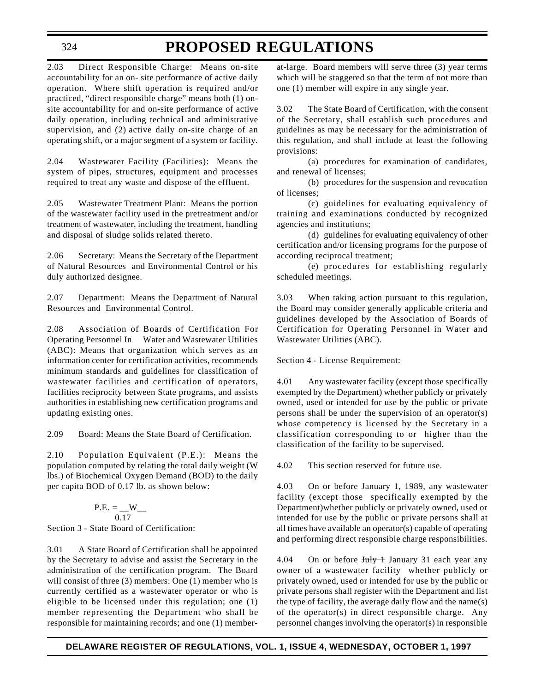2.03 Direct Responsible Charge: Means on-site accountability for an on- site performance of active daily operation. Where shift operation is required and/or practiced, "direct responsible charge" means both (1) onsite accountability for and on-site performance of active daily operation, including technical and administrative supervision, and (2) active daily on-site charge of an operating shift, or a major segment of a system or facility.

2.04 Wastewater Facility (Facilities): Means the system of pipes, structures, equipment and processes required to treat any waste and dispose of the effluent.

2.05 Wastewater Treatment Plant: Means the portion of the wastewater facility used in the pretreatment and/or treatment of wastewater, including the treatment, handling and disposal of sludge solids related thereto.

2.06 Secretary: Means the Secretary of the Department of Natural Resources and Environmental Control or his duly authorized designee.

2.07 Department: Means the Department of Natural Resources and Environmental Control.

2.08 Association of Boards of Certification For Operating Personnel In Water and Wastewater Utilities (ABC): Means that organization which serves as an information center for certification activities, recommends minimum standards and guidelines for classification of wastewater facilities and certification of operators, facilities reciprocity between State programs, and assists authorities in establishing new certification programs and updating existing ones.

2.09 Board: Means the State Board of Certification.

2.10 Population Equivalent (P.E.): Means the population computed by relating the total daily weight (W lbs.) of Biochemical Oxygen Demand (BOD) to the daily per capita BOD of 0.17 lb. as shown below:

P.E. = 
$$
_{0.17}
$$
  
0.17  
Section 3 - State Board of Certification:

3.01 A State Board of Certification shall be appointed by the Secretary to advise and assist the Secretary in the administration of the certification program. The Board will consist of three (3) members: One (1) member who is currently certified as a wastewater operator or who is eligible to be licensed under this regulation; one (1) member representing the Department who shall be responsible for maintaining records; and one (1) member-

at-large. Board members will serve three (3) year terms which will be staggered so that the term of not more than one (1) member will expire in any single year.

3.02 The State Board of Certification, with the consent of the Secretary, shall establish such procedures and guidelines as may be necessary for the administration of this regulation, and shall include at least the following provisions:

(a) procedures for examination of candidates, and renewal of licenses;

(b) procedures for the suspension and revocation of licenses;

(c) guidelines for evaluating equivalency of training and examinations conducted by recognized agencies and institutions;

(d) guidelines for evaluating equivalency of other certification and/or licensing programs for the purpose of according reciprocal treatment;

(e) procedures for establishing regularly scheduled meetings.

3.03 When taking action pursuant to this regulation, the Board may consider generally applicable criteria and guidelines developed by the Association of Boards of Certification for Operating Personnel in Water and Wastewater Utilities (ABC).

Section 4 - License Requirement:

4.01 Any wastewater facility (except those specifically exempted by the Department) whether publicly or privately owned, used or intended for use by the public or private persons shall be under the supervision of an operator(s) whose competency is licensed by the Secretary in a classification corresponding to or higher than the classification of the facility to be supervised.

4.02 This section reserved for future use.

4.03 On or before January 1, 1989, any wastewater facility (except those specifically exempted by the Department)whether publicly or privately owned, used or intended for use by the public or private persons shall at all times have available an operator(s) capable of operating and performing direct responsible charge responsibilities.

4.04 On or before  $J_{\text{uly}} + J_{\text{annuary}}$  31 each year any owner of a wastewater facility whether publicly or privately owned, used or intended for use by the public or private persons shall register with the Department and list the type of facility, the average daily flow and the name(s) of the operator(s) in direct responsible charge. Any personnel changes involving the operator(s) in responsible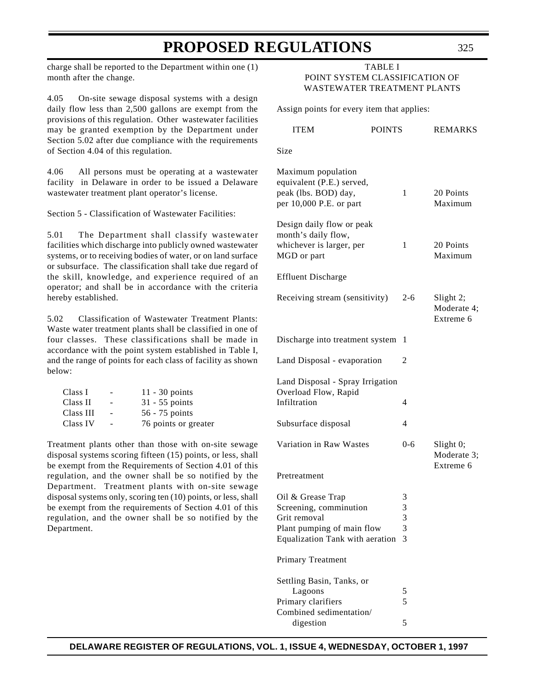charge shall be reported to the Department within one (1) month after the change.

4.05 On-site sewage disposal systems with a design daily flow less than 2,500 gallons are exempt from the provisions of this regulation. Other wastewater facilities may be granted exemption by the Department under Section 5.02 after due compliance with the requirements of Section 4.04 of this regulation.

4.06 All persons must be operating at a wastewater facility in Delaware in order to be issued a Delaware wastewater treatment plant operator's license.

Section 5 - Classification of Wastewater Facilities:

5.01 The Department shall classify wastewater facilities which discharge into publicly owned wastewater systems, or to receiving bodies of water, or on land surface or subsurface. The classification shall take due regard of the skill, knowledge, and experience required of an operator; and shall be in accordance with the criteria hereby established.

5.02 Classification of Wastewater Treatment Plants: Waste water treatment plants shall be classified in one of four classes. These classifications shall be made in accordance with the point system established in Table I, and the range of points for each class of facility as shown below:

| Class I   | -                        | $11 - 30$ points     |
|-----------|--------------------------|----------------------|
| Class II  | ۰                        | $31 - 55$ points     |
| Class III | $\overline{\phantom{a}}$ | 56 - 75 points       |
| Class IV  | $\sim$                   | 76 points or greater |

Treatment plants other than those with on-site sewage disposal systems scoring fifteen (15) points, or less, shall be exempt from the Requirements of Section 4.01 of this regulation, and the owner shall be so notified by the Department. Treatment plants with on-site sewage disposal systems only, scoring ten (10) points, or less, shall be exempt from the requirements of Section 4.01 of this regulation, and the owner shall be so notified by the Department.

#### TABLE I POINT SYSTEM CLASSIFICATION OF WASTEWATER TREATMENT PLANTS

Assign points for every item that applies:

| <b>ITEM</b>                                                                                                                  | <b>POINTS</b>         | <b>REMARKS</b>                        |
|------------------------------------------------------------------------------------------------------------------------------|-----------------------|---------------------------------------|
| Size                                                                                                                         |                       |                                       |
| Maximum population<br>equivalent (P.E.) served,<br>peak (lbs. BOD) day,<br>per 10,000 P.E. or part                           | 1                     | 20 Points<br>Maximum                  |
| Design daily flow or peak<br>month's daily flow,<br>whichever is larger, per<br>MGD or part                                  | 1                     | 20 Points<br>Maximum                  |
| <b>Effluent Discharge</b>                                                                                                    |                       |                                       |
| Receiving stream (sensitivity)                                                                                               | $2 - 6$               | Slight 2;<br>Moderate 4;<br>Extreme 6 |
| Discharge into treatment system                                                                                              | 1                     |                                       |
| Land Disposal - evaporation                                                                                                  | 2                     |                                       |
| Land Disposal - Spray Irrigation<br>Overload Flow, Rapid<br>Infiltration                                                     | 4                     |                                       |
|                                                                                                                              | 4                     |                                       |
| Subsurface disposal                                                                                                          |                       |                                       |
| Variation in Raw Wastes                                                                                                      | $0 - 6$               | Slight 0;<br>Moderate 3;<br>Extreme 6 |
| Pretreatment                                                                                                                 |                       |                                       |
| Oil & Grease Trap<br>Screening, comminution<br>Grit removal<br>Plant pumping of main flow<br>Equalization Tank with aeration | 3<br>3<br>3<br>3<br>3 |                                       |
| Primary Treatment                                                                                                            |                       |                                       |
| Settling Basin, Tanks, or<br>Lagoons<br>Primary clarifiers<br>Combined sedimentation/<br>digestion                           | 5<br>5<br>5           |                                       |
|                                                                                                                              |                       |                                       |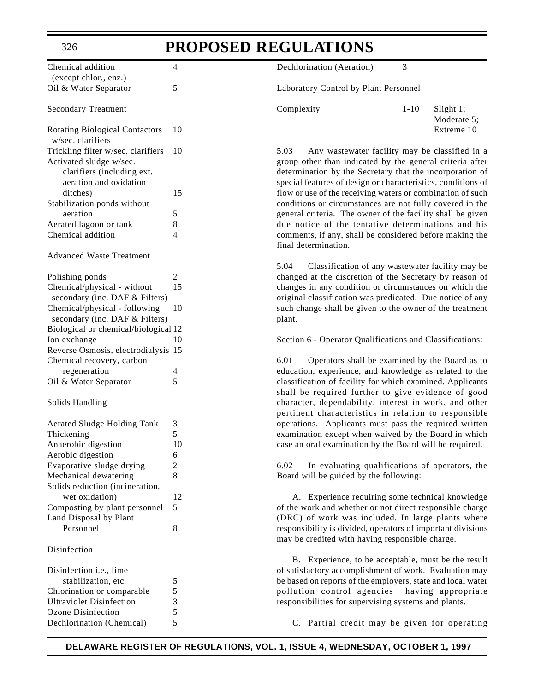| Chemical addition                     | 4           |
|---------------------------------------|-------------|
| (except chlor., enz.)                 |             |
| Oil & Water Separator                 | 5           |
|                                       |             |
| <b>Secondary Treatment</b>            |             |
|                                       |             |
| <b>Rotating Biological Contactors</b> | 10          |
| w/sec. clarifiers                     |             |
| Trickling filter w/sec. clarifiers    | 10          |
| Activated sludge w/sec.               |             |
| clarifiers (including ext.            |             |
| aeration and oxidation                |             |
| ditches)                              | 15          |
| Stabilization ponds without           |             |
| aeration                              | 5           |
| Aerated lagoon or tank                | 8           |
| Chemical addition                     | 4           |
|                                       |             |
| <b>Advanced Waste Treatment</b>       |             |
|                                       |             |
| Polishing ponds                       | 2           |
| Chemical/physical - without           | 15          |
|                                       |             |
| secondary (inc. DAF & Filters)        |             |
| Chemical/physical - following         | 10          |
| secondary (inc. DAF & Filters)        |             |
| Biological or chemical/biological 12  |             |
| Ion exchange                          | 10          |
| Reverse Osmosis, electrodialysis 15   |             |
| Chemical recovery, carbon             |             |
| regeneration                          | 4           |
| Oil & Water Separator                 | 5           |
|                                       |             |
|                                       |             |
| Solids Handling                       |             |
|                                       |             |
| <b>Aerated Sludge Holding Tank</b>    | 3           |
| Thickening                            | 5           |
|                                       | 10          |
| Anaerobic digestion                   |             |
| Aerobic digestion                     | 6           |
| Evaporative sludge drying             | 2           |
| Mechanical dewatering                 | 8           |
| Solids reduction (incineration,       |             |
| wet oxidation)                        | 12          |
| Composting by plant personnel         | 5           |
| Land Disposal by Plant                |             |
| Personnel                             | 8           |
|                                       |             |
| Disinfection                          |             |
|                                       |             |
| Disinfection <i>i.e.</i> , lime       |             |
| stabilization, etc.                   | 5           |
| Chlorination or comparable            | 5           |
| <b>Ultraviolet Disinfection</b>       |             |
| <b>Ozone Disinfection</b>             | $rac{3}{5}$ |
| Dechlorination (Chemical)             | 5           |

Dechlorination (Aeration) 3

Laboratory Control by Plant Personnel

| Complexity | $1 - 10$ | $S$ light 1; |
|------------|----------|--------------|
|            |          | Moderate 5:  |
|            |          | Extreme 10   |

5.03 Any wastewater facility may be classified in a group other than indicated by the general criteria after determination by the Secretary that the incorporation of special features of design or characteristics, conditions of flow or use of the receiving waters or combination of such conditions or circumstances are not fully covered in the general criteria. The owner of the facility shall be given due notice of the tentative determinations and his comments, if any, shall be considered before making the final determination.

5.04 Classification of any wastewater facility may be changed at the discretion of the Secretary by reason of changes in any condition or circumstances on which the original classification was predicated. Due notice of any such change shall be given to the owner of the treatment plant.

Section 6 - Operator Qualifications and Classifications:

6.01 Operators shall be examined by the Board as to education, experience, and knowledge as related to the classification of facility for which examined. Applicants shall be required further to give evidence of good character, dependability, interest in work, and other pertinent characteristics in relation to responsible operations. Applicants must pass the required written examination except when waived by the Board in which case an oral examination by the Board will be required.

6.02 In evaluating qualifications of operators, the Board will be guided by the following:

A. Experience requiring some technical knowledge of the work and whether or not direct responsible charge (DRC) of work was included. In large plants where responsibility is divided, operators of important divisions may be credited with having responsible charge.

B. Experience, to be acceptable, must be the result of satisfactory accomplishment of work. Evaluation may be based on reports of the employers, state and local water pollution control agencies having appropriate responsibilities for supervising systems and plants.

C. Partial credit may be given for operating

#### 326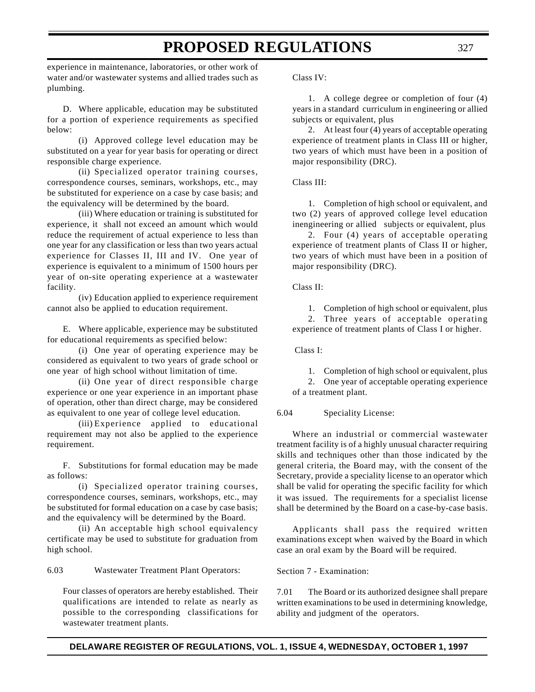experience in maintenance, laboratories, or other work of water and/or wastewater systems and allied trades such as plumbing.

D. Where applicable, education may be substituted for a portion of experience requirements as specified below:

(i) Approved college level education may be substituted on a year for year basis for operating or direct responsible charge experience.

(ii) Specialized operator training courses, correspondence courses, seminars, workshops, etc., may be substituted for experience on a case by case basis; and the equivalency will be determined by the board.

(iii) Where education or training is substituted for experience, it shall not exceed an amount which would reduce the requirement of actual experience to less than one year for any classification or less than two years actual experience for Classes II, III and IV. One year of experience is equivalent to a minimum of 1500 hours per year of on-site operating experience at a wastewater facility.

(iv) Education applied to experience requirement cannot also be applied to education requirement.

E. Where applicable, experience may be substituted for educational requirements as specified below:

(i) One year of operating experience may be considered as equivalent to two years of grade school or one year of high school without limitation of time.

(ii) One year of direct responsible charge experience or one year experience in an important phase of operation, other than direct charge, may be considered as equivalent to one year of college level education.

(iii) Experience applied to educational requirement may not also be applied to the experience requirement.

F. Substitutions for formal education may be made as follows:

(i) Specialized operator training courses, correspondence courses, seminars, workshops, etc., may be substituted for formal education on a case by case basis; and the equivalency will be determined by the Board.

(ii) An acceptable high school equivalency certificate may be used to substitute for graduation from high school.

6.03 Wastewater Treatment Plant Operators:

Four classes of operators are hereby established. Their qualifications are intended to relate as nearly as possible to the corresponding classifications for wastewater treatment plants.

Class IV:

1. A college degree or completion of four (4) years in a standard curriculum in engineering or allied subjects or equivalent, plus

2. At least four (4) years of acceptable operating experience of treatment plants in Class III or higher, two years of which must have been in a position of major responsibility (DRC).

Class III:

1. Completion of high school or equivalent, and two (2) years of approved college level education inengineering or allied subjects or equivalent, plus

2. Four (4) years of acceptable operating experience of treatment plants of Class II or higher, two years of which must have been in a position of major responsibility (DRC).

#### Class II:

1. Completion of high school or equivalent, plus 2. Three years of acceptable operating experience of treatment plants of Class I or higher.

Class I:

1. Completion of high school or equivalent, plus

2. One year of acceptable operating experience of a treatment plant.

6.04 Speciality License:

Where an industrial or commercial wastewater treatment facility is of a highly unusual character requiring skills and techniques other than those indicated by the general criteria, the Board may, with the consent of the Secretary, provide a speciality license to an operator which shall be valid for operating the specific facility for which it was issued. The requirements for a specialist license shall be determined by the Board on a case-by-case basis.

Applicants shall pass the required written examinations except when waived by the Board in which case an oral exam by the Board will be required.

Section 7 - Examination:

7.01 The Board or its authorized designee shall prepare written examinations to be used in determining knowledge, ability and judgment of the operators.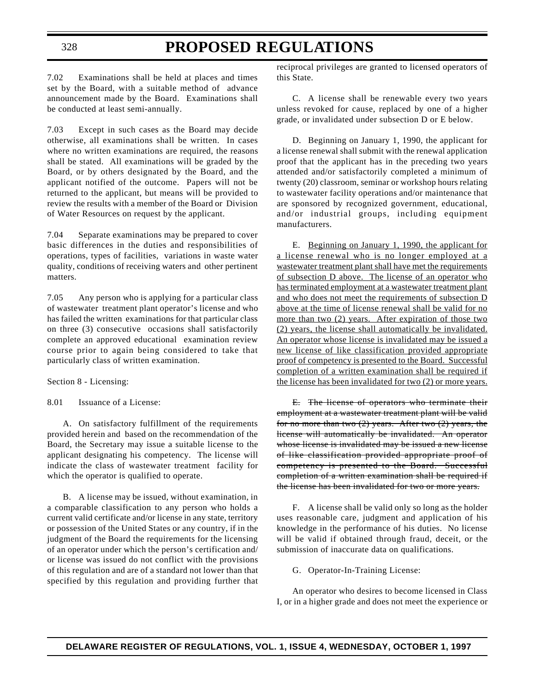7.02 Examinations shall be held at places and times set by the Board, with a suitable method of advance announcement made by the Board. Examinations shall be conducted at least semi-annually.

7.03 Except in such cases as the Board may decide otherwise, all examinations shall be written. In cases where no written examinations are required, the reasons shall be stated. All examinations will be graded by the Board, or by others designated by the Board, and the applicant notified of the outcome. Papers will not be returned to the applicant, but means will be provided to review the results with a member of the Board or Division of Water Resources on request by the applicant.

7.04 Separate examinations may be prepared to cover basic differences in the duties and responsibilities of operations, types of facilities, variations in waste water quality, conditions of receiving waters and other pertinent matters.

7.05 Any person who is applying for a particular class of wastewater treatment plant operator's license and who has failed the written examinations for that particular class on three (3) consecutive occasions shall satisfactorily complete an approved educational examination review course prior to again being considered to take that particularly class of written examination.

Section 8 - Licensing:

8.01 Issuance of a License:

A. On satisfactory fulfillment of the requirements provided herein and based on the recommendation of the Board, the Secretary may issue a suitable license to the applicant designating his competency. The license will indicate the class of wastewater treatment facility for which the operator is qualified to operate.

B. A license may be issued, without examination, in a comparable classification to any person who holds a current valid certificate and/or license in any state, territory or possession of the United States or any country, if in the judgment of the Board the requirements for the licensing of an operator under which the person's certification and/ or license was issued do not conflict with the provisions of this regulation and are of a standard not lower than that specified by this regulation and providing further that reciprocal privileges are granted to licensed operators of this State.

C. A license shall be renewable every two years unless revoked for cause, replaced by one of a higher grade, or invalidated under subsection D or E below.

D. Beginning on January 1, 1990, the applicant for a license renewal shall submit with the renewal application proof that the applicant has in the preceding two years attended and/or satisfactorily completed a minimum of twenty (20) classroom, seminar or workshop hours relating to wastewater facility operations and/or maintenance that are sponsored by recognized government, educational, and/or industrial groups, including equipment manufacturers.

E. Beginning on January 1, 1990, the applicant for a license renewal who is no longer employed at a wastewater treatment plant shall have met the requirements of subsection D above. The license of an operator who has terminated employment at a wastewater treatment plant and who does not meet the requirements of subsection D above at the time of license renewal shall be valid for no more than two (2) years. After expiration of those two (2) years, the license shall automatically be invalidated. An operator whose license is invalidated may be issued a new license of like classification provided appropriate proof of competency is presented to the Board. Successful completion of a written examination shall be required if the license has been invalidated for two (2) or more years.

E. The license of operators who terminate their employment at a wastewater treatment plant will be valid for no more than two  $(2)$  years. After two  $(2)$  years, the license will automatically be invalidated. An operator whose license is invalidated may be issued a new license of like classification provided appropriate proof of competency is presented to the Board. Successful completion of a written examination shall be required if the license has been invalidated for two or more years.

F. A license shall be valid only so long as the holder uses reasonable care, judgment and application of his knowledge in the performance of his duties. No license will be valid if obtained through fraud, deceit, or the submission of inaccurate data on qualifications.

G. Operator-In-Training License:

An operator who desires to become licensed in Class I, or in a higher grade and does not meet the experience or

328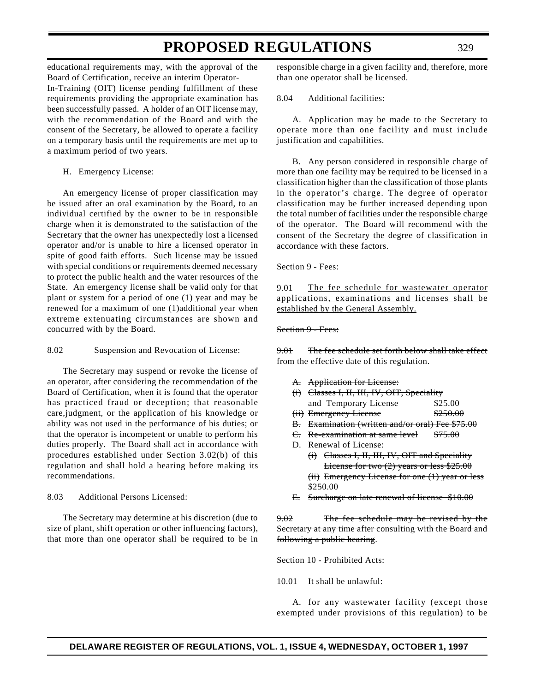educational requirements may, with the approval of the Board of Certification, receive an interim Operator-In-Training (OIT) license pending fulfillment of these requirements providing the appropriate examination has been successfully passed. A holder of an OIT license may, with the recommendation of the Board and with the consent of the Secretary, be allowed to operate a facility on a temporary basis until the requirements are met up to a maximum period of two years.

H. Emergency License:

An emergency license of proper classification may be issued after an oral examination by the Board, to an individual certified by the owner to be in responsible charge when it is demonstrated to the satisfaction of the Secretary that the owner has unexpectedly lost a licensed operator and/or is unable to hire a licensed operator in spite of good faith efforts. Such license may be issued with special conditions or requirements deemed necessary to protect the public health and the water resources of the State. An emergency license shall be valid only for that plant or system for a period of one (1) year and may be renewed for a maximum of one (1)additional year when extreme extenuating circumstances are shown and concurred with by the Board.

8.02 Suspension and Revocation of License:

The Secretary may suspend or revoke the license of an operator, after considering the recommendation of the Board of Certification, when it is found that the operator has practiced fraud or deception; that reasonable care,judgment, or the application of his knowledge or ability was not used in the performance of his duties; or that the operator is incompetent or unable to perform his duties properly. The Board shall act in accordance with procedures established under Section 3.02(b) of this regulation and shall hold a hearing before making its recommendations.

8.03 Additional Persons Licensed:

The Secretary may determine at his discretion (due to size of plant, shift operation or other influencing factors), that more than one operator shall be required to be in responsible charge in a given facility and, therefore, more than one operator shall be licensed.

#### 8.04 Additional facilities:

A. Application may be made to the Secretary to operate more than one facility and must include justification and capabilities.

B. Any person considered in responsible charge of more than one facility may be required to be licensed in a classification higher than the classification of those plants in the operator's charge. The degree of operator classification may be further increased depending upon the total number of facilities under the responsible charge of the operator. The Board will recommend with the consent of the Secretary the degree of classification in accordance with these factors.

Section 9 - Fees:

9.01 The fee schedule for wastewater operator applications, examinations and licenses shall be established by the General Assembly.

#### Section 9 - Fees:

9.01 The fee schedule set forth below shall take effect from the effective date of this regulation.

- A. Application for License:
- (i) Classes I, II, III, IV, OIT, Speciality and Temporary License \$25.00 (ii) Emergency License \$250.00
- B. Examination (written and/or oral) Fee \$75.00
- C. Re-examination at same level \$75.00
- D. Renewal of License:
	- (i) Classes I, II, III, IV, OIT and Speciality License for two (2) years or less \$25.00 (ii) Emergency License for one (1) year or less \$250.00
- E. Surcharge on late renewal of license \$10.00

9.02 The fee schedule may be revised by the Secretary at any time after consulting with the Board and following a public hearing.

Section 10 - Prohibited Acts:

10.01 It shall be unlawful:

A. for any wastewater facility (except those exempted under provisions of this regulation) to be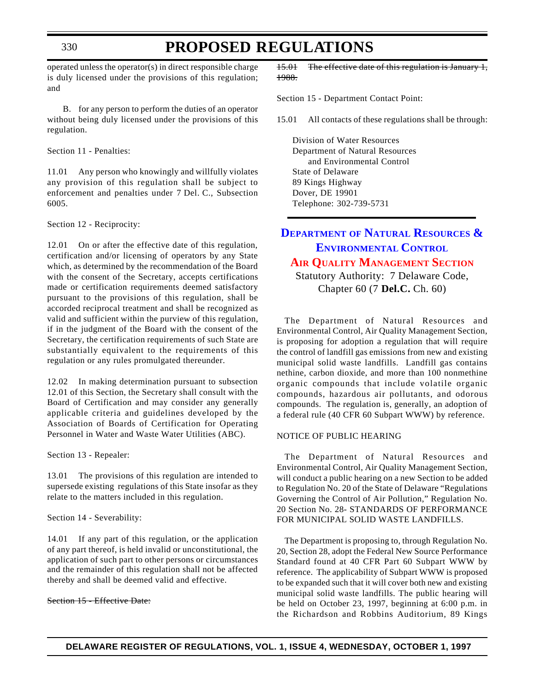### **PROPOSED REGULATIONS**

operated unless the operator(s) in direct responsible charge is duly licensed under the provisions of this regulation; and

B. for any person to perform the duties of an operator without being duly licensed under the provisions of this regulation.

Section 11 - Penalties:

11.01 Any person who knowingly and willfully violates any provision of this regulation shall be subject to enforcement and penalties under 7 Del. C., Subsection 6005.

Section 12 - Reciprocity:

12.01 On or after the effective date of this regulation, certification and/or licensing of operators by any State which, as determined by the recommendation of the Board with the consent of the Secretary, accepts certifications made or certification requirements deemed satisfactory pursuant to the provisions of this regulation, shall be accorded reciprocal treatment and shall be recognized as valid and sufficient within the purview of this regulation, if in the judgment of the Board with the consent of the Secretary, the certification requirements of such State are substantially equivalent to the requirements of this regulation or any rules promulgated thereunder.

12.02 In making determination pursuant to subsection 12.01 of this Section, the Secretary shall consult with the Board of Certification and may consider any generally applicable criteria and guidelines developed by the Association of Boards of Certification for Operating Personnel in Water and Waste Water Utilities (ABC).

Section 13 - Repealer:

13.01 The provisions of this regulation are intended to supersede existing regulations of this State insofar as they relate to the matters included in this regulation.

Section 14 - Severability:

14.01 If any part of this regulation, or the application of any part thereof, is held invalid or unconstitutional, the application of such part to other persons or circumstances and the remainder of this regulation shall not be affected thereby and shall be deemed valid and effective.

#### Section 15 - Effective Date:

15.01 The effective date of this regulation is January 1, 1988.

Section 15 - Department Contact Point:

15.01 All contacts of these regulations shall be through:

Division of Water Resources Department of Natural Resources and Environmental Control State of Delaware 89 Kings Highway Dover, DE 19901 Telephone: 302-739-5731

### **DEPARTMENT OF NATURAL RESOURCES & [ENVIRONMENTAL](http://www.dnrec.state.de.us/frames1.htm) CONTROL AIR QUALITY [MANAGEMENT](#page-3-0) SECTION** Statutory Authority: 7 Delaware Code,

Chapter 60 (7 **Del.C.** Ch. 60)

The Department of Natural Resources and Environmental Control, Air Quality Management Section, is proposing for adoption a regulation that will require the control of landfill gas emissions from new and existing municipal solid waste landfills. Landfill gas contains nethine, carbon dioxide, and more than 100 nonmethine organic compounds that include volatile organic compounds, hazardous air pollutants, and odorous compounds. The regulation is, generally, an adoption of a federal rule (40 CFR 60 Subpart WWW) by reference.

#### NOTICE OF PUBLIC HEARING

The Department of Natural Resources and Environmental Control, Air Quality Management Section, will conduct a public hearing on a new Section to be added to Regulation No. 20 of the State of Delaware "Regulations Governing the Control of Air Pollution," Regulation No. 20 Section No. 28- STANDARDS OF PERFORMANCE FOR MUNICIPAL SOLID WASTE LANDFILLS.

The Department is proposing to, through Regulation No. 20, Section 28, adopt the Federal New Source Performance Standard found at 40 CFR Part 60 Subpart WWW by reference. The applicability of Subpart WWW is proposed to be expanded such that it will cover both new and existing municipal solid waste landfills. The public hearing will be held on October 23, 1997, beginning at 6:00 p.m. in the Richardson and Robbins Auditorium, 89 Kings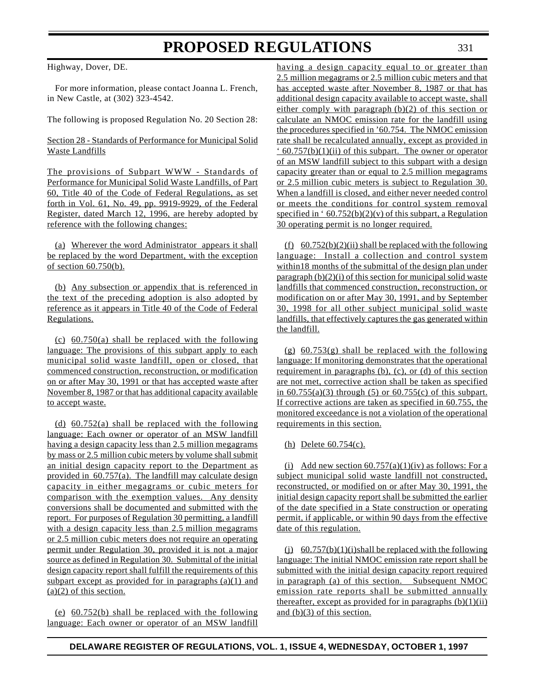Highway, Dover, DE.

For more information, please contact Joanna L. French, in New Castle, at (302) 323-4542.

The following is proposed Regulation No. 20 Section 28:

#### Section 28 - Standards of Performance for Municipal Solid Waste Landfills

The provisions of Subpart WWW - Standards of Performance for Municipal Solid Waste Landfills, of Part 60, Title 40 of the Code of Federal Regulations, as set forth in Vol. 61, No. 49, pp. 9919-9929, of the Federal Register, dated March 12, 1996, are hereby adopted by reference with the following changes:

(a) Wherever the word Administrator appears it shall be replaced by the word Department, with the exception of section 60.750(b).

(b) Any subsection or appendix that is referenced in the text of the preceding adoption is also adopted by reference as it appears in Title 40 of the Code of Federal Regulations.

(c)  $60.750(a)$  shall be replaced with the following language: The provisions of this subpart apply to each municipal solid waste landfill, open or closed, that commenced construction, reconstruction, or modification on or after May 30, 1991 or that has accepted waste after November 8, 1987 or that has additional capacity available to accept waste.

(d) 60.752(a) shall be replaced with the following language: Each owner or operator of an MSW landfill having a design capacity less than 2.5 million megagrams by mass or 2.5 million cubic meters by volume shall submit an initial design capacity report to the Department as provided in 60.757(a). The landfill may calculate design capacity in either megagrams or cubic meters for comparison with the exemption values. Any density conversions shall be documented and submitted with the report. For purposes of Regulation 30 permitting, a landfill with a design capacity less than 2.5 million megagrams or 2.5 million cubic meters does not require an operating permit under Regulation 30, provided it is not a major source as defined in Regulation 30. Submittal of the initial design capacity report shall fulfill the requirements of this subpart except as provided for in paragraphs  $(a)(1)$  and  $(a)(2)$  of this section.

(e) 60.752(b) shall be replaced with the following language: Each owner or operator of an MSW landfill having a design capacity equal to or greater than 2.5 million megagrams or 2.5 million cubic meters and that has accepted waste after November 8, 1987 or that has additional design capacity available to accept waste, shall either comply with paragraph (b)(2) of this section or calculate an NMOC emission rate for the landfill using the procedures specified in '60.754. The NMOC emission rate shall be recalculated annually, except as provided in  $\cdot$  60.757(b)(1)(ii) of this subpart. The owner or operator of an MSW landfill subject to this subpart with a design capacity greater than or equal to 2.5 million megagrams or 2.5 million cubic meters is subject to Regulation 30. When a landfill is closed, and either never needed control or meets the conditions for control system removal specified in '  $60.752(b)(2)(v)$  of this subpart, a Regulation 30 operating permit is no longer required.

(f)  $60.752(b)(2)$ (ii) shall be replaced with the following language: Install a collection and control system within18 months of the submittal of the design plan under paragraph (b)(2)(i) of this section for municipal solid waste landfills that commenced construction, reconstruction, or modification on or after May 30, 1991, and by September 30, 1998 for all other subject municipal solid waste landfills, that effectively captures the gas generated within the landfill.

 $(g)$  60.753 $(g)$  shall be replaced with the following language: If monitoring demonstrates that the operational requirement in paragraphs (b), (c), or (d) of this section are not met, corrective action shall be taken as specified in  $60.755(a)(3)$  through  $(5)$  or  $60.755(c)$  of this subpart. If corrective actions are taken as specified in 60.755, the monitored exceedance is not a violation of the operational requirements in this section.

(h) Delete 60.754(c).

(i) Add new section  $60.757(a)(1)(iv)$  as follows: For a subject municipal solid waste landfill not constructed, reconstructed, or modified on or after May 30, 1991, the initial design capacity report shall be submitted the earlier of the date specified in a State construction or operating permit, if applicable, or within 90 days from the effective date of this regulation.

(j)  $60.757(b)(1)(i)$ shall be replaced with the following language: The initial NMOC emission rate report shall be submitted with the initial design capacity report required in paragraph (a) of this section. Subsequent NMOC emission rate reports shall be submitted annually thereafter, except as provided for in paragraphs  $(b)(1)(ii)$ and (b)(3) of this section.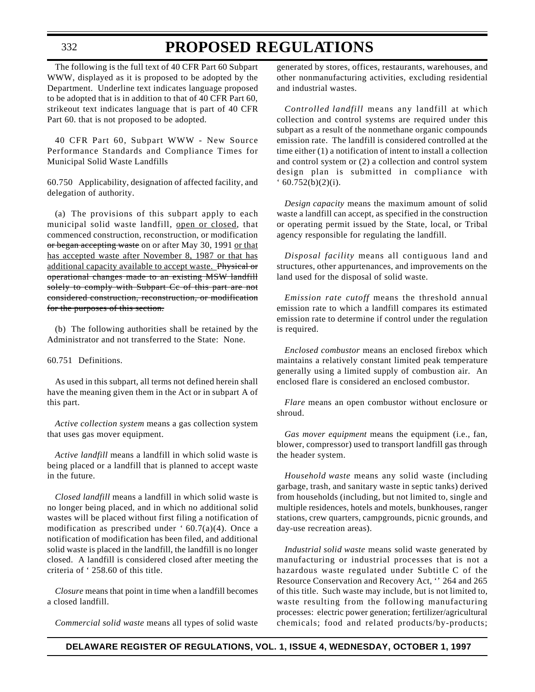The following is the full text of 40 CFR Part 60 Subpart WWW, displayed as it is proposed to be adopted by the Department. Underline text indicates language proposed to be adopted that is in addition to that of 40 CFR Part 60, strikeout text indicates language that is part of 40 CFR Part 60. that is not proposed to be adopted.

40 CFR Part 60, Subpart WWW - New Source Performance Standards and Compliance Times for Municipal Solid Waste Landfills

60.750 Applicability, designation of affected facility, and delegation of authority.

(a) The provisions of this subpart apply to each municipal solid waste landfill, open or closed, that commenced construction, reconstruction, or modification or began accepting waste on or after May 30, 1991 or that has accepted waste after November 8, 1987 or that has additional capacity available to accept waste. Physical or operational changes made to an existing MSW landfill solely to comply with Subpart Ce of this part are not considered construction, reconstruction, or modification for the purposes of this section.

(b) The following authorities shall be retained by the Administrator and not transferred to the State: None.

#### 60.751 Definitions.

As used in this subpart, all terms not defined herein shall have the meaning given them in the Act or in subpart A of this part.

*Active collection system* means a gas collection system that uses gas mover equipment.

*Active landfill* means a landfill in which solid waste is being placed or a landfill that is planned to accept waste in the future.

*Closed landfill* means a landfill in which solid waste is no longer being placed, and in which no additional solid wastes will be placed without first filing a notification of modification as prescribed under ' $60.7(a)(4)$ . Once a notification of modification has been filed, and additional solid waste is placed in the landfill, the landfill is no longer closed. A landfill is considered closed after meeting the criteria of ' 258.60 of this title.

*Closure* means that point in time when a landfill becomes a closed landfill.

*Commercial solid waste* means all types of solid waste

generated by stores, offices, restaurants, warehouses, and other nonmanufacturing activities, excluding residential and industrial wastes.

*Controlled landfill* means any landfill at which collection and control systems are required under this subpart as a result of the nonmethane organic compounds emission rate. The landfill is considered controlled at the time either (1) a notification of intent to install a collection and control system or (2) a collection and control system design plan is submitted in compliance with  $(60.752(b)(2)(i).$ 

*Design capacity* means the maximum amount of solid waste a landfill can accept, as specified in the construction or operating permit issued by the State, local, or Tribal agency responsible for regulating the landfill.

*Disposal facility* means all contiguous land and structures, other appurtenances, and improvements on the land used for the disposal of solid waste.

*Emission rate cutoff* means the threshold annual emission rate to which a landfill compares its estimated emission rate to determine if control under the regulation is required.

*Enclosed combustor* means an enclosed firebox which maintains a relatively constant limited peak temperature generally using a limited supply of combustion air. An enclosed flare is considered an enclosed combustor.

*Flare* means an open combustor without enclosure or shroud.

*Gas mover equipment* means the equipment (i.e., fan, blower, compressor) used to transport landfill gas through the header system.

*Household waste* means any solid waste (including garbage, trash, and sanitary waste in septic tanks) derived from households (including, but not limited to, single and multiple residences, hotels and motels, bunkhouses, ranger stations, crew quarters, campgrounds, picnic grounds, and day-use recreation areas).

*Industrial solid waste* means solid waste generated by manufacturing or industrial processes that is not a hazardous waste regulated under Subtitle C of the Resource Conservation and Recovery Act, '' 264 and 265 of this title. Such waste may include, but is not limited to, waste resulting from the following manufacturing processes: electric power generation; fertilizer/agricultural chemicals; food and related products/by-products;

332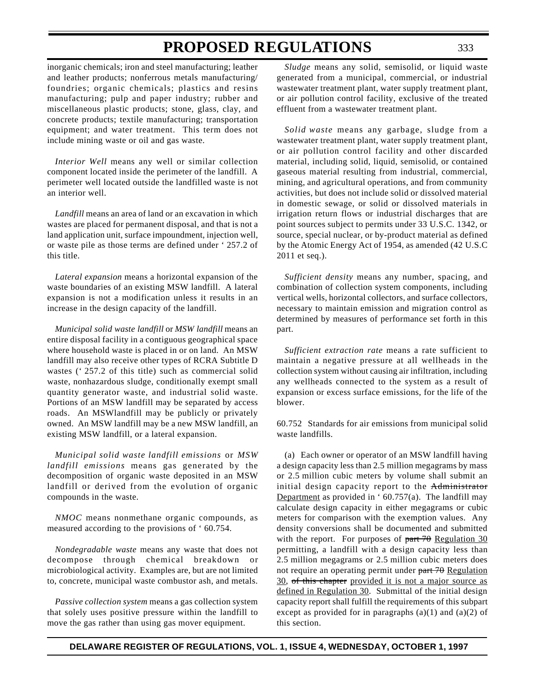inorganic chemicals; iron and steel manufacturing; leather and leather products; nonferrous metals manufacturing/ foundries; organic chemicals; plastics and resins manufacturing; pulp and paper industry; rubber and miscellaneous plastic products; stone, glass, clay, and concrete products; textile manufacturing; transportation equipment; and water treatment. This term does not include mining waste or oil and gas waste.

*Interior Well* means any well or similar collection component located inside the perimeter of the landfill. A perimeter well located outside the landfilled waste is not an interior well.

*Landfill* means an area of land or an excavation in which wastes are placed for permanent disposal, and that is not a land application unit, surface impoundment, injection well, or waste pile as those terms are defined under ' 257.2 of this title.

*Lateral expansion* means a horizontal expansion of the waste boundaries of an existing MSW landfill. A lateral expansion is not a modification unless it results in an increase in the design capacity of the landfill.

*Municipal solid waste landfill* or *MSW landfill* means an entire disposal facility in a contiguous geographical space where household waste is placed in or on land. An MSW landfill may also receive other types of RCRA Subtitle D wastes ('257.2 of this title) such as commercial solid waste, nonhazardous sludge, conditionally exempt small quantity generator waste, and industrial solid waste. Portions of an MSW landfill may be separated by access roads. An MSWlandfill may be publicly or privately owned. An MSW landfill may be a new MSW landfill, an existing MSW landfill, or a lateral expansion.

*Municipal solid waste landfill emissions* or *MSW landfill emissions* means gas generated by the decomposition of organic waste deposited in an MSW landfill or derived from the evolution of organic compounds in the waste.

*NMOC* means nonmethane organic compounds, as measured according to the provisions of ' 60.754.

*Nondegradable waste* means any waste that does not decompose through chemical breakdown or microbiological activity. Examples are, but are not limited to, concrete, municipal waste combustor ash, and metals.

*Passive collection system* means a gas collection system that solely uses positive pressure within the landfill to move the gas rather than using gas mover equipment.

*Sludge* means any solid, semisolid, or liquid waste generated from a municipal, commercial, or industrial wastewater treatment plant, water supply treatment plant, or air pollution control facility, exclusive of the treated effluent from a wastewater treatment plant.

*Solid waste* means any garbage, sludge from a wastewater treatment plant, water supply treatment plant, or air pollution control facility and other discarded material, including solid, liquid, semisolid, or contained gaseous material resulting from industrial, commercial, mining, and agricultural operations, and from community activities, but does not include solid or dissolved material in domestic sewage, or solid or dissolved materials in irrigation return flows or industrial discharges that are point sources subject to permits under 33 U.S.C. 1342, or source, special nuclear, or by-product material as defined by the Atomic Energy Act of 1954, as amended (42 U.S.C 2011 et seq.).

*Sufficient density* means any number, spacing, and combination of collection system components, including vertical wells, horizontal collectors, and surface collectors, necessary to maintain emission and migration control as determined by measures of performance set forth in this part.

*Sufficient extraction rate* means a rate sufficient to maintain a negative pressure at all wellheads in the collection system without causing air infiltration, including any wellheads connected to the system as a result of expansion or excess surface emissions, for the life of the blower.

60.752 Standards for air emissions from municipal solid waste landfills.

(a) Each owner or operator of an MSW landfill having a design capacity less than 2.5 million megagrams by mass or 2.5 million cubic meters by volume shall submit an initial design capacity report to the Administrator Department as provided in  $60.757(a)$ . The landfill may calculate design capacity in either megagrams or cubic meters for comparison with the exemption values. Any density conversions shall be documented and submitted with the report. For purposes of  $part 70$  Regulation 30 permitting, a landfill with a design capacity less than 2.5 million megagrams or 2.5 million cubic meters does not require an operating permit under part 70 Regulation 30, of this chapter provided it is not a major source as defined in Regulation 30. Submittal of the initial design capacity report shall fulfill the requirements of this subpart except as provided for in paragraphs  $(a)(1)$  and  $(a)(2)$  of this section.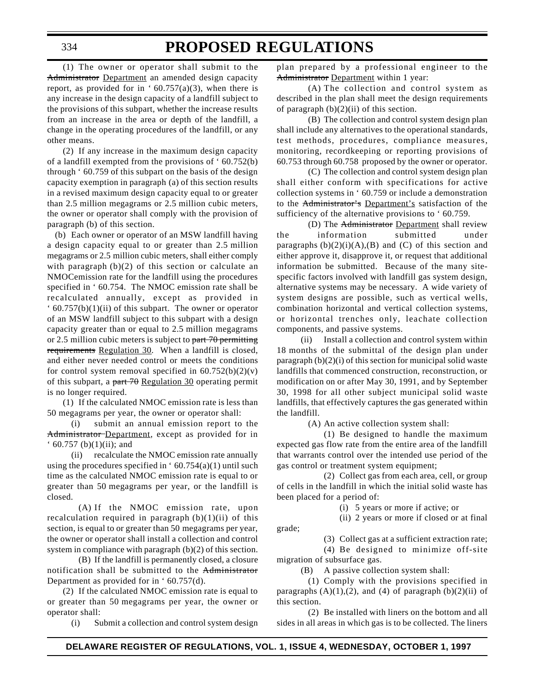### **PROPOSED REGULATIONS**

(1) The owner or operator shall submit to the Administrator Department an amended design capacity report, as provided for in ' $60.757(a)(3)$ , when there is any increase in the design capacity of a landfill subject to the provisions of this subpart, whether the increase results from an increase in the area or depth of the landfill, a change in the operating procedures of the landfill, or any other means.

(2) If any increase in the maximum design capacity of a landfill exempted from the provisions of ' 60.752(b) through ' 60.759 of this subpart on the basis of the design capacity exemption in paragraph (a) of this section results in a revised maximum design capacity equal to or greater than 2.5 million megagrams or 2.5 million cubic meters, the owner or operator shall comply with the provision of paragraph (b) of this section.

(b) Each owner or operator of an MSW landfill having a design capacity equal to or greater than 2.5 million megagrams or 2.5 million cubic meters, shall either comply with paragraph  $(b)(2)$  of this section or calculate an NMOCemission rate for the landfill using the procedures specified in ' 60.754. The NMOC emission rate shall be recalculated annually, except as provided in  $\cdot$  60.757(b)(1)(ii) of this subpart. The owner or operator of an MSW landfill subject to this subpart with a design capacity greater than or equal to 2.5 million megagrams or 2.5 million cubic meters is subject to  $part 70$  permitting requirements Regulation 30. When a landfill is closed, and either never needed control or meets the conditions for control system removal specified in  $60.752(b)(2)(v)$ of this subpart, a part  $70$  Regulation 30 operating permit is no longer required.

(1) If the calculated NMOC emission rate is less than 50 megagrams per year, the owner or operator shall:

(i) submit an annual emission report to the Administrator-Department, except as provided for in  $(60.757 \text{ (b)}(1)(ii);$  and

(ii) recalculate the NMOC emission rate annually using the procedures specified in  $60.754(a)(1)$  until such time as the calculated NMOC emission rate is equal to or greater than 50 megagrams per year, or the landfill is closed.

(A) If the NMOC emission rate, upon recalculation required in paragraph  $(b)(1)(ii)$  of this section, is equal to or greater than 50 megagrams per year, the owner or operator shall install a collection and control system in compliance with paragraph (b)(2) of this section.

(B) If the landfill is permanently closed, a closure notification shall be submitted to the Administrator Department as provided for in ' 60.757(d).

(2) If the calculated NMOC emission rate is equal to or greater than 50 megagrams per year, the owner or operator shall:

(i) Submit a collection and control system design

plan prepared by a professional engineer to the Administrator Department within 1 year:

(A) The collection and control system as described in the plan shall meet the design requirements of paragraph  $(b)(2)(ii)$  of this section.

(B) The collection and control system design plan shall include any alternatives to the operational standards, test methods, procedures, compliance measures, monitoring, recordkeeping or reporting provisions of 60.753 through 60.758 proposed by the owner or operator.

(C) The collection and control system design plan shall either conform with specifications for active collection systems in ' 60.759 or include a demonstration to the Administrator's Department's satisfaction of the sufficiency of the alternative provisions to ' 60.759.

(D) The Administrator Department shall review the information submitted under paragraphs  $(b)(2)(i)(A),(B)$  and  $(C)$  of this section and either approve it, disapprove it, or request that additional information be submitted. Because of the many sitespecific factors involved with landfill gas system design, alternative systems may be necessary. A wide variety of system designs are possible, such as vertical wells, combination horizontal and vertical collection systems, or horizontal trenches only, leachate collection components, and passive systems.

(ii) Install a collection and control system within 18 months of the submittal of the design plan under paragraph (b)(2)(i) of this section for municipal solid waste landfills that commenced construction, reconstruction, or modification on or after May 30, 1991, and by September 30, 1998 for all other subject municipal solid waste landfills, that effectively captures the gas generated within the landfill.

(A) An active collection system shall:

(1) Be designed to handle the maximum expected gas flow rate from the entire area of the landfill that warrants control over the intended use period of the gas control or treatment system equipment;

(2) Collect gas from each area, cell, or group of cells in the landfill in which the initial solid waste has been placed for a period of:

(i) 5 years or more if active; or

(ii) 2 years or more if closed or at final

(3) Collect gas at a sufficient extraction rate;

(4) Be designed to minimize off-site migration of subsurface gas.

(B) A passive collection system shall:

(1) Comply with the provisions specified in paragraphs  $(A)(1),(2)$ , and  $(4)$  of paragraph  $(b)(2)(ii)$  of this section.

(2) Be installed with liners on the bottom and all sides in all areas in which gas is to be collected. The liners

grade;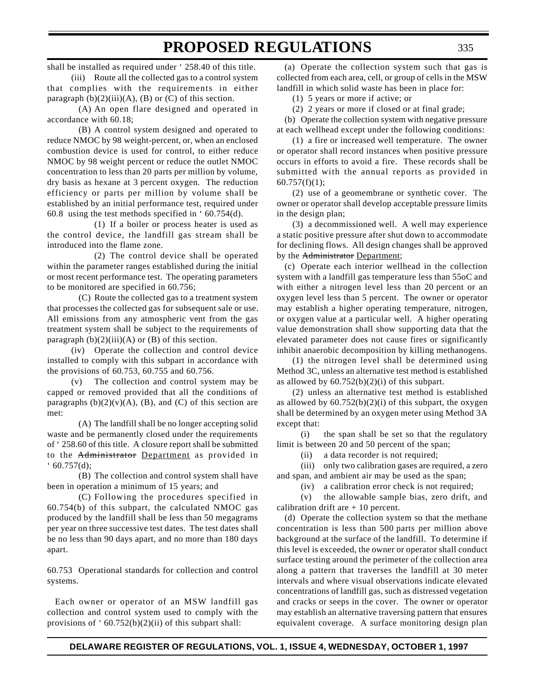shall be installed as required under ' 258.40 of this title.

(iii) Route all the collected gas to a control system that complies with the requirements in either paragraph  $(b)(2)(iii)(A)$ ,  $(B)$  or  $(C)$  of this section.

(A) An open flare designed and operated in accordance with 60.18;

(B) A control system designed and operated to reduce NMOC by 98 weight-percent, or, when an enclosed combustion device is used for control, to either reduce NMOC by 98 weight percent or reduce the outlet NMOC concentration to less than 20 parts per million by volume, dry basis as hexane at 3 percent oxygen. The reduction efficiency or parts per million by volume shall be established by an initial performance test, required under 60.8 using the test methods specified in ' 60.754(d).

(1) If a boiler or process heater is used as the control device, the landfill gas stream shall be introduced into the flame zone.

(2) The control device shall be operated within the parameter ranges established during the initial or most recent performance test. The operating parameters to be monitored are specified in 60.756;

(C) Route the collected gas to a treatment system that processes the collected gas for subsequent sale or use. All emissions from any atmospheric vent from the gas treatment system shall be subject to the requirements of paragraph  $(b)(2)(iii)(A)$  or  $(B)$  of this section.

(iv) Operate the collection and control device installed to comply with this subpart in accordance with the provisions of 60.753, 60.755 and 60.756.

(v) The collection and control system may be capped or removed provided that all the conditions of paragraphs  $(b)(2)(v)(A)$ ,  $(B)$ , and  $(C)$  of this section are met:

(A) The landfill shall be no longer accepting solid waste and be permanently closed under the requirements of ' 258.60 of this title. A closure report shall be submitted to the Administrator Department as provided in  $60.757(d);$ 

(B) The collection and control system shall have been in operation a minimum of 15 years; and

(C) Following the procedures specified in 60.754(b) of this subpart, the calculated NMOC gas produced by the landfill shall be less than 50 megagrams per year on three successive test dates. The test dates shall be no less than 90 days apart, and no more than 180 days apart.

60.753 Operational standards for collection and control systems.

Each owner or operator of an MSW landfill gas collection and control system used to comply with the provisions of  $60.752(b)(2)(ii)$  of this subpart shall:

(a) Operate the collection system such that gas is collected from each area, cell, or group of cells in the MSW landfill in which solid waste has been in place for:

(1) 5 years or more if active; or

(2) 2 years or more if closed or at final grade;

(b) Operate the collection system with negative pressure at each wellhead except under the following conditions:

(1) a fire or increased well temperature. The owner or operator shall record instances when positive pressure occurs in efforts to avoid a fire. These records shall be submitted with the annual reports as provided in  $60.757(f)(1);$ 

(2) use of a geomembrane or synthetic cover. The owner or operator shall develop acceptable pressure limits in the design plan;

(3) a decommissioned well. A well may experience a static positive pressure after shut down to accommodate for declining flows. All design changes shall be approved by the Administrator Department;

(c) Operate each interior wellhead in the collection system with a landfill gas temperature less than 55oC and with either a nitrogen level less than 20 percent or an oxygen level less than 5 percent. The owner or operator may establish a higher operating temperature, nitrogen, or oxygen value at a particular well. A higher operating value demonstration shall show supporting data that the elevated parameter does not cause fires or significantly inhibit anaerobic decomposition by killing methanogens.

(1) the nitrogen level shall be determined using Method 3C, unless an alternative test method is established as allowed by  $60.752(b)(2)(i)$  of this subpart.

(2) unless an alternative test method is established as allowed by  $60.752(b)(2)(i)$  of this subpart, the oxygen shall be determined by an oxygen meter using Method 3A except that:

(i) the span shall be set so that the regulatory limit is between 20 and 50 percent of the span;

(ii) a data recorder is not required;

(iii) only two calibration gases are required, a zero and span, and ambient air may be used as the span;

(iv) a calibration error check is not required;

(v) the allowable sample bias, zero drift, and calibration drift are  $+10$  percent.

(d) Operate the collection system so that the methane concentration is less than 500 parts per million above background at the surface of the landfill. To determine if this level is exceeded, the owner or operator shall conduct surface testing around the perimeter of the collection area along a pattern that traverses the landfill at 30 meter intervals and where visual observations indicate elevated concentrations of landfill gas, such as distressed vegetation and cracks or seeps in the cover. The owner or operator may establish an alternative traversing pattern that ensures equivalent coverage. A surface monitoring design plan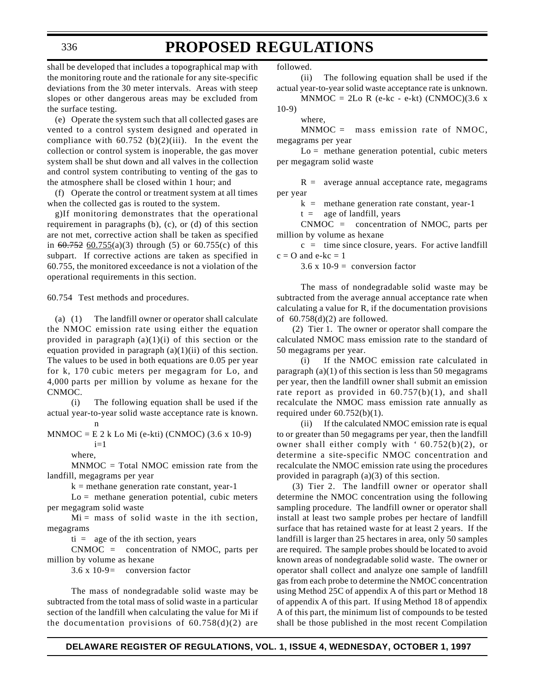### **PROPOSED REGULATIONS**

shall be developed that includes a topographical map with the monitoring route and the rationale for any site-specific deviations from the 30 meter intervals. Areas with steep slopes or other dangerous areas may be excluded from the surface testing.

(e) Operate the system such that all collected gases are vented to a control system designed and operated in compliance with  $60.752$  (b)(2)(iii). In the event the collection or control system is inoperable, the gas mover system shall be shut down and all valves in the collection and control system contributing to venting of the gas to the atmosphere shall be closed within 1 hour; and

(f) Operate the control or treatment system at all times when the collected gas is routed to the system.

g)If monitoring demonstrates that the operational requirement in paragraphs (b), (c), or (d) of this section are not met, corrective action shall be taken as specified in  $60.752$   $60.755(a)(3)$  through (5) or  $60.755(c)$  of this subpart. If corrective actions are taken as specified in 60.755, the monitored exceedance is not a violation of the operational requirements in this section.

60.754 Test methods and procedures.

(a) (1) The landfill owner or operator shall calculate the NMOC emission rate using either the equation provided in paragraph  $(a)(1)(i)$  of this section or the equation provided in paragraph  $(a)(1)(ii)$  of this section. The values to be used in both equations are 0.05 per year for k, 170 cubic meters per megagram for Lo, and 4,000 parts per million by volume as hexane for the CNMOC.

(i) The following equation shall be used if the actual year-to-year solid waste acceptance rate is known. n

 $MNMOC = E 2 k Lo Mi (e-kti) (CNMOC) (3.6 x 10-9)$  $i=1$ 

where,

MNMOC = Total NMOC emission rate from the landfill, megagrams per year

 $k =$  methane generation rate constant, year-1

Lo = methane generation potential, cubic meters per megagram solid waste

 $Mi = mass of solid waste in the ith section,$ megagrams

 $t_i$  = age of the ith section, years

CNMOC = concentration of NMOC, parts per million by volume as hexane

 $3.6 \times 10 - 9$  = conversion factor

The mass of nondegradable solid waste may be subtracted from the total mass of solid waste in a particular section of the landfill when calculating the value for Mi if the documentation provisions of  $60.758(d)(2)$  are

followed.

(ii) The following equation shall be used if the actual year-to-year solid waste acceptance rate is unknown.

 $MNMOC = 2Lo R (e-kc - e-kt) (CNMOC)(3.6 x)$ 10-9)

where,

MNMOC = mass emission rate of NMOC, megagrams per year

 $Lo =$  methane generation potential, cubic meters per megagram solid waste

 $R =$  average annual acceptance rate, megagrams per year

 $k =$  methane generation rate constant, year-1

 $t = \text{age of landfill}, \text{years}$ 

CNMOC = concentration of NMOC, parts per million by volume as hexane

 $c =$  time since closure, years. For active landfill  $c = O$  and  $e-kc = 1$ 

 $3.6 \times 10 - 9 =$  conversion factor

The mass of nondegradable solid waste may be subtracted from the average annual acceptance rate when calculating a value for R, if the documentation provisions of  $60.758(d)(2)$  are followed.

(2) Tier 1. The owner or operator shall compare the calculated NMOC mass emission rate to the standard of 50 megagrams per year.

(i) If the NMOC emission rate calculated in paragraph  $(a)(1)$  of this section is less than 50 megagrams per year, then the landfill owner shall submit an emission rate report as provided in  $60.757(b)(1)$ , and shall recalculate the NMOC mass emission rate annually as required under  $60.752(b)(1)$ .

(ii) If the calculated NMOC emission rate is equal to or greater than 50 megagrams per year, then the landfill owner shall either comply with ' 60.752(b)(2), or determine a site-specific NMOC concentration and recalculate the NMOC emission rate using the procedures provided in paragraph (a)(3) of this section.

(3) Tier 2. The landfill owner or operator shall determine the NMOC concentration using the following sampling procedure. The landfill owner or operator shall install at least two sample probes per hectare of landfill surface that has retained waste for at least 2 years. If the landfill is larger than 25 hectares in area, only 50 samples are required. The sample probes should be located to avoid known areas of nondegradable solid waste. The owner or operator shall collect and analyze one sample of landfill gas from each probe to determine the NMOC concentration using Method 25C of appendix A of this part or Method 18 of appendix A of this part. If using Method 18 of appendix A of this part, the minimum list of compounds to be tested shall be those published in the most recent Compilation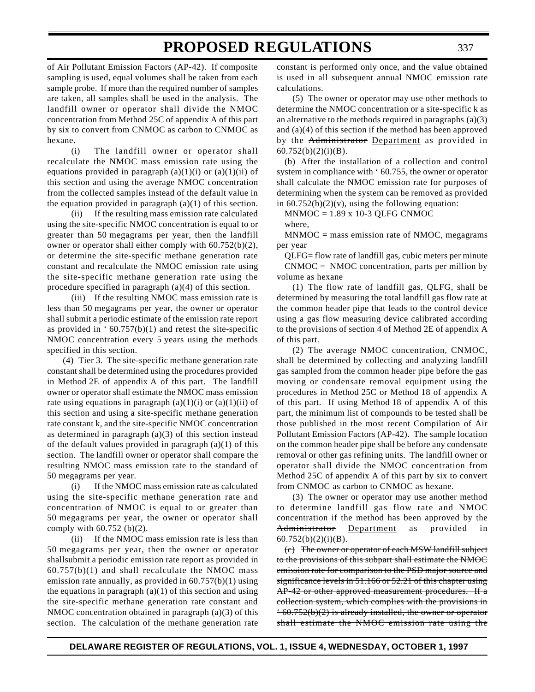of Air Pollutant Emission Factors (AP-42). If composite sampling is used, equal volumes shall be taken from each sample probe. If more than the required number of samples are taken, all samples shall be used in the analysis. The landfill owner or operator shall divide the NMOC concentration from Method 25C of appendix A of this part by six to convert from CNMOC as carbon to CNMOC as hexane.

(i) The landfill owner or operator shall recalculate the NMOC mass emission rate using the equations provided in paragraph  $(a)(1)(i)$  or  $(a)(1)(ii)$  of this section and using the average NMOC concentration from the collected samples instead of the default value in the equation provided in paragraph  $(a)(1)$  of this section.

(ii) If the resulting mass emission rate calculated using the site-specific NMOC concentration is equal to or greater than 50 megagrams per year, then the landfill owner or operator shall either comply with 60.752(b)(2), or determine the site-specific methane generation rate constant and recalculate the NMOC emission rate using the site-specific methane generation rate using the procedure specified in paragraph (a)(4) of this section.

(iii) If the resulting NMOC mass emission rate is less than 50 megagrams per year, the owner or operator shall submit a periodic estimate of the emission rate report as provided in  $60.757(b)(1)$  and retest the site-specific NMOC concentration every 5 years using the methods specified in this section.

(4) Tier 3. The site-specific methane generation rate constant shall be determined using the procedures provided in Method 2E of appendix A of this part. The landfill owner or operator shall estimate the NMOC mass emission rate using equations in paragraph  $(a)(1)(i)$  or  $(a)(1)(ii)$  of this section and using a site-specific methane generation rate constant k, and the site-specific NMOC concentration as determined in paragraph (a)(3) of this section instead of the default values provided in paragraph (a)(1) of this section. The landfill owner or operator shall compare the resulting NMOC mass emission rate to the standard of 50 megagrams per year.

(i) If the NMOC mass emission rate as calculated using the site-specific methane generation rate and concentration of NMOC is equal to or greater than 50 megagrams per year, the owner or operator shall comply with 60.752 (b)(2).

(ii) If the NMOC mass emission rate is less than 50 megagrams per year, then the owner or operator shallsubmit a periodic emission rate report as provided in  $60.757(b)(1)$  and shall recalculate the NMOC mass emission rate annually, as provided in 60.757(b)(1) using the equations in paragraph  $(a)(1)$  of this section and using the site-specific methane generation rate constant and NMOC concentration obtained in paragraph (a)(3) of this section. The calculation of the methane generation rate

constant is performed only once, and the value obtained is used in all subsequent annual NMOC emission rate calculations.

(5) The owner or operator may use other methods to determine the NMOC concentration or a site-specific k as an alternative to the methods required in paragraphs (a)(3) and (a)(4) of this section if the method has been approved by the Administrator Department as provided in  $60.752(b)(2)(i)(B)$ .

(b) After the installation of a collection and control system in compliance with ' 60.755, the owner or operator shall calculate the NMOC emission rate for purposes of determining when the system can be removed as provided in  $60.752(b)(2)(v)$ , using the following equation:

 $MNMOC = 1.89 \times 10-3$  QLFG CNMOC

where,

MNMOC = mass emission rate of NMOC, megagrams per year

QLFG= flow rate of landfill gas, cubic meters per minute  $CMMOC = NMOC$  concentration, parts per million by volume as hexane

(1) The flow rate of landfill gas, QLFG, shall be determined by measuring the total landfill gas flow rate at the common header pipe that leads to the control device using a gas flow measuring device calibrated according to the provisions of section 4 of Method 2E of appendix A of this part.

(2) The average NMOC concentration, CNMOC, shall be determined by collecting and analyzing landfill gas sampled from the common header pipe before the gas moving or condensate removal equipment using the procedures in Method 25C or Method 18 of appendix A of this part. If using Method 18 of appendix A of this part, the minimum list of compounds to be tested shall be those published in the most recent Compilation of Air Pollutant Emission Factors (AP-42). The sample location on the common header pipe shall be before any condensate removal or other gas refining units. The landfill owner or operator shall divide the NMOC concentration from Method 25C of appendix A of this part by six to convert from CNMOC as carbon to CNMOC as hexane.

(3) The owner or operator may use another method to determine landfill gas flow rate and NMOC concentration if the method has been approved by the Administrator Department as provided in  $60.752(b)(2)(i)(B)$ .

(c) The owner or operator of each MSW landfill subject to the provisions of this subpart shall estimate the NMOC emission rate for comparison to the PSD major source and significance levels in 51.166 or 52.21 of this chapter using AP-42 or other approved measurement procedures. If a collection system, which complies with the provisions in  $-60.752(b)(2)$  is already installed, the owner or operator shall estimate the NMOC emission rate using the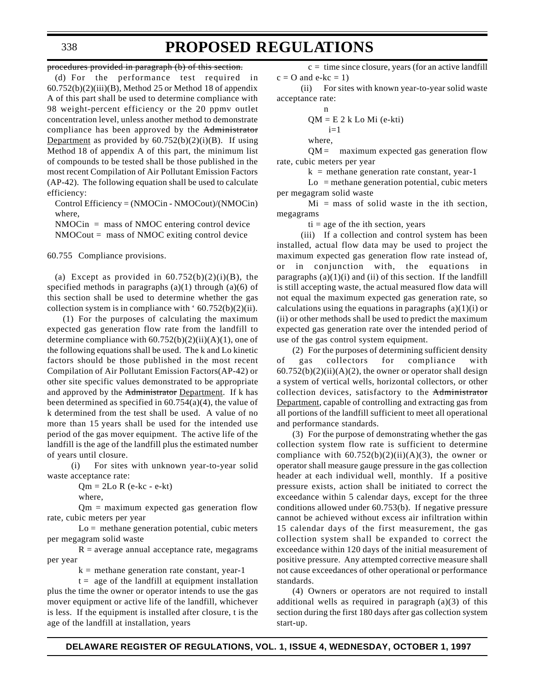procedures provided in paragraph (b) of this section.

(d) For the performance test required in  $60.752(b)(2)(iii)(B)$ , Method 25 or Method 18 of appendix A of this part shall be used to determine compliance with 98 weight-percent efficiency or the 20 ppmv outlet concentration level, unless another method to demonstrate compliance has been approved by the Administrator Department as provided by  $60.752(b)(2)(i)(B)$ . If using Method 18 of appendix A of this part, the minimum list of compounds to be tested shall be those published in the most recent Compilation of Air Pollutant Emission Factors (AP-42). The following equation shall be used to calculate efficiency:

Control Efficiency = (NMOCin - NMOCout)/(NMOCin) where,

NMOCin = mass of NMOC entering control device NMOCout = mass of NMOC exiting control device

60.755 Compliance provisions.

(a) Except as provided in  $60.752(b)(2)(i)(B)$ , the specified methods in paragraphs  $(a)(1)$  through  $(a)(6)$  of this section shall be used to determine whether the gas collection system is in compliance with ' 60.752(b)(2)(ii).

(1) For the purposes of calculating the maximum expected gas generation flow rate from the landfill to determine compliance with  $60.752(b)(2)(ii)(A)(1)$ , one of the following equations shall be used. The k and Lo kinetic factors should be those published in the most recent Compilation of Air Pollutant Emission Factors(AP-42) or other site specific values demonstrated to be appropriate and approved by the Administrator Department. If k has been determined as specified in 60.754(a)(4), the value of k determined from the test shall be used. A value of no more than 15 years shall be used for the intended use period of the gas mover equipment. The active life of the landfill is the age of the landfill plus the estimated number of years until closure.

(i) For sites with unknown year-to-year solid waste acceptance rate:

 $Qm = 2Lo R (e-kc - e-kt)$ 

where,

 $Qm =$  maximum expected gas generation flow rate, cubic meters per year

 $Lo =$  methane generation potential, cubic meters per megagram solid waste

 $R = average$  annual acceptance rate, megagrams per year

 $k =$  methane generation rate constant, year-1

 $t = age of the landfill at equipment installation$ plus the time the owner or operator intends to use the gas mover equipment or active life of the landfill, whichever is less. If the equipment is installed after closure, t is the age of the landfill at installation, years

 $c =$  time since closure, years (for an active landfill  $c = O$  and  $e-kc = 1$ )

(ii) For sites with known year-to-year solid waste acceptance rate:

n  
QM = E 2 k Lo Mi (e-kti)  

$$
i=1
$$
  
where,

 $QM =$  maximum expected gas generation flow rate, cubic meters per year

 $k =$  methane generation rate constant, year-1

 $Lo$  = methane generation potential, cubic meters per megagram solid waste

 $Mi$  = mass of solid waste in the ith section, megagrams

 $ti = age of the ith section, years$ 

(iii) If a collection and control system has been installed, actual flow data may be used to project the maximum expected gas generation flow rate instead of, or in conjunction with, the equations in paragraphs  $(a)(1)(i)$  and  $(ii)$  of this section. If the landfill is still accepting waste, the actual measured flow data will not equal the maximum expected gas generation rate, so calculations using the equations in paragraphs  $(a)(1)(i)$  or (ii) or other methods shall be used to predict the maximum expected gas generation rate over the intended period of use of the gas control system equipment.

(2) For the purposes of determining sufficient density of gas collectors for compliance with  $60.752(b)(2)(ii)(A)(2)$ , the owner or operator shall design a system of vertical wells, horizontal collectors, or other collection devices, satisfactory to the Administrator Department, capable of controlling and extracting gas from all portions of the landfill sufficient to meet all operational and performance standards.

(3) For the purpose of demonstrating whether the gas collection system flow rate is sufficient to determine compliance with  $60.752(b)(2)(ii)(A)(3)$ , the owner or operator shall measure gauge pressure in the gas collection header at each individual well, monthly. If a positive pressure exists, action shall be initiated to correct the exceedance within 5 calendar days, except for the three conditions allowed under 60.753(b). If negative pressure cannot be achieved without excess air infiltration within 15 calendar days of the first measurement, the gas collection system shall be expanded to correct the exceedance within 120 days of the initial measurement of positive pressure. Any attempted corrective measure shall not cause exceedances of other operational or performance standards.

(4) Owners or operators are not required to install additional wells as required in paragraph (a)(3) of this section during the first 180 days after gas collection system start-up.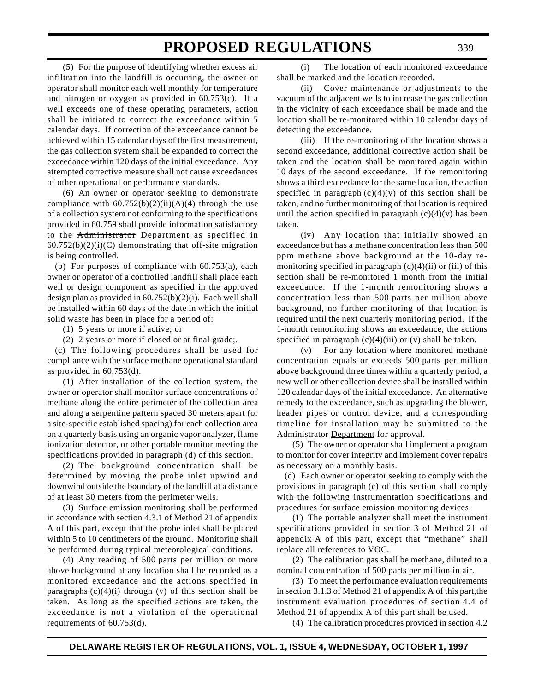(5) For the purpose of identifying whether excess air infiltration into the landfill is occurring, the owner or operator shall monitor each well monthly for temperature and nitrogen or oxygen as provided in 60.753(c). If a well exceeds one of these operating parameters, action shall be initiated to correct the exceedance within 5 calendar days. If correction of the exceedance cannot be achieved within 15 calendar days of the first measurement, the gas collection system shall be expanded to correct the exceedance within 120 days of the initial exceedance. Any attempted corrective measure shall not cause exceedances of other operational or performance standards.

(6) An owner or operator seeking to demonstrate compliance with  $60.752(b)(2)(ii)(A)(4)$  through the use of a collection system not conforming to the specifications provided in 60.759 shall provide information satisfactory to the Administrator Department as specified in  $60.752(b)(2)(i)(C)$  demonstrating that off-site migration is being controlled.

(b) For purposes of compliance with 60.753(a), each owner or operator of a controlled landfill shall place each well or design component as specified in the approved design plan as provided in 60.752(b)(2)(i). Each well shall be installed within 60 days of the date in which the initial solid waste has been in place for a period of:

(1) 5 years or more if active; or

(2) 2 years or more if closed or at final grade;.

(c) The following procedures shall be used for compliance with the surface methane operational standard as provided in 60.753(d).

(1) After installation of the collection system, the owner or operator shall monitor surface concentrations of methane along the entire perimeter of the collection area and along a serpentine pattern spaced 30 meters apart (or a site-specific established spacing) for each collection area on a quarterly basis using an organic vapor analyzer, flame ionization detector, or other portable monitor meeting the specifications provided in paragraph (d) of this section.

(2) The background concentration shall be determined by moving the probe inlet upwind and downwind outside the boundary of the landfill at a distance of at least 30 meters from the perimeter wells.

(3) Surface emission monitoring shall be performed in accordance with section 4.3.1 of Method 21 of appendix A of this part, except that the probe inlet shall be placed within 5 to 10 centimeters of the ground. Monitoring shall be performed during typical meteorological conditions.

(4) Any reading of 500 parts per million or more above background at any location shall be recorded as a monitored exceedance and the actions specified in paragraphs  $(c)(4)(i)$  through  $(v)$  of this section shall be taken. As long as the specified actions are taken, the exceedance is not a violation of the operational requirements of 60.753(d).

(i) The location of each monitored exceedance shall be marked and the location recorded.

(ii) Cover maintenance or adjustments to the vacuum of the adjacent wells to increase the gas collection in the vicinity of each exceedance shall be made and the location shall be re-monitored within 10 calendar days of detecting the exceedance.

(iii) If the re-monitoring of the location shows a second exceedance, additional corrective action shall be taken and the location shall be monitored again within 10 days of the second exceedance. If the remonitoring shows a third exceedance for the same location, the action specified in paragraph  $(c)(4)(v)$  of this section shall be taken, and no further monitoring of that location is required until the action specified in paragraph  $(c)(4)(v)$  has been taken.

(iv) Any location that initially showed an exceedance but has a methane concentration less than 500 ppm methane above background at the 10-day remonitoring specified in paragraph  $(c)(4)(ii)$  or  $(iii)$  of this section shall be re-monitored 1 month from the initial exceedance. If the 1-month remonitoring shows a concentration less than 500 parts per million above background, no further monitoring of that location is required until the next quarterly monitoring period. If the 1-month remonitoring shows an exceedance, the actions specified in paragraph  $(c)(4)(iii)$  or  $(v)$  shall be taken.

(v) For any location where monitored methane concentration equals or exceeds 500 parts per million above background three times within a quarterly period, a new well or other collection device shall be installed within 120 calendar days of the initial exceedance. An alternative remedy to the exceedance, such as upgrading the blower, header pipes or control device, and a corresponding timeline for installation may be submitted to the Administrator Department for approval.

(5) The owner or operator shall implement a program to monitor for cover integrity and implement cover repairs as necessary on a monthly basis.

(d) Each owner or operator seeking to comply with the provisions in paragraph (c) of this section shall comply with the following instrumentation specifications and procedures for surface emission monitoring devices:

(1) The portable analyzer shall meet the instrument specifications provided in section 3 of Method 21 of appendix A of this part, except that "methane" shall replace all references to VOC.

(2) The calibration gas shall be methane, diluted to a nominal concentration of 500 parts per million in air.

(3) To meet the performance evaluation requirements in section 3.1.3 of Method 21 of appendix A of this part,the instrument evaluation procedures of section 4.4 of Method 21 of appendix A of this part shall be used.

(4) The calibration procedures provided in section 4.2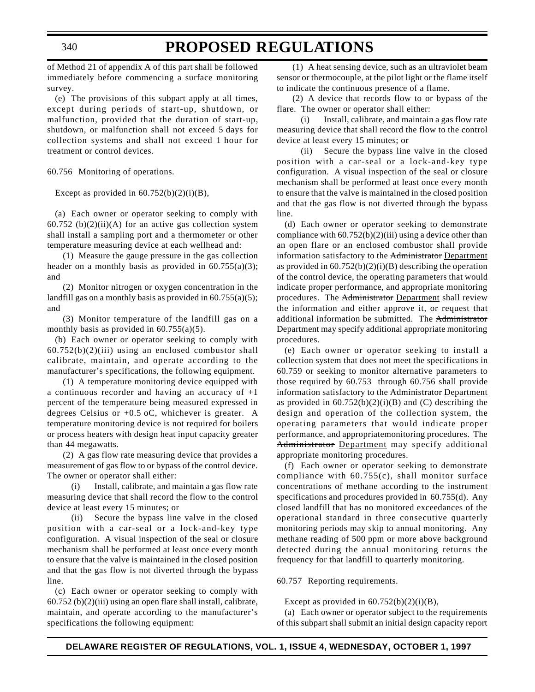### **PROPOSED REGULATIONS**

of Method 21 of appendix A of this part shall be followed immediately before commencing a surface monitoring survey.

(e) The provisions of this subpart apply at all times, except during periods of start-up, shutdown, or malfunction, provided that the duration of start-up, shutdown, or malfunction shall not exceed 5 days for collection systems and shall not exceed 1 hour for treatment or control devices.

60.756 Monitoring of operations.

Except as provided in  $60.752(b)(2)(i)(B)$ ,

(a) Each owner or operator seeking to comply with 60.752 (b) $(2)(ii)(A)$  for an active gas collection system shall install a sampling port and a thermometer or other temperature measuring device at each wellhead and:

(1) Measure the gauge pressure in the gas collection header on a monthly basis as provided in  $60.755(a)(3)$ ; and

(2) Monitor nitrogen or oxygen concentration in the landfill gas on a monthly basis as provided in  $60.755(a)(5)$ ; and

(3) Monitor temperature of the landfill gas on a monthly basis as provided in  $60.755(a)(5)$ .

(b) Each owner or operator seeking to comply with  $60.752(b)(2)(iii)$  using an enclosed combustor shall calibrate, maintain, and operate according to the manufacturer's specifications, the following equipment.

(1) A temperature monitoring device equipped with a continuous recorder and having an accuracy of +1 percent of the temperature being measured expressed in degrees Celsius or +0.5 oC, whichever is greater. A temperature monitoring device is not required for boilers or process heaters with design heat input capacity greater than 44 megawatts.

(2) A gas flow rate measuring device that provides a measurement of gas flow to or bypass of the control device. The owner or operator shall either:

(i) Install, calibrate, and maintain a gas flow rate measuring device that shall record the flow to the control device at least every 15 minutes; or

(ii) Secure the bypass line valve in the closed position with a car-seal or a lock-and-key type configuration. A visual inspection of the seal or closure mechanism shall be performed at least once every month to ensure that the valve is maintained in the closed position and that the gas flow is not diverted through the bypass line.

(c) Each owner or operator seeking to comply with 60.752 (b)(2)(iii) using an open flare shall install, calibrate, maintain, and operate according to the manufacturer's specifications the following equipment:

(1) A heat sensing device, such as an ultraviolet beam sensor or thermocouple, at the pilot light or the flame itself to indicate the continuous presence of a flame.

(2) A device that records flow to or bypass of the flare. The owner or operator shall either:

(i) Install, calibrate, and maintain a gas flow rate measuring device that shall record the flow to the control device at least every 15 minutes; or

(ii) Secure the bypass line valve in the closed position with a car-seal or a lock-and-key type configuration. A visual inspection of the seal or closure mechanism shall be performed at least once every month to ensure that the valve is maintained in the closed position and that the gas flow is not diverted through the bypass line.

(d) Each owner or operator seeking to demonstrate compliance with  $60.752(b)(2)(iii)$  using a device other than an open flare or an enclosed combustor shall provide information satisfactory to the Administrator Department as provided in 60.752(b)(2)(i)(B) describing the operation of the control device, the operating parameters that would indicate proper performance, and appropriate monitoring procedures. The Administrator Department shall review the information and either approve it, or request that additional information be submitted. The Administrator Department may specify additional appropriate monitoring procedures.

(e) Each owner or operator seeking to install a collection system that does not meet the specifications in 60.759 or seeking to monitor alternative parameters to those required by 60.753 through 60.756 shall provide information satisfactory to the Administrator Department as provided in  $60.752(b)(2)(i)(B)$  and (C) describing the design and operation of the collection system, the operating parameters that would indicate proper performance, and appropriatemonitoring procedures. The Administrator Department may specify additional appropriate monitoring procedures.

(f) Each owner or operator seeking to demonstrate compliance with 60.755(c), shall monitor surface concentrations of methane according to the instrument specifications and procedures provided in 60.755(d). Any closed landfill that has no monitored exceedances of the operational standard in three consecutive quarterly monitoring periods may skip to annual monitoring. Any methane reading of 500 ppm or more above background detected during the annual monitoring returns the frequency for that landfill to quarterly monitoring.

60.757 Reporting requirements.

Except as provided in  $60.752(b)(2)(i)(B)$ ,

(a) Each owner or operator subject to the requirements of this subpart shall submit an initial design capacity report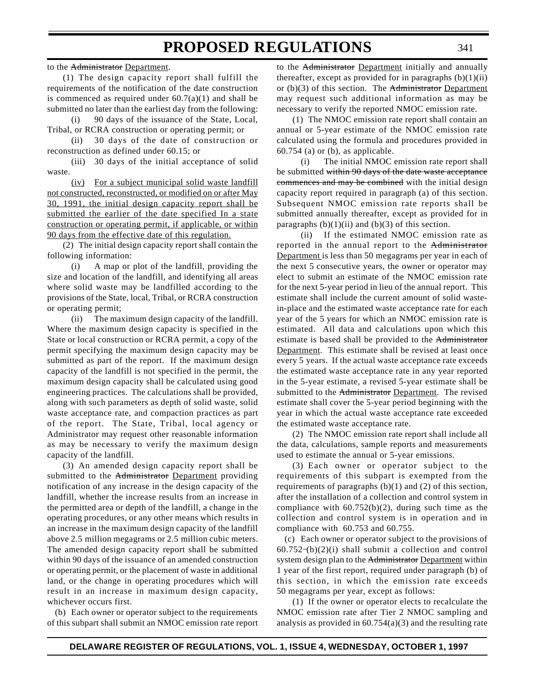to the Administrator Department.

(1) The design capacity report shall fulfill the requirements of the notification of the date construction is commenced as required under  $60.7(a)(1)$  and shall be submitted no later than the earliest day from the following:

(i) 90 days of the issuance of the State, Local, Tribal, or RCRA construction or operating permit; or

(ii) 30 days of the date of construction or reconstruction as defined under 60.15; or

(iii) 30 days of the initial acceptance of solid waste.

(iv) For a subject municipal solid waste landfill not constructed, reconstructed, or modified on or after May 30, 1991, the initial design capacity report shall be submitted the earlier of the date specified In a state construction or operating permit, if applicable, or within 90 days from the effective date of this regulation.

(2) The initial design capacity report shall contain the following information:

(i) A map or plot of the landfill, providing the size and location of the landfill, and identifying all areas where solid waste may be landfilled according to the provisions of the State, local, Tribal, or RCRA construction or operating permit;

(ii) The maximum design capacity of the landfill. Where the maximum design capacity is specified in the State or local construction or RCRA permit, a copy of the permit specifying the maximum design capacity may be submitted as part of the report. If the maximum design capacity of the landfill is not specified in the permit, the maximum design capacity shall be calculated using good engineering practices. The calculations shall be provided, along with such parameters as depth of solid waste, solid waste acceptance rate, and compaction practices as part of the report. The State, Tribal, local agency or Administrator may request other reasonable information as may be necessary to verify the maximum design capacity of the landfill.

(3) An amended design capacity report shall be submitted to the Administrator Department providing notification of any increase in the design capacity of the landfill, whether the increase results from an increase in the permitted area or depth of the landfill, a change in the operating procedures, or any other means which results in an increase in the maximum design capacity of the landfill above 2.5 million megagrams or 2.5 million cubic meters. The amended design capacity report shall be submitted within 90 days of the issuance of an amended construction or operating permit, or the placement of waste in additional land, or the change in operating procedures which will result in an increase in maximum design capacity, whichever occurs first.

(b) Each owner or operator subject to the requirements of this subpart shall submit an NMOC emission rate report to the Administrator Department initially and annually thereafter, except as provided for in paragraphs  $(b)(1)(ii)$ or  $(b)(3)$  of this section. The Administrator Department may request such additional information as may be necessary to verify the reported NMOC emission rate.

(1) The NMOC emission rate report shall contain an annual or 5-year estimate of the NMOC emission rate calculated using the formula and procedures provided in  $60.754$  (a) or (b), as applicable.

(i) The initial NMOC emission rate report shall be submitted within 90 days of the date waste acceptance commences and may be combined with the initial design capacity report required in paragraph (a) of this section. Subsequent NMOC emission rate reports shall be submitted annually thereafter, except as provided for in paragraphs  $(b)(1)(ii)$  and  $(b)(3)$  of this section.

(ii) If the estimated NMOC emission rate as reported in the annual report to the Administrator Department is less than 50 megagrams per year in each of the next 5 consecutive years, the owner or operator may elect to submit an estimate of the NMOC emission rate for the next 5-year period in lieu of the annual report. This estimate shall include the current amount of solid wastein-place and the estimated waste acceptance rate for each year of the 5 years for which an NMOC emission rate is estimated. All data and calculations upon which this estimate is based shall be provided to the Administrator Department. This estimate shall be revised at least once every 5 years. If the actual waste acceptance rate exceeds the estimated waste acceptance rate in any year reported in the 5-year estimate, a revised 5-year estimate shall be submitted to the Administrator Department. The revised estimate shall cover the 5-year period beginning with the year in which the actual waste acceptance rate exceeded the estimated waste acceptance rate.

(2) The NMOC emission rate report shall include all the data, calculations, sample reports and measurements used to estimate the annual or 5-year emissions.

(3) Each owner or operator subject to the requirements of this subpart is exempted from the requirements of paragraphs  $(b)(1)$  and  $(2)$  of this section, after the installation of a collection and control system in compliance with  $60.752(b)(2)$ , during such time as the collection and control system is in operation and in compliance with 60.753 and 60.755.

(c) Each owner or operator subject to the provisions of  $60.752-(b)(2)(i)$  shall submit a collection and control system design plan to the Administrator Department within 1 year of the first report, required under paragraph (b) of this section, in which the emission rate exceeds 50 megagrams per year, except as follows:

(1) If the owner or operator elects to recalculate the NMOC emission rate after Tier 2 NMOC sampling and analysis as provided in  $60.754(a)(3)$  and the resulting rate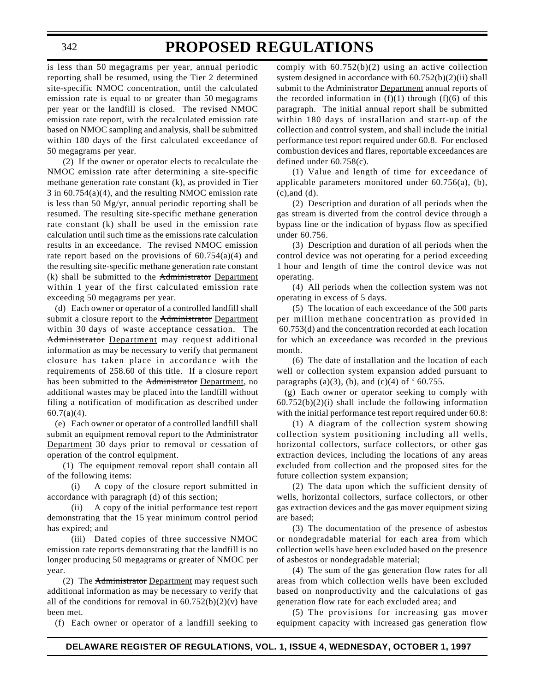### **PROPOSED REGULATIONS**

is less than 50 megagrams per year, annual periodic reporting shall be resumed, using the Tier 2 determined site-specific NMOC concentration, until the calculated emission rate is equal to or greater than 50 megagrams per year or the landfill is closed. The revised NMOC emission rate report, with the recalculated emission rate based on NMOC sampling and analysis, shall be submitted within 180 days of the first calculated exceedance of 50 megagrams per year.

(2) If the owner or operator elects to recalculate the NMOC emission rate after determining a site-specific methane generation rate constant (k), as provided in Tier 3 in 60.754(a)(4), and the resulting NMOC emission rate is less than 50 Mg/yr, annual periodic reporting shall be resumed. The resulting site-specific methane generation rate constant (k) shall be used in the emission rate calculation until such time as the emissions rate calculation results in an exceedance. The revised NMOC emission rate report based on the provisions of  $60.754(a)(4)$  and the resulting site-specific methane generation rate constant (k) shall be submitted to the Administrator Department within 1 year of the first calculated emission rate exceeding 50 megagrams per year.

(d) Each owner or operator of a controlled landfill shall submit a closure report to the Administrator Department within 30 days of waste acceptance cessation. The Administrator Department may request additional information as may be necessary to verify that permanent closure has taken place in accordance with the requirements of 258.60 of this title. If a closure report has been submitted to the Administrator Department, no additional wastes may be placed into the landfill without filing a notification of modification as described under 60.7(a)(4).

(e) Each owner or operator of a controlled landfill shall submit an equipment removal report to the Administrator Department 30 days prior to removal or cessation of operation of the control equipment.

(1) The equipment removal report shall contain all of the following items:

(i) A copy of the closure report submitted in accordance with paragraph (d) of this section;

(ii) A copy of the initial performance test report demonstrating that the 15 year minimum control period has expired; and

(iii) Dated copies of three successive NMOC emission rate reports demonstrating that the landfill is no longer producing 50 megagrams or greater of NMOC per year.

(2) The Administrator Department may request such additional information as may be necessary to verify that all of the conditions for removal in  $60.752(b)(2)(v)$  have been met.

(f) Each owner or operator of a landfill seeking to

comply with  $60.752(b)(2)$  using an active collection system designed in accordance with 60.752(b)(2)(ii) shall submit to the Administrator Department annual reports of the recorded information in  $(f)(1)$  through  $(f)(6)$  of this paragraph. The initial annual report shall be submitted within 180 days of installation and start-up of the collection and control system, and shall include the initial performance test report required under 60.8. For enclosed combustion devices and flares, reportable exceedances are defined under 60.758(c).

(1) Value and length of time for exceedance of applicable parameters monitored under 60.756(a), (b), (c),and (d).

(2) Description and duration of all periods when the gas stream is diverted from the control device through a bypass line or the indication of bypass flow as specified under 60.756.

(3) Description and duration of all periods when the control device was not operating for a period exceeding 1 hour and length of time the control device was not operating.

(4) All periods when the collection system was not operating in excess of 5 days.

(5) The location of each exceedance of the 500 parts per million methane concentration as provided in 60.753(d) and the concentration recorded at each location for which an exceedance was recorded in the previous month.

(6) The date of installation and the location of each well or collection system expansion added pursuant to paragraphs (a)(3), (b), and (c)(4) of  $\cdot$  60.755.

(g) Each owner or operator seeking to comply with  $60.752(b)(2)(i)$  shall include the following information with the initial performance test report required under 60.8:

(1) A diagram of the collection system showing collection system positioning including all wells, horizontal collectors, surface collectors, or other gas extraction devices, including the locations of any areas excluded from collection and the proposed sites for the future collection system expansion;

(2) The data upon which the sufficient density of wells, horizontal collectors, surface collectors, or other gas extraction devices and the gas mover equipment sizing are based;

(3) The documentation of the presence of asbestos or nondegradable material for each area from which collection wells have been excluded based on the presence of asbestos or nondegradable material;

(4) The sum of the gas generation flow rates for all areas from which collection wells have been excluded based on nonproductivity and the calculations of gas generation flow rate for each excluded area; and

(5) The provisions for increasing gas mover equipment capacity with increased gas generation flow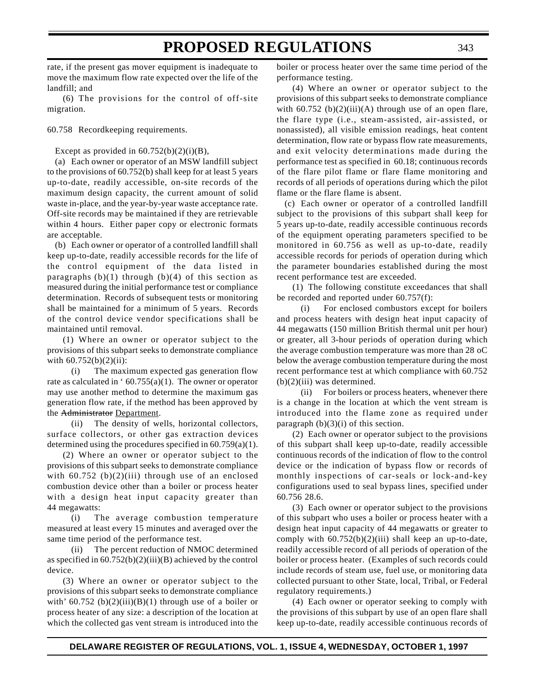rate, if the present gas mover equipment is inadequate to move the maximum flow rate expected over the life of the landfill; and

(6) The provisions for the control of off-site migration.

60.758 Recordkeeping requirements.

Except as provided in  $60.752(b)(2)(i)(B)$ ,

(a) Each owner or operator of an MSW landfill subject to the provisions of 60.752(b) shall keep for at least 5 years up-to-date, readily accessible, on-site records of the maximum design capacity, the current amount of solid waste in-place, and the year-by-year waste acceptance rate. Off-site records may be maintained if they are retrievable within 4 hours. Either paper copy or electronic formats are acceptable.

(b) Each owner or operator of a controlled landfill shall keep up-to-date, readily accessible records for the life of the control equipment of the data listed in paragraphs  $(b)(1)$  through  $(b)(4)$  of this section as measured during the initial performance test or compliance determination. Records of subsequent tests or monitoring shall be maintained for a minimum of 5 years. Records of the control device vendor specifications shall be maintained until removal.

(1) Where an owner or operator subject to the provisions of this subpart seeks to demonstrate compliance with  $60.752(b)(2)(ii)$ :

(i) The maximum expected gas generation flow rate as calculated in ' $60.755(a)(1)$ . The owner or operator may use another method to determine the maximum gas generation flow rate, if the method has been approved by the Administrator Department.

(ii) The density of wells, horizontal collectors, surface collectors, or other gas extraction devices determined using the procedures specified in 60.759(a)(1).

(2) Where an owner or operator subject to the provisions of this subpart seeks to demonstrate compliance with  $60.752$  (b)(2)(iii) through use of an enclosed combustion device other than a boiler or process heater with a design heat input capacity greater than 44 megawatts:

(i) The average combustion temperature measured at least every 15 minutes and averaged over the same time period of the performance test.

(ii) The percent reduction of NMOC determined as specified in  $60.752(b)(2)(iii)(B)$  achieved by the control device.

(3) Where an owner or operator subject to the provisions of this subpart seeks to demonstrate compliance with'  $60.752$  (b)(2)(iii)(B)(1) through use of a boiler or process heater of any size: a description of the location at which the collected gas vent stream is introduced into the

boiler or process heater over the same time period of the performance testing.

(4) Where an owner or operator subject to the provisions of this subpart seeks to demonstrate compliance with  $60.752$  (b) $(2)(iii)(A)$  through use of an open flare, the flare type (i.e., steam-assisted, air-assisted, or nonassisted), all visible emission readings, heat content determination, flow rate or bypass flow rate measurements, and exit velocity determinations made during the performance test as specified in 60.18; continuous records of the flare pilot flame or flare flame monitoring and records of all periods of operations during which the pilot flame or the flare flame is absent.

(c) Each owner or operator of a controlled landfill subject to the provisions of this subpart shall keep for 5 years up-to-date, readily accessible continuous records of the equipment operating parameters specified to be monitored in 60.756 as well as up-to-date, readily accessible records for periods of operation during which the parameter boundaries established during the most recent performance test are exceeded.

(1) The following constitute exceedances that shall be recorded and reported under 60.757(f):

(i) For enclosed combustors except for boilers and process heaters with design heat input capacity of 44 megawatts (150 million British thermal unit per hour) or greater, all 3-hour periods of operation during which the average combustion temperature was more than 28 oC below the average combustion temperature during the most recent performance test at which compliance with 60.752  $(b)(2)(iii)$  was determined.

(ii) For boilers or process heaters, whenever there is a change in the location at which the vent stream is introduced into the flame zone as required under paragraph  $(b)(3)(i)$  of this section.

(2) Each owner or operator subject to the provisions of this subpart shall keep up-to-date, readily accessible continuous records of the indication of flow to the control device or the indication of bypass flow or records of monthly inspections of car-seals or lock-and-key configurations used to seal bypass lines, specified under 60.756 28.6.

(3) Each owner or operator subject to the provisions of this subpart who uses a boiler or process heater with a design heat input capacity of 44 megawatts or greater to comply with  $60.752(b)(2)(iii)$  shall keep an up-to-date, readily accessible record of all periods of operation of the boiler or process heater. (Examples of such records could include records of steam use, fuel use, or monitoring data collected pursuant to other State, local, Tribal, or Federal regulatory requirements.)

(4) Each owner or operator seeking to comply with the provisions of this subpart by use of an open flare shall keep up-to-date, readily accessible continuous records of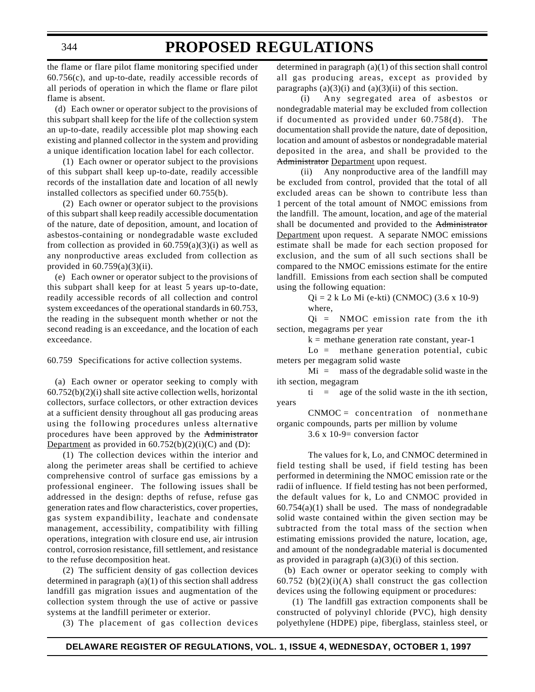### **PROPOSED REGULATIONS**

the flame or flare pilot flame monitoring specified under 60.756(c), and up-to-date, readily accessible records of all periods of operation in which the flame or flare pilot flame is absent.

(d) Each owner or operator subject to the provisions of this subpart shall keep for the life of the collection system an up-to-date, readily accessible plot map showing each existing and planned collector in the system and providing a unique identification location label for each collector.

(1) Each owner or operator subject to the provisions of this subpart shall keep up-to-date, readily accessible records of the installation date and location of all newly installed collectors as specified under 60.755(b).

(2) Each owner or operator subject to the provisions of this subpart shall keep readily accessible documentation of the nature, date of deposition, amount, and location of asbestos-containing or nondegradable waste excluded from collection as provided in  $60.759(a)(3)(i)$  as well as any nonproductive areas excluded from collection as provided in  $60.759(a)(3)(ii)$ .

(e) Each owner or operator subject to the provisions of this subpart shall keep for at least 5 years up-to-date, readily accessible records of all collection and control system exceedances of the operational standards in 60.753, the reading in the subsequent month whether or not the second reading is an exceedance, and the location of each exceedance.

60.759 Specifications for active collection systems.

(a) Each owner or operator seeking to comply with  $60.752(b)(2)(i)$  shall site active collection wells, horizontal collectors, surface collectors, or other extraction devices at a sufficient density throughout all gas producing areas using the following procedures unless alternative procedures have been approved by the Administrator Department as provided in  $60.752(b)(2)(i)(C)$  and (D):

(1) The collection devices within the interior and along the perimeter areas shall be certified to achieve comprehensive control of surface gas emissions by a professional engineer. The following issues shall be addressed in the design: depths of refuse, refuse gas generation rates and flow characteristics, cover properties, gas system expandibility, leachate and condensate management, accessibility, compatibility with filling operations, integration with closure end use, air intrusion control, corrosion resistance, fill settlement, and resistance to the refuse decomposition heat.

(2) The sufficient density of gas collection devices determined in paragraph (a)(1) of this section shall address landfill gas migration issues and augmentation of the collection system through the use of active or passive systems at the landfill perimeter or exterior.

(3) The placement of gas collection devices

determined in paragraph (a)(1) of this section shall control all gas producing areas, except as provided by paragraphs  $(a)(3)(i)$  and  $(a)(3)(ii)$  of this section.

(i) Any segregated area of asbestos or nondegradable material may be excluded from collection if documented as provided under 60.758(d). The documentation shall provide the nature, date of deposition, location and amount of asbestos or nondegradable material deposited in the area, and shall be provided to the Administrator Department upon request.

(ii) Any nonproductive area of the landfill may be excluded from control, provided that the total of all excluded areas can be shown to contribute less than 1 percent of the total amount of NMOC emissions from the landfill. The amount, location, and age of the material shall be documented and provided to the Administrator Department upon request. A separate NMOC emissions estimate shall be made for each section proposed for exclusion, and the sum of all such sections shall be compared to the NMOC emissions estimate for the entire landfill. Emissions from each section shall be computed using the following equation:

Qi = 2 k Lo Mi (e-kti) (CNMOC) (3.6 x 10-9) where,

 $Qi = NMOC$  emission rate from the ith section, megagrams per year

 $k =$  methane generation rate constant, year-1

 $Lo =$  methane generation potential, cubic meters per megagram solid waste

 $Mi =$  mass of the degradable solid waste in the ith section, megagram

 $t_i$  = age of the solid waste in the ith section, years

 $CNMOC = concentration of nonmethane$ organic compounds, parts per million by volume

3.6 x 10-9= conversion factor

The values for k, Lo, and CNMOC determined in field testing shall be used, if field testing has been performed in determining the NMOC emission rate or the radii of influence. If field testing has not been performed, the default values for k, Lo and CNMOC provided in  $60.754(a)(1)$  shall be used. The mass of nondegradable solid waste contained within the given section may be subtracted from the total mass of the section when estimating emissions provided the nature, location, age, and amount of the nondegradable material is documented as provided in paragraph  $(a)(3)(i)$  of this section.

(b) Each owner or operator seeking to comply with 60.752 (b) $(2)(i)(A)$  shall construct the gas collection devices using the following equipment or procedures:

(1) The landfill gas extraction components shall be constructed of polyvinyl chloride (PVC), high density polyethylene (HDPE) pipe, fiberglass, stainless steel, or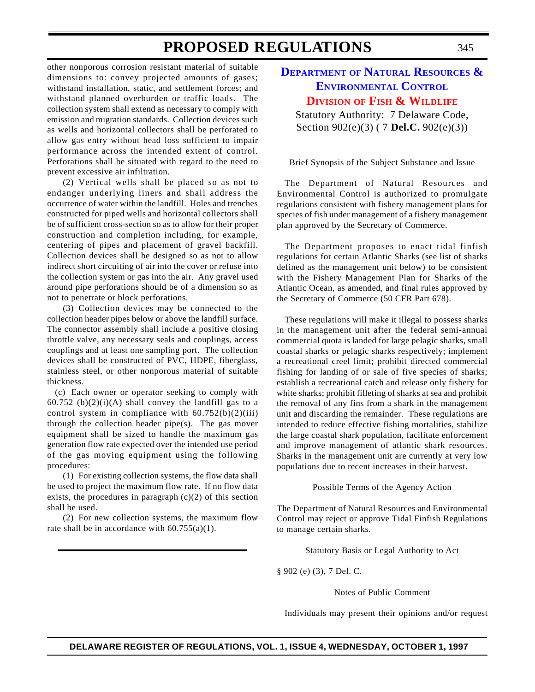other nonporous corrosion resistant material of suitable dimensions to: convey projected amounts of gases; withstand installation, static, and settlement forces; and withstand planned overburden or traffic loads. The collection system shall extend as necessary to comply with emission and migration standards. Collection devices such as wells and horizontal collectors shall be perforated to allow gas entry without head loss sufficient to impair performance across the intended extent of control. Perforations shall be situated with regard to the need to prevent excessive air infiltration.

(2) Vertical wells shall be placed so as not to endanger underlying liners and shall address the occurrence of water within the landfill. Holes and trenches constructed for piped wells and horizontal collectors shall be of sufficient cross-section so as to allow for their proper construction and completion including, for example, centering of pipes and placement of gravel backfill. Collection devices shall be designed so as not to allow indirect short circuiting of air into the cover or refuse into the collection system or gas into the air. Any gravel used around pipe perforations should be of a dimension so as not to penetrate or block perforations.

(3) Collection devices may be connected to the collection header pipes below or above the landfill surface. The connector assembly shall include a positive closing throttle valve, any necessary seals and couplings, access couplings and at least one sampling port. The collection devices shall be constructed of PVC, HDPE, fiberglass, stainless steel, or other nonporous material of suitable thickness.

(c) Each owner or operator seeking to comply with 60.752 (b) $(2)(i)(A)$  shall convey the landfill gas to a control system in compliance with  $60.752(b)(2)(iii)$ through the collection header pipe(s). The gas mover equipment shall be sized to handle the maximum gas generation flow rate expected over the intended use period of the gas moving equipment using the following procedures:

(1) For existing collection systems, the flow data shall be used to project the maximum flow rate. If no flow data exists, the procedures in paragraph  $(c)(2)$  of this section shall be used.

(2) For new collection systems, the maximum flow rate shall be in accordance with 60.755(a)(1).

### **DEPARTMENT OF NATURAL [RESOURCES &](http://www.dnrec.state.de.us/fw/frames2.htm) ENVIRONMENTAL CONTROL DIVISION OF [FISH & WILDLIFE](#page-3-0)**

Statutory Authority: 7 Delaware Code, Section 902(e)(3) ( 7 **Del.C.** 902(e)(3))

Brief Synopsis of the Subject Substance and Issue

The Department of Natural Resources and Environmental Control is authorized to promulgate regulations consistent with fishery management plans for species of fish under management of a fishery management plan approved by the Secretary of Commerce.

The Department proposes to enact tidal finfish regulations for certain Atlantic Sharks (see list of sharks defined as the management unit below) to be consistent with the Fishery Management Plan for Sharks of the Atlantic Ocean, as amended, and final rules approved by the Secretary of Commerce (50 CFR Part 678).

These regulations will make it illegal to possess sharks in the management unit after the federal semi-annual commercial quota is landed for large pelagic sharks, small coastal sharks or pelagic sharks respectively; implement a recreational creel limit; prohibit directed commercial fishing for landing of or sale of five species of sharks; establish a recreational catch and release only fishery for white sharks; prohibit filleting of sharks at sea and prohibit the removal of any fins from a shark in the management unit and discarding the remainder. These regulations are intended to reduce effective fishing mortalities, stabilize the large coastal shark population, facilitate enforcement and improve management of atlantic shark resources. Sharks in the management unit are currently at very low populations due to recent increases in their harvest.

Possible Terms of the Agency Action

The Department of Natural Resources and Environmental Control may reject or approve Tidal Finfish Regulations to manage certain sharks.

Statutory Basis or Legal Authority to Act

§ 902 (e) (3), 7 Del. C.

Notes of Public Comment

Individuals may present their opinions and/or request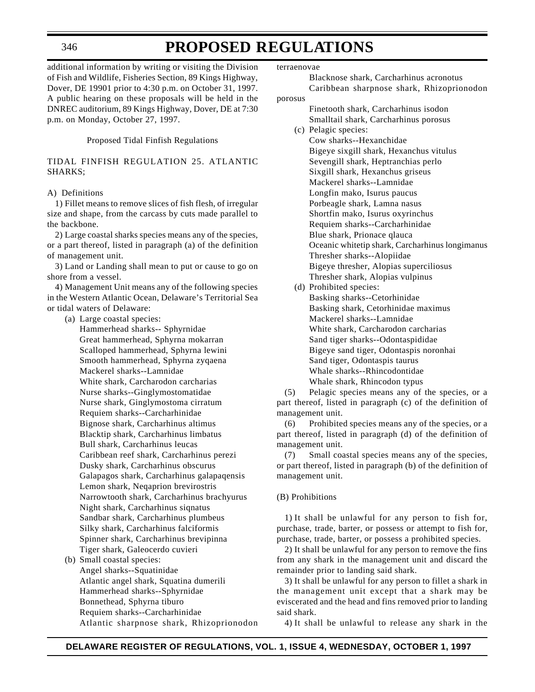### **PROPOSED REGULATIONS**

additional information by writing or visiting the Division of Fish and Wildlife, Fisheries Section, 89 Kings Highway, Dover, DE 19901 prior to 4:30 p.m. on October 31, 1997. A public hearing on these proposals will be held in the DNREC auditorium, 89 Kings Highway, Dover, DE at 7:30 p.m. on Monday, October 27, 1997.

Proposed Tidal Finfish Regulations

#### TIDAL FINFISH REGULATION 25. ATLANTIC SHARKS;

#### A) Definitions

1) Fillet means to remove slices of fish flesh, of irregular size and shape, from the carcass by cuts made parallel to the backbone.

2) Large coastal sharks species means any of the species, or a part thereof, listed in paragraph (a) of the definition of management unit.

3) Land or Landing shall mean to put or cause to go on shore from a vessel.

4) Management Unit means any of the following species in the Western Atlantic Ocean, Delaware's Territorial Sea or tidal waters of Delaware:

(a) Large coastal species:

Hammerhead sharks-- Sphyrnidae Great hammerhead, Sphyrna mokarran Scalloped hammerhead, Sphyrna lewini Smooth hammerhead, Sphyrna zyqaena Mackerel sharks--Lamnidae White shark, Carcharodon carcharias Nurse sharks--Ginglymostomatidae Nurse shark, Ginglymostoma cirratum Requiem sharks--Carcharhinidae Bignose shark, Carcharhinus altimus Blacktip shark, Carcharhinus limbatus Bull shark, Carcharhinus leucas Caribbean reef shark, Carcharhinus perezi Dusky shark, Carcharhinus obscurus Galapagos shark, Carcharhinus galapaqensis Lemon shark, Neqaprion brevirostris Narrowtooth shark, Carcharhinus brachyurus Night shark, Carcharhinus siqnatus Sandbar shark, Carcharhinus plumbeus Silky shark, Carcharhinus falciformis Spinner shark, Carcharhinus brevipinna Tiger shark, Galeocerdo cuvieri

(b) Small coastal species: Angel sharks--Squatinidae Atlantic angel shark, Squatina dumerili Hammerhead sharks--Sphyrnidae Bonnethead, Sphyrna tiburo Requiem sharks--Carcharhinidae Atlantic sharpnose shark, Rhizoprionodon terraenovae

Blacknose shark, Carcharhinus acronotus Caribbean sharpnose shark, Rhizoprionodon porosus

- Finetooth shark, Carcharhinus isodon Smalltail shark, Carcharhinus porosus (c) Pelagic species:
- Cow sharks--Hexanchidae Bigeye sixgill shark, Hexanchus vitulus Sevengill shark, Heptranchias perlo Sixgill shark, Hexanchus griseus Mackerel sharks--Lamnidae Longfin mako, Isurus paucus Porbeagle shark, Lamna nasus Shortfin mako, Isurus oxyrinchus Requiem sharks--Carcharhinidae Blue shark, Prionace qlauca Oceanic whitetip shark, Carcharhinus longimanus Thresher sharks--Alopiidae Bigeye thresher, Alopias superciliosus Thresher shark, Alopias vulpinus
- (d) Prohibited species: Basking sharks--Cetorhinidae Basking shark, Cetorhinidae maximus Mackerel sharks--Lamnidae White shark, Carcharodon carcharias Sand tiger sharks--Odontaspididae Bigeye sand tiger, Odontaspis noronhai Sand tiger, Odontaspis taurus Whale sharks--Rhincodontidae Whale shark, Rhincodon typus

(5) Pelagic species means any of the species, or a part thereof, listed in paragraph (c) of the definition of management unit.

(6) Prohibited species means any of the species, or a part thereof, listed in paragraph (d) of the definition of management unit.

(7) Small coastal species means any of the species, or part thereof, listed in paragraph (b) of the definition of management unit.

#### (B) Prohibitions

1) It shall be unlawful for any person to fish for, purchase, trade, barter, or possess or attempt to fish for, purchase, trade, barter, or possess a prohibited species.

2) It shall be unlawful for any person to remove the fins from any shark in the management unit and discard the remainder prior to landing said shark.

3) It shall be unlawful for any person to fillet a shark in the management unit except that a shark may be eviscerated and the head and fins removed prior to landing said shark.

4) It shall be unlawful to release any shark in the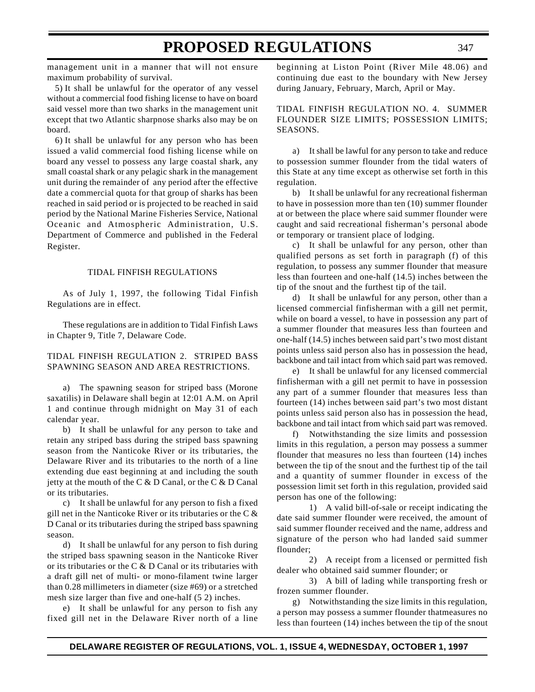management unit in a manner that will not ensure maximum probability of survival.

5) It shall be unlawful for the operator of any vessel without a commercial food fishing license to have on board said vessel more than two sharks in the management unit except that two Atlantic sharpnose sharks also may be on board.

6) It shall be unlawful for any person who has been issued a valid commercial food fishing license while on board any vessel to possess any large coastal shark, any small coastal shark or any pelagic shark in the management unit during the remainder of any period after the effective date a commercial quota for that group of sharks has been reached in said period or is projected to be reached in said period by the National Marine Fisheries Service, National Oceanic and Atmospheric Administration, U.S. Department of Commerce and published in the Federal Register.

#### TIDAL FINFISH REGULATIONS

As of July 1, 1997, the following Tidal Finfish Regulations are in effect.

These regulations are in addition to Tidal Finfish Laws in Chapter 9, Title 7, Delaware Code.

#### TIDAL FINFISH REGULATION 2. STRIPED BASS SPAWNING SEASON AND AREA RESTRICTIONS.

a) The spawning season for striped bass (Morone saxatilis) in Delaware shall begin at 12:01 A.M. on April 1 and continue through midnight on May 31 of each calendar year.

b) It shall be unlawful for any person to take and retain any striped bass during the striped bass spawning season from the Nanticoke River or its tributaries, the Delaware River and its tributaries to the north of a line extending due east beginning at and including the south jetty at the mouth of the C & D Canal, or the C & D Canal or its tributaries.

c) It shall be unlawful for any person to fish a fixed gill net in the Nanticoke River or its tributaries or the C  $\&$ D Canal or its tributaries during the striped bass spawning season.

d) It shall be unlawful for any person to fish during the striped bass spawning season in the Nanticoke River or its tributaries or the C & D Canal or its tributaries with a draft gill net of multi- or mono-filament twine larger than 0.28 millimeters in diameter (size #69) or a stretched mesh size larger than five and one-half (5 2) inches.

e) It shall be unlawful for any person to fish any fixed gill net in the Delaware River north of a line beginning at Liston Point (River Mile 48.06) and continuing due east to the boundary with New Jersey during January, February, March, April or May.

TIDAL FINFISH REGULATION NO. 4. SUMMER FLOUNDER SIZE LIMITS; POSSESSION LIMITS; SEASONS.

a) It shall be lawful for any person to take and reduce to possession summer flounder from the tidal waters of this State at any time except as otherwise set forth in this regulation.

b) It shall be unlawful for any recreational fisherman to have in possession more than ten (10) summer flounder at or between the place where said summer flounder were caught and said recreational fisherman's personal abode or temporary or transient place of lodging.

c) It shall be unlawful for any person, other than qualified persons as set forth in paragraph (f) of this regulation, to possess any summer flounder that measure less than fourteen and one-half (14.5) inches between the tip of the snout and the furthest tip of the tail.

d) It shall be unlawful for any person, other than a licensed commercial finfisherman with a gill net permit, while on board a vessel, to have in possession any part of a summer flounder that measures less than fourteen and one-half (14.5) inches between said part's two most distant points unless said person also has in possession the head, backbone and tail intact from which said part was removed.

e) It shall be unlawful for any licensed commercial finfisherman with a gill net permit to have in possession any part of a summer flounder that measures less than fourteen (14) inches between said part's two most distant points unless said person also has in possession the head, backbone and tail intact from which said part was removed.

f) Notwithstanding the size limits and possession limits in this regulation, a person may possess a summer flounder that measures no less than fourteen (14) inches between the tip of the snout and the furthest tip of the tail and a quantity of summer flounder in excess of the possession limit set forth in this regulation, provided said person has one of the following:

1) A valid bill-of-sale or receipt indicating the date said summer flounder were received, the amount of said summer flounder received and the name, address and signature of the person who had landed said summer flounder;

2) A receipt from a licensed or permitted fish dealer who obtained said summer flounder; or

3) A bill of lading while transporting fresh or frozen summer flounder.

g) Notwithstanding the size limits in this regulation, a person may possess a summer flounder thatmeasures no less than fourteen (14) inches between the tip of the snout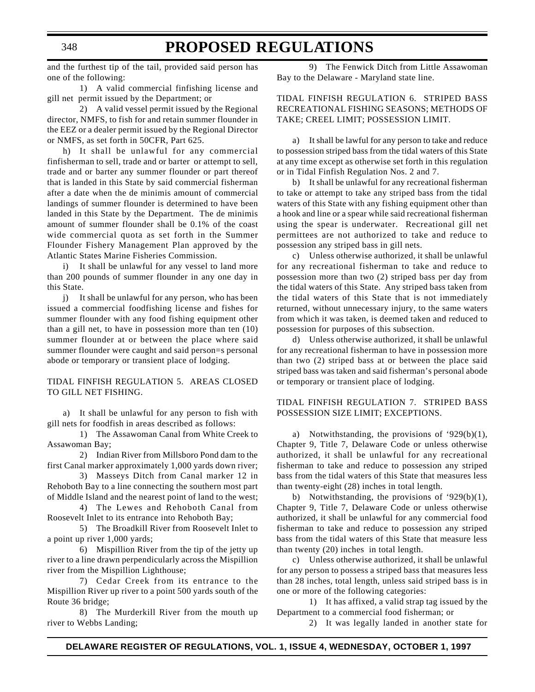and the furthest tip of the tail, provided said person has one of the following:

1) A valid commercial finfishing license and gill net permit issued by the Department; or

2) A valid vessel permit issued by the Regional director, NMFS, to fish for and retain summer flounder in the EEZ or a dealer permit issued by the Regional Director or NMFS, as set forth in 50CFR, Part 625.

h) It shall be unlawful for any commercial finfisherman to sell, trade and or barter or attempt to sell, trade and or barter any summer flounder or part thereof that is landed in this State by said commercial fisherman after a date when the de minimis amount of commercial landings of summer flounder is determined to have been landed in this State by the Department. The de minimis amount of summer flounder shall be 0.1% of the coast wide commercial quota as set forth in the Summer Flounder Fishery Management Plan approved by the Atlantic States Marine Fisheries Commission.

i) It shall be unlawful for any vessel to land more than 200 pounds of summer flounder in any one day in this State.

j) It shall be unlawful for any person, who has been issued a commercial foodfishing license and fishes for summer flounder with any food fishing equipment other than a gill net, to have in possession more than ten (10) summer flounder at or between the place where said summer flounder were caught and said person=s personal abode or temporary or transient place of lodging.

TIDAL FINFISH REGULATION 5. AREAS CLOSED TO GILL NET FISHING.

a) It shall be unlawful for any person to fish with gill nets for foodfish in areas described as follows:

1) The Assawoman Canal from White Creek to Assawoman Bay;

2) Indian River from Millsboro Pond dam to the first Canal marker approximately 1,000 yards down river;

3) Masseys Ditch from Canal marker 12 in Rehoboth Bay to a line connecting the southern most part of Middle Island and the nearest point of land to the west;

4) The Lewes and Rehoboth Canal from Roosevelt Inlet to its entrance into Rehoboth Bay;

5) The Broadkill River from Roosevelt Inlet to a point up river 1,000 yards;

6) Mispillion River from the tip of the jetty up river to a line drawn perpendicularly across the Mispillion river from the Mispillion Lighthouse;

7) Cedar Creek from its entrance to the Mispillion River up river to a point 500 yards south of the Route 36 bridge;

8) The Murderkill River from the mouth up river to Webbs Landing;

9) The Fenwick Ditch from Little Assawoman Bay to the Delaware - Maryland state line.

#### TIDAL FINFISH REGULATION 6. STRIPED BASS RECREATIONAL FISHING SEASONS; METHODS OF TAKE; CREEL LIMIT; POSSESSION LIMIT.

a) It shall be lawful for any person to take and reduce to possession striped bass from the tidal waters of this State at any time except as otherwise set forth in this regulation or in Tidal Finfish Regulation Nos. 2 and 7.

b) It shall be unlawful for any recreational fisherman to take or attempt to take any striped bass from the tidal waters of this State with any fishing equipment other than a hook and line or a spear while said recreational fisherman using the spear is underwater. Recreational gill net permittees are not authorized to take and reduce to possession any striped bass in gill nets.

c) Unless otherwise authorized, it shall be unlawful for any recreational fisherman to take and reduce to possession more than two (2) striped bass per day from the tidal waters of this State. Any striped bass taken from the tidal waters of this State that is not immediately returned, without unnecessary injury, to the same waters from which it was taken, is deemed taken and reduced to possession for purposes of this subsection.

d) Unless otherwise authorized, it shall be unlawful for any recreational fisherman to have in possession more than two (2) striped bass at or between the place said striped bass was taken and said fisherman's personal abode or temporary or transient place of lodging.

#### TIDAL FINFISH REGULATION 7. STRIPED BASS POSSESSION SIZE LIMIT; EXCEPTIONS.

a) Notwithstanding, the provisions of '929(b)(1), Chapter 9, Title 7, Delaware Code or unless otherwise authorized, it shall be unlawful for any recreational fisherman to take and reduce to possession any striped bass from the tidal waters of this State that measures less than twenty-eight (28) inches in total length.

b) Notwithstanding, the provisions of '929(b)(1), Chapter 9, Title 7, Delaware Code or unless otherwise authorized, it shall be unlawful for any commercial food fisherman to take and reduce to possession any striped bass from the tidal waters of this State that measure less than twenty (20) inches in total length.

c) Unless otherwise authorized, it shall be unlawful for any person to possess a striped bass that measures less than 28 inches, total length, unless said striped bass is in one or more of the following categories:

1) It has affixed, a valid strap tag issued by the Department to a commercial food fisherman; or

2) It was legally landed in another state for

# **PROPOSED REGULATIONS**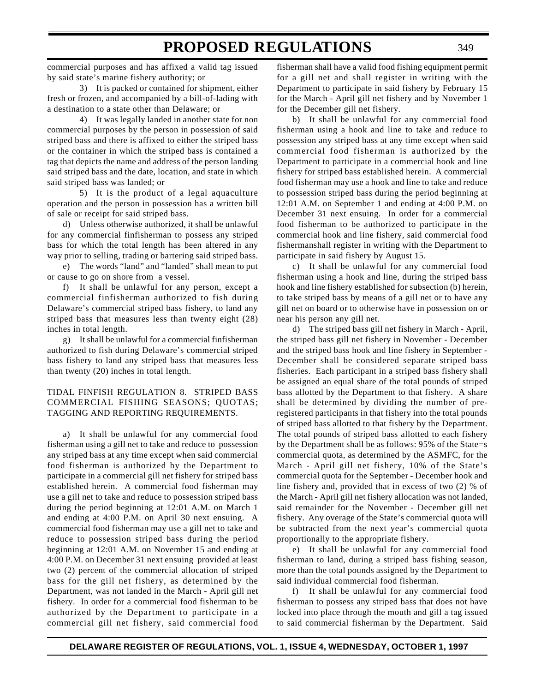commercial purposes and has affixed a valid tag issued by said state's marine fishery authority; or

3) It is packed or contained for shipment, either fresh or frozen, and accompanied by a bill-of-lading with a destination to a state other than Delaware; or

4) It was legally landed in another state for non commercial purposes by the person in possession of said striped bass and there is affixed to either the striped bass or the container in which the striped bass is contained a tag that depicts the name and address of the person landing said striped bass and the date, location, and state in which said striped bass was landed; or

5) It is the product of a legal aquaculture operation and the person in possession has a written bill of sale or receipt for said striped bass.

d) Unless otherwise authorized, it shall be unlawful for any commercial finfisherman to possess any striped bass for which the total length has been altered in any way prior to selling, trading or bartering said striped bass.

e) The words "land" and "landed" shall mean to put or cause to go on shore from a vessel.

f) It shall be unlawful for any person, except a commercial finfisherman authorized to fish during Delaware's commercial striped bass fishery, to land any striped bass that measures less than twenty eight (28) inches in total length.

g) It shall be unlawful for a commercial finfisherman authorized to fish during Delaware's commercial striped bass fishery to land any striped bass that measures less than twenty (20) inches in total length.

#### TIDAL FINFISH REGULATION 8. STRIPED BASS COMMERCIAL FISHING SEASONS; QUOTAS; TAGGING AND REPORTING REQUIREMENTS.

a) It shall be unlawful for any commercial food fisherman using a gill net to take and reduce to possession any striped bass at any time except when said commercial food fisherman is authorized by the Department to participate in a commercial gill net fishery for striped bass established herein. A commercial food fisherman may use a gill net to take and reduce to possession striped bass during the period beginning at 12:01 A.M. on March 1 and ending at 4:00 P.M. on April 30 next ensuing. A commercial food fisherman may use a gill net to take and reduce to possession striped bass during the period beginning at 12:01 A.M. on November 15 and ending at 4:00 P.M. on December 31 next ensuing provided at least two (2) percent of the commercial allocation of striped bass for the gill net fishery, as determined by the Department, was not landed in the March - April gill net fishery. In order for a commercial food fisherman to be authorized by the Department to participate in a commercial gill net fishery, said commercial food

fisherman shall have a valid food fishing equipment permit for a gill net and shall register in writing with the Department to participate in said fishery by February 15 for the March - April gill net fishery and by November 1 for the December gill net fishery.

b) It shall be unlawful for any commercial food fisherman using a hook and line to take and reduce to possession any striped bass at any time except when said commercial food fisherman is authorized by the Department to participate in a commercial hook and line fishery for striped bass established herein. A commercial food fisherman may use a hook and line to take and reduce to possession striped bass during the period beginning at 12:01 A.M. on September 1 and ending at 4:00 P.M. on December 31 next ensuing. In order for a commercial food fisherman to be authorized to participate in the commercial hook and line fishery, said commercial food fishermanshall register in writing with the Department to participate in said fishery by August 15.

c) It shall be unlawful for any commercial food fisherman using a hook and line, during the striped bass hook and line fishery established for subsection (b) herein, to take striped bass by means of a gill net or to have any gill net on board or to otherwise have in possession on or near his person any gill net.

d) The striped bass gill net fishery in March - April, the striped bass gill net fishery in November - December and the striped bass hook and line fishery in September - December shall be considered separate striped bass fisheries. Each participant in a striped bass fishery shall be assigned an equal share of the total pounds of striped bass allotted by the Department to that fishery. A share shall be determined by dividing the number of preregistered participants in that fishery into the total pounds of striped bass allotted to that fishery by the Department. The total pounds of striped bass allotted to each fishery by the Department shall be as follows: 95% of the State=s commercial quota, as determined by the ASMFC, for the March - April gill net fishery, 10% of the State's commercial quota for the September - December hook and line fishery and, provided that in excess of two (2) % of the March - April gill net fishery allocation was not landed, said remainder for the November - December gill net fishery. Any overage of the State's commercial quota will be subtracted from the next year's commercial quota proportionally to the appropriate fishery.

e) It shall be unlawful for any commercial food fisherman to land, during a striped bass fishing season, more than the total pounds assigned by the Department to said individual commercial food fisherman.

f) It shall be unlawful for any commercial food fisherman to possess any striped bass that does not have locked into place through the mouth and gill a tag issued to said commercial fisherman by the Department. Said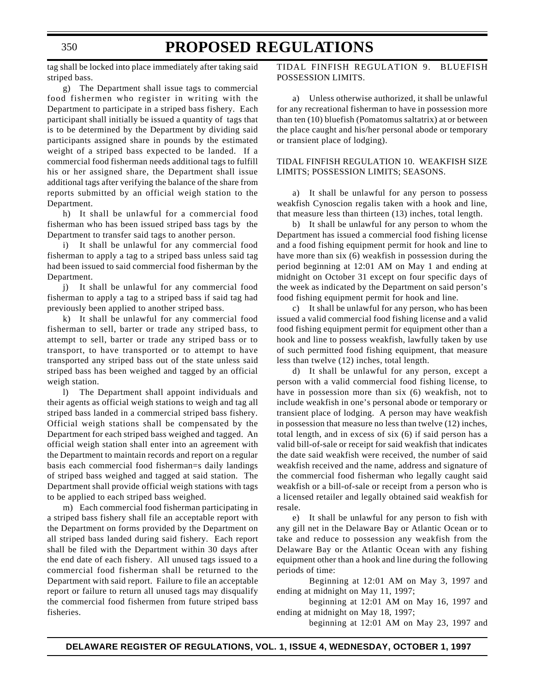### **PROPOSED REGULATIONS**

tag shall be locked into place immediately after taking said striped bass.

g) The Department shall issue tags to commercial food fishermen who register in writing with the Department to participate in a striped bass fishery. Each participant shall initially be issued a quantity of tags that is to be determined by the Department by dividing said participants assigned share in pounds by the estimated weight of a striped bass expected to be landed. If a commercial food fisherman needs additional tags to fulfill his or her assigned share, the Department shall issue additional tags after verifying the balance of the share from reports submitted by an official weigh station to the Department.

h) It shall be unlawful for a commercial food fisherman who has been issued striped bass tags by the Department to transfer said tags to another person.

i) It shall be unlawful for any commercial food fisherman to apply a tag to a striped bass unless said tag had been issued to said commercial food fisherman by the Department.

j) It shall be unlawful for any commercial food fisherman to apply a tag to a striped bass if said tag had previously been applied to another striped bass.

k) It shall be unlawful for any commercial food fisherman to sell, barter or trade any striped bass, to attempt to sell, barter or trade any striped bass or to transport, to have transported or to attempt to have transported any striped bass out of the state unless said striped bass has been weighed and tagged by an official weigh station.

l) The Department shall appoint individuals and their agents as official weigh stations to weigh and tag all striped bass landed in a commercial striped bass fishery. Official weigh stations shall be compensated by the Department for each striped bass weighed and tagged. An official weigh station shall enter into an agreement with the Department to maintain records and report on a regular basis each commercial food fisherman=s daily landings of striped bass weighed and tagged at said station. The Department shall provide official weigh stations with tags to be applied to each striped bass weighed.

m) Each commercial food fisherman participating in a striped bass fishery shall file an acceptable report with the Department on forms provided by the Department on all striped bass landed during said fishery. Each report shall be filed with the Department within 30 days after the end date of each fishery. All unused tags issued to a commercial food fisherman shall be returned to the Department with said report. Failure to file an acceptable report or failure to return all unused tags may disqualify the commercial food fishermen from future striped bass fisheries.

TIDAL FINFISH REGULATION 9. BLUEFISH POSSESSION LIMITS.

a) Unless otherwise authorized, it shall be unlawful for any recreational fisherman to have in possession more than ten (10) bluefish (Pomatomus saltatrix) at or between the place caught and his/her personal abode or temporary or transient place of lodging).

#### TIDAL FINFISH REGULATION 10. WEAKFISH SIZE LIMITS; POSSESSION LIMITS; SEASONS.

a) It shall be unlawful for any person to possess weakfish Cynoscion regalis taken with a hook and line, that measure less than thirteen (13) inches, total length.

b) It shall be unlawful for any person to whom the Department has issued a commercial food fishing license and a food fishing equipment permit for hook and line to have more than six (6) weakfish in possession during the period beginning at 12:01 AM on May 1 and ending at midnight on October 31 except on four specific days of the week as indicated by the Department on said person's food fishing equipment permit for hook and line.

c) It shall be unlawful for any person, who has been issued a valid commercial food fishing license and a valid food fishing equipment permit for equipment other than a hook and line to possess weakfish, lawfully taken by use of such permitted food fishing equipment, that measure less than twelve (12) inches, total length.

d) It shall be unlawful for any person, except a person with a valid commercial food fishing license, to have in possession more than six (6) weakfish, not to include weakfish in one's personal abode or temporary or transient place of lodging. A person may have weakfish in possession that measure no less than twelve (12) inches, total length, and in excess of six (6) if said person has a valid bill-of-sale or receipt for said weakfish that indicates the date said weakfish were received, the number of said weakfish received and the name, address and signature of the commercial food fisherman who legally caught said weakfish or a bill-of-sale or receipt from a person who is a licensed retailer and legally obtained said weakfish for resale.

e) It shall be unlawful for any person to fish with any gill net in the Delaware Bay or Atlantic Ocean or to take and reduce to possession any weakfish from the Delaware Bay or the Atlantic Ocean with any fishing equipment other than a hook and line during the following periods of time:

Beginning at 12:01 AM on May 3, 1997 and ending at midnight on May 11, 1997;

beginning at 12:01 AM on May 16, 1997 and ending at midnight on May 18, 1997;

beginning at 12:01 AM on May 23, 1997 and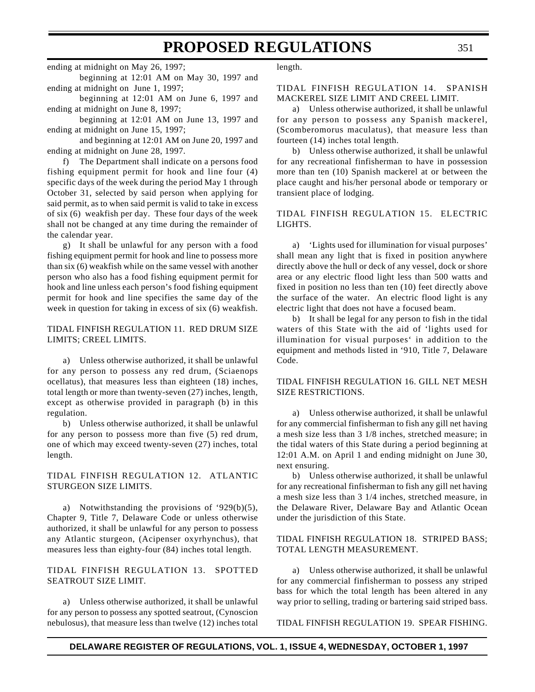ending at midnight on May 26, 1997;

beginning at 12:01 AM on May 30, 1997 and ending at midnight on June 1, 1997;

beginning at 12:01 AM on June 6, 1997 and ending at midnight on June 8, 1997;

beginning at 12:01 AM on June 13, 1997 and ending at midnight on June 15, 1997;

and beginning at 12:01 AM on June 20, 1997 and ending at midnight on June 28, 1997.

f) The Department shall indicate on a persons food fishing equipment permit for hook and line four (4) specific days of the week during the period May 1 through October 31, selected by said person when applying for said permit, as to when said permit is valid to take in excess of six (6) weakfish per day. These four days of the week shall not be changed at any time during the remainder of the calendar year.

g) It shall be unlawful for any person with a food fishing equipment permit for hook and line to possess more than six (6) weakfish while on the same vessel with another person who also has a food fishing equipment permit for hook and line unless each person's food fishing equipment permit for hook and line specifies the same day of the week in question for taking in excess of six (6) weakfish.

#### TIDAL FINFISH REGULATION 11. RED DRUM SIZE LIMITS; CREEL LIMITS.

a) Unless otherwise authorized, it shall be unlawful for any person to possess any red drum, (Sciaenops ocellatus), that measures less than eighteen (18) inches, total length or more than twenty-seven (27) inches, length, except as otherwise provided in paragraph (b) in this regulation.

b) Unless otherwise authorized, it shall be unlawful for any person to possess more than five (5) red drum, one of which may exceed twenty-seven (27) inches, total length.

#### TIDAL FINFISH REGULATION 12. ATLANTIC STURGEON SIZE LIMITS.

a) Notwithstanding the provisions of '929(b)(5), Chapter 9, Title 7, Delaware Code or unless otherwise authorized, it shall be unlawful for any person to possess any Atlantic sturgeon, (Acipenser oxyrhynchus), that measures less than eighty-four (84) inches total length.

#### TIDAL FINFISH REGULATION 13. SPOTTED SEATROUT SIZE LIMIT.

a) Unless otherwise authorized, it shall be unlawful for any person to possess any spotted seatrout, (Cynoscion nebulosus), that measure less than twelve (12) inches total length.

#### TIDAL FINFISH REGULATION 14. SPANISH MACKEREL SIZE LIMIT AND CREEL LIMIT.

a) Unless otherwise authorized, it shall be unlawful for any person to possess any Spanish mackerel, (Scomberomorus maculatus), that measure less than fourteen (14) inches total length.

b) Unless otherwise authorized, it shall be unlawful for any recreational finfisherman to have in possession more than ten (10) Spanish mackerel at or between the place caught and his/her personal abode or temporary or transient place of lodging.

TIDAL FINFISH REGULATION 15. ELECTRIC LIGHTS.

a) 'Lights used for illumination for visual purposes' shall mean any light that is fixed in position anywhere directly above the hull or deck of any vessel, dock or shore area or any electric flood light less than 500 watts and fixed in position no less than ten (10) feet directly above the surface of the water. An electric flood light is any electric light that does not have a focused beam.

b) It shall be legal for any person to fish in the tidal waters of this State with the aid of 'lights used for illumination for visual purposes' in addition to the equipment and methods listed in '910, Title 7, Delaware Code.

#### TIDAL FINFISH REGULATION 16. GILL NET MESH SIZE RESTRICTIONS.

a) Unless otherwise authorized, it shall be unlawful for any commercial finfisherman to fish any gill net having a mesh size less than 3 1/8 inches, stretched measure; in the tidal waters of this State during a period beginning at 12:01 A.M. on April 1 and ending midnight on June 30, next ensuring.

b) Unless otherwise authorized, it shall be unlawful for any recreational finfisherman to fish any gill net having a mesh size less than 3 1/4 inches, stretched measure, in the Delaware River, Delaware Bay and Atlantic Ocean under the jurisdiction of this State.

#### TIDAL FINFISH REGULATION 18. STRIPED BASS; TOTAL LENGTH MEASUREMENT.

a) Unless otherwise authorized, it shall be unlawful for any commercial finfisherman to possess any striped bass for which the total length has been altered in any way prior to selling, trading or bartering said striped bass.

TIDAL FINFISH REGULATION 19. SPEAR FISHING.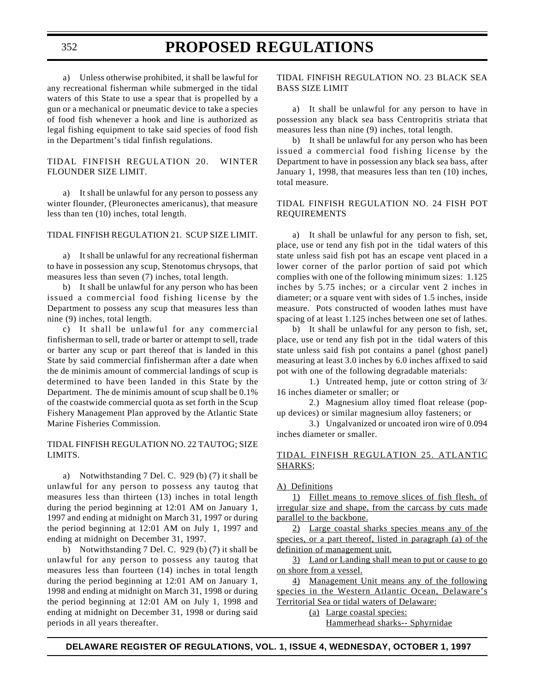a) Unless otherwise prohibited, it shall be lawful for any recreational fisherman while submerged in the tidal waters of this State to use a spear that is propelled by a gun or a mechanical or pneumatic device to take a species of food fish whenever a hook and line is authorized as legal fishing equipment to take said species of food fish in the Department's tidal finfish regulations.

#### TIDAL FINFISH REGULATION 20. WINTER FLOUNDER SIZE LIMIT.

a) It shall be unlawful for any person to possess any winter flounder, (Pleuronectes americanus), that measure less than ten (10) inches, total length.

TIDAL FINFISH REGULATION 21. SCUP SIZE LIMIT.

a) It shall be unlawful for any recreational fisherman to have in possession any scup, Stenotomus chrysops, that measures less than seven (7) inches, total length.

b) It shall be unlawful for any person who has been issued a commercial food fishing license by the Department to possess any scup that measures less than nine (9) inches, total length.

c) It shall be unlawful for any commercial finfisherman to sell, trade or barter or attempt to sell, trade or barter any scup or part thereof that is landed in this State by said commercial finfisherman after a date when the de minimis amount of commercial landings of scup is determined to have been landed in this State by the Department. The de minimis amount of scup shall be 0.1% of the coastwide commercial quota as set forth in the Scup Fishery Management Plan approved by the Atlantic State Marine Fisheries Commission.

#### TIDAL FINFISH REGULATION NO. 22 TAUTOG; SIZE LIMITS.

a) Notwithstanding 7 Del. C. 929 (b) (7) it shall be unlawful for any person to possess any tautog that measures less than thirteen (13) inches in total length during the period beginning at 12:01 AM on January 1, 1997 and ending at midnight on March 31, 1997 or during the period beginning at 12:01 AM on July 1, 1997 and ending at midnight on December 31, 1997.

b) Notwithstanding 7 Del. C. 929 (b) (7) it shall be unlawful for any person to possess any tautog that measures less than fourteen (14) inches in total length during the period beginning at 12:01 AM on January 1, 1998 and ending at midnight on March 31, 1998 or during the period beginning at 12:01 AM on July 1, 1998 and ending at midnight on December 31, 1998 or during said periods in all years thereafter.

#### TIDAL FINFISH REGULATION NO. 23 BLACK SEA BASS SIZE LIMIT

a) It shall be unlawful for any person to have in possession any black sea bass Centropritis striata that measures less than nine (9) inches, total length.

b) It shall be unlawful for any person who has been issued a commercial food fishing license by the Department to have in possession any black sea bass, after January 1, 1998, that measures less than ten (10) inches, total measure.

#### TIDAL FINFISH REGULATION NO. 24 FISH POT REQUIREMENTS

a) It shall be unlawful for any person to fish, set, place, use or tend any fish pot in the tidal waters of this state unless said fish pot has an escape vent placed in a lower corner of the parlor portion of said pot which complies with one of the following minimum sizes: 1.125 inches by 5.75 inches; or a circular vent 2 inches in diameter; or a square vent with sides of 1.5 inches, inside measure. Pots constructed of wooden lathes must have spacing of at least 1.125 inches between one set of lathes.

b) It shall be unlawful for any person to fish, set, place, use or tend any fish pot in the tidal waters of this state unless said fish pot contains a panel (ghost panel) measuring at least 3.0 inches by 6.0 inches affixed to said pot with one of the following degradable materials:

1.) Untreated hemp, jute or cotton string of 3/ 16 inches diameter or smaller; or

2.) Magnesium alloy timed float release (popup devices) or similar magnesium alloy fasteners; or

3.) Ungalvanized or uncoated iron wire of 0.094 inches diameter or smaller.

#### TIDAL FINFISH REGULATION 25. ATLANTIC SHARKS;

#### A) Definitions

1) Fillet means to remove slices of fish flesh, of irregular size and shape, from the carcass by cuts made parallel to the backbone.

2) Large coastal sharks species means any of the species, or a part thereof, listed in paragraph (a) of the definition of management unit.

3) Land or Landing shall mean to put or cause to go on shore from a vessel.

4) Management Unit means any of the following species in the Western Atlantic Ocean, Delaware's Territorial Sea or tidal waters of Delaware:

(a) Large coastal species:

Hammerhead sharks-- Sphyrnidae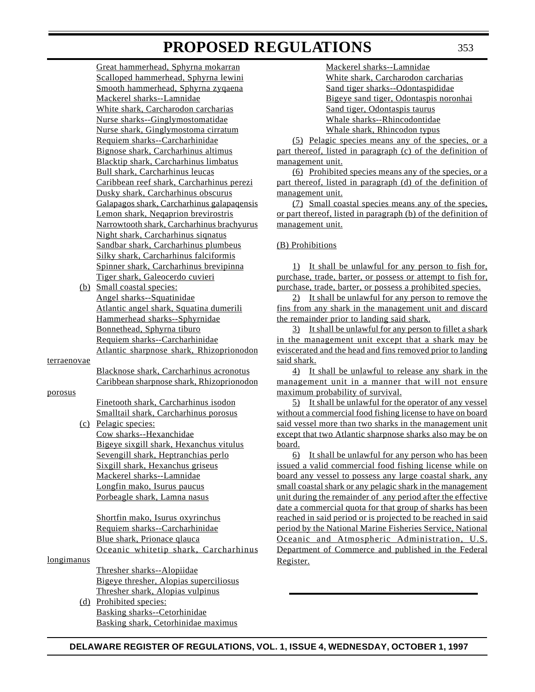Great hammerhead, Sphyrna mokarran Scalloped hammerhead, Sphyrna lewini Smooth hammerhead, Sphyrna zyqaena Mackerel sharks--Lamnidae White shark, Carcharodon carcharias Nurse sharks--Ginglymostomatidae Nurse shark, Ginglymostoma cirratum Requiem sharks--Carcharhinidae Bignose shark, Carcharhinus altimus Blacktip shark, Carcharhinus limbatus Bull shark, Carcharhinus leucas Caribbean reef shark, Carcharhinus perezi Dusky shark, Carcharhinus obscurus Galapagos shark, Carcharhinus galapaqensis Lemon shark, Neqaprion brevirostris Narrowtooth shark, Carcharhinus brachyurus Night shark, Carcharhinus siqnatus Sandbar shark, Carcharhinus plumbeus Silky shark, Carcharhinus falciformis Spinner shark, Carcharhinus brevipinna Tiger shark, Galeocerdo cuvieri

(b) Small coastal species: Angel sharks--Squatinidae Atlantic angel shark, Squatina dumerili Hammerhead sharks--Sphyrnidae Bonnethead, Sphyrna tiburo Requiem sharks--Carcharhinidae Atlantic sharpnose shark, Rhizoprionodon

terraenovae

Blacknose shark, Carcharhinus acronotus Caribbean sharpnose shark, Rhizoprionodon

porosus

Finetooth shark, Carcharhinus isodon Smalltail shark, Carcharhinus porosus

(c) Pelagic species: Cow sharks--Hexanchidae Bigeye sixgill shark, Hexanchus vitulus Sevengill shark, Heptranchias perlo Sixgill shark, Hexanchus griseus Mackerel sharks--Lamnidae Longfin mako, Isurus paucus Porbeagle shark, Lamna nasus

> Shortfin mako, Isurus oxyrinchus Requiem sharks--Carcharhinidae Blue shark, Prionace qlauca Oceanic whitetip shark, Carcharhinus

longimanus

Thresher sharks--Alopiidae Bigeye thresher, Alopias superciliosus Thresher shark, Alopias vulpinus

(d) Prohibited species: Basking sharks--Cetorhinidae Basking shark, Cetorhinidae maximus

Mackerel sharks--Lamnidae White shark, Carcharodon carcharias Sand tiger sharks--Odontaspididae Bigeye sand tiger, Odontaspis noronhai Sand tiger, Odontaspis taurus Whale sharks--Rhincodontidae Whale shark, Rhincodon typus

(5) Pelagic species means any of the species, or a part thereof, listed in paragraph (c) of the definition of management unit.

(6) Prohibited species means any of the species, or a part thereof, listed in paragraph (d) of the definition of management unit.

(7) Small coastal species means any of the species, or part thereof, listed in paragraph (b) of the definition of management unit.

#### (B) Prohibitions

1) It shall be unlawful for any person to fish for, purchase, trade, barter, or possess or attempt to fish for, purchase, trade, barter, or possess a prohibited species.

2) It shall be unlawful for any person to remove the fins from any shark in the management unit and discard the remainder prior to landing said shark.

3) It shall be unlawful for any person to fillet a shark in the management unit except that a shark may be eviscerated and the head and fins removed prior to landing said shark.

4) It shall be unlawful to release any shark in the management unit in a manner that will not ensure maximum probability of survival.

5) It shall be unlawful for the operator of any vessel without a commercial food fishing license to have on board said vessel more than two sharks in the management unit except that two Atlantic sharpnose sharks also may be on board.

6) It shall be unlawful for any person who has been issued a valid commercial food fishing license while on board any vessel to possess any large coastal shark, any small coastal shark or any pelagic shark in the management unit during the remainder of any period after the effective date a commercial quota for that group of sharks has been reached in said period or is projected to be reached in said period by the National Marine Fisheries Service, National Oceanic and Atmospheric Administration, U.S. Department of Commerce and published in the Federal Register.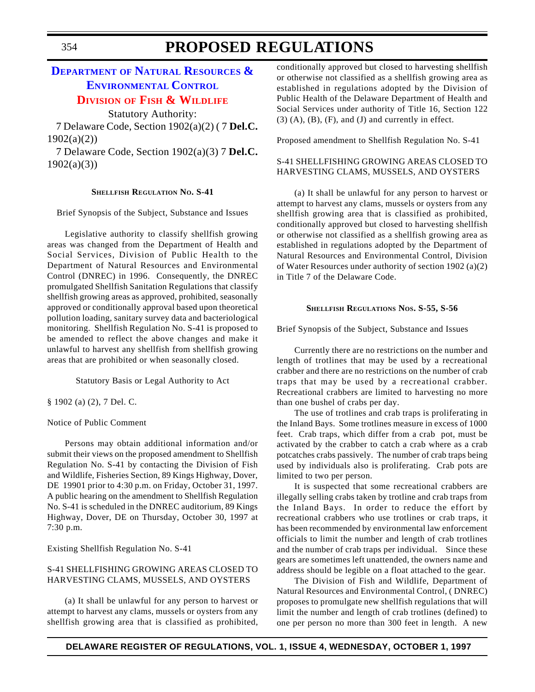### **DEPARTMENT OF NATURAL RESOURCES & [ENVIRONMENTAL](http://www.dnrec.state.de.us/fw/frames2.htm) CONTROL**

#### **DIVISION OF [FISH & WILDLIFE](#page-3-1)**

Statutory Authority:

7 Delaware Code, Section 1902(a)(2) ( 7 **Del.C.** 1902(a)(2))

7 Delaware Code, Section 1902(a)(3) 7 **Del.C.** 1902(a)(3))

#### **SHELLFISH REGULATION NO. S-41**

Brief Synopsis of the Subject, Substance and Issues

Legislative authority to classify shellfish growing areas was changed from the Department of Health and Social Services, Division of Public Health to the Department of Natural Resources and Environmental Control (DNREC) in 1996. Consequently, the DNREC promulgated Shellfish Sanitation Regulations that classify shellfish growing areas as approved, prohibited, seasonally approved or conditionally approval based upon theoretical pollution loading, sanitary survey data and bacteriological monitoring. Shellfish Regulation No. S-41 is proposed to be amended to reflect the above changes and make it unlawful to harvest any shellfish from shellfish growing areas that are prohibited or when seasonally closed.

Statutory Basis or Legal Authority to Act

§ 1902 (a) (2), 7 Del. C.

#### Notice of Public Comment

Persons may obtain additional information and/or submit their views on the proposed amendment to Shellfish Regulation No. S-41 by contacting the Division of Fish and Wildlife, Fisheries Section, 89 Kings Highway, Dover, DE 19901 prior to 4:30 p.m. on Friday, October 31, 1997. A public hearing on the amendment to Shellfish Regulation No. S-41 is scheduled in the DNREC auditorium, 89 Kings Highway, Dover, DE on Thursday, October 30, 1997 at 7:30 p.m.

Existing Shellfish Regulation No. S-41

#### S-41 SHELLFISHING GROWING AREAS CLOSED TO HARVESTING CLAMS, MUSSELS, AND OYSTERS

(a) It shall be unlawful for any person to harvest or attempt to harvest any clams, mussels or oysters from any shellfish growing area that is classified as prohibited,

conditionally approved but closed to harvesting shellfish or otherwise not classified as a shellfish growing area as established in regulations adopted by the Division of Public Health of the Delaware Department of Health and Social Services under authority of Title 16, Section 122  $(3)$   $(A)$ ,  $(B)$ ,  $(F)$ , and  $(J)$  and currently in effect.

Proposed amendment to Shellfish Regulation No. S-41

#### S-41 SHELLFISHING GROWING AREAS CLOSED TO HARVESTING CLAMS, MUSSELS, AND OYSTERS

(a) It shall be unlawful for any person to harvest or attempt to harvest any clams, mussels or oysters from any shellfish growing area that is classified as prohibited, conditionally approved but closed to harvesting shellfish or otherwise not classified as a shellfish growing area as established in regulations adopted by the Department of Natural Resources and Environmental Control, Division of Water Resources under authority of section 1902 (a)(2) in Title 7 of the Delaware Code.

#### **SHELLFISH REGULATIONS NOS. S-55, S-56**

Brief Synopsis of the Subject, Substance and Issues

Currently there are no restrictions on the number and length of trotlines that may be used by a recreational crabber and there are no restrictions on the number of crab traps that may be used by a recreational crabber. Recreational crabbers are limited to harvesting no more than one bushel of crabs per day.

The use of trotlines and crab traps is proliferating in the Inland Bays. Some trotlines measure in excess of 1000 feet. Crab traps, which differ from a crab pot, must be activated by the crabber to catch a crab where as a crab potcatches crabs passively. The number of crab traps being used by individuals also is proliferating. Crab pots are limited to two per person.

It is suspected that some recreational crabbers are illegally selling crabs taken by trotline and crab traps from the Inland Bays. In order to reduce the effort by recreational crabbers who use trotlines or crab traps, it has been recommended by environmental law enforcement officials to limit the number and length of crab trotlines and the number of crab traps per individual. Since these gears are sometimes left unattended, the owners name and address should be legible on a float attached to the gear.

The Division of Fish and Wildlife, Department of Natural Resources and Environmental Control, ( DNREC) proposes to promulgate new shellfish regulations that will limit the number and length of crab trotlines (defined) to one per person no more than 300 feet in length. A new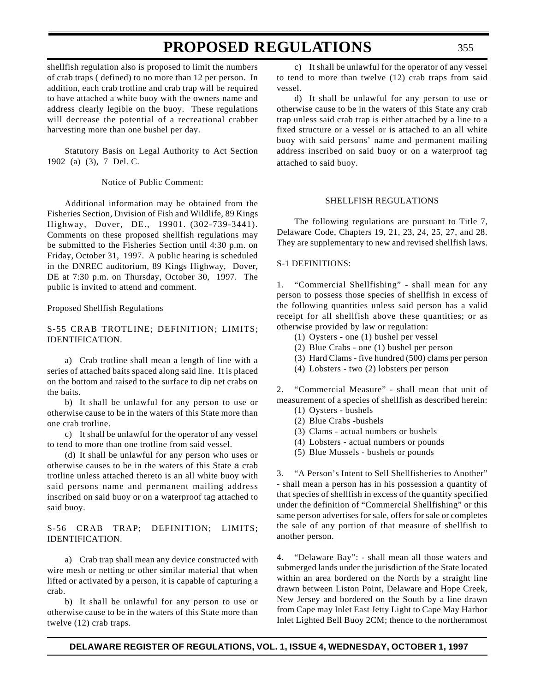shellfish regulation also is proposed to limit the numbers of crab traps ( defined) to no more than 12 per person. In addition, each crab trotline and crab trap will be required to have attached a white buoy with the owners name and address clearly legible on the buoy. These regulations will decrease the potential of a recreational crabber harvesting more than one bushel per day.

Statutory Basis on Legal Authority to Act Section 1902 (a) (3), 7 Del. C.

Notice of Public Comment:

Additional information may be obtained from the Fisheries Section, Division of Fish and Wildlife, 89 Kings Highway, Dover, DE., 19901. (302-739-3441). Comments on these proposed shellfish regulations may be submitted to the Fisheries Section until 4:30 p.m. on Friday, October 31, 1997. A public hearing is scheduled in the DNREC auditorium, 89 Kings Highway, Dover, DE at 7:30 p.m. on Thursday, October 30, 1997. The public is invited to attend and comment.

#### Proposed Shellfish Regulations

#### S-55 CRAB TROTLINE; DEFINITION; LIMITS; IDENTIFICATION.

a) Crab trotline shall mean a length of line with a series of attached baits spaced along said line. It is placed on the bottom and raised to the surface to dip net crabs on the baits.

b) It shall be unlawful for any person to use or otherwise cause to be in the waters of this State more than one crab trotline.

c) It shall be unlawful for the operator of any vessel to tend to more than one trotline from said vessel.

(d) It shall be unlawful for any person who uses or otherwise causes to be in the waters of this State a crab trotline unless attached thereto is an all white buoy with said persons name and permanent mailing address inscribed on said buoy or on a waterproof tag attached to said buoy.

#### S-56 CRAB TRAP; DEFINITION; LIMITS; IDENTIFICATION.

a) Crab trap shall mean any device constructed with wire mesh or netting or other similar material that when lifted or activated by a person, it is capable of capturing a crab.

b) It shall be unlawful for any person to use or otherwise cause to be in the waters of this State more than twelve (12) crab traps.

c) It shall be unlawful for the operator of any vessel to tend to more than twelve (12) crab traps from said vessel.

d) It shall be unlawful for any person to use or otherwise cause to be in the waters of this State any crab trap unless said crab trap is either attached by a line to a fixed structure or a vessel or is attached to an all white buoy with said persons' name and permanent mailing address inscribed on said buoy or on a waterproof tag attached to said buoy.

#### SHELLFISH REGULATIONS

The following regulations are pursuant to Title 7, Delaware Code, Chapters 19, 21, 23, 24, 25, 27, and 28. They are supplementary to new and revised shellfish laws.

#### S-1 DEFINITIONS:

1. "Commercial Shellfishing" - shall mean for any person to possess those species of shellfish in excess of the following quantities unless said person has a valid receipt for all shellfish above these quantities; or as otherwise provided by law or regulation:

- (1) Oysters one (1) bushel per vessel
- (2) Blue Crabs one (1) bushel per person
- (3) Hard Clams five hundred (500) clams per person
- (4) Lobsters two (2) lobsters per person

2. "Commercial Measure" - shall mean that unit of measurement of a species of shellfish as described herein:

- (1) Oysters bushels (2) Blue Crabs -bushels
- (3) Clams actual numbers or bushels
- (4) Lobsters actual numbers or pounds
- (5) Blue Mussels bushels or pounds

3. "A Person's Intent to Sell Shellfisheries to Another" - shall mean a person has in his possession a quantity of that species of shellfish in excess of the quantity specified under the definition of "Commercial Shellfishing" or this same person advertises for sale, offers for sale or completes the sale of any portion of that measure of shellfish to another person.

4. "Delaware Bay": - shall mean all those waters and submerged lands under the jurisdiction of the State located within an area bordered on the North by a straight line drawn between Liston Point, Delaware and Hope Creek, New Jersey and bordered on the South by a line drawn from Cape may Inlet East Jetty Light to Cape May Harbor Inlet Lighted Bell Buoy 2CM; thence to the northernmost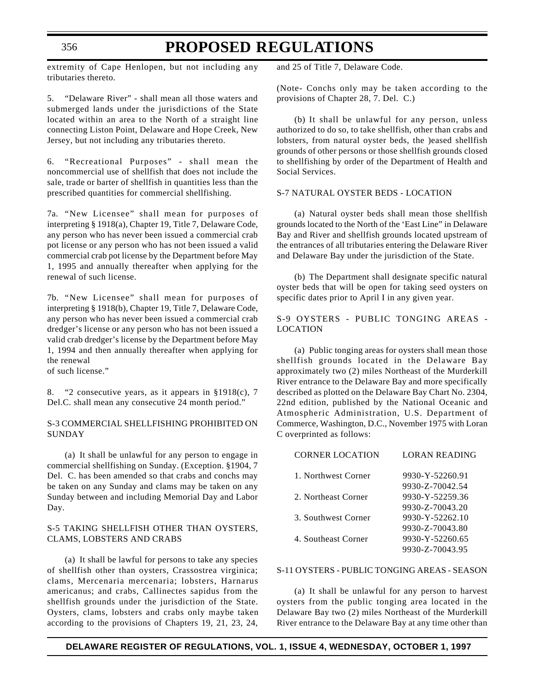extremity of Cape Henlopen, but not including any tributaries thereto.

5. "Delaware River" - shall mean all those waters and submerged lands under the jurisdictions of the State located within an area to the North of a straight line connecting Liston Point, Delaware and Hope Creek, New Jersey, but not including any tributaries thereto.

6. "Recreational Purposes" - shall mean the noncommercial use of shellfish that does not include the sale, trade or barter of shellfish in quantities less than the prescribed quantities for commercial shellfishing.

7a. "New Licensee" shall mean for purposes of interpreting § 1918(a), Chapter 19, Title 7, Delaware Code, any person who has never been issued a commercial crab pot license or any person who has not been issued a valid commercial crab pot license by the Department before May 1, 1995 and annually thereafter when applying for the renewal of such license.

7b. "New Licensee" shall mean for purposes of interpreting § 1918(b), Chapter 19, Title 7, Delaware Code, any person who has never been issued a commercial crab dredger's license or any person who has not been issued a valid crab dredger's license by the Department before May 1, 1994 and then annually thereafter when applying for the renewal

of such license."

8. "2 consecutive years, as it appears in §1918(c), 7 Del.C. shall mean any consecutive 24 month period."

#### S-3 COMMERCIAL SHELLFISHING PROHIBITED ON SUNDAY

(a) It shall be unlawful for any person to engage in commercial shellfishing on Sunday. (Exception. §1904, 7 Del. C. has been amended so that crabs and conchs may be taken on any Sunday and clams may be taken on any Sunday between and including Memorial Day and Labor Day.

#### S-5 TAKING SHELLFISH OTHER THAN OYSTERS, CLAMS, LOBSTERS AND CRABS

(a) It shall be lawful for persons to take any species of shellfish other than oysters, Crassostrea virginica; clams, Mercenaria mercenaria; lobsters, Harnarus americanus; and crabs, Callinectes sapidus from the shellfish grounds under the jurisdiction of the State. Oysters, clams, lobsters and crabs only maybe taken according to the provisions of Chapters 19, 21, 23, 24,

and 25 of Title 7, Delaware Code.

(Note- Conchs only may be taken according to the provisions of Chapter 28, 7. Del. C.)

(b) It shall be unlawful for any person, unless authorized to do so, to take shellfish, other than crabs and lobsters, from natural oyster beds, the )eased shellfish grounds of other persons or those shellfish grounds closed to shellfishing by order of the Department of Health and Social Services.

#### S-7 NATURAL OYSTER BEDS - LOCATION

(a) Natural oyster beds shall mean those shellfish grounds located to the North of the 'East Line" in Delaware Bay and River and shellfish grounds located upstream of the entrances of all tributaries entering the Delaware River and Delaware Bay under the jurisdiction of the State.

(b) The Department shall designate specific natural oyster beds that will be open for taking seed oysters on specific dates prior to April I in any given year.

S-9 OYSTERS - PUBLIC TONGING AREAS - LOCATION

(a) Public tonging areas for oysters shall mean those shellfish grounds located in the Delaware Bay approximately two (2) miles Northeast of the Murderkill River entrance to the Delaware Bay and more specifically described as plotted on the Delaware Bay Chart No. 2304, 22nd edition, published by the National Oceanic and Atmospheric Administration, U.S. Department of Commerce, Washington, D.C., November 1975 with Loran C overprinted as follows:

| LORAN READING   |
|-----------------|
| 9930-Y-52260.91 |
| 9930-Z-70042.54 |
| 9930-Y-52259.36 |
| 9930-Z-70043.20 |
| 9930-Y-52262.10 |
| 9930-Z-70043.80 |
| 9930-Y-52260.65 |
| 9930-Z-70043.95 |
|                 |

#### S-11 OYSTERS - PUBLIC TONGING AREAS - SEASON

(a) It shall be unlawful for any person to harvest oysters from the public tonging area located in the Delaware Bay two (2) miles Northeast of the Murderkill River entrance to the Delaware Bay at any time other than

#### **DELAWARE REGISTER OF REGULATIONS, VOL. 1, ISSUE 4, WEDNESDAY, OCTOBER 1, 1997**

356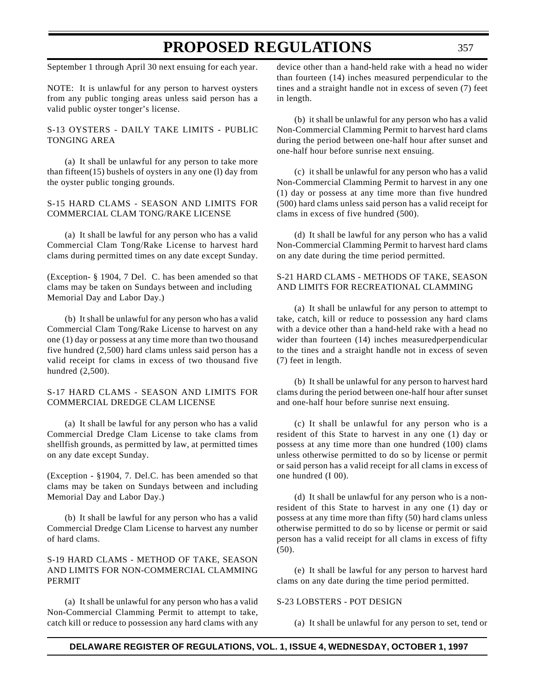September 1 through April 30 next ensuing for each year.

NOTE: It is unlawful for any person to harvest oysters from any public tonging areas unless said person has a valid public oyster tonger's license.

S-13 OYSTERS - DAILY TAKE LIMITS - PUBLIC TONGING AREA

(a) It shall be unlawful for any person to take more than fifteen(15) bushels of oysters in any one (l) day from the oyster public tonging grounds.

#### S-15 HARD CLAMS - SEASON AND LIMITS FOR COMMERCIAL CLAM TONG/RAKE LICENSE

(a) It shall be lawful for any person who has a valid Commercial Clam Tong/Rake License to harvest hard clams during permitted times on any date except Sunday.

(Exception- § 1904, 7 Del. C. has been amended so that clams may be taken on Sundays between and including Memorial Day and Labor Day.)

(b) It shall be unlawful for any person who has a valid Commercial Clam Tong/Rake License to harvest on any one (1) day or possess at any time more than two thousand five hundred (2,500) hard clams unless said person has a valid receipt for clams in excess of two thousand five hundred (2,500).

#### S-17 HARD CLAMS - SEASON AND LIMITS FOR COMMERCIAL DREDGE CLAM LICENSE

(a) It shall be lawful for any person who has a valid Commercial Dredge Clam License to take clams from shellfish grounds, as permitted by law, at permitted times on any date except Sunday.

(Exception - §1904, 7. Del.C. has been amended so that clams may be taken on Sundays between and including Memorial Day and Labor Day.)

(b) It shall be lawful for any person who has a valid Commercial Dredge Clam License to harvest any number of hard clams.

#### S-19 HARD CLAMS - METHOD OF TAKE, SEASON AND LIMITS FOR NON-COMMERCIAL CLAMMING PERMIT

(a) It shall be unlawful for any person who has a valid Non-Commercial Clamming Permit to attempt to take, catch kill or reduce to possession any hard clams with any device other than a hand-held rake with a head no wider than fourteen (14) inches measured perpendicular to the tines and a straight handle not in excess of seven (7) feet in length.

(b) it shall be unlawful for any person who has a valid Non-Commercial Clamming Permit to harvest hard clams during the period between one-half hour after sunset and one-half hour before sunrise next ensuing.

(c) it shall be unlawful for any person who has a valid Non-Commercial Clamming Permit to harvest in any one (1) day or possess at any time more than five hundred (500) hard clams unless said person has a valid receipt for clams in excess of five hundred (500).

(d) It shall be lawful for any person who has a valid Non-Commercial Clamming Permit to harvest hard clams on any date during the time period permitted.

#### S-21 HARD CLAMS - METHODS OF TAKE, SEASON AND LIMITS FOR RECREATIONAL CLAMMING

(a) It shall be unlawful for any person to attempt to take, catch, kill or reduce to possession any hard clams with a device other than a hand-held rake with a head no wider than fourteen (14) inches measuredperpendicular to the tines and a straight handle not in excess of seven (7) feet in length.

(b) It shall be unlawful for any person to harvest hard clams during the period between one-half hour after sunset and one-half hour before sunrise next ensuing.

(c) It shall be unlawful for any person who is a resident of this State to harvest in any one (1) day or possess at any time more than one hundred (100) clams unless otherwise permitted to do so by license or permit or said person has a valid receipt for all clams in excess of one hundred (I 00).

(d) It shall be unlawful for any person who is a nonresident of this State to harvest in any one (1) day or possess at any time more than fifty (50) hard clams unless otherwise permitted to do so by license or permit or said person has a valid receipt for all clams in excess of fifty (50).

(e) It shall be lawful for any person to harvest hard clams on any date during the time period permitted.

#### S-23 LOBSTERS - POT DESIGN

(a) It shall be unlawful for any person to set, tend or

#### **DELAWARE REGISTER OF REGULATIONS, VOL. 1, ISSUE 4, WEDNESDAY, OCTOBER 1, 1997**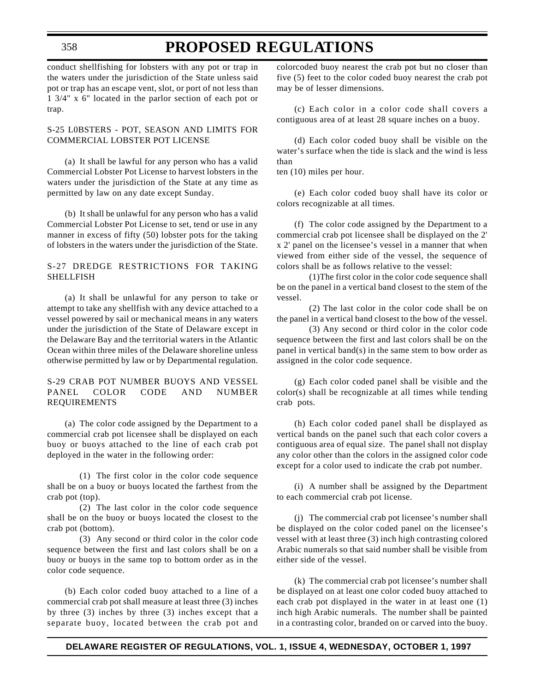### **PROPOSED REGULATIONS**

conduct shellfishing for lobsters with any pot or trap in the waters under the jurisdiction of the State unless said pot or trap has an escape vent, slot, or port of not less than 1 3/4" x 6" located in the parlor section of each pot or trap.

#### S-25 L0BSTERS - POT, SEASON AND LIMITS FOR COMMERCIAL LOBSTER POT LICENSE

(a) It shall be lawful for any person who has a valid Commercial Lobster Pot License to harvest lobsters in the waters under the jurisdiction of the State at any time as permitted by law on any date except Sunday.

(b) It shall be unlawful for any person who has a valid Commercial Lobster Pot License to set, tend or use in any manner in excess of fifty (50) lobster pots for the taking of lobsters in the waters under the jurisdiction of the State.

#### S-27 DREDGE RESTRICTIONS FOR TAKING SHELLFISH

(a) It shall be unlawful for any person to take or attempt to take any shellfish with any device attached to a vessel powered by sail or mechanical means in any waters under the jurisdiction of the State of Delaware except in the Delaware Bay and the territorial waters in the Atlantic Ocean within three miles of the Delaware shoreline unless otherwise permitted by law or by Departmental regulation.

#### S-29 CRAB POT NUMBER BUOYS AND VESSEL PANEL COLOR CODE AND NUMBER REQUIREMENTS

(a) The color code assigned by the Department to a commercial crab pot licensee shall be displayed on each buoy or buoys attached to the line of each crab pot deployed in the water in the following order:

(1) The first color in the color code sequence shall be on a buoy or buoys located the farthest from the crab pot (top).

(2) The last color in the color code sequence shall be on the buoy or buoys located the closest to the crab pot (bottom).

(3) Any second or third color in the color code sequence between the first and last colors shall be on a buoy or buoys in the same top to bottom order as in the color code sequence.

(b) Each color coded buoy attached to a line of a commercial crab pot shall measure at least three (3) inches by three (3) inches by three (3) inches except that a separate buoy, located between the crab pot and

colorcoded buoy nearest the crab pot but no closer than five (5) feet to the color coded buoy nearest the crab pot may be of lesser dimensions.

(c) Each color in a color code shall covers a contiguous area of at least 28 square inches on a buoy.

(d) Each color coded buoy shall be visible on the water's surface when the tide is slack and the wind is less than

ten (10) miles per hour.

(e) Each color coded buoy shall have its color or colors recognizable at all times.

(f) The color code assigned by the Department to a commercial crab pot licensee shall be displayed on the 2' x 2' panel on the licensee's vessel in a manner that when viewed from either side of the vessel, the sequence of colors shall be as follows relative to the vessel:

(1)The first color in the color code sequence shall be on the panel in a vertical band closest to the stem of the vessel.

(2) The last color in the color code shall be on the panel in a vertical band closest to the bow of the vessel.

(3) Any second or third color in the color code sequence between the first and last colors shall be on the panel in vertical band(s) in the same stem to bow order as assigned in the color code sequence.

(g) Each color coded panel shall be visible and the color(s) shall be recognizable at all times while tending crab pots.

(h) Each color coded panel shall be displayed as vertical bands on the panel such that each color covers a contiguous area of equal size. The panel shall not display any color other than the colors in the assigned color code except for a color used to indicate the crab pot number.

(i) A number shall be assigned by the Department to each commercial crab pot license.

(j) The commercial crab pot licensee's number shall be displayed on the color coded panel on the licensee's vessel with at least three (3) inch high contrasting colored Arabic numerals so that said number shall be visible from either side of the vessel.

(k) The commercial crab pot licensee's number shall be displayed on at least one color coded buoy attached to each crab pot displayed in the water in at least one (1) inch high Arabic numerals. The number shall be painted in a contrasting color, branded on or carved into the buoy.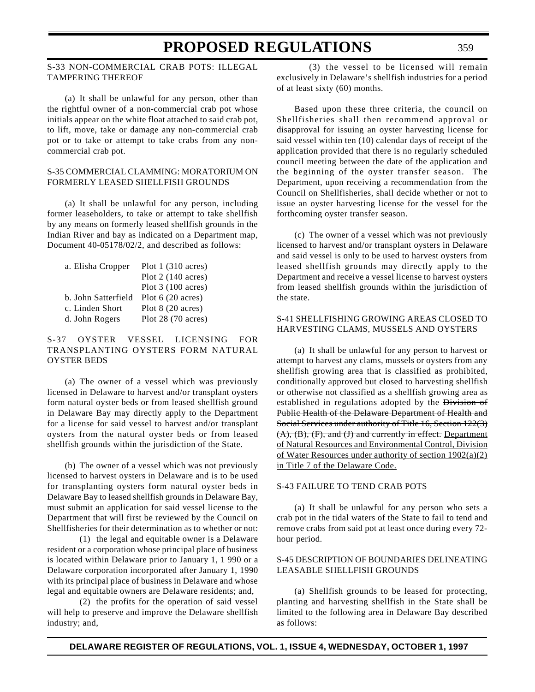#### S-33 NON-COMMERCIAL CRAB POTS: ILLEGAL TAMPERING THEREOF

(a) It shall be unlawful for any person, other than the rightful owner of a non-commercial crab pot whose initials appear on the white float attached to said crab pot, to lift, move, take or damage any non-commercial crab pot or to take or attempt to take crabs from any noncommercial crab pot.

#### S-35 COMMERCIAL CLAMMING: MORATORIUM ON FORMERLY LEASED SHELLFISH GROUNDS

(a) It shall be unlawful for any person, including former leaseholders, to take or attempt to take shellfish by any means on formerly leased shellfish grounds in the Indian River and bay as indicated on a Department map, Document 40-05178/02/2, and described as follows:

| a. Elisha Cropper   | Plot $1(310 \text{ acres})$ |
|---------------------|-----------------------------|
|                     | Plot $2(140 \text{ acres})$ |
|                     | Plot $3(100 \text{ acres})$ |
| b. John Satterfield | Plot $6(20 \text{ acres})$  |
| c. Linden Short     | Plot 8 (20 acres)           |
| d. John Rogers      | Plot 28 (70 acres)          |

#### S-37 OYSTER VESSEL LICENSING FOR TRANSPLANTING OYSTERS FORM NATURAL OYSTER BEDS

(a) The owner of a vessel which was previously licensed in Delaware to harvest and/or transplant oysters form natural oyster beds or from leased shellfish ground in Delaware Bay may directly apply to the Department for a license for said vessel to harvest and/or transplant oysters from the natural oyster beds or from leased shellfish grounds within the jurisdiction of the State.

(b) The owner of a vessel which was not previously licensed to harvest oysters in Delaware and is to be used for transplanting oysters form natural oyster beds in Delaware Bay to leased shellfish grounds in Delaware Bay, must submit an application for said vessel license to the Department that will first be reviewed by the Council on Shellfisheries for their determination as to whether or not:

(1) the legal and equitable owner is a Delaware resident or a corporation whose principal place of business is located within Delaware prior to January 1, 1 990 or a Delaware corporation incorporated after January 1, 1990 with its principal place of business in Delaware and whose legal and equitable owners are Delaware residents; and,

(2) the profits for the operation of said vessel will help to preserve and improve the Delaware shellfish industry; and,

(3) the vessel to be licensed will remain exclusively in Delaware's shellfish industries for a period of at least sixty (60) months.

Based upon these three criteria, the council on Shellfisheries shall then recommend approval or disapproval for issuing an oyster harvesting license for said vessel within ten (10) calendar days of receipt of the application provided that there is no regularly scheduled council meeting between the date of the application and the beginning of the oyster transfer season. The Department, upon receiving a recommendation from the Council on Shellfisheries, shall decide whether or not to issue an oyster harvesting license for the vessel for the forthcoming oyster transfer season.

(c) The owner of a vessel which was not previously licensed to harvest and/or transplant oysters in Delaware and said vessel is only to be used to harvest oysters from leased shellfish grounds may directly apply to the Department and receive a vessel license to harvest oysters from leased shellfish grounds within the jurisdiction of the state.

#### S-41 SHELLFISHING GROWING AREAS CLOSED TO HARVESTING CLAMS, MUSSELS AND OYSTERS

(a) It shall be unlawful for any person to harvest or attempt to harvest any clams, mussels or oysters from any shellfish growing area that is classified as prohibited, conditionally approved but closed to harvesting shellfish or otherwise not classified as a shellfish growing area as established in regulations adopted by the Division of Public Health of the Delaware Department of Health and Social Services under authority of Title 16, Section 122(3) (A), (B), (F), and (J) and currently in effect. Department of Natural Resources and Environmental Control, Division of Water Resources under authority of section 1902(a)(2) in Title 7 of the Delaware Code.

#### S-43 FAILURE TO TEND CRAB POTS

(a) It shall be unlawful for any person who sets a crab pot in the tidal waters of the State to fail to tend and remove crabs from said pot at least once during every 72 hour period.

#### S-45 DESCRIPTION OF BOUNDARIES DELINEATING LEASABLE SHELLFISH GROUNDS

(a) Shellfish grounds to be leased for protecting, planting and harvesting shellfish in the State shall be limited to the following area in Delaware Bay described as follows: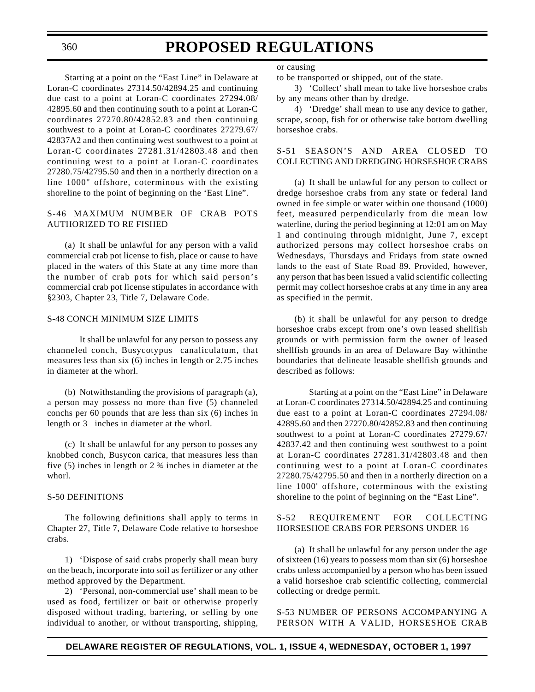Starting at a point on the "East Line" in Delaware at Loran-C coordinates 27314.50/42894.25 and continuing due cast to a point at Loran-C coordinates 27294.08/ 42895.60 and then continuing south to a point at Loran-C coordinates 27270.80/42852.83 and then continuing southwest to a point at Loran-C coordinates 27279.67/ 42837A2 and then continuing west southwest to a point at Loran-C coordinates 27281.31/42803.48 and then continuing west to a point at Loran-C coordinates 27280.75/42795.50 and then in a northerly direction on a line 1000" offshore, coterminous with the existing shoreline to the point of beginning on the 'East Line".

#### S-46 MAXIMUM NUMBER OF CRAB POTS AUTHORIZED TO RE FISHED

(a) It shall be unlawful for any person with a valid commercial crab pot license to fish, place or cause to have placed in the waters of this State at any time more than the number of crab pots for which said person's commercial crab pot license stipulates in accordance with §2303, Chapter 23, Title 7, Delaware Code.

#### S-48 CONCH MINIMUM SIZE LIMITS

It shall be unlawful for any person to possess any channeled conch, Busycotypus canaliculatum, that measures less than six (6) inches in length or 2.75 inches in diameter at the whorl.

(b) Notwithstanding the provisions of paragraph (a), a person may possess no more than five (5) channeled conchs per 60 pounds that are less than six (6) inches in length or 3 inches in diameter at the whorl.

(c) It shall be unlawful for any person to posses any knobbed conch, Busycon carica, that measures less than five (5) inches in length or 2 ¾ inches in diameter at the whorl.

#### S-50 DEFINITIONS

The following definitions shall apply to terms in Chapter 27, Title 7, Delaware Code relative to horseshoe crabs.

1) 'Dispose of said crabs properly shall mean bury on the beach, incorporate into soil as fertilizer or any other method approved by the Department.

2) 'Personal, non-commercial use' shall mean to be used as food, fertilizer or bait or otherwise properly disposed without trading, bartering, or selling by one individual to another, or without transporting, shipping,

or causing

to be transported or shipped, out of the state.

3) 'Collect' shall mean to take live horseshoe crabs by any means other than by dredge.

4) 'Dredge' shall mean to use any device to gather, scrape, scoop, fish for or otherwise take bottom dwelling horseshoe crabs.

#### S-51 SEASON'S AND AREA CLOSED TO COLLECTING AND DREDGING HORSESHOE CRABS

(a) It shall be unlawful for any person to collect or dredge horseshoe crabs from any state or federal land owned in fee simple or water within one thousand (1000) feet, measured perpendicularly from die mean low waterline, during the period beginning at 12:01 am on May 1 and continuing through midnight, June 7, except authorized persons may collect horseshoe crabs on Wednesdays, Thursdays and Fridays from state owned lands to the east of State Road 89. Provided, however, any person that has been issued a valid scientific collecting permit may collect horseshoe crabs at any time in any area as specified in the permit.

(b) it shall be unlawful for any person to dredge horseshoe crabs except from one's own leased shellfish grounds or with permission form the owner of leased shellfish grounds in an area of Delaware Bay withinthe boundaries that delineate leasable shellfish grounds and described as follows:

Starting at a point on the "East Line" in Delaware at Loran-C coordinates 27314.50/42894.25 and continuing due east to a point at Loran-C coordinates 27294.08/ 42895.60 and then 27270.80/42852.83 and then continuing southwest to a point at Loran-C coordinates 27279.67/ 42837.42 and then continuing west southwest to a point at Loran-C coordinates 27281.31/42803.48 and then continuing west to a point at Loran-C coordinates 27280.75/42795.50 and then in a northerly direction on a line 1000' offshore, coterminous with the existing shoreline to the point of beginning on the "East Line".

#### S-52 REQUIREMENT FOR COLLECTING HORSESHOE CRABS FOR PERSONS UNDER 16

(a) It shall be unlawful for any person under the age of sixteen (16) years to possess mom than six (6) horseshoe crabs unless accompanied by a person who has been issued a valid horseshoe crab scientific collecting, commercial collecting or dredge permit.

S-53 NUMBER OF PERSONS ACCOMPANYING A PERSON WITH A VALID, HORSESHOE CRAB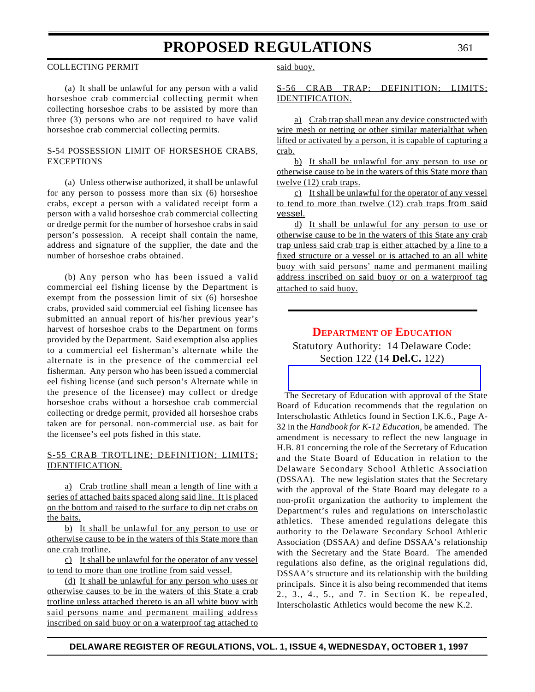### COLLECTING PERMIT

361

(a) It shall be unlawful for any person with a valid horseshoe crab commercial collecting permit when collecting horseshoe crabs to be assisted by more than three (3) persons who are not required to have valid horseshoe crab commercial collecting permits.

# S-54 POSSESSION LIMIT OF HORSESHOE CRABS, EXCEPTIONS

(a) Unless otherwise authorized, it shall be unlawful for any person to possess more than six (6) horseshoe crabs, except a person with a validated receipt form a person with a valid horseshoe crab commercial collecting or dredge permit for the number of horseshoe crabs in said person's possession. A receipt shall contain the name, address and signature of the supplier, the date and the number of horseshoe crabs obtained.

(b) Any person who has been issued a valid commercial eel fishing license by the Department is exempt from the possession limit of six (6) horseshoe crabs, provided said commercial eel fishing licensee has submitted an annual report of his/her previous year's harvest of horseshoe crabs to the Department on forms provided by the Department. Said exemption also applies to a commercial eel fisherman's alternate while the alternate is in the presence of the commercial eel fisherman. Any person who has been issued a commercial eel fishing license (and such person's Alternate while in the presence of the licensee) may collect or dredge horseshoe crabs without a horseshoe crab commercial collecting or dredge permit, provided all horseshoe crabs taken are for personal. non-commercial use. as bait for the licensee's eel pots fished in this state.

# S-55 CRAB TROTLINE; DEFINITION; LIMITS; IDENTIFICATION.

a) Crab trotline shall mean a length of line with a series of attached baits spaced along said line. It is placed on the bottom and raised to the surface to dip net crabs on the baits.

b) It shall be unlawful for any person to use or otherwise cause to be in the waters of this State more than one crab trotline.

c) It shall be unlawful for the operator of any vessel to tend to more than one trotline from said vessel.

(d) It shall be unlawful for any person who uses or otherwise causes to be in the waters of this State a crab trotline unless attached thereto is an all white buoy with said persons name and permanent mailing address inscribed on said buoy or on a waterproof tag attached to said buoy.

# S-56 CRAB TRAP; DEFINITION; LIMITS; IDENTIFICATION.

a) Crab trap shall mean any device constructed with wire mesh or netting or other similar materialthat when lifted or activated by a person, it is capable of capturing a crab.

b) It shall be unlawful for any person to use or otherwise cause to be in the waters of this State more than twelve (12) crab traps.

c) It shall be unlawful for the operator of any vessel to tend to more than twelve (12) crab traps from said vessel.

d) It shall be unlawful for any person to use or otherwise cause to be in the waters of this State any crab trap unless said crab trap is either attached by a line to a fixed structure or a vessel or is attached to an all white buoy with said persons' name and permanent mailing address inscribed on said buoy or on a waterproof tag attached to said buoy.

# **[DEPARTMENT](#page-3-0) OF EDUCATION**

Statutory Authority: 14 Delaware Code: Section 122 (14 **Del.C.** 122)

The Secretary of Education with approval of the State Board of Education recommends that the regulation on Interscholastic Athletics found in Section I.K.6., Page A-32 in the *Handbook for K-12 Education*, be amended. The amendment is necessary to reflect the new language in H.B. 81 concerning the role of the Secretary of Education and the State Board of Education in relation to the Delaware Secondary School Athletic Association (DSSAA). The new legislation states that the Secretary with the approval of the State Board may delegate to a non-profit organization the authority to implement the Department's rules and regulations on interscholastic athletics. These amended regulations delegate this authority to the Delaware Secondary School Athletic Association (DSSAA) and define DSSAA's relationship with the Secretary and the State Board. The amended regulations also define, as the original regulations did, DSSAA's structure and its relationship with the building principals. Since it is also being recommended that items 2., 3., 4., 5., and 7. in Section K. be repealed, Interscholastic Athletics would become the new K.2.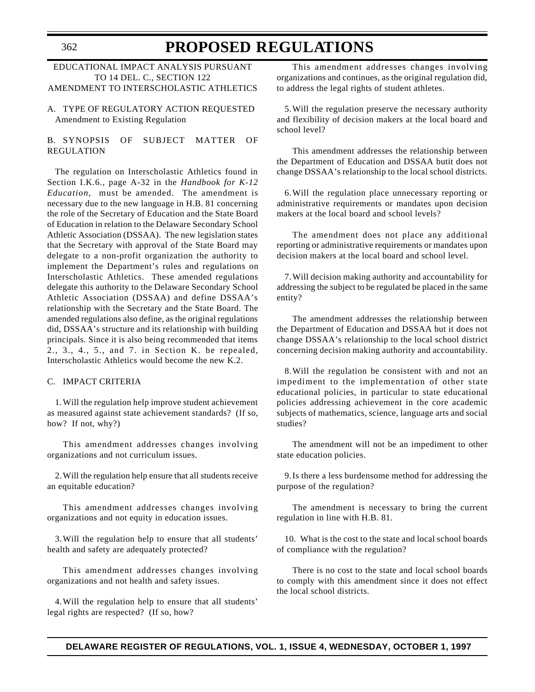### EDUCATIONAL IMPACT ANALYSIS PURSUANT TO 14 DEL. C., SECTION 122 AMENDMENT TO INTERSCHOLASTIC ATHLETICS

A. TYPE OF REGULATORY ACTION REQUESTED Amendment to Existing Regulation

# B. SYNOPSIS OF SUBJECT MATTER OF REGULATION

The regulation on Interscholastic Athletics found in Section I.K.6., page A-32 in the *Handbook for K-12 Education*, must be amended. The amendment is necessary due to the new language in H.B. 81 concerning the role of the Secretary of Education and the State Board of Education in relation to the Delaware Secondary School Athletic Association (DSSAA). The new legislation states that the Secretary with approval of the State Board may delegate to a non-profit organization the authority to implement the Department's rules and regulations on Interscholastic Athletics. These amended regulations delegate this authority to the Delaware Secondary School Athletic Association (DSSAA) and define DSSAA's relationship with the Secretary and the State Board. The amended regulations also define, as the original regulations did, DSSAA's structure and its relationship with building principals. Since it is also being recommended that items 2., 3., 4., 5., and 7. in Section K. be repealed, Interscholastic Athletics would become the new K.2.

# C. IMPACT CRITERIA

1.Will the regulation help improve student achievement as measured against state achievement standards? (If so, how? If not, why?)

This amendment addresses changes involving organizations and not curriculum issues.

2.Will the regulation help ensure that all students receive an equitable education?

This amendment addresses changes involving organizations and not equity in education issues.

3.Will the regulation help to ensure that all students' health and safety are adequately protected?

This amendment addresses changes involving organizations and not health and safety issues.

4.Will the regulation help to ensure that all students' legal rights are respected? (If so, how?

This amendment addresses changes involving organizations and continues, as the original regulation did, to address the legal rights of student athletes.

5.Will the regulation preserve the necessary authority and flexibility of decision makers at the local board and school level?

This amendment addresses the relationship between the Department of Education and DSSAA butit does not change DSSAA's relationship to the local school districts.

6.Will the regulation place unnecessary reporting or administrative requirements or mandates upon decision makers at the local board and school levels?

The amendment does not place any additional reporting or administrative requirements or mandates upon decision makers at the local board and school level.

7.Will decision making authority and accountability for addressing the subject to be regulated be placed in the same entity?

The amendment addresses the relationship between the Department of Education and DSSAA but it does not change DSSAA's relationship to the local school district concerning decision making authority and accountability.

8.Will the regulation be consistent with and not an impediment to the implementation of other state educational policies, in particular to state educational policies addressing achievement in the core academic subjects of mathematics, science, language arts and social studies?

The amendment will not be an impediment to other state education policies.

9.Is there a less burdensome method for addressing the purpose of the regulation?

The amendment is necessary to bring the current regulation in line with H.B. 81.

10. What is the cost to the state and local school boards of compliance with the regulation?

There is no cost to the state and local school boards to comply with this amendment since it does not effect the local school districts.

# **DELAWARE REGISTER OF REGULATIONS, VOL. 1, ISSUE 4, WEDNESDAY, OCTOBER 1, 1997**

362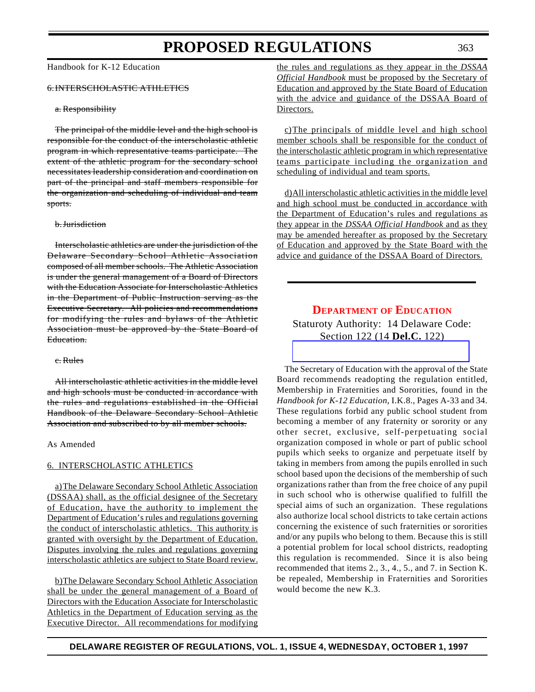Handbook for K-12 Education

### 6.INTERSCHOLASTIC ATHLETICS

#### a. Responsibility

The principal of the middle level and the high school is responsible for the conduct of the interscholastic athletic program in which representative teams participate. The extent of the athletic program for the secondary school necessitates leadership consideration and coordination on part of the principal and staff members responsible for the organization and scheduling of individual and team sports.

#### b.Jurisdiction

Interscholastic athletics are under the jurisdiction of the Delaware Secondary School Athletic Association composed of all member schools. The Athletic Association is under the general management of a Board of Directors with the Education Associate for Interscholastic Athletics in the Department of Public Instruction serving as the Executive Secretary. All policies and recommendations for modifying the rules and bylaws of the Athletic Association must be approved by the State Board of Education.

#### c. Rules

All interscholastic athletic activities in the middle level and high schools must be conducted in accordance with the rules and regulations established in the Official Handbook of the Delaware Secondary School Athletic Association and subscribed to by all member schools.

#### As Amended

#### 6. INTERSCHOLASTIC ATHLETICS

a)The Delaware Secondary School Athletic Association (DSSAA) shall, as the official designee of the Secretary of Education, have the authority to implement the Department of Education's rules and regulations governing the conduct of interscholastic athletics. This authority is granted with oversight by the Department of Education. Disputes involving the rules and regulations governing interscholastic athletics are subject to State Board review.

b)The Delaware Secondary School Athletic Association shall be under the general management of a Board of Directors with the Education Associate for Interscholastic Athletics in the Department of Education serving as the Executive Director. All recommendations for modifying the rules and regulations as they appear in the *DSSAA Official Handbook* must be proposed by the Secretary of Education and approved by the State Board of Education with the advice and guidance of the DSSAA Board of Directors.

c)The principals of middle level and high school member schools shall be responsible for the conduct of the interscholastic athletic program in which representative teams participate including the organization and scheduling of individual and team sports.

d)All interscholastic athletic activities in the middle level and high school must be conducted in accordance with the Department of Education's rules and regulations as they appear in the *DSSAA Official Handbook* and as they may be amended hereafter as proposed by the Secretary of Education and approved by the State Board with the advice and guidance of the DSSAA Board of Directors.

# **[DEPARTMENT](#page-3-0) OF EDUCATION**

# Staturoty Authority: 14 Delaware Code: [Section 122 \(14](http://www.doe.state.de.us/) **Del.C.** 122)

The Secretary of Education with the approval of the State Board recommends readopting the regulation entitled, Membership in Fraternities and Sororities, found in the *Handbook for K-12 Education*, I.K.8., Pages A-33 and 34. These regulations forbid any public school student from becoming a member of any fraternity or sorority or any other secret, exclusive, self-perpetuating social organization composed in whole or part of public school pupils which seeks to organize and perpetuate itself by taking in members from among the pupils enrolled in such school based upon the decisions of the membership of such organizations rather than from the free choice of any pupil in such school who is otherwise qualified to fulfill the special aims of such an organization. These regulations also authorize local school districts to take certain actions concerning the existence of such fraternities or sororities and/or any pupils who belong to them. Because this is still a potential problem for local school districts, readopting this regulation is recommended. Since it is also being recommended that items 2., 3., 4., 5., and 7. in Section K. be repealed, Membership in Fraternities and Sororities would become the new K.3.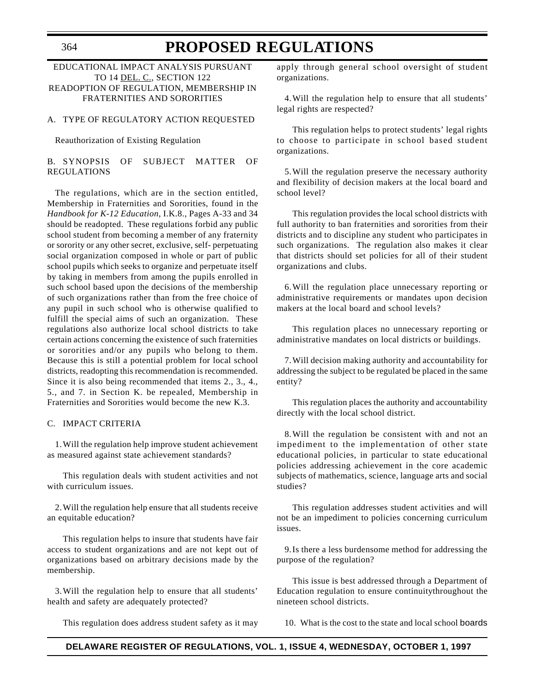# EDUCATIONAL IMPACT ANALYSIS PURSUANT TO 14 DEL. C., SECTION 122 READOPTION OF REGULATION, MEMBERSHIP IN FRATERNITIES AND SORORITIES

### A. TYPE OF REGULATORY ACTION REQUESTED

#### Reauthorization of Existing Regulation

B. SYNOPSIS OF SUBJECT MATTER OF REGULATIONS

The regulations, which are in the section entitled, Membership in Fraternities and Sororities, found in the *Handbook for K-12 Education*, I.K.8., Pages A-33 and 34 should be readopted. These regulations forbid any public school student from becoming a member of any fraternity or sorority or any other secret, exclusive, self- perpetuating social organization composed in whole or part of public school pupils which seeks to organize and perpetuate itself by taking in members from among the pupils enrolled in such school based upon the decisions of the membership of such organizations rather than from the free choice of any pupil in such school who is otherwise qualified to fulfill the special aims of such an organization. These regulations also authorize local school districts to take certain actions concerning the existence of such fraternities or sororities and/or any pupils who belong to them. Because this is still a potential problem for local school districts, readopting this recommendation is recommended. Since it is also being recommended that items 2., 3., 4., 5., and 7. in Section K. be repealed, Membership in Fraternities and Sororities would become the new K.3.

### C. IMPACT CRITERIA

1.Will the regulation help improve student achievement as measured against state achievement standards?

This regulation deals with student activities and not with curriculum issues.

2.Will the regulation help ensure that all students receive an equitable education?

This regulation helps to insure that students have fair access to student organizations and are not kept out of organizations based on arbitrary decisions made by the membership.

3.Will the regulation help to ensure that all students' health and safety are adequately protected?

This regulation does address student safety as it may

apply through general school oversight of student organizations.

4.Will the regulation help to ensure that all students' legal rights are respected?

This regulation helps to protect students' legal rights to choose to participate in school based student organizations.

5.Will the regulation preserve the necessary authority and flexibility of decision makers at the local board and school level?

This regulation provides the local school districts with full authority to ban fraternities and sororities from their districts and to discipline any student who participates in such organizations. The regulation also makes it clear that districts should set policies for all of their student organizations and clubs.

6.Will the regulation place unnecessary reporting or administrative requirements or mandates upon decision makers at the local board and school levels?

This regulation places no unnecessary reporting or administrative mandates on local districts or buildings.

7.Will decision making authority and accountability for addressing the subject to be regulated be placed in the same entity?

This regulation places the authority and accountability directly with the local school district.

8.Will the regulation be consistent with and not an impediment to the implementation of other state educational policies, in particular to state educational policies addressing achievement in the core academic subjects of mathematics, science, language arts and social studies?

This regulation addresses student activities and will not be an impediment to policies concerning curriculum issues.

9.Is there a less burdensome method for addressing the purpose of the regulation?

This issue is best addressed through a Department of Education regulation to ensure continuitythroughout the nineteen school districts.

10. What is the cost to the state and local school boards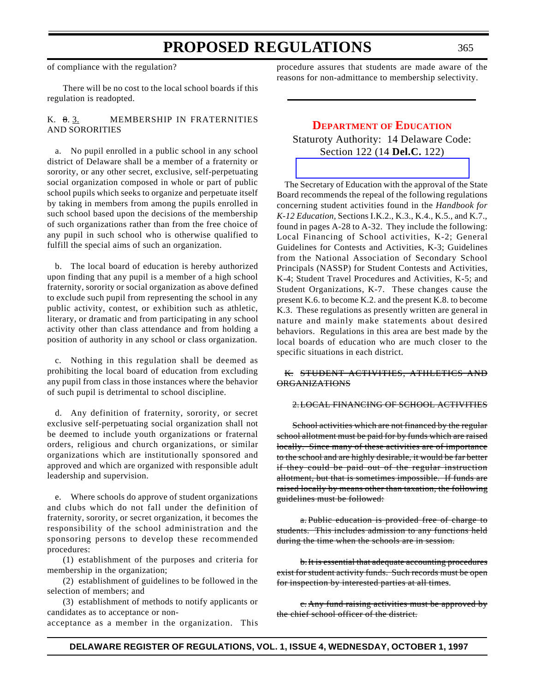of compliance with the regulation?

There will be no cost to the local school boards if this regulation is readopted.

# K. 8. 3. MEMBERSHIP IN FRATERNITIES AND SORORITIES

a. No pupil enrolled in a public school in any school district of Delaware shall be a member of a fraternity or sorority, or any other secret, exclusive, self-perpetuating social organization composed in whole or part of public school pupils which seeks to organize and perpetuate itself by taking in members from among the pupils enrolled in such school based upon the decisions of the membership of such organizations rather than from the free choice of any pupil in such school who is otherwise qualified to fulfill the special aims of such an organization.

b. The local board of education is hereby authorized upon finding that any pupil is a member of a high school fraternity, sorority or social organization as above defined to exclude such pupil from representing the school in any public activity, contest, or exhibition such as athletic, literary, or dramatic and from participating in any school activity other than class attendance and from holding a position of authority in any school or class organization.

c. Nothing in this regulation shall be deemed as prohibiting the local board of education from excluding any pupil from class in those instances where the behavior of such pupil is detrimental to school discipline.

d. Any definition of fraternity, sorority, or secret exclusive self-perpetuating social organization shall not be deemed to include youth organizations or fraternal orders, religious and church organizations, or similar organizations which are institutionally sponsored and approved and which are organized with responsible adult leadership and supervision.

e. Where schools do approve of student organizations and clubs which do not fall under the definition of fraternity, sorority, or secret organization, it becomes the responsibility of the school administration and the sponsoring persons to develop these recommended procedures:

(1) establishment of the purposes and criteria for membership in the organization;

(2) establishment of guidelines to be followed in the selection of members; and

(3) establishment of methods to notify applicants or candidates as to acceptance or non-

acceptance as a member in the organization. This

procedure assures that students are made aware of the reasons for non-admittance to membership selectivity.

# **[DEPARTMENT](#page-3-0) OF EDUCATION**

Staturoty Authority: 14 Delaware Code: Section 122 (14 **Del.C.** 122)

The Secretary of Education with the approval of the State Board recommends the repeal of the following regulations concerning student activities found in the *Handbook for K-12 Education,* Sections I.K.2., K.3., K.4., K.5., and K.7., found in pages A-28 to A-32. They include the following: Local Financing of School activities, K-2; General Guidelines for Contests and Activities, K-3; Guidelines from the National Association of Secondary School Principals (NASSP) for Student Contests and Activities, K-4; Student Travel Procedures and Activities, K-5; and Student Organizations, K-7. These changes cause the present K.6. to become K.2. and the present K.8. to become K.3. These regulations as presently written are general in nature and mainly make statements about desired behaviors. Regulations in this area are best made by the local boards of education who are much closer to the specific situations in each district.

### K. STUDENT ACTIVITIES, ATHLETICS AND ORGANIZATIONS

### 2.LOCAL FINANCING OF SCHOOL ACTIVITIES

School activities which are not financed by the regular school allotment must be paid for by funds which are raised locally. Since many of these activities are of importance to the school and are highly desirable, it would be far better if they could be paid out of the regular instruction allotment, but that is sometimes impossible. If funds are raised locally by means other than taxation, the following guidelines must be followed:

a. Public education is provided free of charge to students. This includes admission to any functions held during the time when the schools are in session.

b.It is essential that adequate accounting procedures exist for student activity funds. Such records must be open for inspection by interested parties at all times.

c. Any fund raising activities must be approved by the chief school officer of the district.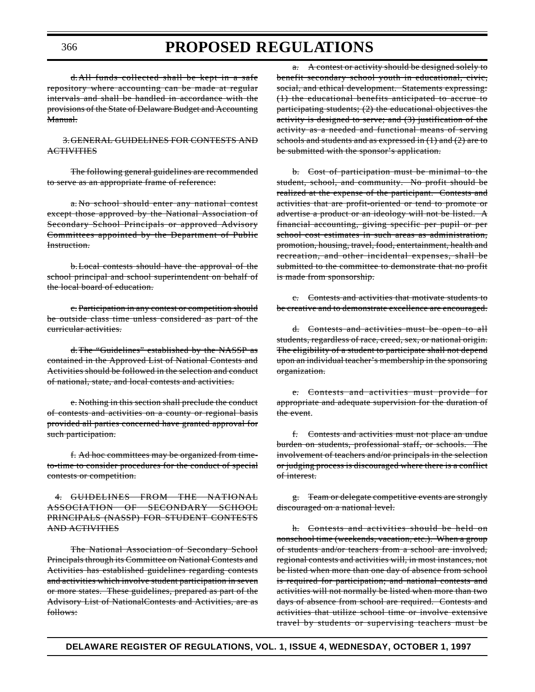d.All funds collected shall be kept in a safe repository where accounting can be made at regular intervals and shall be handled in accordance with the provisions of the State of Delaware Budget and Accounting Manual.

3.GENERAL GUIDELINES FOR CONTESTS AND **ACTIVITIES** 

The following general guidelines are recommended to serve as an appropriate frame of reference:

a. No school should enter any national contest except those approved by the National Association of Secondary School Principals or approved Advisory Committees appointed by the Department of Public Instruction.

b.Local contests should have the approval of the school principal and school superintendent on behalf of the local board of education.

c. Participation in any contest or competition should be outside class time unless considered as part of the curricular activities.

d.The "Guidelines" established by the NASSP as contained in the Approved List of National Contests and Activities should be followed in the selection and conduct of national, state, and local contests and activities.

e. Nothing in this section shall preclude the conduct of contests and activities on a county or regional basis provided all parties concerned have granted approval for such participation.

f. Ad hoc committees may be organized from timeto-time to consider procedures for the conduct of special contests or competition.

4. GUIDELINES FROM THE NATIONAL ASSOCIATION OF SECONDARY SCHOOL PRINCIPALS (NASSP) FOR STUDENT CONTESTS AND ACTIVITIES

The National Association of Secondary School Principals through its Committee on National Contests and Activities has established guidelines regarding contests and activities which involve student participation in seven or more states. These guidelines, prepared as part of the Advisory List of NationalContests and Activities, are as follows:

a. A contest or activity should be designed solely to benefit secondary school youth in educational, civic, social, and ethical development. Statements expressing: (1) the educational benefits anticipated to accrue to participating students; (2) the educational objectives the activity is designed to serve; and (3) justification of the activity as a needed and functional means of serving schools and students and as expressed in (1) and (2) are to be submitted with the sponsor's application.

b. Cost of participation must be minimal to the student, school, and community. No profit should be realized at the expense of the participant. Contests and activities that are profit-oriented or tend to promote or advertise a product or an ideology will not be listed. A financial accounting, giving specific per pupil or per school cost estimates in such areas as administration, promotion, housing, travel, food, entertainment, health and recreation, and other incidental expenses, shall be submitted to the committee to demonstrate that no profit is made from sponsorship.

c. Contests and activities that motivate students to be creative and to demonstrate excellence are encouraged.

d. Contests and activities must be open to all students, regardless of race, creed, sex, or national origin. The eligibility of a student to participate shall not depend upon an individual teacher's membership in the sponsoring organization.

e. Contests and activities must provide for appropriate and adequate supervision for the duration of the event.

f. Contests and activities must not place an undue burden on students, professional staff, or schools. The involvement of teachers and/or principals in the selection or judging process is discouraged where there is a conflict of interest.

g. Team or delegate competitive events are strongly discouraged on a national level.

h. Contests and activities should be held on nonschool time (weekends, vacation, etc.). When a group of students and/or teachers from a school are involved, regional contests and activities will, in most instances, not be listed when more than one day of absence from school is required for participation; and national contests and activities will not normally be listed when more than two days of absence from school are required. Contests and activities that utilize school time or involve extensive travel by students or supervising teachers must be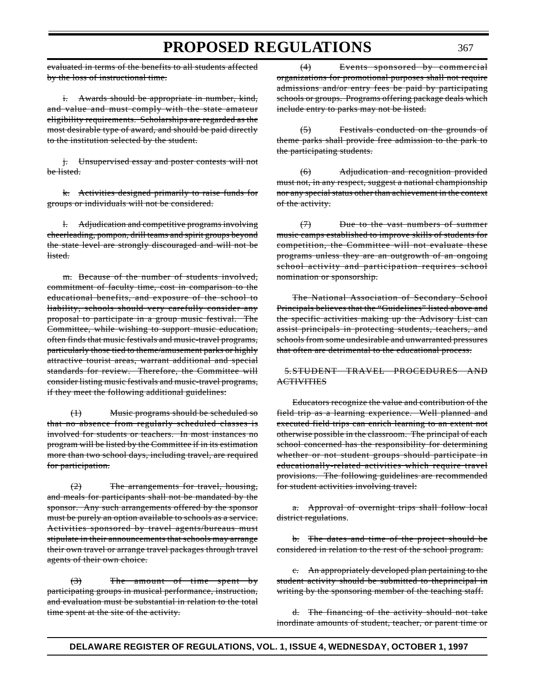evaluated in terms of the benefits to all students affected by the loss of instructional time.

i. Awards should be appropriate in number, kind, and value and must comply with the state amateur eligibility requirements. Scholarships are regarded as the most desirable type of award, and should be paid directly to the institution selected by the student.

j. Unsupervised essay and poster contests will not be listed.

k. Activities designed primarily to raise funds for groups or individuals will not be considered.

l. Adjudication and competitive programs involving cheerleading, pompon, drill teams and spirit groups beyond the state level are strongly discouraged and will not be listed.

m. Because of the number of students involved, commitment of faculty time, cost in comparison to the educational benefits, and exposure of the school to liability, schools should very carefully consider any proposal to participate in a group music festival. The Committee, while wishing to support music education, often finds that music festivals and music-travel programs, particularly those tied to theme/amusement parks or highly attractive tourist areas, warrant additional and special standards for review. Therefore, the Committee will consider listing music festivals and music-travel programs, if they meet the following additional guidelines:

(1) Music programs should be scheduled so that no absence from regularly scheduled classes is involved for students or teachers. In most instances no program will be listed by the Committee if in its estimation more than two school days, including travel, are required for participation.

(2) The arrangements for travel, housing, and meals for participants shall not be mandated by the sponsor. Any such arrangements offered by the sponsor must be purely an option available to schools as a service. Activities sponsored by travel agents/bureaus must stipulate in their announcements that schools may arrange their own travel or arrange travel packages through travel agents of their own choice.

(3) The amount of time spent by participating groups in musical performance, instruction, and evaluation must be substantial in relation to the total time spent at the site of the activity.

(4) Events sponsored by commercial organizations for promotional purposes shall not require admissions and/or entry fees be paid by participating schools or groups. Programs offering package deals which include entry to parks may not be listed.

(5) Festivals conducted on the grounds of theme parks shall provide free admission to the park to the participating students.

(6) Adjudication and recognition provided must not, in any respect, suggest a national championship nor any special status other than achievement in the context of the activity.

(7) Due to the vast numbers of summer music camps established to improve skills of students for competition, the Committee will not evaluate these programs unless they are an outgrowth of an ongoing school activity and participation requires school nomination or sponsorship.

The National Association of Secondary School Principals believes that the "Guidelines" listed above and the specific activities making up the Advisory List can assist principals in protecting students, teachers, and schools from some undesirable and unwarranted pressures that often are detrimental to the educational process.

5.STUDENT TRAVEL PROCEDURES AND **ACTIVITIES** 

Educators recognize the value and contribution of the field trip as a learning experience. Well planned and executed field trips can enrich learning to an extent not otherwise possible in the classroom. The principal of each school concerned has the responsibility for determining whether or not student groups should participate in educationally-related activities which require travel provisions. The following guidelines are recommended for student activities involving travel:

a. Approval of overnight trips shall follow local district regulations.

b. The dates and time of the project should be considered in relation to the rest of the school program.

c. An appropriately developed plan pertaining to the student activity should be submitted to theprincipal in writing by the sponsoring member of the teaching staff.

d. The financing of the activity should not take inordinate amounts of student, teacher, or parent time or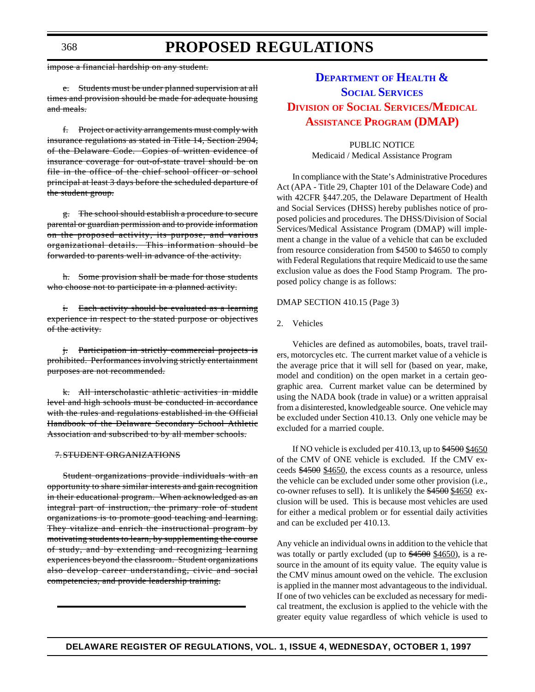impose a financial hardship on any student.

e. Students must be under planned supervision at all times and provision should be made for adequate housing and meals.

f. Project or activity arrangements must comply with insurance regulations as stated in Title 14, Section 2904, of the Delaware Code. Copies of written evidence of insurance coverage for out-of-state travel should be on file in the office of the chief school officer or school principal at least 3 days before the scheduled departure of the student group.

g. The school should establish a procedure to secure parental or guardian permission and to provide information on the proposed activity, its purpose, and various organizational details. This information should be forwarded to parents well in advance of the activity.

h. Some provision shall be made for those students who choose not to participate in a planned activity.

i. Each activity should be evaluated as a learning experience in respect to the stated purpose or objectives of the activity.

j. Participation in strictly commercial projects is prohibited. Performances involving strictly entertainment purposes are not recommended.

k. All interscholastic athletic activities in middle level and high schools must be conducted in accordance with the rules and regulations established in the Official Handbook of the Delaware Secondary School Athletic Association and subscribed to by all member schools.

#### 7.STUDENT ORGANIZATIONS

Student organizations provide individuals with an opportunity to share similar interests and gain recognition in their educational program. When acknowledged as an integral part of instruction, the primary role of student organizations is to promote good teaching and learning. They vitalize and enrich the instructional program by motivating students to learn, by supplementing the course of study, and by extending and recognizing learning experiences beyond the classroom. Student organizations also develop career understanding, civic and social competencies, and provide leadership training.

# **[DEPARTMENT](http://www.state.de.us/govern/agencies/dhss/irm/dhss.htmhttp://www.state.de.us/govern/agencies/dhss/irm/dhss.htm) OF HEALTH & SOCIAL SERVICES DIVISION OF SOCIAL SERVICES/MEDICAL ASSISTANCE [PROGRAM \(DMAP\)](#page-3-1)**

PUBLIC NOTICE Medicaid / Medical Assistance Program

In compliance with the State's Administrative Procedures Act (APA - Title 29, Chapter 101 of the Delaware Code) and with 42CFR §447.205, the Delaware Department of Health and Social Services (DHSS) hereby publishes notice of proposed policies and procedures. The DHSS/Division of Social Services/Medical Assistance Program (DMAP) will implement a change in the value of a vehicle that can be excluded from resource consideration from \$4500 to \$4650 to comply with Federal Regulations that require Medicaid to use the same exclusion value as does the Food Stamp Program. The proposed policy change is as follows:

### DMAP SECTION 410.15 (Page 3)

#### 2. Vehicles

Vehicles are defined as automobiles, boats, travel trailers, motorcycles etc. The current market value of a vehicle is the average price that it will sell for (based on year, make, model and condition) on the open market in a certain geographic area. Current market value can be determined by using the NADA book (trade in value) or a written appraisal from a disinterested, knowledgeable source. One vehicle may be excluded under Section 410.13. Only one vehicle may be excluded for a married couple.

If NO vehicle is excluded per 410.13, up to  $\frac{$4500}{$460}$ of the CMV of ONE vehicle is excluded. If the CMV exceeds \$4500 \$4650, the excess counts as a resource, unless the vehicle can be excluded under some other provision (i.e., co-owner refuses to sell). It is unlikely the \$4500 \$4650 exclusion will be used. This is because most vehicles are used for either a medical problem or for essential daily activities and can be excluded per 410.13.

Any vehicle an individual owns in addition to the vehicle that was totally or partly excluded (up to  $$4500$  \$4650), is a resource in the amount of its equity value. The equity value is the CMV minus amount owed on the vehicle. The exclusion is applied in the manner most advantageous to the individual. If one of two vehicles can be excluded as necessary for medical treatment, the exclusion is applied to the vehicle with the greater equity value regardless of which vehicle is used to

368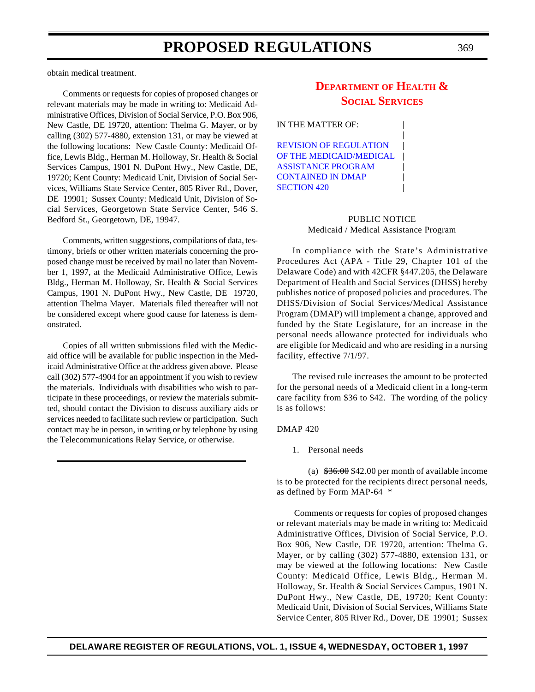obtain medical treatment.

Comments or requests for copies of proposed changes or relevant materials may be made in writing to: Medicaid Administrative Offices, Division of Social Service, P.O. Box 906, New Castle, DE 19720, attention: Thelma G. Mayer, or by calling (302) 577-4880, extension 131, or may be viewed at the following locations: New Castle County: Medicaid Office, Lewis Bldg., Herman M. Holloway, Sr. Health & Social Services Campus, 1901 N. DuPont Hwy., New Castle, DE, 19720; Kent County: Medicaid Unit, Division of Social Services, Williams State Service Center, 805 River Rd., Dover, DE 19901; Sussex County: Medicaid Unit, Division of Social Services, Georgetown State Service Center, 546 S. Bedford St., Georgetown, DE, 19947.

Comments, written suggestions, compilations of data, testimony, briefs or other written materials concerning the proposed change must be received by mail no later than November 1, 1997, at the Medicaid Administrative Office, Lewis Bldg., Herman M. Holloway, Sr. Health & Social Services Campus, 1901 N. DuPont Hwy., New Castle, DE 19720, attention Thelma Mayer. Materials filed thereafter will not be considered except where good cause for lateness is demonstrated.

Copies of all written submissions filed with the Medicaid office will be available for public inspection in the Medicaid Administrative Office at the address given above. Please call (302) 577-4904 for an appointment if you wish to review the materials. Individuals with disabilities who wish to participate in these proceedings, or review the materials submitted, should contact the Division to discuss auxiliary aids or services needed to facilitate such review or participation. Such contact may be in person, in writing or by telephone by using the Telecommunications Relay Service, or otherwise.

# **[DEPARTMENT](#page-3-2) OF HEALTH & SOCIAL SERVICES**

|

IN THE MATTER OF:

REVISION OF REGULATION [OF THE MEDICAID/MEDICAL](http://www.state.de.us/govern/agencies/dhss/irm/dhss.htm) ASSISTANCE PROGRAM | CONTAINED IN DMAP SECTION 420

### PUBLIC NOTICE Medicaid / Medical Assistance Program

In compliance with the State's Administrative Procedures Act (APA - Title 29, Chapter 101 of the Delaware Code) and with 42CFR §447.205, the Delaware Department of Health and Social Services (DHSS) hereby publishes notice of proposed policies and procedures. The DHSS/Division of Social Services/Medical Assistance Program (DMAP) will implement a change, approved and funded by the State Legislature, for an increase in the personal needs allowance protected for individuals who are eligible for Medicaid and who are residing in a nursing facility, effective 7/1/97.

The revised rule increases the amount to be protected for the personal needs of a Medicaid client in a long-term care facility from \$36 to \$42. The wording of the policy is as follows:

#### DMAP 420

1. Personal needs

(a) \$36.00 \$42.00 per month of available income is to be protected for the recipients direct personal needs, as defined by Form MAP-64 \*

 Comments or requests for copies of proposed changes or relevant materials may be made in writing to: Medicaid Administrative Offices, Division of Social Service, P.O. Box 906, New Castle, DE 19720, attention: Thelma G. Mayer, or by calling (302) 577-4880, extension 131, or may be viewed at the following locations: New Castle County: Medicaid Office, Lewis Bldg., Herman M. Holloway, Sr. Health & Social Services Campus, 1901 N. DuPont Hwy., New Castle, DE, 19720; Kent County: Medicaid Unit, Division of Social Services, Williams State Service Center, 805 River Rd., Dover, DE 19901; Sussex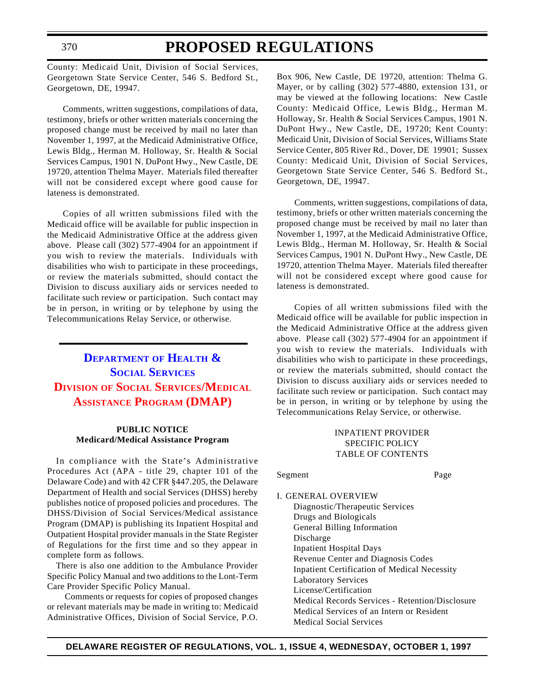# **PROPOSED REGULATIONS**

County: Medicaid Unit, Division of Social Services, Georgetown State Service Center, 546 S. Bedford St., Georgetown, DE, 19947.

Comments, written suggestions, compilations of data, testimony, briefs or other written materials concerning the proposed change must be received by mail no later than November 1, 1997, at the Medicaid Administrative Office, Lewis Bldg., Herman M. Holloway, Sr. Health & Social Services Campus, 1901 N. DuPont Hwy., New Castle, DE 19720, attention Thelma Mayer. Materials filed thereafter will not be considered except where good cause for lateness is demonstrated.

Copies of all written submissions filed with the Medicaid office will be available for public inspection in the Medicaid Administrative Office at the address given above. Please call (302) 577-4904 for an appointment if you wish to review the materials. Individuals with disabilities who wish to participate in these proceedings, or review the materials submitted, should contact the Division to discuss auxiliary aids or services needed to facilitate such review or participation. Such contact may be in person, in writing or by telephone by using the Telecommunications Relay Service, or otherwise.

# **[DEPARTMENT](http://www.state.de.us/govern/agencies/dhss/irm/dhss.htm) OF HEALTH & SOCIAL SERVICES DIVISION OF SOCIAL SERVICES/MEDICAL ASSISTANCE [PROGRAM \(DMAP\)](#page-3-3)**

# **PUBLIC NOTICE Medicard/Medical Assistance Program**

In compliance with the State's Administrative Procedures Act (APA - title 29, chapter 101 of the Delaware Code) and with 42 CFR §447.205, the Delaware Department of Health and social Services (DHSS) hereby publishes notice of proposed policies and procedures. The DHSS/Division of Social Services/Medical assistance Program (DMAP) is publishing its Inpatient Hospital and Outpatient Hospital provider manuals in the State Register of Regulations for the first time and so they appear in complete form as follows.

There is also one addition to the Ambulance Provider Specific Policy Manual and two additions to the Lont-Term Care Provider Specific Policy Manual.

Comments or requests for copies of proposed changes or relevant materials may be made in writing to: Medicaid Administrative Offices, Division of Social Service, P.O.

Box 906, New Castle, DE 19720, attention: Thelma G. Mayer, or by calling (302) 577-4880, extension 131, or may be viewed at the following locations: New Castle County: Medicaid Office, Lewis Bldg., Herman M. Holloway, Sr. Health & Social Services Campus, 1901 N. DuPont Hwy., New Castle, DE, 19720; Kent County: Medicaid Unit, Division of Social Services, Williams State Service Center, 805 River Rd., Dover, DE 19901; Sussex County: Medicaid Unit, Division of Social Services, Georgetown State Service Center, 546 S. Bedford St., Georgetown, DE, 19947.

Comments, written suggestions, compilations of data, testimony, briefs or other written materials concerning the proposed change must be received by mail no later than November 1, 1997, at the Medicaid Administrative Office, Lewis Bldg., Herman M. Holloway, Sr. Health & Social Services Campus, 1901 N. DuPont Hwy., New Castle, DE 19720, attention Thelma Mayer. Materials filed thereafter will not be considered except where good cause for lateness is demonstrated.

Copies of all written submissions filed with the Medicaid office will be available for public inspection in the Medicaid Administrative Office at the address given above. Please call (302) 577-4904 for an appointment if you wish to review the materials. Individuals with disabilities who wish to participate in these proceedings, or review the materials submitted, should contact the Division to discuss auxiliary aids or services needed to facilitate such review or participation. Such contact may be in person, in writing or by telephone by using the Telecommunications Relay Service, or otherwise.

# INPATIENT PROVIDER SPECIFIC POLICY TABLE OF CONTENTS

### Segment Page

I. GENERAL OVERVIEW Diagnostic/Therapeutic Services Drugs and Biologicals General Billing Information Discharge Inpatient Hospital Days Revenue Center and Diagnosis Codes Inpatient Certification of Medical Necessity Laboratory Services License/Certification Medical Records Services - Retention/Disclosure Medical Services of an Intern or Resident Medical Social Services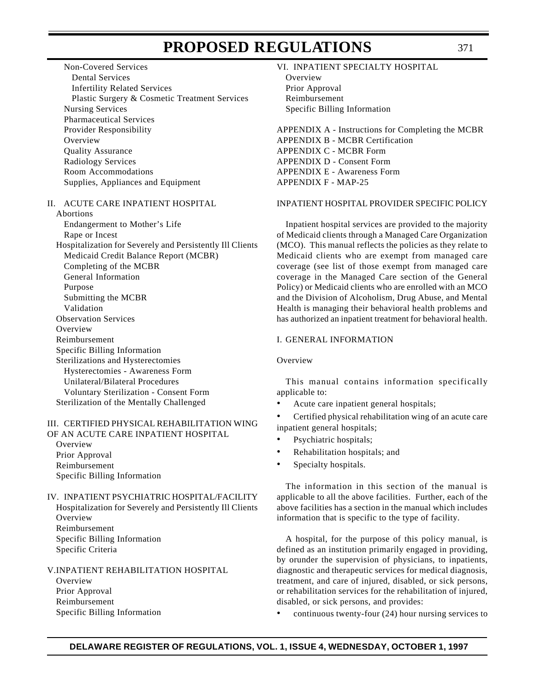Non-Covered Services Dental Services Infertility Related Services Plastic Surgery & Cosmetic Treatment Services Nursing Services Pharmaceutical Services Provider Responsibility **Overview** Quality Assurance Radiology Services Room Accommodations Supplies, Appliances and Equipment

#### II. ACUTE CARE INPATIENT HOSPITAL

Abortions Endangerment to Mother's Life Rape or Incest Hospitalization for Severely and Persistently Ill Clients Medicaid Credit Balance Report (MCBR) Completing of the MCBR General Information Purpose Submitting the MCBR Validation Observation Services **Overview** Reimbursement Specific Billing Information Sterilizations and Hysterectomies Hysterectomies - Awareness Form Unilateral/Bilateral Procedures Voluntary Sterilization - Consent Form Sterilization of the Mentally Challenged

#### III. CERTIFIED PHYSICAL REHABILITATION WING OF AN ACUTE CARE INPATIENT HOSPITAL

**Overview** Prior Approval Reimbursement Specific Billing Information

IV. INPATIENT PSYCHIATRIC HOSPITAL/FACILITY Hospitalization for Severely and Persistently Ill Clients Overview Reimbursement Specific Billing Information Specific Criteria

V.INPATIENT REHABILITATION HOSPITAL **Overview** Prior Approval Reimbursement Specific Billing Information

#### VI. INPATIENT SPECIALTY HOSPITAL

Overview Prior Approval Reimbursement Specific Billing Information

APPENDIX A - Instructions for Completing the MCBR APPENDIX B - MCBR Certification APPENDIX C - MCBR Form APPENDIX D - Consent Form APPENDIX E - Awareness Form APPENDIX F - MAP-25

### INPATIENT HOSPITAL PROVIDER SPECIFIC POLICY

Inpatient hospital services are provided to the majority of Medicaid clients through a Managed Care Organization (MCO). This manual reflects the policies as they relate to Medicaid clients who are exempt from managed care coverage (see list of those exempt from managed care coverage in the Managed Care section of the General Policy) or Medicaid clients who are enrolled with an MCO and the Division of Alcoholism, Drug Abuse, and Mental Health is managing their behavioral health problems and has authorized an inpatient treatment for behavioral health.

### I. GENERAL INFORMATION

### Overview

This manual contains information specifically applicable to:

• Acute care inpatient general hospitals;

• Certified physical rehabilitation wing of an acute care inpatient general hospitals;

- Psychiatric hospitals;
- Rehabilitation hospitals; and
- Specialty hospitals.

The information in this section of the manual is applicable to all the above facilities. Further, each of the above facilities has a section in the manual which includes information that is specific to the type of facility.

A hospital, for the purpose of this policy manual, is defined as an institution primarily engaged in providing, by orunder the supervision of physicians, to inpatients, diagnostic and therapeutic services for medical diagnosis, treatment, and care of injured, disabled, or sick persons, or rehabilitation services for the rehabilitation of injured, disabled, or sick persons, and provides:

• continuous twenty-four (24) hour nursing services to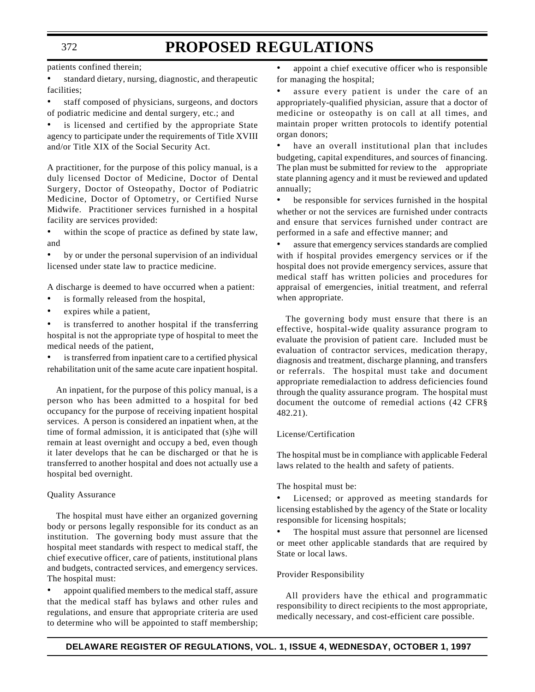patients confined therein;

standard dietary, nursing, diagnostic, and therapeutic facilities;

staff composed of physicians, surgeons, and doctors of podiatric medicine and dental surgery, etc.; and

is licensed and certified by the appropriate State agency to participate under the requirements of Title XVIII and/or Title XIX of the Social Security Act.

A practitioner, for the purpose of this policy manual, is a duly licensed Doctor of Medicine, Doctor of Dental Surgery, Doctor of Osteopathy, Doctor of Podiatric Medicine, Doctor of Optometry, or Certified Nurse Midwife. Practitioner services furnished in a hospital facility are services provided:

within the scope of practice as defined by state law, and

by or under the personal supervision of an individual licensed under state law to practice medicine.

A discharge is deemed to have occurred when a patient:

- is formally released from the hospital,
- expires while a patient,

is transferred to another hospital if the transferring hospital is not the appropriate type of hospital to meet the medical needs of the patient,

is transferred from inpatient care to a certified physical rehabilitation unit of the same acute care inpatient hospital.

An inpatient, for the purpose of this policy manual, is a person who has been admitted to a hospital for bed occupancy for the purpose of receiving inpatient hospital services. A person is considered an inpatient when, at the time of formal admission, it is anticipated that (s)he will remain at least overnight and occupy a bed, even though it later develops that he can be discharged or that he is transferred to another hospital and does not actually use a hospital bed overnight.

#### Quality Assurance

The hospital must have either an organized governing body or persons legally responsible for its conduct as an institution. The governing body must assure that the hospital meet standards with respect to medical staff, the chief executive officer, care of patients, institutional plans and budgets, contracted services, and emergency services. The hospital must:

appoint qualified members to the medical staff, assure that the medical staff has bylaws and other rules and regulations, and ensure that appropriate criteria are used to determine who will be appointed to staff membership;

appoint a chief executive officer who is responsible for managing the hospital;

assure every patient is under the care of an appropriately-qualified physician, assure that a doctor of medicine or osteopathy is on call at all times, and maintain proper written protocols to identify potential organ donors;

have an overall institutional plan that includes budgeting, capital expenditures, and sources of financing. The plan must be submitted for review to the appropriate state planning agency and it must be reviewed and updated annually;

• be responsible for services furnished in the hospital whether or not the services are furnished under contracts and ensure that services furnished under contract are performed in a safe and effective manner; and

assure that emergency services standards are complied with if hospital provides emergency services or if the hospital does not provide emergency services, assure that medical staff has written policies and procedures for appraisal of emergencies, initial treatment, and referral when appropriate.

The governing body must ensure that there is an effective, hospital-wide quality assurance program to evaluate the provision of patient care. Included must be evaluation of contractor services, medication therapy, diagnosis and treatment, discharge planning, and transfers or referrals. The hospital must take and document appropriate remedialaction to address deficiencies found through the quality assurance program. The hospital must document the outcome of remedial actions (42 CFR§ 482.21).

### License/Certification

The hospital must be in compliance with applicable Federal laws related to the health and safety of patients.

The hospital must be:

Licensed; or approved as meeting standards for licensing established by the agency of the State or locality responsible for licensing hospitals;

The hospital must assure that personnel are licensed or meet other applicable standards that are required by State or local laws.

#### Provider Responsibility

All providers have the ethical and programmatic responsibility to direct recipients to the most appropriate, medically necessary, and cost-efficient care possible.

### 372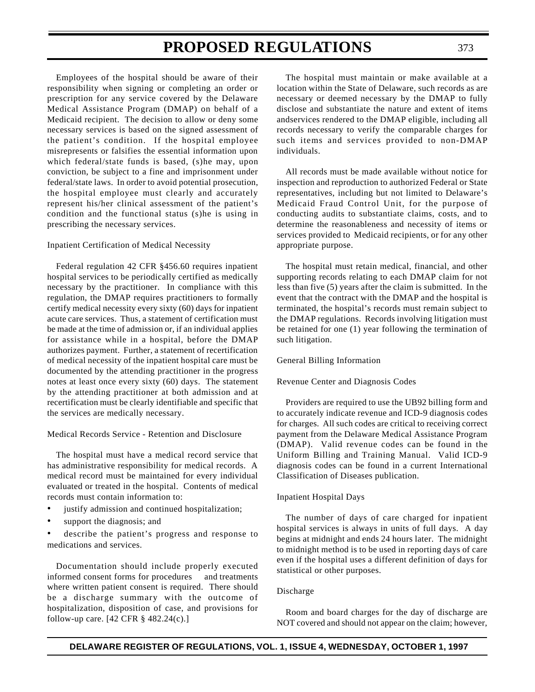Employees of the hospital should be aware of their responsibility when signing or completing an order or prescription for any service covered by the Delaware Medical Assistance Program (DMAP) on behalf of a Medicaid recipient. The decision to allow or deny some necessary services is based on the signed assessment of the patient's condition. If the hospital employee misrepresents or falsifies the essential information upon which federal/state funds is based, (s)he may, upon conviction, be subject to a fine and imprisonment under federal/state laws. In order to avoid potential prosecution, the hospital employee must clearly and accurately represent his/her clinical assessment of the patient's condition and the functional status (s)he is using in prescribing the necessary services.

#### Inpatient Certification of Medical Necessity

Federal regulation 42 CFR §456.60 requires inpatient hospital services to be periodically certified as medically necessary by the practitioner. In compliance with this regulation, the DMAP requires practitioners to formally certify medical necessity every sixty (60) days for inpatient acute care services. Thus, a statement of certification must be made at the time of admission or, if an individual applies for assistance while in a hospital, before the DMAP authorizes payment. Further, a statement of recertification of medical necessity of the inpatient hospital care must be documented by the attending practitioner in the progress notes at least once every sixty (60) days. The statement by the attending practitioner at both admission and at recertification must be clearly identifiable and specific that the services are medically necessary.

Medical Records Service - Retention and Disclosure

The hospital must have a medical record service that has administrative responsibility for medical records. A medical record must be maintained for every individual evaluated or treated in the hospital. Contents of medical records must contain information to:

- justify admission and continued hospitalization;
- support the diagnosis; and

describe the patient's progress and response to medications and services.

Documentation should include properly executed informed consent forms for procedures and treatments where written patient consent is required. There should be a discharge summary with the outcome of hospitalization, disposition of case, and provisions for follow-up care. [42 CFR § 482.24(c).]

The hospital must maintain or make available at a location within the State of Delaware, such records as are necessary or deemed necessary by the DMAP to fully disclose and substantiate the nature and extent of items andservices rendered to the DMAP eligible, including all records necessary to verify the comparable charges for such items and services provided to non-DMAP individuals.

All records must be made available without notice for inspection and reproduction to authorized Federal or State representatives, including but not limited to Delaware's Medicaid Fraud Control Unit, for the purpose of conducting audits to substantiate claims, costs, and to determine the reasonableness and necessity of items or services provided to Medicaid recipients, or for any other appropriate purpose.

The hospital must retain medical, financial, and other supporting records relating to each DMAP claim for not less than five (5) years after the claim is submitted. In the event that the contract with the DMAP and the hospital is terminated, the hospital's records must remain subject to the DMAP regulations. Records involving litigation must be retained for one (1) year following the termination of such litigation.

### General Billing Information

#### Revenue Center and Diagnosis Codes

Providers are required to use the UB92 billing form and to accurately indicate revenue and ICD-9 diagnosis codes for charges. All such codes are critical to receiving correct payment from the Delaware Medical Assistance Program (DMAP). Valid revenue codes can be found in the Uniform Billing and Training Manual. Valid ICD-9 diagnosis codes can be found in a current International Classification of Diseases publication.

#### Inpatient Hospital Days

The number of days of care charged for inpatient hospital services is always in units of full days. A day begins at midnight and ends 24 hours later. The midnight to midnight method is to be used in reporting days of care even if the hospital uses a different definition of days for statistical or other purposes.

#### Discharge

Room and board charges for the day of discharge are NOT covered and should not appear on the claim; however,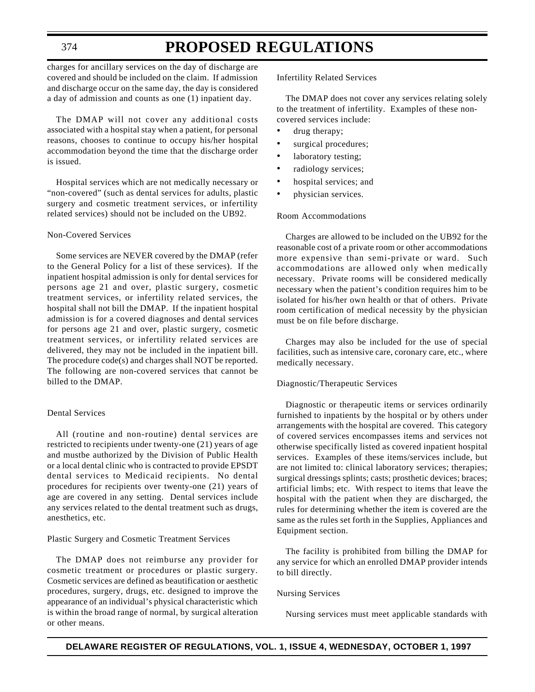# **PROPOSED REGULATIONS**

charges for ancillary services on the day of discharge are covered and should be included on the claim. If admission and discharge occur on the same day, the day is considered a day of admission and counts as one (1) inpatient day.

The DMAP will not cover any additional costs associated with a hospital stay when a patient, for personal reasons, chooses to continue to occupy his/her hospital accommodation beyond the time that the discharge order is issued.

Hospital services which are not medically necessary or "non-covered" (such as dental services for adults, plastic surgery and cosmetic treatment services, or infertility related services) should not be included on the UB92.

### Non-Covered Services

Some services are NEVER covered by the DMAP (refer to the General Policy for a list of these services). If the inpatient hospital admission is only for dental services for persons age 21 and over, plastic surgery, cosmetic treatment services, or infertility related services, the hospital shall not bill the DMAP. If the inpatient hospital admission is for a covered diagnoses and dental services for persons age 21 and over, plastic surgery, cosmetic treatment services, or infertility related services are delivered, they may not be included in the inpatient bill. The procedure code(s) and charges shall NOT be reported. The following are non-covered services that cannot be billed to the DMAP.

### Dental Services

All (routine and non-routine) dental services are restricted to recipients under twenty-one (21) years of age and mustbe authorized by the Division of Public Health or a local dental clinic who is contracted to provide EPSDT dental services to Medicaid recipients. No dental procedures for recipients over twenty-one (21) years of age are covered in any setting. Dental services include any services related to the dental treatment such as drugs, anesthetics, etc.

Plastic Surgery and Cosmetic Treatment Services

The DMAP does not reimburse any provider for cosmetic treatment or procedures or plastic surgery. Cosmetic services are defined as beautification or aesthetic procedures, surgery, drugs, etc. designed to improve the appearance of an individual's physical characteristic which is within the broad range of normal, by surgical alteration or other means.

Infertility Related Services

The DMAP does not cover any services relating solely to the treatment of infertility. Examples of these noncovered services include:

- drug therapy;
- surgical procedures;
- laboratory testing;
- radiology services;
- hospital services; and
- physician services.

#### Room Accommodations

Charges are allowed to be included on the UB92 for the reasonable cost of a private room or other accommodations more expensive than semi-private or ward. Such accommodations are allowed only when medically necessary. Private rooms will be considered medically necessary when the patient's condition requires him to be isolated for his/her own health or that of others. Private room certification of medical necessity by the physician must be on file before discharge.

Charges may also be included for the use of special facilities, such as intensive care, coronary care, etc., where medically necessary.

#### Diagnostic/Therapeutic Services

Diagnostic or therapeutic items or services ordinarily furnished to inpatients by the hospital or by others under arrangements with the hospital are covered. This category of covered services encompasses items and services not otherwise specifically listed as covered inpatient hospital services. Examples of these items/services include, but are not limited to: clinical laboratory services; therapies; surgical dressings splints; casts; prosthetic devices; braces; artificial limbs; etc. With respect to items that leave the hospital with the patient when they are discharged, the rules for determining whether the item is covered are the same as the rules set forth in the Supplies, Appliances and Equipment section.

The facility is prohibited from billing the DMAP for any service for which an enrolled DMAP provider intends to bill directly.

#### Nursing Services

Nursing services must meet applicable standards with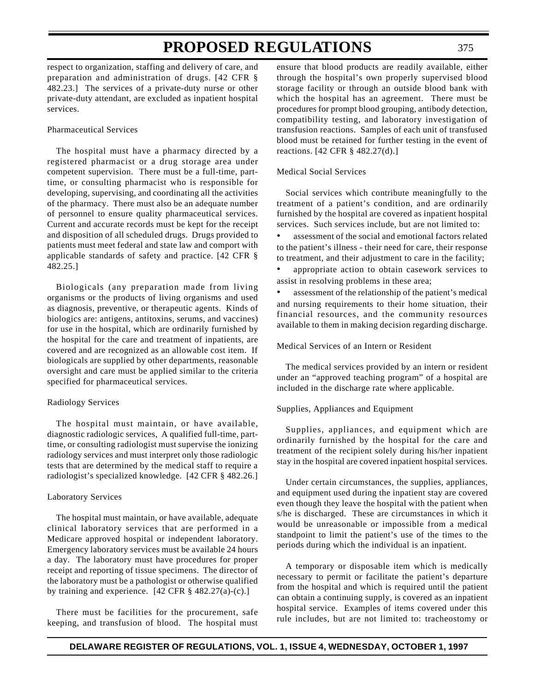respect to organization, staffing and delivery of care, and preparation and administration of drugs. [42 CFR § 482.23.] The services of a private-duty nurse or other private-duty attendant, are excluded as inpatient hospital services.

### Pharmaceutical Services

The hospital must have a pharmacy directed by a registered pharmacist or a drug storage area under competent supervision. There must be a full-time, parttime, or consulting pharmacist who is responsible for developing, supervising, and coordinating all the activities of the pharmacy. There must also be an adequate number of personnel to ensure quality pharmaceutical services. Current and accurate records must be kept for the receipt and disposition of all scheduled drugs. Drugs provided to patients must meet federal and state law and comport with applicable standards of safety and practice. [42 CFR § 482.25.]

Biologicals (any preparation made from living organisms or the products of living organisms and used as diagnosis, preventive, or therapeutic agents. Kinds of biologics are: antigens, antitoxins, serums, and vaccines) for use in the hospital, which are ordinarily furnished by the hospital for the care and treatment of inpatients, are covered and are recognized as an allowable cost item. If biologicals are supplied by other departments, reasonable oversight and care must be applied similar to the criteria specified for pharmaceutical services.

#### Radiology Services

The hospital must maintain, or have available, diagnostic radiologic services, A qualified full-time, parttime, or consulting radiologist must supervise the ionizing radiology services and must interpret only those radiologic tests that are determined by the medical staff to require a radiologist's specialized knowledge. [42 CFR § 482.26.]

#### Laboratory Services

The hospital must maintain, or have available, adequate clinical laboratory services that are performed in a Medicare approved hospital or independent laboratory. Emergency laboratory services must be available 24 hours a day. The laboratory must have procedures for proper receipt and reporting of tissue specimens. The director of the laboratory must be a pathologist or otherwise qualified by training and experience. [42 CFR § 482.27(a)-(c).]

There must be facilities for the procurement, safe keeping, and transfusion of blood. The hospital must ensure that blood products are readily available, either through the hospital's own properly supervised blood storage facility or through an outside blood bank with which the hospital has an agreement. There must be procedures for prompt blood grouping, antibody detection, compatibility testing, and laboratory investigation of transfusion reactions. Samples of each unit of transfused blood must be retained for further testing in the event of reactions. [42 CFR § 482.27(d).]

### Medical Social Services

Social services which contribute meaningfully to the treatment of a patient's condition, and are ordinarily furnished by the hospital are covered as inpatient hospital services. Such services include, but are not limited to:

assessment of the social and emotional factors related to the patient's illness - their need for care, their response to treatment, and their adjustment to care in the facility;

appropriate action to obtain casework services to assist in resolving problems in these area;

assessment of the relationship of the patient's medical and nursing requirements to their home situation, their financial resources, and the community resources available to them in making decision regarding discharge.

#### Medical Services of an Intern or Resident

The medical services provided by an intern or resident under an "approved teaching program" of a hospital are included in the discharge rate where applicable.

#### Supplies, Appliances and Equipment

Supplies, appliances, and equipment which are ordinarily furnished by the hospital for the care and treatment of the recipient solely during his/her inpatient stay in the hospital are covered inpatient hospital services.

Under certain circumstances, the supplies, appliances, and equipment used during the inpatient stay are covered even though they leave the hospital with the patient when s/he is discharged. These are circumstances in which it would be unreasonable or impossible from a medical standpoint to limit the patient's use of the times to the periods during which the individual is an inpatient.

A temporary or disposable item which is medically necessary to permit or facilitate the patient's departure from the hospital and which is required until the patient can obtain a continuing supply, is covered as an inpatient hospital service. Examples of items covered under this rule includes, but are not limited to: tracheostomy or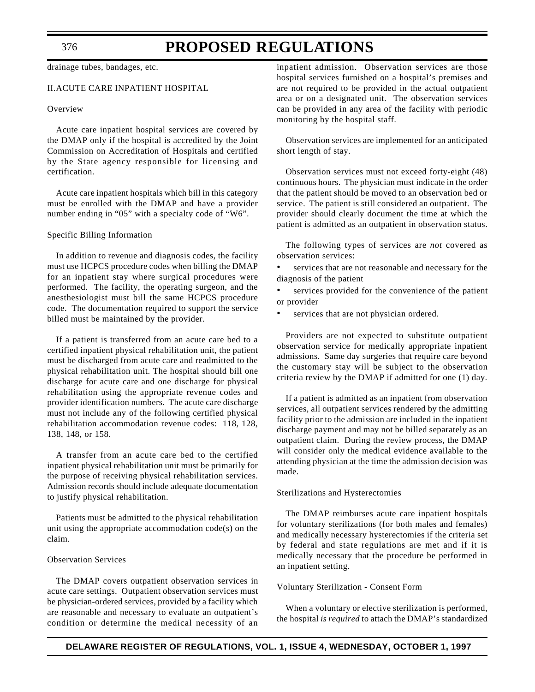drainage tubes, bandages, etc.

# II.ACUTE CARE INPATIENT HOSPITAL

#### **Overview**

Acute care inpatient hospital services are covered by the DMAP only if the hospital is accredited by the Joint Commission on Accreditation of Hospitals and certified by the State agency responsible for licensing and certification.

Acute care inpatient hospitals which bill in this category must be enrolled with the DMAP and have a provider number ending in "05" with a specialty code of "W6".

#### Specific Billing Information

In addition to revenue and diagnosis codes, the facility must use HCPCS procedure codes when billing the DMAP for an inpatient stay where surgical procedures were performed. The facility, the operating surgeon, and the anesthesiologist must bill the same HCPCS procedure code. The documentation required to support the service billed must be maintained by the provider.

If a patient is transferred from an acute care bed to a certified inpatient physical rehabilitation unit, the patient must be discharged from acute care and readmitted to the physical rehabilitation unit. The hospital should bill one discharge for acute care and one discharge for physical rehabilitation using the appropriate revenue codes and provider identification numbers. The acute care discharge must not include any of the following certified physical rehabilitation accommodation revenue codes: 118, 128, 138, 148, or 158.

A transfer from an acute care bed to the certified inpatient physical rehabilitation unit must be primarily for the purpose of receiving physical rehabilitation services. Admission records should include adequate documentation to justify physical rehabilitation.

Patients must be admitted to the physical rehabilitation unit using the appropriate accommodation code(s) on the claim.

#### Observation Services

The DMAP covers outpatient observation services in acute care settings. Outpatient observation services must be physician-ordered services, provided by a facility which are reasonable and necessary to evaluate an outpatient's condition or determine the medical necessity of an inpatient admission. Observation services are those hospital services furnished on a hospital's premises and are not required to be provided in the actual outpatient area or on a designated unit. The observation services can be provided in any area of the facility with periodic monitoring by the hospital staff.

Observation services are implemented for an anticipated short length of stay.

Observation services must not exceed forty-eight (48) continuous hours. The physician must indicate in the order that the patient should be moved to an observation bed or service. The patient is still considered an outpatient. The provider should clearly document the time at which the patient is admitted as an outpatient in observation status.

The following types of services are *not* covered as observation services:

services that are not reasonable and necessary for the diagnosis of the patient

services provided for the convenience of the patient or provider

services that are not physician ordered.

Providers are not expected to substitute outpatient observation service for medically appropriate inpatient admissions. Same day surgeries that require care beyond the customary stay will be subject to the observation criteria review by the DMAP if admitted for one (1) day.

If a patient is admitted as an inpatient from observation services, all outpatient services rendered by the admitting facility prior to the admission are included in the inpatient discharge payment and may not be billed separately as an outpatient claim. During the review process, the DMAP will consider only the medical evidence available to the attending physician at the time the admission decision was made.

#### Sterilizations and Hysterectomies

The DMAP reimburses acute care inpatient hospitals for voluntary sterilizations (for both males and females) and medically necessary hysterectomies if the criteria set by federal and state regulations are met and if it is medically necessary that the procedure be performed in an inpatient setting.

#### Voluntary Sterilization - Consent Form

When a voluntary or elective sterilization is performed, the hospital *is required* to attach the DMAP's standardized

376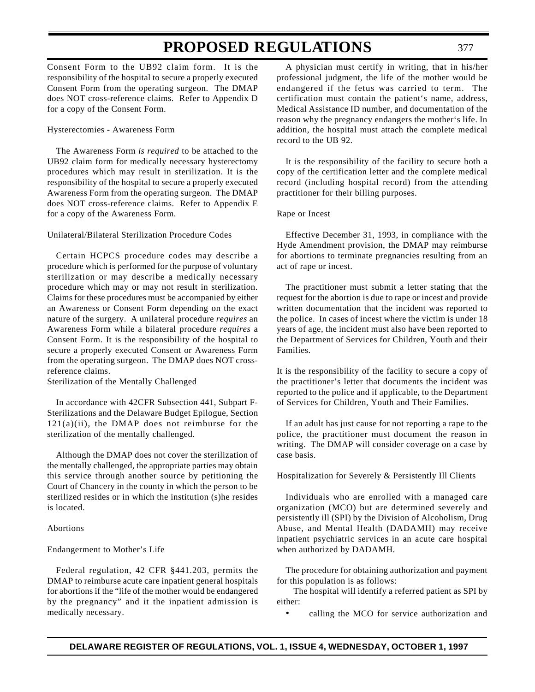Consent Form to the UB92 claim form. It is the responsibility of the hospital to secure a properly executed Consent Form from the operating surgeon. The DMAP does NOT cross-reference claims. Refer to Appendix D for a copy of the Consent Form.

### Hysterectomies - Awareness Form

The Awareness Form *is required* to be attached to the UB92 claim form for medically necessary hysterectomy procedures which may result in sterilization. It is the responsibility of the hospital to secure a properly executed Awareness Form from the operating surgeon. The DMAP does NOT cross-reference claims. Refer to Appendix E for a copy of the Awareness Form.

#### Unilateral/Bilateral Sterilization Procedure Codes

Certain HCPCS procedure codes may describe a procedure which is performed for the purpose of voluntary sterilization or may describe a medically necessary procedure which may or may not result in sterilization. Claims for these procedures must be accompanied by either an Awareness or Consent Form depending on the exact nature of the surgery. A unilateral procedure *requires* an Awareness Form while a bilateral procedure *requires* a Consent Form. It is the responsibility of the hospital to secure a properly executed Consent or Awareness Form from the operating surgeon. The DMAP does NOT crossreference claims.

Sterilization of the Mentally Challenged

In accordance with 42CFR Subsection 441, Subpart F-Sterilizations and the Delaware Budget Epilogue, Section  $121(a)(ii)$ , the DMAP does not reimburse for the sterilization of the mentally challenged.

Although the DMAP does not cover the sterilization of the mentally challenged, the appropriate parties may obtain this service through another source by petitioning the Court of Chancery in the county in which the person to be sterilized resides or in which the institution (s)he resides is located.

# Abortions

# Endangerment to Mother's Life

Federal regulation, 42 CFR §441.203, permits the DMAP to reimburse acute care inpatient general hospitals for abortions if the "life of the mother would be endangered by the pregnancy" and it the inpatient admission is medically necessary.

A physician must certify in writing, that in his/her professional judgment, the life of the mother would be endangered if the fetus was carried to term. The certification must contain the patient's name, address, Medical Assistance ID number, and documentation of the reason why the pregnancy endangers the mother's life. In addition, the hospital must attach the complete medical record to the UB 92.

It is the responsibility of the facility to secure both a copy of the certification letter and the complete medical record (including hospital record) from the attending practitioner for their billing purposes.

#### Rape or Incest

Effective December 31, 1993, in compliance with the Hyde Amendment provision, the DMAP may reimburse for abortions to terminate pregnancies resulting from an act of rape or incest.

The practitioner must submit a letter stating that the request for the abortion is due to rape or incest and provide written documentation that the incident was reported to the police. In cases of incest where the victim is under 18 years of age, the incident must also have been reported to the Department of Services for Children, Youth and their Families.

It is the responsibility of the facility to secure a copy of the practitioner's letter that documents the incident was reported to the police and if applicable, to the Department of Services for Children, Youth and Their Families.

If an adult has just cause for not reporting a rape to the police, the practitioner must document the reason in writing. The DMAP will consider coverage on a case by case basis.

# Hospitalization for Severely & Persistently Ill Clients

Individuals who are enrolled with a managed care organization (MCO) but are determined severely and persistently ill (SPI) by the Division of Alcoholism, Drug Abuse, and Mental Health (DADAMH) may receive inpatient psychiatric services in an acute care hospital when authorized by DADAMH.

The procedure for obtaining authorization and payment for this population is as follows:

The hospital will identify a referred patient as SPI by either:

• calling the MCO for service authorization and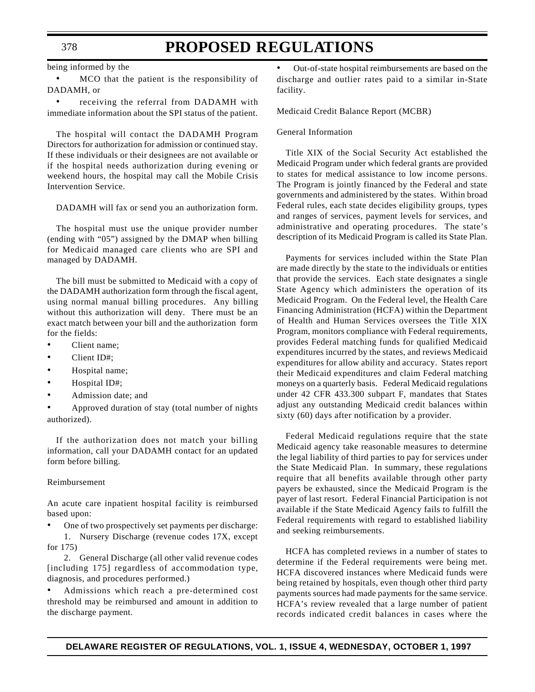being informed by the

• MCO that the patient is the responsibility of DADAMH, or

• receiving the referral from DADAMH with immediate information about the SPI status of the patient.

The hospital will contact the DADAMH Program Directors for authorization for admission or continued stay. If these individuals or their designees are not available or if the hospital needs authorization during evening or weekend hours, the hospital may call the Mobile Crisis Intervention Service.

DADAMH will fax or send you an authorization form.

The hospital must use the unique provider number (ending with "05") assigned by the DMAP when billing for Medicaid managed care clients who are SPI and managed by DADAMH.

The bill must be submitted to Medicaid with a copy of the DADAMH authorization form through the fiscal agent, using normal manual billing procedures. Any billing without this authorization will deny. There must be an exact match between your bill and the authorization form for the fields:

- Client name;
- Client ID#:
- Hospital name;
- Hospital ID#;
- Admission date; and

• Approved duration of stay (total number of nights authorized).

If the authorization does not match your billing information, call your DADAMH contact for an updated form before billing.

#### Reimbursement

An acute care inpatient hospital facility is reimbursed based upon:

- One of two prospectively set payments per discharge:
- 1. Nursery Discharge (revenue codes 17X, except for 175)

2. General Discharge (all other valid revenue codes [including 175] regardless of accommodation type, diagnosis, and procedures performed.)

• Admissions which reach a pre-determined cost threshold may be reimbursed and amount in addition to the discharge payment.

• Out-of-state hospital reimbursements are based on the discharge and outlier rates paid to a similar in-State facility.

Medicaid Credit Balance Report (MCBR)

#### General Information

Title XIX of the Social Security Act established the Medicaid Program under which federal grants are provided to states for medical assistance to low income persons. The Program is jointly financed by the Federal and state governments and administered by the states. Within broad Federal rules, each state decides eligibility groups, types and ranges of services, payment levels for services, and administrative and operating procedures. The state's description of its Medicaid Program is called its State Plan.

Payments for services included within the State Plan are made directly by the state to the individuals or entities that provide the services. Each state designates a single State Agency which administers the operation of its Medicaid Program. On the Federal level, the Health Care Financing Administration (HCFA) within the Department of Health and Human Services oversees the Title XIX Program, monitors compliance with Federal requirements, provides Federal matching funds for qualified Medicaid expenditures incurred by the states, and reviews Medicaid expenditures for allow ability and accuracy. States report their Medicaid expenditures and claim Federal matching moneys on a quarterly basis. Federal Medicaid regulations under 42 CFR 433.300 subpart F, mandates that States adjust any outstanding Medicaid credit balances within sixty (60) days after notification by a provider.

Federal Medicaid regulations require that the state Medicaid agency take reasonable measures to determine the legal liability of third parties to pay for services under the State Medicaid Plan. In summary, these regulations require that all benefits available through other party payers be exhausted, since the Medicaid Program is the payer of last resort. Federal Financial Participation is not available if the State Medicaid Agency fails to fulfill the Federal requirements with regard to established liability and seeking reimbursements.

HCFA has completed reviews in a number of states to determine if the Federal requirements were being met. HCFA discovered instances where Medicaid funds were being retained by hospitals, even though other third party payments sources had made payments for the same service. HCFA's review revealed that a large number of patient records indicated credit balances in cases where the

#### 378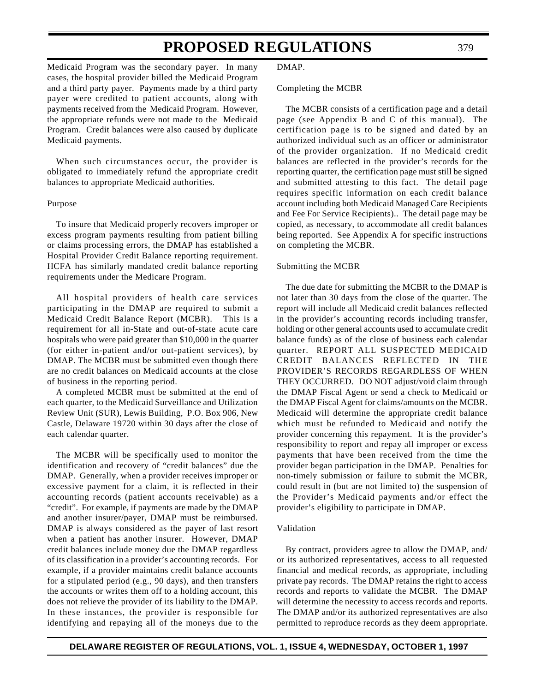Medicaid Program was the secondary payer. In many cases, the hospital provider billed the Medicaid Program and a third party payer. Payments made by a third party payer were credited to patient accounts, along with payments received from the Medicaid Program. However, the appropriate refunds were not made to the Medicaid Program. Credit balances were also caused by duplicate Medicaid payments.

When such circumstances occur, the provider is obligated to immediately refund the appropriate credit balances to appropriate Medicaid authorities.

#### Purpose

To insure that Medicaid properly recovers improper or excess program payments resulting from patient billing or claims processing errors, the DMAP has established a Hospital Provider Credit Balance reporting requirement. HCFA has similarly mandated credit balance reporting requirements under the Medicare Program.

All hospital providers of health care services participating in the DMAP are required to submit a Medicaid Credit Balance Report (MCBR). This is a requirement for all in-State and out-of-state acute care hospitals who were paid greater than \$10,000 in the quarter (for either in-patient and/or out-patient services), by DMAP. The MCBR must be submitted even though there are no credit balances on Medicaid accounts at the close of business in the reporting period.

A completed MCBR must be submitted at the end of each quarter, to the Medicaid Surveillance and Utilization Review Unit (SUR), Lewis Building, P.O. Box 906, New Castle, Delaware 19720 within 30 days after the close of each calendar quarter.

The MCBR will be specifically used to monitor the identification and recovery of "credit balances" due the DMAP. Generally, when a provider receives improper or excessive payment for a claim, it is reflected in their accounting records (patient accounts receivable) as a "credit". For example, if payments are made by the DMAP and another insurer/payer, DMAP must be reimbursed. DMAP is always considered as the payer of last resort when a patient has another insurer. However, DMAP credit balances include money due the DMAP regardless of its classification in a provider's accounting records. For example, if a provider maintains credit balance accounts for a stipulated period (e.g., 90 days), and then transfers the accounts or writes them off to a holding account, this does not relieve the provider of its liability to the DMAP. In these instances, the provider is responsible for identifying and repaying all of the moneys due to the DMAP.

Completing the MCBR

The MCBR consists of a certification page and a detail page (see Appendix B and C of this manual). The certification page is to be signed and dated by an authorized individual such as an officer or administrator of the provider organization. If no Medicaid credit balances are reflected in the provider's records for the reporting quarter, the certification page must still be signed and submitted attesting to this fact. The detail page requires specific information on each credit balance account including both Medicaid Managed Care Recipients and Fee For Service Recipients).. The detail page may be copied, as necessary, to accommodate all credit balances being reported. See Appendix A for specific instructions on completing the MCBR.

#### Submitting the MCBR

The due date for submitting the MCBR to the DMAP is not later than 30 days from the close of the quarter. The report will include all Medicaid credit balances reflected in the provider's accounting records including transfer, holding or other general accounts used to accumulate credit balance funds) as of the close of business each calendar quarter. REPORT ALL SUSPECTED MEDICAID CREDIT BALANCES REFLECTED IN THE PROVIDER'S RECORDS REGARDLESS OF WHEN THEY OCCURRED. DO NOT adjust/void claim through the DMAP Fiscal Agent or send a check to Medicaid or the DMAP Fiscal Agent for claims/amounts on the MCBR. Medicaid will determine the appropriate credit balance which must be refunded to Medicaid and notify the provider concerning this repayment. It is the provider's responsibility to report and repay all improper or excess payments that have been received from the time the provider began participation in the DMAP. Penalties for non-timely submission or failure to submit the MCBR, could result in (but are not limited to) the suspension of the Provider's Medicaid payments and/or effect the provider's eligibility to participate in DMAP.

### Validation

By contract, providers agree to allow the DMAP, and/ or its authorized representatives, access to all requested financial and medical records, as appropriate, including private pay records. The DMAP retains the right to access records and reports to validate the MCBR. The DMAP will determine the necessity to access records and reports. The DMAP and/or its authorized representatives are also permitted to reproduce records as they deem appropriate.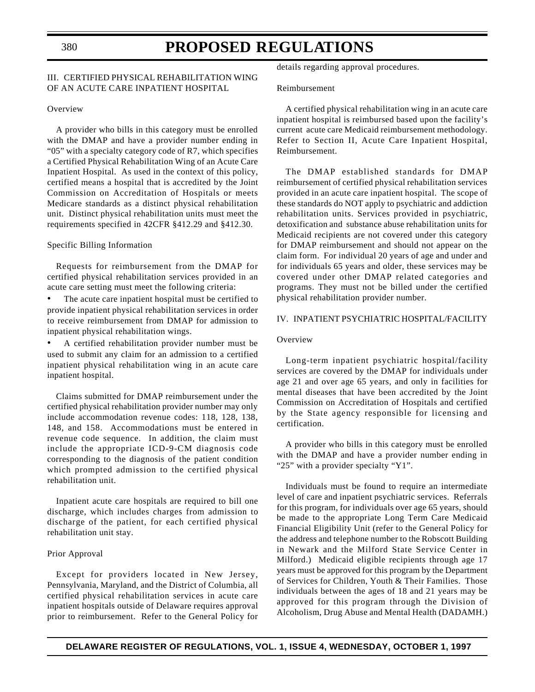# III. CERTIFIED PHYSICAL REHABILITATION WING OF AN ACUTE CARE INPATIENT HOSPITAL

#### **Overview**

A provider who bills in this category must be enrolled with the DMAP and have a provider number ending in "05" with a specialty category code of R7, which specifies a Certified Physical Rehabilitation Wing of an Acute Care Inpatient Hospital. As used in the context of this policy, certified means a hospital that is accredited by the Joint Commission on Accreditation of Hospitals or meets Medicare standards as a distinct physical rehabilitation unit. Distinct physical rehabilitation units must meet the requirements specified in 42CFR §412.29 and §412.30.

### Specific Billing Information

Requests for reimbursement from the DMAP for certified physical rehabilitation services provided in an acute care setting must meet the following criteria:

The acute care inpatient hospital must be certified to provide inpatient physical rehabilitation services in order to receive reimbursement from DMAP for admission to inpatient physical rehabilitation wings.

• A certified rehabilitation provider number must be used to submit any claim for an admission to a certified inpatient physical rehabilitation wing in an acute care inpatient hospital.

Claims submitted for DMAP reimbursement under the certified physical rehabilitation provider number may only include accommodation revenue codes: 118, 128, 138, 148, and 158. Accommodations must be entered in revenue code sequence. In addition, the claim must include the appropriate ICD-9-CM diagnosis code corresponding to the diagnosis of the patient condition which prompted admission to the certified physical rehabilitation unit.

Inpatient acute care hospitals are required to bill one discharge, which includes charges from admission to discharge of the patient, for each certified physical rehabilitation unit stay.

#### Prior Approval

Except for providers located in New Jersey, Pennsylvania, Maryland, and the District of Columbia, all certified physical rehabilitation services in acute care inpatient hospitals outside of Delaware requires approval prior to reimbursement. Refer to the General Policy for details regarding approval procedures.

#### Reimbursement

A certified physical rehabilitation wing in an acute care inpatient hospital is reimbursed based upon the facility's current acute care Medicaid reimbursement methodology. Refer to Section II, Acute Care Inpatient Hospital, Reimbursement.

The DMAP established standards for DMAP reimbursement of certified physical rehabilitation services provided in an acute care inpatient hospital. The scope of these standards do NOT apply to psychiatric and addiction rehabilitation units. Services provided in psychiatric, detoxification and substance abuse rehabilitation units for Medicaid recipients are not covered under this category for DMAP reimbursement and should not appear on the claim form. For individual 20 years of age and under and for individuals 65 years and older, these services may be covered under other DMAP related categories and programs. They must not be billed under the certified physical rehabilitation provider number.

### IV. INPATIENT PSYCHIATRIC HOSPITAL/FACILITY

#### **Overview**

Long-term inpatient psychiatric hospital/facility services are covered by the DMAP for individuals under age 21 and over age 65 years, and only in facilities for mental diseases that have been accredited by the Joint Commission on Accreditation of Hospitals and certified by the State agency responsible for licensing and certification.

A provider who bills in this category must be enrolled with the DMAP and have a provider number ending in "25" with a provider specialty "Y1".

Individuals must be found to require an intermediate level of care and inpatient psychiatric services. Referrals for this program, for individuals over age 65 years, should be made to the appropriate Long Term Care Medicaid Financial Eligibility Unit (refer to the General Policy for the address and telephone number to the Robscott Building in Newark and the Milford State Service Center in Milford.) Medicaid eligible recipients through age 17 years must be approved for this program by the Department of Services for Children, Youth & Their Families. Those individuals between the ages of 18 and 21 years may be approved for this program through the Division of Alcoholism, Drug Abuse and Mental Health (DADAMH.)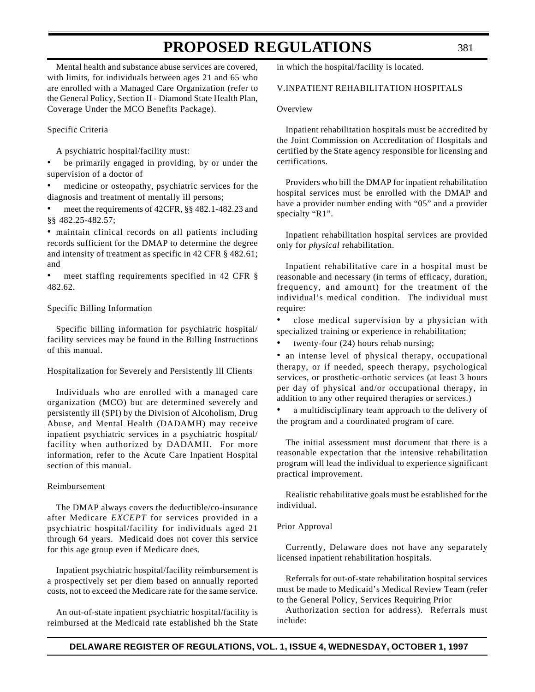Mental health and substance abuse services are covered, with limits, for individuals between ages 21 and 65 who are enrolled with a Managed Care Organization (refer to the General Policy, Section II - Diamond State Health Plan, Coverage Under the MCO Benefits Package).

### Specific Criteria

A psychiatric hospital/facility must:

be primarily engaged in providing, by or under the supervision of a doctor of

medicine or osteopathy, psychiatric services for the diagnosis and treatment of mentally ill persons;

• meet the requirements of 42CFR, §§ 482.1-482.23 and §§ 482.25-482.57;

• maintain clinical records on all patients including records sufficient for the DMAP to determine the degree and intensity of treatment as specific in 42 CFR § 482.61; and

meet staffing requirements specified in 42 CFR § 482.62.

#### Specific Billing Information

Specific billing information for psychiatric hospital/ facility services may be found in the Billing Instructions of this manual.

#### Hospitalization for Severely and Persistently Ill Clients

Individuals who are enrolled with a managed care organization (MCO) but are determined severely and persistently ill (SPI) by the Division of Alcoholism, Drug Abuse, and Mental Health (DADAMH) may receive inpatient psychiatric services in a psychiatric hospital/ facility when authorized by DADAMH. For more information, refer to the Acute Care Inpatient Hospital section of this manual.

#### Reimbursement

The DMAP always covers the deductible/co-insurance after Medicare *EXCEPT* for services provided in a psychiatric hospital/facility for individuals aged 21 through 64 years. Medicaid does not cover this service for this age group even if Medicare does.

Inpatient psychiatric hospital/facility reimbursement is a prospectively set per diem based on annually reported costs, not to exceed the Medicare rate for the same service.

An out-of-state inpatient psychiatric hospital/facility is reimbursed at the Medicaid rate established bh the State in which the hospital/facility is located.

# V.INPATIENT REHABILITATION HOSPITALS

#### **Overview**

Inpatient rehabilitation hospitals must be accredited by the Joint Commission on Accreditation of Hospitals and certified by the State agency responsible for licensing and certifications.

Providers who bill the DMAP for inpatient rehabilitation hospital services must be enrolled with the DMAP and have a provider number ending with "05" and a provider specialty "R1".

Inpatient rehabilitation hospital services are provided only for *physical* rehabilitation.

Inpatient rehabilitative care in a hospital must be reasonable and necessary (in terms of efficacy, duration, frequency, and amount) for the treatment of the individual's medical condition. The individual must require:

• close medical supervision by a physician with specialized training or experience in rehabilitation;

twenty-four  $(24)$  hours rehab nursing;

• an intense level of physical therapy, occupational therapy, or if needed, speech therapy, psychological services, or prosthetic-orthotic services (at least 3 hours per day of physical and/or occupational therapy, in addition to any other required therapies or services.)

a multidisciplinary team approach to the delivery of the program and a coordinated program of care.

The initial assessment must document that there is a reasonable expectation that the intensive rehabilitation program will lead the individual to experience significant practical improvement.

Realistic rehabilitative goals must be established for the individual.

#### Prior Approval

Currently, Delaware does not have any separately licensed inpatient rehabilitation hospitals.

Referrals for out-of-state rehabilitation hospital services must be made to Medicaid's Medical Review Team (refer to the General Policy, Services Requiring Prior

Authorization section for address). Referrals must include: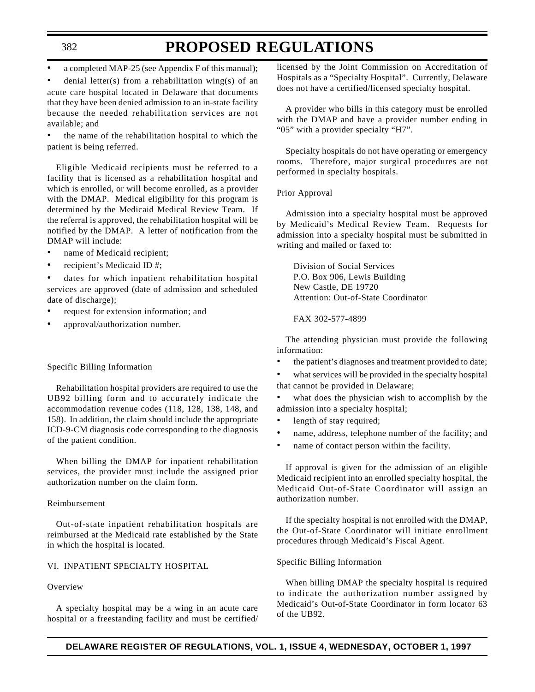# **PROPOSED REGULATIONS**

• a completed MAP-25 (see Appendix F of this manual);

denial letter(s) from a rehabilitation wing(s) of an acute care hospital located in Delaware that documents that they have been denied admission to an in-state facility because the needed rehabilitation services are not available; and

• the name of the rehabilitation hospital to which the patient is being referred.

Eligible Medicaid recipients must be referred to a facility that is licensed as a rehabilitation hospital and which is enrolled, or will become enrolled, as a provider with the DMAP. Medical eligibility for this program is determined by the Medicaid Medical Review Team. If the referral is approved, the rehabilitation hospital will be notified by the DMAP. A letter of notification from the DMAP will include:

- name of Medicaid recipient;
- recipient's Medicaid ID #;

dates for which inpatient rehabilitation hospital services are approved (date of admission and scheduled date of discharge);

- request for extension information; and
- approval/authorization number.

#### Specific Billing Information

Rehabilitation hospital providers are required to use the UB92 billing form and to accurately indicate the accommodation revenue codes (118, 128, 138, 148, and 158). In addition, the claim should include the appropriate ICD-9-CM diagnosis code corresponding to the diagnosis of the patient condition.

When billing the DMAP for inpatient rehabilitation services, the provider must include the assigned prior authorization number on the claim form.

#### Reimbursement

Out-of-state inpatient rehabilitation hospitals are reimbursed at the Medicaid rate established by the State in which the hospital is located.

### VI. INPATIENT SPECIALTY HOSPITAL

# Overview

A specialty hospital may be a wing in an acute care hospital or a freestanding facility and must be certified/ licensed by the Joint Commission on Accreditation of Hospitals as a "Specialty Hospital". Currently, Delaware does not have a certified/licensed specialty hospital.

A provider who bills in this category must be enrolled with the DMAP and have a provider number ending in "05" with a provider specialty "H7".

Specialty hospitals do not have operating or emergency rooms. Therefore, major surgical procedures are not performed in specialty hospitals.

#### Prior Approval

Admission into a specialty hospital must be approved by Medicaid's Medical Review Team. Requests for admission into a specialty hospital must be submitted in writing and mailed or faxed to:

Division of Social Services P.O. Box 906, Lewis Building New Castle, DE 19720 Attention: Out-of-State Coordinator

#### FAX 302-577-4899

The attending physician must provide the following information:

the patient's diagnoses and treatment provided to date;

what services will be provided in the specialty hospital that cannot be provided in Delaware;

what does the physician wish to accomplish by the admission into a specialty hospital;

- length of stay required;
- name, address, telephone number of the facility; and
- name of contact person within the facility.

If approval is given for the admission of an eligible Medicaid recipient into an enrolled specialty hospital, the Medicaid Out-of-State Coordinator will assign an authorization number.

If the specialty hospital is not enrolled with the DMAP, the Out-of-State Coordinator will initiate enrollment procedures through Medicaid's Fiscal Agent.

#### Specific Billing Information

When billing DMAP the specialty hospital is required to indicate the authorization number assigned by Medicaid's Out-of-State Coordinator in form locator 63 of the UB92.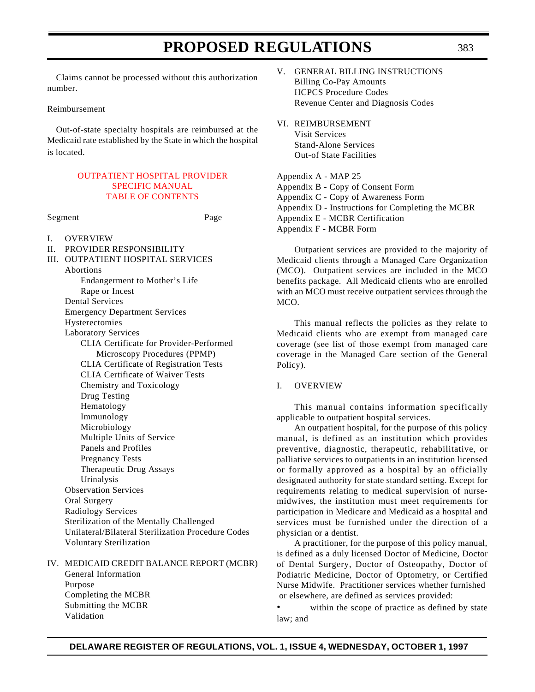Claims cannot be processed without this authorization number.

#### Reimbursement

Out-of-state specialty hospitals are reimbursed at the Medicaid rate established by the State in which the hospital is located.

# [OUTPATIENT HOSPITAL PROVIDER](#page-3-3) SPECIFIC MANUAL TABLE OF CONTENTS

Segment Page

- I. OVERVIEW
- II. PROVIDER RESPONSIBILITY

III. OUTPATIENT HOSPITAL SERVICES Abortions Endangerment to Mother's Life Rape or Incest Dental Services Emergency Department Services Hysterectomies Laboratory Services CLIA Certificate for Provider-Performed Microscopy Procedures (PPMP) CLIA Certificate of Registration Tests CLIA Certificate of Waiver Tests Chemistry and Toxicology Drug Testing Hematology Immunology Microbiology Multiple Units of Service Panels and Profiles Pregnancy Tests Therapeutic Drug Assays Urinalysis Observation Services Oral Surgery Radiology Services

Sterilization of the Mentally Challenged Unilateral/Bilateral Sterilization Procedure Codes Voluntary Sterilization

IV. MEDICAID CREDIT BALANCE REPORT (MCBR) General Information Purpose Completing the MCBR Submitting the MCBR Validation

- V. GENERAL BILLING INSTRUCTIONS Billing Co-Pay Amounts HCPCS Procedure Codes Revenue Center and Diagnosis Codes
- VI. REIMBURSEMENT Visit Services

Stand-Alone Services Out-of State Facilities

Appendix A - MAP 25 Appendix B - Copy of Consent Form Appendix C - Copy of Awareness Form Appendix D - Instructions for Completing the MCBR Appendix E - MCBR Certification Appendix F - MCBR Form

Outpatient services are provided to the majority of Medicaid clients through a Managed Care Organization (MCO). Outpatient services are included in the MCO benefits package. All Medicaid clients who are enrolled with an MCO must receive outpatient services through the MCO.

This manual reflects the policies as they relate to Medicaid clients who are exempt from managed care coverage (see list of those exempt from managed care coverage in the Managed Care section of the General Policy).

### I. OVERVIEW

This manual contains information specifically applicable to outpatient hospital services.

An outpatient hospital, for the purpose of this policy manual, is defined as an institution which provides preventive, diagnostic, therapeutic, rehabilitative, or palliative services to outpatients in an institution licensed or formally approved as a hospital by an officially designated authority for state standard setting. Except for requirements relating to medical supervision of nursemidwives, the institution must meet requirements for participation in Medicare and Medicaid as a hospital and services must be furnished under the direction of a physician or a dentist.

A practitioner, for the purpose of this policy manual, is defined as a duly licensed Doctor of Medicine, Doctor of Dental Surgery, Doctor of Osteopathy, Doctor of Podiatric Medicine, Doctor of Optometry, or Certified Nurse Midwife. Practitioner services whether furnished or elsewhere, are defined as services provided:

• within the scope of practice as defined by state law; and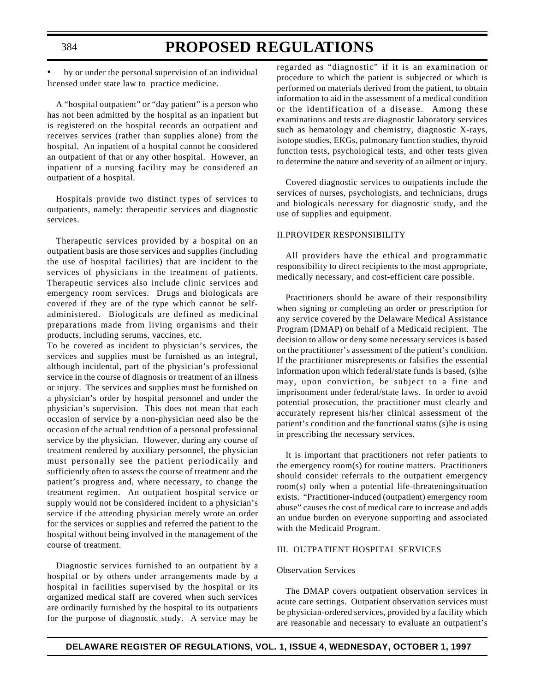# **PROPOSED REGULATIONS**

by or under the personal supervision of an individual licensed under state law to practice medicine.

A "hospital outpatient" or "day patient" is a person who has not been admitted by the hospital as an inpatient but is registered on the hospital records an outpatient and receives services (rather than supplies alone) from the hospital. An inpatient of a hospital cannot be considered an outpatient of that or any other hospital. However, an inpatient of a nursing facility may be considered an outpatient of a hospital.

Hospitals provide two distinct types of services to outpatients, namely: therapeutic services and diagnostic services.

Therapeutic services provided by a hospital on an outpatient basis are those services and supplies (including the use of hospital facilities) that are incident to the services of physicians in the treatment of patients. Therapeutic services also include clinic services and emergency room services. Drugs and biologicals are covered if they are of the type which cannot be selfadministered. Biologicals are defined as medicinal preparations made from living organisms and their products, including serums, vaccines, etc.

To be covered as incident to physician's services, the services and supplies must be furnished as an integral, although incidental, part of the physician's professional service in the course of diagnosis or treatment of an illness or injury. The services and supplies must be furnished on a physician's order by hospital personnel and under the physician's supervision. This does not mean that each occasion of service by a non-physician need also be the occasion of the actual rendition of a personal professional service by the physician. However, during any course of treatment rendered by auxiliary personnel, the physician must personally see the patient periodically and sufficiently often to assess the course of treatment and the patient's progress and, where necessary, to change the treatment regimen. An outpatient hospital service or supply would not be considered incident to a physician's service if the attending physician merely wrote an order for the services or supplies and referred the patient to the hospital without being involved in the management of the course of treatment.

Diagnostic services furnished to an outpatient by a hospital or by others under arrangements made by a hospital in facilities supervised by the hospital or its organized medical staff are covered when such services are ordinarily furnished by the hospital to its outpatients for the purpose of diagnostic study. A service may be regarded as "diagnostic" if it is an examination or procedure to which the patient is subjected or which is performed on materials derived from the patient, to obtain information to aid in the assessment of a medical condition or the identification of a disease. Among these examinations and tests are diagnostic laboratory services such as hematology and chemistry, diagnostic X-rays, isotope studies, EKGs, pulmonary function studies, thyroid function tests, psychological tests, and other tests given to determine the nature and severity of an ailment or injury.

Covered diagnostic services to outpatients include the services of nurses, psychologists, and technicians, drugs and biologicals necessary for diagnostic study, and the use of supplies and equipment.

### II.PROVIDER RESPONSIBILITY

All providers have the ethical and programmatic responsibility to direct recipients to the most appropriate, medically necessary, and cost-efficient care possible.

Practitioners should be aware of their responsibility when signing or completing an order or prescription for any service covered by the Delaware Medical Assistance Program (DMAP) on behalf of a Medicaid recipient. The decision to allow or deny some necessary services is based on the practitioner's assessment of the patient's condition. If the practitioner misrepresents or falsifies the essential information upon which federal/state funds is based, (s)he may, upon conviction, be subject to a fine and imprisonment under federal/state laws. In order to avoid potential prosecution, the practitioner must clearly and accurately represent his/her clinical assessment of the patient's condition and the functional status (s)he is using in prescribing the necessary services.

It is important that practitioners not refer patients to the emergency room(s) for routine matters. Practitioners should consider referrals to the outpatient emergency room(s) only when a potential life-threateningsituation exists. "Practitioner-induced (outpatient) emergency room abuse" causes the cost of medical care to increase and adds an undue burden on everyone supporting and associated with the Medicaid Program.

### III. OUTPATIENT HOSPITAL SERVICES

#### Observation Services

The DMAP covers outpatient observation services in acute care settings. Outpatient observation services must be physician-ordered services, provided by a facility which are reasonable and necessary to evaluate an outpatient's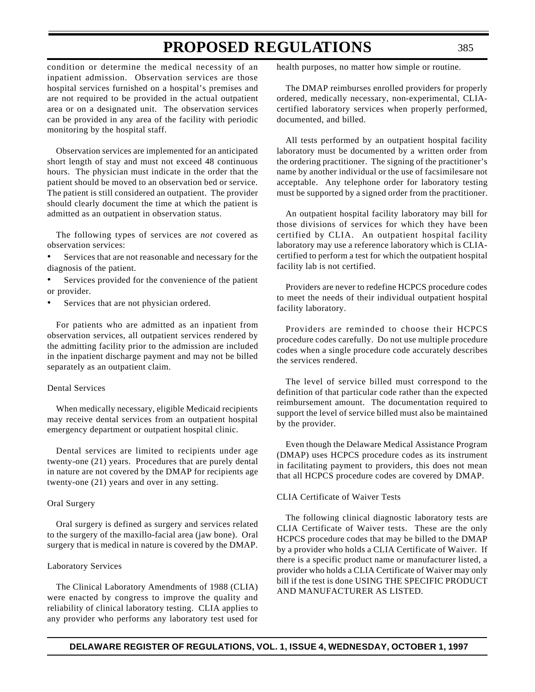condition or determine the medical necessity of an inpatient admission. Observation services are those hospital services furnished on a hospital's premises and are not required to be provided in the actual outpatient area or on a designated unit. The observation services can be provided in any area of the facility with periodic monitoring by the hospital staff.

Observation services are implemented for an anticipated short length of stay and must not exceed 48 continuous hours. The physician must indicate in the order that the patient should be moved to an observation bed or service. The patient is still considered an outpatient. The provider should clearly document the time at which the patient is admitted as an outpatient in observation status.

The following types of services are *not* covered as observation services:

- Services that are not reasonable and necessary for the diagnosis of the patient.
- Services provided for the convenience of the patient or provider.
- Services that are not physician ordered.

For patients who are admitted as an inpatient from observation services, all outpatient services rendered by the admitting facility prior to the admission are included in the inpatient discharge payment and may not be billed separately as an outpatient claim.

#### Dental Services

When medically necessary, eligible Medicaid recipients may receive dental services from an outpatient hospital emergency department or outpatient hospital clinic.

Dental services are limited to recipients under age twenty-one (21) years. Procedures that are purely dental in nature are not covered by the DMAP for recipients age twenty-one (21) years and over in any setting.

### Oral Surgery

Oral surgery is defined as surgery and services related to the surgery of the maxillo-facial area (jaw bone). Oral surgery that is medical in nature is covered by the DMAP.

#### Laboratory Services

The Clinical Laboratory Amendments of 1988 (CLIA) were enacted by congress to improve the quality and reliability of clinical laboratory testing. CLIA applies to any provider who performs any laboratory test used for health purposes, no matter how simple or routine.

The DMAP reimburses enrolled providers for properly ordered, medically necessary, non-experimental, CLIAcertified laboratory services when properly performed, documented, and billed.

All tests performed by an outpatient hospital facility laboratory must be documented by a written order from the ordering practitioner. The signing of the practitioner's name by another individual or the use of facsimilesare not acceptable. Any telephone order for laboratory testing must be supported by a signed order from the practitioner.

An outpatient hospital facility laboratory may bill for those divisions of services for which they have been certified by CLIA. An outpatient hospital facility laboratory may use a reference laboratory which is CLIAcertified to perform a test for which the outpatient hospital facility lab is not certified.

Providers are never to redefine HCPCS procedure codes to meet the needs of their individual outpatient hospital facility laboratory.

Providers are reminded to choose their HCPCS procedure codes carefully. Do not use multiple procedure codes when a single procedure code accurately describes the services rendered.

The level of service billed must correspond to the definition of that particular code rather than the expected reimbursement amount. The documentation required to support the level of service billed must also be maintained by the provider.

Even though the Delaware Medical Assistance Program (DMAP) uses HCPCS procedure codes as its instrument in facilitating payment to providers, this does not mean that all HCPCS procedure codes are covered by DMAP.

#### CLIA Certificate of Waiver Tests

The following clinical diagnostic laboratory tests are CLIA Certificate of Waiver tests. These are the only HCPCS procedure codes that may be billed to the DMAP by a provider who holds a CLIA Certificate of Waiver. If there is a specific product name or manufacturer listed, a provider who holds a CLIA Certificate of Waiver may only bill if the test is done USING THE SPECIFIC PRODUCT AND MANUFACTURER AS LISTED.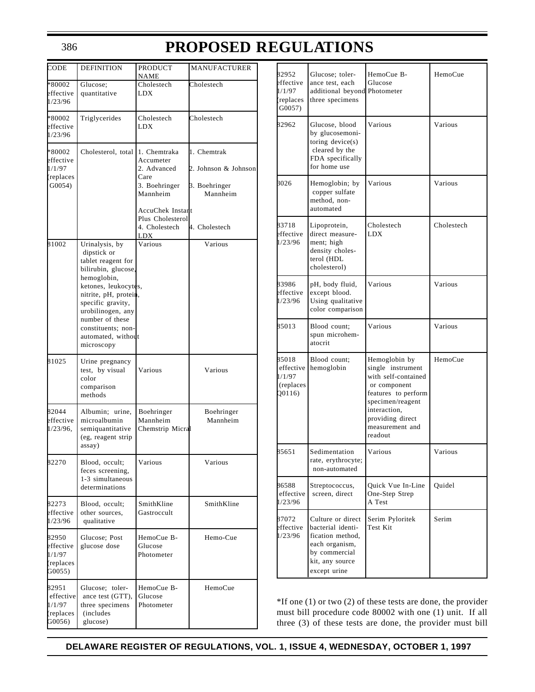# **PROPOSED REGULATIONS**

| CODE                                                 | <b>DEFINITION</b>                                                                                                                                                                                                                                                 | PRODUCT<br>NAME                                                                                                                               | <b>MANUFACTURER</b>                                                               |
|------------------------------------------------------|-------------------------------------------------------------------------------------------------------------------------------------------------------------------------------------------------------------------------------------------------------------------|-----------------------------------------------------------------------------------------------------------------------------------------------|-----------------------------------------------------------------------------------|
| *80002<br>effective<br>1/23/96                       | Glucose;<br>quantitative                                                                                                                                                                                                                                          | Cholestech<br>LDX                                                                                                                             | Cholestech                                                                        |
| *80002<br>effective<br>1/23/96                       | Triglycerides                                                                                                                                                                                                                                                     | Cholestech<br>LDX                                                                                                                             | Cholestech                                                                        |
| *80002<br>effective<br>1/1/97<br>(replaces<br>G0054) | Cholesterol, total                                                                                                                                                                                                                                                | 1. Chemtraka<br>Accumeter<br>2. Advanced<br>Care<br>3. Boehringer<br>Mannheim<br>AccuChek Instant<br>Plus Cholesterol<br>4. Cholestech<br>LDX | 1. Chemtrak<br>2. Johnson & Johnson<br>3. Boehringer<br>Mannheim<br>4. Cholestech |
| 81002                                                | Urinalysis, by<br>dipstick or<br>tablet reagent for<br>bilirubin, glucose,<br>hemoglobin,<br>ketones, leukocytes,<br>nitrite, pH, protein,<br>specific gravity,<br>urobilinogen, any<br>number of these<br>constituents; non-<br>automated, without<br>microscopy | Various                                                                                                                                       | Various                                                                           |
| 81025                                                | Urine pregnancy<br>test, by visual<br>color<br>comparison<br>methods                                                                                                                                                                                              | Various                                                                                                                                       | Various                                                                           |
| 82044<br>effective<br>$1/23/96$ .                    | Albumin: urine.<br>microalbumin<br>semiquantitative<br>(eg, reagent strip<br>assay)                                                                                                                                                                               | Boehringer<br>Mannheim<br>Chemstrip Micral                                                                                                    | Boehringer<br>Mannheim                                                            |
| 82270                                                | Blood, occult;<br>feces screening,<br>1-3 simultaneous<br>determinations                                                                                                                                                                                          | Various                                                                                                                                       | Various                                                                           |
| 82273<br>effective<br>1/23/96                        | Blood, occult;<br>other sources,<br>qualitative                                                                                                                                                                                                                   | SmithKline<br>Gastroccult                                                                                                                     | SmithKline                                                                        |
| 82950<br>effective<br>1/1/97<br>(replaces<br>G0055)  | Glucose; Post<br>glucose dose                                                                                                                                                                                                                                     | HemoCue B-<br>Glucose<br>Photometer                                                                                                           | Hemo-Cue                                                                          |
| 82951<br>effective<br>1/1/97<br>(replaces<br>G0056)  | Glucose; toler-<br>ance test (GTT),<br>three specimens<br>(includes)<br>glucose)                                                                                                                                                                                  | HemoCue B-<br>Glucose<br>Photometer                                                                                                           | HemoCue                                                                           |

| 82952<br>effective<br>1/1/97<br>(replaces<br>$G0057$ )                            | Glucose: toler-<br>ance test, each<br>additional beyond Photometer<br>three specimens                                            | HemoCue B-<br>Glucose                                                                                                                                                                  | HemoCue    |
|-----------------------------------------------------------------------------------|----------------------------------------------------------------------------------------------------------------------------------|----------------------------------------------------------------------------------------------------------------------------------------------------------------------------------------|------------|
| 82962                                                                             | Glucose, blood<br>by glucosemoni-<br>toring device(s)<br>cleared by the<br>FDA specifically<br>for home use                      | Various                                                                                                                                                                                | Various    |
| 3026                                                                              | Hemoglobin; by<br>copper sulfate<br>method, non-<br>automated                                                                    | Various                                                                                                                                                                                | Various    |
| 83718<br>effective<br>1/23/96                                                     | Lipoprotein,<br>direct measure-<br>ment; high<br>density choles-<br>terol (HDL<br>cholesterol)                                   | Cholestech<br>LDX                                                                                                                                                                      | Cholestech |
| 83986<br>effective<br>1/23/96                                                     | pH, body fluid,<br>except blood.<br>Using qualitative<br>color comparison                                                        | Various                                                                                                                                                                                | Various    |
| 85013                                                                             | Blood count;<br>spun microhem-<br>atocrit                                                                                        | Various                                                                                                                                                                                | Various    |
| 85018<br>Blood count;<br>effective<br>hemoglobin<br>1/1/97<br>(replaces<br>Q0116) |                                                                                                                                  | Hemoglobin by<br>single instrument<br>with self-contained<br>or component<br>features to perform<br>specimen/reagent<br>interaction,<br>providing direct<br>measurement and<br>readout | HemoCue    |
| 85651                                                                             | Sedimentation<br>rate, erythrocyte;<br>non-automated                                                                             | Various                                                                                                                                                                                | Various    |
| 86588<br>effective<br>1/23/96                                                     | Streptococcus,<br>screen, direct                                                                                                 | Quick Vue In-Line<br>One-Step Strep<br>A Test                                                                                                                                          | Quidel     |
| 87072<br>effective<br>1/23/96                                                     | Culture or direct<br>bacterial identi-<br>fication method,<br>each organism,<br>by commercial<br>kit, any source<br>except urine | Serim Pyloritek<br>Test Kit                                                                                                                                                            | Serim      |

\*If one (1) or two (2) of these tests are done, the provider must bill procedure code 80002 with one (1) unit. If all three (3) of these tests are done, the provider must bill

**DELAWARE REGISTER OF REGULATIONS, VOL. 1, ISSUE 4, WEDNESDAY, OCTOBER 1, 1997**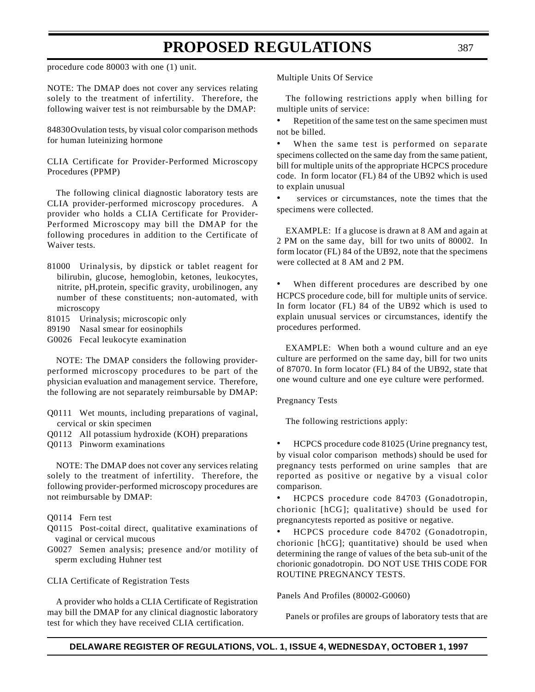procedure code 80003 with one (1) unit.

NOTE: The DMAP does not cover any services relating solely to the treatment of infertility. Therefore, the following waiver test is not reimbursable by the DMAP:

84830Ovulation tests, by visual color comparison methods for human luteinizing hormone

CLIA Certificate for Provider-Performed Microscopy Procedures (PPMP)

The following clinical diagnostic laboratory tests are CLIA provider-performed microscopy procedures. A provider who holds a CLIA Certificate for Provider-Performed Microscopy may bill the DMAP for the following procedures in addition to the Certificate of Waiver tests.

- 81000 Urinalysis, by dipstick or tablet reagent for bilirubin, glucose, hemoglobin, ketones, leukocytes, nitrite, pH,protein, specific gravity, urobilinogen, any number of these constituents; non-automated, with microscopy
- 81015 Urinalysis; microscopic only
- 89190 Nasal smear for eosinophils
- G0026 Fecal leukocyte examination

NOTE: The DMAP considers the following providerperformed microscopy procedures to be part of the physician evaluation and management service. Therefore, the following are not separately reimbursable by DMAP:

- Q0111 Wet mounts, including preparations of vaginal, cervical or skin specimen
- Q0112 All potassium hydroxide (KOH) preparations
- Q0113 Pinworm examinations

NOTE: The DMAP does not cover any services relating solely to the treatment of infertility. Therefore, the following provider-performed microscopy procedures are not reimbursable by DMAP:

Q0114 Fern test

- Q0115 Post-coital direct, qualitative examinations of vaginal or cervical mucous
- G0027 Semen analysis; presence and/or motility of sperm excluding Huhner test

#### CLIA Certificate of Registration Tests

A provider who holds a CLIA Certificate of Registration may bill the DMAP for any clinical diagnostic laboratory test for which they have received CLIA certification.

Multiple Units Of Service

The following restrictions apply when billing for multiple units of service:

Repetition of the same test on the same specimen must not be billed.

When the same test is performed on separate specimens collected on the same day from the same patient, bill for multiple units of the appropriate HCPCS procedure code. In form locator (FL) 84 of the UB92 which is used to explain unusual

services or circumstances, note the times that the specimens were collected.

EXAMPLE: If a glucose is drawn at 8 AM and again at 2 PM on the same day, bill for two units of 80002. In form locator (FL) 84 of the UB92, note that the specimens were collected at 8 AM and 2 PM.

When different procedures are described by one HCPCS procedure code, bill for multiple units of service. In form locator (FL) 84 of the UB92 which is used to explain unusual services or circumstances, identify the procedures performed.

EXAMPLE: When both a wound culture and an eye culture are performed on the same day, bill for two units of 87070. In form locator (FL) 84 of the UB92, state that one wound culture and one eye culture were performed.

Pregnancy Tests

The following restrictions apply:

• HCPCS procedure code 81025 (Urine pregnancy test, by visual color comparison methods) should be used for pregnancy tests performed on urine samples that are reported as positive or negative by a visual color comparison.

• HCPCS procedure code 84703 (Gonadotropin, chorionic [hCG]; qualitative) should be used for pregnancytests reported as positive or negative.

• HCPCS procedure code 84702 (Gonadotropin, chorionic [hCG]; quantitative) should be used when determining the range of values of the beta sub-unit of the chorionic gonadotropin. DO NOT USE THIS CODE FOR ROUTINE PREGNANCY TESTS.

Panels And Profiles (80002-G0060)

Panels or profiles are groups of laboratory tests that are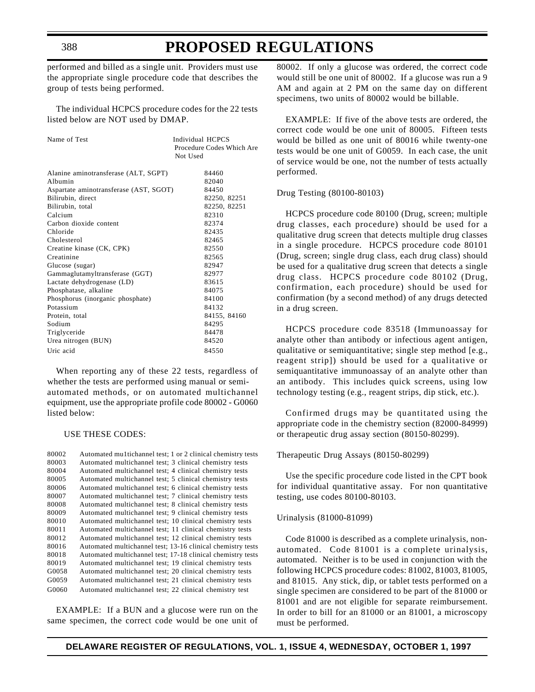# **PROPOSED REGULATIONS**

performed and billed as a single unit. Providers must use the appropriate single procedure code that describes the group of tests being performed.

The individual HCPCS procedure codes for the 22 tests listed below are NOT used by DMAP.

| Name of Test                           | Individual HCPCS<br>Procedure Codes Which Are<br>Not Used |
|----------------------------------------|-----------------------------------------------------------|
| Alanine aminotransferase (ALT, SGPT)   | 84460                                                     |
| Albumin                                | 82040                                                     |
| Aspartate aminotransferase (AST, SGOT) | 84450                                                     |
| Bilirubin, direct                      | 82250, 82251                                              |
| Bilirubin, total                       | 82250, 82251                                              |
| Calcium                                | 82310                                                     |
| Carbon dioxide content                 | 82374                                                     |
| Chloride                               | 82435                                                     |
| Cholesterol                            | 82465                                                     |
| Creatine kinase (CK, CPK)              | 82550                                                     |
| Creatinine                             | 82565                                                     |
| Glucose (sugar)                        | 82947                                                     |
| Gammaglutamyltransferase (GGT)         | 82977                                                     |
| Lactate dehydrogenase (LD)             | 83615                                                     |
| Phosphatase, alkaline                  | 84075                                                     |
| Phosphorus (inorganic phosphate)       | 84100                                                     |
| Potassium                              | 84132                                                     |
| Protein, total                         | 84155, 84160                                              |
| Sodium                                 | 84295                                                     |
| Triglyceride                           | 84478                                                     |
| Urea nitrogen (BUN)                    | 84520                                                     |
| Uric acid                              | 84550                                                     |

When reporting any of these 22 tests, regardless of whether the tests are performed using manual or semiautomated methods, or on automated multichannel equipment, use the appropriate profile code 80002 - G0060 listed below:

#### USE THESE CODES:

| 80002 | Automated multichannel test; 1 or 2 clinical chemistry tests |
|-------|--------------------------------------------------------------|
| 80003 | Automated multichannel test; 3 clinical chemistry tests      |
| 80004 | Automated multichannel test; 4 clinical chemistry tests      |
| 80005 | Automated multichannel test; 5 clinical chemistry tests      |
| 80006 | Automated multichannel test; 6 clinical chemistry tests      |
| 80007 | Automated multichannel test; 7 clinical chemistry tests      |
| 80008 | Automated multichannel test; 8 clinical chemistry tests      |
| 80009 | Automated multichannel test; 9 clinical chemistry tests      |
| 80010 | Automated multichannel test; 10 clinical chemistry tests     |
| 80011 | Automated multichannel test; 11 clinical chemistry tests     |
| 80012 | Automated multichannel test; 12 clinical chemistry tests     |
| 80016 | Automated multichannel test; 13-16 clinical chemistry tests  |
| 80018 | Automated multichannel test; 17-18 clinical chemistry tests  |
| 80019 | Automated multichannel test; 19 clinical chemistry tests     |
| G0058 | Automated multichannel test; 20 clinical chemistry tests     |
| G0059 | Automated multichannel test; 21 clinical chemistry tests     |
| G0060 | Automated multichannel test; 22 clinical chemistry test      |
|       |                                                              |

EXAMPLE: If a BUN and a glucose were run on the same specimen, the correct code would be one unit of 80002. If only a glucose was ordered, the correct code would still be one unit of 80002. If a glucose was run a 9 AM and again at 2 PM on the same day on different specimens, two units of 80002 would be billable.

EXAMPLE: If five of the above tests are ordered, the correct code would be one unit of 80005. Fifteen tests would be billed as one unit of 80016 while twenty-one tests would be one unit of G0059. In each case, the unit of service would be one, not the number of tests actually performed.

#### Drug Testing (80100-80103)

HCPCS procedure code 80100 (Drug, screen; multiple drug classes, each procedure) should be used for a qualitative drug screen that detects multiple drug classes in a single procedure. HCPCS procedure code 80101 (Drug, screen; single drug class, each drug class) should be used for a qualitative drug screen that detects a single drug class. HCPCS procedure code 80102 (Drug, confirmation, each procedure) should be used for confirmation (by a second method) of any drugs detected in a drug screen.

HCPCS procedure code 83518 (Immunoassay for analyte other than antibody or infectious agent antigen, qualitative or semiquantitative; single step method [e.g., reagent strip]) should be used for a qualitative or semiquantitative immunoassay of an analyte other than an antibody. This includes quick screens, using low technology testing (e.g., reagent strips, dip stick, etc.).

Confirmed drugs may be quantitated using the appropriate code in the chemistry section (82000-84999) or therapeutic drug assay section (80150-80299).

#### Therapeutic Drug Assays (80150-80299)

Use the specific procedure code listed in the CPT book for individual quantitative assay. For non quantitative testing, use codes 80100-80103.

#### Urinalysis (81000-81099)

Code 81000 is described as a complete urinalysis, nonautomated. Code 81001 is a complete urinalysis, automated. Neither is to be used in conjunction with the following HCPCS procedure codes: 81002, 81003, 81005, and 81015. Any stick, dip, or tablet tests performed on a single specimen are considered to be part of the 81000 or 81001 and are not eligible for separate reimbursement. In order to bill for an 81000 or an 81001, a microscopy must be performed.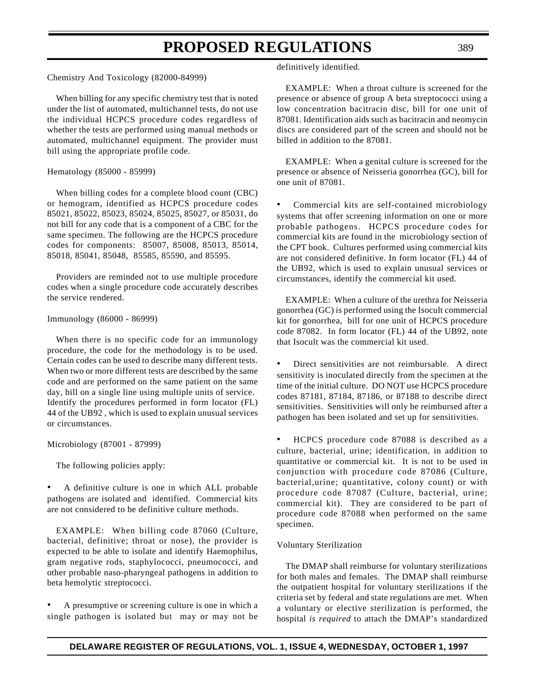Chemistry And Toxicology (82000-84999)

When billing for any specific chemistry test that is noted under the list of automated, multichannel tests, do not use the individual HCPCS procedure codes regardless of whether the tests are performed using manual methods or automated, multichannel equipment. The provider must bill using the appropriate profile code.

### Hematology (85000 - 85999)

When billing codes for a complete blood count (CBC) or hemogram, identified as HCPCS procedure codes 85021, 85022, 85023, 85024, 85025, 85027, or 85031, do not bill for any code that is a component of a CBC for the same specimen. The following are the HCPCS procedure codes for components: 85007, 85008, 85013, 85014, 85018, 85041, 85048, 85585, 85590, and 85595.

Providers are reminded not to use multiple procedure codes when a single procedure code accurately describes the service rendered.

#### Immunology (86000 - 86999)

When there is no specific code for an immunology procedure, the code for the methodology is to be used. Certain codes can be used to describe many different tests. When two or more different tests are described by the same code and are performed on the same patient on the same day, bill on a single line using multiple units of service. Identify the procedures performed in form locator (FL) 44 of the UB92 , which is used to explain unusual services or circumstances.

Microbiology (87001 - 87999)

The following policies apply:

• A definitive culture is one in which ALL probable pathogens are isolated and identified. Commercial kits are not considered to be definitive culture methods.

EXAMPLE: When billing code 87060 (Culture, bacterial, definitive; throat or nose), the provider is expected to be able to isolate and identify Haemophilus, gram negative rods, staphylococci, pneumococci, and other probable naso-pharyngeal pathogens in addition to beta hemolytic streptococci.

• A presumptive or screening culture is one in which a single pathogen is isolated but may or may not be definitively identified.

EXAMPLE: When a throat culture is screened for the presence or absence of group A beta streptococci using a low concentration bacitracin disc, bill for one unit of 87081. Identification aids such as bacitracin and neomycin discs are considered part of the screen and should not be billed in addition to the 87081.

EXAMPLE: When a genital culture is screened for the presence or absence of Neisseria gonorrhea (GC), bill for one unit of 87081.

Commercial kits are self-contained microbiology systems that offer screening information on one or more probable pathogens. HCPCS procedure codes for commercial kits are found in the microbiology section of the CPT book. Cultures performed using commercial kits are not considered definitive. In form locator (FL) 44 of the UB92, which is used to explain unusual services or circumstances, identify the commercial kit used.

EXAMPLE: When a culture of the urethra for Neisseria gonorrhea (GC) is performed using the Isocult commercial kit for gonorrhea, bill for one unit of HCPCS procedure code 87082. In form locator (FL) 44 of the UB92, note that Isocult was the commercial kit used.

• Direct sensitivities are not reimbursable. A direct sensitivity is inoculated directly from the specimen at the time of the initial culture. DO NOT use HCPCS procedure codes 87181, 87184, 87186, or 87188 to describe direct sensitivities. Sensitivities will only be reimbursed after a pathogen has been isolated and set up for sensitivities.

• HCPCS procedure code 87088 is described as a culture, bacterial, urine; identification, in addition to quantitative or commercial kit. It is not to be used in conjunction with procedure code 87086 (Culture, bacterial,urine; quantitative, colony count) or with procedure code 87087 (Culture, bacterial, urine; commercial kit). They are considered to be part of procedure code 87088 when performed on the same specimen.

#### Voluntary Sterilization

The DMAP shall reimburse for voluntary sterilizations for both males and females. The DMAP shall reimburse the outpatient hospital for voluntary sterilizations if the criteria set by federal and state regulations are met. When a voluntary or elective sterilization is performed, the hospital *is required* to attach the DMAP's standardized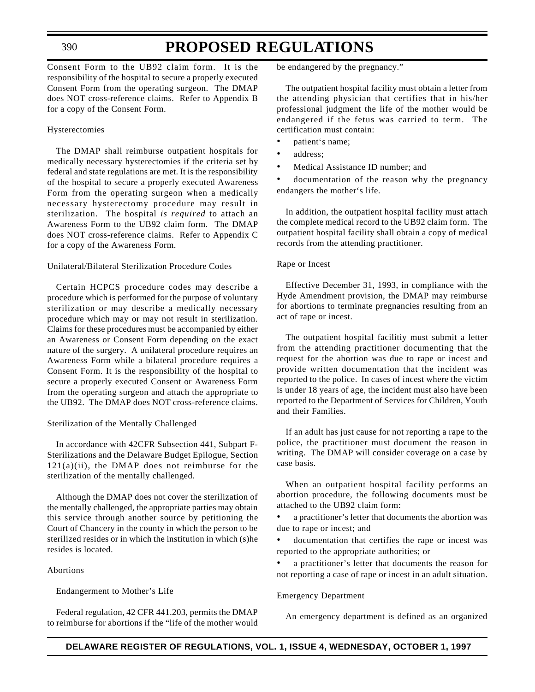# **PROPOSED REGULATIONS**

Consent Form to the UB92 claim form. It is the responsibility of the hospital to secure a properly executed Consent Form from the operating surgeon. The DMAP does NOT cross-reference claims. Refer to Appendix B for a copy of the Consent Form.

### Hysterectomies

The DMAP shall reimburse outpatient hospitals for medically necessary hysterectomies if the criteria set by federal and state regulations are met. It is the responsibility of the hospital to secure a properly executed Awareness Form from the operating surgeon when a medically necessary hysterectomy procedure may result in sterilization. The hospital *is required* to attach an Awareness Form to the UB92 claim form. The DMAP does NOT cross-reference claims. Refer to Appendix C for a copy of the Awareness Form.

### Unilateral/Bilateral Sterilization Procedure Codes

Certain HCPCS procedure codes may describe a procedure which is performed for the purpose of voluntary sterilization or may describe a medically necessary procedure which may or may not result in sterilization. Claims for these procedures must be accompanied by either an Awareness or Consent Form depending on the exact nature of the surgery. A unilateral procedure requires an Awareness Form while a bilateral procedure requires a Consent Form. It is the responsibility of the hospital to secure a properly executed Consent or Awareness Form from the operating surgeon and attach the appropriate to the UB92. The DMAP does NOT cross-reference claims.

#### Sterilization of the Mentally Challenged

In accordance with 42CFR Subsection 441, Subpart F-Sterilizations and the Delaware Budget Epilogue, Section  $121(a)(ii)$ , the DMAP does not reimburse for the sterilization of the mentally challenged.

Although the DMAP does not cover the sterilization of the mentally challenged, the appropriate parties may obtain this service through another source by petitioning the Court of Chancery in the county in which the person to be sterilized resides or in which the institution in which (s)he resides is located.

#### Abortions

Endangerment to Mother's Life

Federal regulation, 42 CFR 441.203, permits the DMAP to reimburse for abortions if the "life of the mother would be endangered by the pregnancy."

The outpatient hospital facility must obtain a letter from the attending physician that certifies that in his/her professional judgment the life of the mother would be endangered if the fetus was carried to term. The certification must contain:

- patient's name;
- address;
- Medical Assistance ID number; and

documentation of the reason why the pregnancy endangers the mother's life.

In addition, the outpatient hospital facility must attach the complete medical record to the UB92 claim form. The outpatient hospital facility shall obtain a copy of medical records from the attending practitioner.

#### Rape or Incest

Effective December 31, 1993, in compliance with the Hyde Amendment provision, the DMAP may reimburse for abortions to terminate pregnancies resulting from an act of rape or incest.

The outpatient hospital facilitiy must submit a letter from the attending practitioner documenting that the request for the abortion was due to rape or incest and provide written documentation that the incident was reported to the police. In cases of incest where the victim is under 18 years of age, the incident must also have been reported to the Department of Services for Children, Youth and their Families.

If an adult has just cause for not reporting a rape to the police, the practitioner must document the reason in writing. The DMAP will consider coverage on a case by case basis.

When an outpatient hospital facility performs an abortion procedure, the following documents must be attached to the UB92 claim form:

a practitioner's letter that documents the abortion was due to rape or incest; and

documentation that certifies the rape or incest was reported to the appropriate authorities; or

a practitioner's letter that documents the reason for not reporting a case of rape or incest in an adult situation.

#### Emergency Department

An emergency department is defined as an organized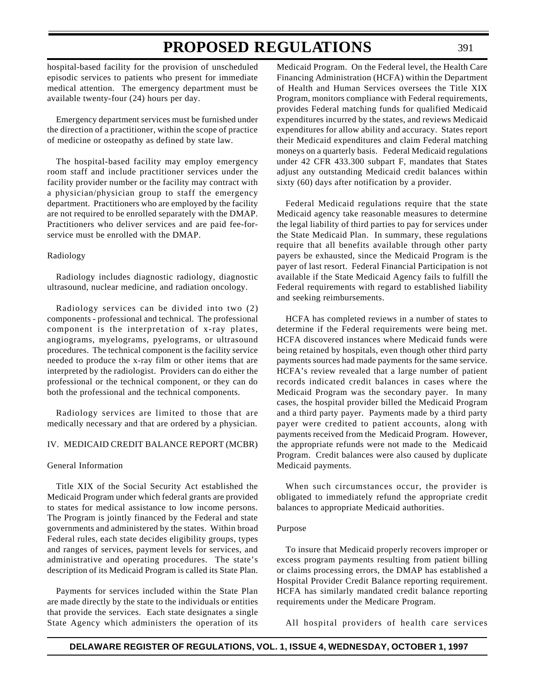hospital-based facility for the provision of unscheduled episodic services to patients who present for immediate medical attention. The emergency department must be available twenty-four (24) hours per day.

Emergency department services must be furnished under the direction of a practitioner, within the scope of practice of medicine or osteopathy as defined by state law.

The hospital-based facility may employ emergency room staff and include practitioner services under the facility provider number or the facility may contract with a physician/physician group to staff the emergency department. Practitioners who are employed by the facility are not required to be enrolled separately with the DMAP. Practitioners who deliver services and are paid fee-forservice must be enrolled with the DMAP.

#### Radiology

Radiology includes diagnostic radiology, diagnostic ultrasound, nuclear medicine, and radiation oncology.

Radiology services can be divided into two (2) components - professional and technical. The professional component is the interpretation of x-ray plates, angiograms, myelograms, pyelograms, or ultrasound procedures. The technical component is the facility service needed to produce the x-ray film or other items that are interpreted by the radiologist. Providers can do either the professional or the technical component, or they can do both the professional and the technical components.

Radiology services are limited to those that are medically necessary and that are ordered by a physician.

#### IV. MEDICAID CREDIT BALANCE REPORT (MCBR)

#### General Information

Title XIX of the Social Security Act established the Medicaid Program under which federal grants are provided to states for medical assistance to low income persons. The Program is jointly financed by the Federal and state governments and administered by the states. Within broad Federal rules, each state decides eligibility groups, types and ranges of services, payment levels for services, and administrative and operating procedures. The state's description of its Medicaid Program is called its State Plan.

Payments for services included within the State Plan are made directly by the state to the individuals or entities that provide the services. Each state designates a single State Agency which administers the operation of its

Medicaid Program. On the Federal level, the Health Care Financing Administration (HCFA) within the Department of Health and Human Services oversees the Title XIX Program, monitors compliance with Federal requirements, provides Federal matching funds for qualified Medicaid expenditures incurred by the states, and reviews Medicaid expenditures for allow ability and accuracy. States report their Medicaid expenditures and claim Federal matching moneys on a quarterly basis. Federal Medicaid regulations under 42 CFR 433.300 subpart F, mandates that States adjust any outstanding Medicaid credit balances within sixty (60) days after notification by a provider.

Federal Medicaid regulations require that the state Medicaid agency take reasonable measures to determine the legal liability of third parties to pay for services under the State Medicaid Plan. In summary, these regulations require that all benefits available through other party payers be exhausted, since the Medicaid Program is the payer of last resort. Federal Financial Participation is not available if the State Medicaid Agency fails to fulfill the Federal requirements with regard to established liability and seeking reimbursements.

HCFA has completed reviews in a number of states to determine if the Federal requirements were being met. HCFA discovered instances where Medicaid funds were being retained by hospitals, even though other third party payments sources had made payments for the same service. HCFA's review revealed that a large number of patient records indicated credit balances in cases where the Medicaid Program was the secondary payer. In many cases, the hospital provider billed the Medicaid Program and a third party payer. Payments made by a third party payer were credited to patient accounts, along with payments received from the Medicaid Program. However, the appropriate refunds were not made to the Medicaid Program. Credit balances were also caused by duplicate Medicaid payments.

When such circumstances occur, the provider is obligated to immediately refund the appropriate credit balances to appropriate Medicaid authorities.

#### Purpose

To insure that Medicaid properly recovers improper or excess program payments resulting from patient billing or claims processing errors, the DMAP has established a Hospital Provider Credit Balance reporting requirement. HCFA has similarly mandated credit balance reporting requirements under the Medicare Program.

All hospital providers of health care services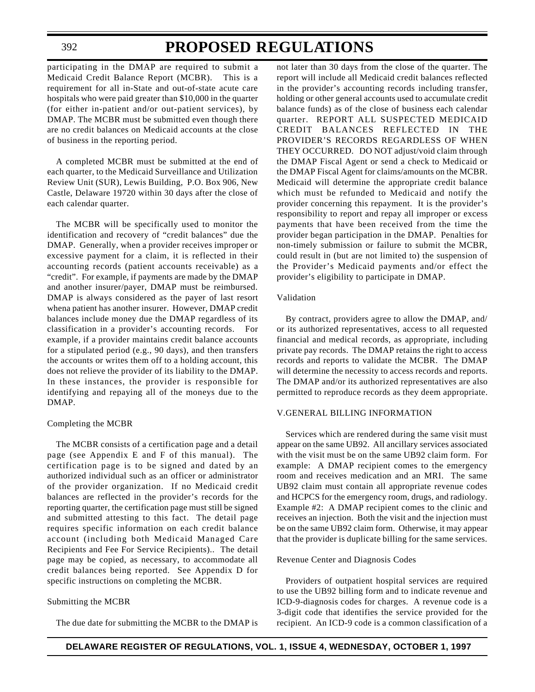# **PROPOSED REGULATIONS**

participating in the DMAP are required to submit a Medicaid Credit Balance Report (MCBR). This is a requirement for all in-State and out-of-state acute care hospitals who were paid greater than \$10,000 in the quarter (for either in-patient and/or out-patient services), by DMAP. The MCBR must be submitted even though there are no credit balances on Medicaid accounts at the close of business in the reporting period.

A completed MCBR must be submitted at the end of each quarter, to the Medicaid Surveillance and Utilization Review Unit (SUR), Lewis Building, P.O. Box 906, New Castle, Delaware 19720 within 30 days after the close of each calendar quarter.

The MCBR will be specifically used to monitor the identification and recovery of "credit balances" due the DMAP. Generally, when a provider receives improper or excessive payment for a claim, it is reflected in their accounting records (patient accounts receivable) as a "credit". For example, if payments are made by the DMAP and another insurer/payer, DMAP must be reimbursed. DMAP is always considered as the payer of last resort whena patient has another insurer. However, DMAP credit balances include money due the DMAP regardless of its classification in a provider's accounting records. For example, if a provider maintains credit balance accounts for a stipulated period (e.g., 90 days), and then transfers the accounts or writes them off to a holding account, this does not relieve the provider of its liability to the DMAP. In these instances, the provider is responsible for identifying and repaying all of the moneys due to the DMAP.

#### Completing the MCBR

The MCBR consists of a certification page and a detail page (see Appendix E and F of this manual). The certification page is to be signed and dated by an authorized individual such as an officer or administrator of the provider organization. If no Medicaid credit balances are reflected in the provider's records for the reporting quarter, the certification page must still be signed and submitted attesting to this fact. The detail page requires specific information on each credit balance account (including both Medicaid Managed Care Recipients and Fee For Service Recipients).. The detail page may be copied, as necessary, to accommodate all credit balances being reported. See Appendix D for specific instructions on completing the MCBR.

# Submitting the MCBR

The due date for submitting the MCBR to the DMAP is

not later than 30 days from the close of the quarter. The report will include all Medicaid credit balances reflected in the provider's accounting records including transfer, holding or other general accounts used to accumulate credit balance funds) as of the close of business each calendar quarter. REPORT ALL SUSPECTED MEDICAID CREDIT BALANCES REFLECTED IN THE PROVIDER'S RECORDS REGARDLESS OF WHEN THEY OCCURRED. DO NOT adjust/void claim through the DMAP Fiscal Agent or send a check to Medicaid or the DMAP Fiscal Agent for claims/amounts on the MCBR. Medicaid will determine the appropriate credit balance which must be refunded to Medicaid and notify the provider concerning this repayment. It is the provider's responsibility to report and repay all improper or excess payments that have been received from the time the provider began participation in the DMAP. Penalties for non-timely submission or failure to submit the MCBR, could result in (but are not limited to) the suspension of the Provider's Medicaid payments and/or effect the provider's eligibility to participate in DMAP.

# Validation

By contract, providers agree to allow the DMAP, and/ or its authorized representatives, access to all requested financial and medical records, as appropriate, including private pay records. The DMAP retains the right to access records and reports to validate the MCBR. The DMAP will determine the necessity to access records and reports. The DMAP and/or its authorized representatives are also permitted to reproduce records as they deem appropriate.

### V.GENERAL BILLING INFORMATION

Services which are rendered during the same visit must appear on the same UB92. All ancillary services associated with the visit must be on the same UB92 claim form. For example: A DMAP recipient comes to the emergency room and receives medication and an MRI. The same UB92 claim must contain all appropriate revenue codes and HCPCS for the emergency room, drugs, and radiology. Example #2: A DMAP recipient comes to the clinic and receives an injection. Both the visit and the injection must be on the same UB92 claim form. Otherwise, it may appear that the provider is duplicate billing for the same services.

#### Revenue Center and Diagnosis Codes

Providers of outpatient hospital services are required to use the UB92 billing form and to indicate revenue and ICD-9-diagnosis codes for charges. A revenue code is a 3-digit code that identifies the service provided for the recipient. An ICD-9 code is a common classification of a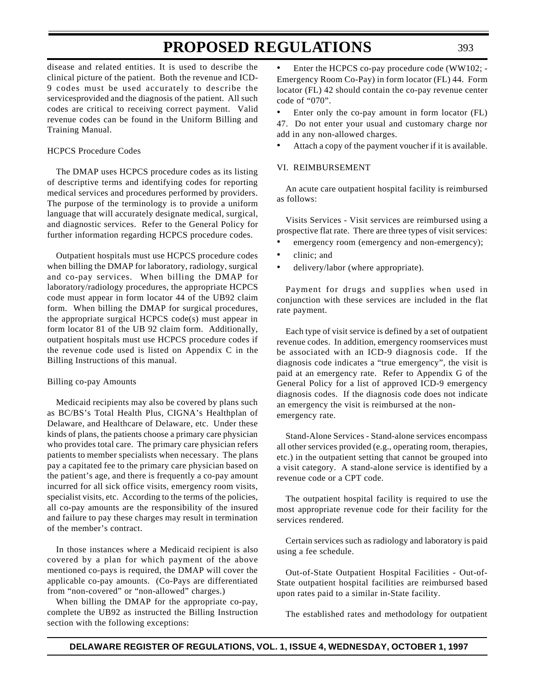disease and related entities. It is used to describe the clinical picture of the patient. Both the revenue and ICD-9 codes must be used accurately to describe the servicesprovided and the diagnosis of the patient. All such codes are critical to receiving correct payment. Valid revenue codes can be found in the Uniform Billing and Training Manual.

### HCPCS Procedure Codes

The DMAP uses HCPCS procedure codes as its listing of descriptive terms and identifying codes for reporting medical services and procedures performed by providers. The purpose of the terminology is to provide a uniform language that will accurately designate medical, surgical, and diagnostic services. Refer to the General Policy for further information regarding HCPCS procedure codes.

Outpatient hospitals must use HCPCS procedure codes when billing the DMAP for laboratory, radiology, surgical and co-pay services. When billing the DMAP for laboratory/radiology procedures, the appropriate HCPCS code must appear in form locator 44 of the UB92 claim form. When billing the DMAP for surgical procedures, the appropriate surgical HCPCS code(s) must appear in form locator 81 of the UB 92 claim form. Additionally, outpatient hospitals must use HCPCS procedure codes if the revenue code used is listed on Appendix C in the Billing Instructions of this manual.

#### Billing co-pay Amounts

Medicaid recipients may also be covered by plans such as BC/BS's Total Health Plus, CIGNA's Healthplan of Delaware, and Healthcare of Delaware, etc. Under these kinds of plans, the patients choose a primary care physician who provides total care. The primary care physician refers patients to member specialists when necessary. The plans pay a capitated fee to the primary care physician based on the patient's age, and there is frequently a co-pay amount incurred for all sick office visits, emergency room visits, specialist visits, etc. According to the terms of the policies, all co-pay amounts are the responsibility of the insured and failure to pay these charges may result in termination of the member's contract.

In those instances where a Medicaid recipient is also covered by a plan for which payment of the above mentioned co-pays is required, the DMAP will cover the applicable co-pay amounts. (Co-Pays are differentiated from "non-covered" or "non-allowed" charges.)

When billing the DMAP for the appropriate co-pay, complete the UB92 as instructed the Billing Instruction section with the following exceptions:

Enter the HCPCS co-pay procedure code (WW102; -Emergency Room Co-Pay) in form locator (FL) 44. Form locator (FL) 42 should contain the co-pay revenue center code of "070".

Enter only the co-pay amount in form locator (FL) 47. Do not enter your usual and customary charge nor add in any non-allowed charges.

• Attach a copy of the payment voucher if it is available.

### VI. REIMBURSEMENT

An acute care outpatient hospital facility is reimbursed as follows:

Visits Services - Visit services are reimbursed using a prospective flat rate. There are three types of visit services:

- emergency room (emergency and non-emergency);
- clinic; and
- delivery/labor (where appropriate).

Payment for drugs and supplies when used in conjunction with these services are included in the flat rate payment.

Each type of visit service is defined by a set of outpatient revenue codes. In addition, emergency roomservices must be associated with an ICD-9 diagnosis code. If the diagnosis code indicates a "true emergency", the visit is paid at an emergency rate. Refer to Appendix G of the General Policy for a list of approved ICD-9 emergency diagnosis codes. If the diagnosis code does not indicate an emergency the visit is reimbursed at the nonemergency rate.

Stand-Alone Services - Stand-alone services encompass all other services provided (e.g., operating room, therapies, etc.) in the outpatient setting that cannot be grouped into a visit category. A stand-alone service is identified by a revenue code or a CPT code.

The outpatient hospital facility is required to use the most appropriate revenue code for their facility for the services rendered.

Certain services such as radiology and laboratory is paid using a fee schedule.

Out-of-State Outpatient Hospital Facilities - Out-of-State outpatient hospital facilities are reimbursed based upon rates paid to a similar in-State facility.

The established rates and methodology for outpatient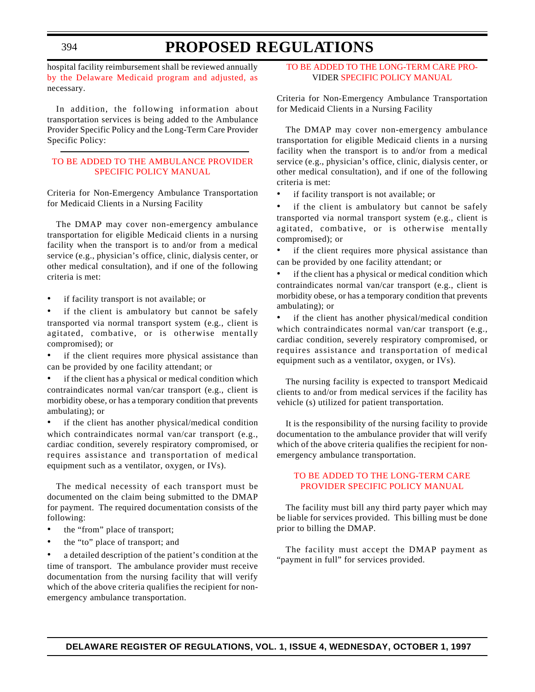hospital facility reimbursement shall be reviewed annually by the Delaware Medicaid program and adjusted, as necessary.

In addition, the following information about transportation services is being added to the Ambulance Provider Specific Policy and the Long-Term Care Provider Specific Policy:

# [TO BE ADDED TO THE AMBULANCE PROVIDER](#page-3-4) SPECIFIC POLICY MANUAL

Criteria for Non-Emergency Ambulance Transportation for Medicaid Clients in a Nursing Facility

The DMAP may cover non-emergency ambulance transportation for eligible Medicaid clients in a nursing facility when the transport is to and/or from a medical service (e.g., physician's office, clinic, dialysis center, or other medical consultation), and if one of the following criteria is met:

- if facility transport is not available; or
- if the client is ambulatory but cannot be safely transported via normal transport system (e.g., client is agitated, combative, or is otherwise mentally compromised); or
- if the client requires more physical assistance than can be provided by one facility attendant; or
- if the client has a physical or medical condition which contraindicates normal van/car transport (e.g., client is morbidity obese, or has a temporary condition that prevents ambulating); or

if the client has another physical/medical condition which contraindicates normal van/car transport (e.g., cardiac condition, severely respiratory compromised, or requires assistance and transportation of medical equipment such as a ventilator, oxygen, or IVs).

The medical necessity of each transport must be documented on the claim being submitted to the DMAP for payment. The required documentation consists of the following:

- the "from" place of transport;
- the "to" place of transport; and

a detailed description of the patient's condition at the time of transport. The ambulance provider must receive documentation from the nursing facility that will verify which of the above criteria qualifies the recipient for nonemergency ambulance transportation.

# [TO BE ADDED TO THE LONG-TERM CARE PRO-](#page-3-0)VIDER SPECIFIC POLICY MANUAL

Criteria for Non-Emergency Ambulance Transportation for Medicaid Clients in a Nursing Facility

The DMAP may cover non-emergency ambulance transportation for eligible Medicaid clients in a nursing facility when the transport is to and/or from a medical service (e.g., physician's office, clinic, dialysis center, or other medical consultation), and if one of the following criteria is met:

• if facility transport is not available; or

• if the client is ambulatory but cannot be safely transported via normal transport system (e.g., client is agitated, combative, or is otherwise mentally compromised); or

if the client requires more physical assistance than can be provided by one facility attendant; or

if the client has a physical or medical condition which contraindicates normal van/car transport (e.g., client is morbidity obese, or has a temporary condition that prevents ambulating); or

if the client has another physical/medical condition which contraindicates normal van/car transport (e.g., cardiac condition, severely respiratory compromised, or requires assistance and transportation of medical equipment such as a ventilator, oxygen, or IVs).

The nursing facility is expected to transport Medicaid clients to and/or from medical services if the facility has vehicle (s) utilized for patient transportation.

It is the responsibility of the nursing facility to provide documentation to the ambulance provider that will verify which of the above criteria qualifies the recipient for nonemergency ambulance transportation.

# [TO BE ADDED TO THE LONG-TERM CARE](#page-3-0) PROVIDER SPECIFIC POLICY MANUAL

The facility must bill any third party payer which may be liable for services provided. This billing must be done prior to billing the DMAP.

The facility must accept the DMAP payment as "payment in full" for services provided.

394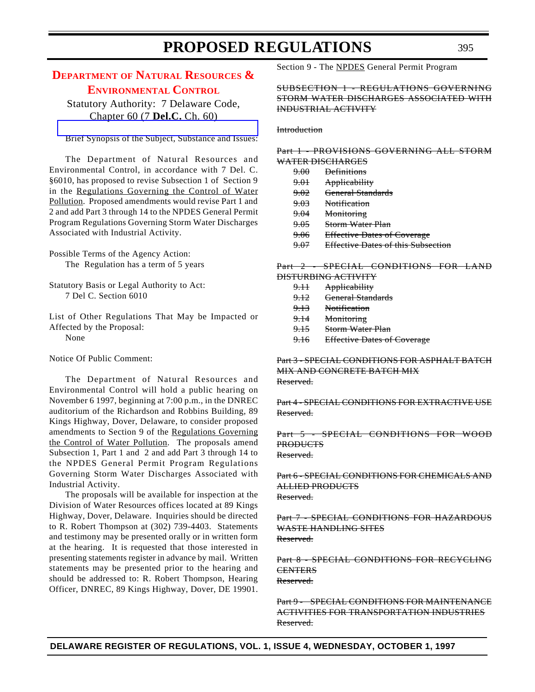# **DEPARTMENT OF NATURAL RESOURCES & [ENVIRONMENTAL](#page-3-1) CONTROL**

Statutory Authority: 7 Delaware Code, Chapter 60 (7 **Del.C.** Ch. 60)

[Brief Synopsis of the Subject, Substance and Issues:](http://www.dnrec.state.de.us/frames1.htm)

The Department of Natural Resources and Environmental Control, in accordance with 7 Del. C. §6010, has proposed to revise Subsection 1 of Section 9 in the Regulations Governing the Control of Water Pollution. Proposed amendments would revise Part 1 and 2 and add Part 3 through 14 to the NPDES General Permit Program Regulations Governing Storm Water Discharges Associated with Industrial Activity.

Possible Terms of the Agency Action: The Regulation has a term of 5 years

Statutory Basis or Legal Authority to Act: 7 Del C. Section 6010

List of Other Regulations That May be Impacted or Affected by the Proposal: None

Notice Of Public Comment:

The Department of Natural Resources and Environmental Control will hold a public hearing on November 6 1997, beginning at 7:00 p.m., in the DNREC auditorium of the Richardson and Robbins Building, 89 Kings Highway, Dover, Delaware, to consider proposed amendments to Section 9 of the Regulations Governing the Control of Water Pollution. The proposals amend Subsection 1, Part 1 and 2 and add Part 3 through 14 to the NPDES General Permit Program Regulations Governing Storm Water Discharges Associated with Industrial Activity.

The proposals will be available for inspection at the Division of Water Resources offices located at 89 Kings Highway, Dover, Delaware. Inquiries should be directed to R. Robert Thompson at (302) 739-4403. Statements and testimony may be presented orally or in written form at the hearing. It is requested that those interested in presenting statements register in advance by mail. Written statements may be presented prior to the hearing and should be addressed to: R. Robert Thompson, Hearing Officer, DNREC, 89 Kings Highway, Dover, DE 19901. Section 9 - The NPDES General Permit Program

SUBSECTION 1 - REGULATIONS GOVERNING STORM WATER DISCHARGES ASSOCIATED WITH INDUSTRIAL ACTIVITY

#### **Introduction**

Part 1 - PROVISIONS GOVERNING ALL STORM WATER DISCHARGES

| 9.00            | <b>Definitions</b>                 |
|-----------------|------------------------------------|
| <del>9.01</del> | Applicability                      |
| 9.02            | <b>General Standards</b>           |
| <del>9.03</del> | <b>Notification</b>                |
| 9.04            | Monitoring                         |
| <del>9.05</del> | Storm Water Plan                   |
| 9.06            | <b>Effective Dates of Coverage</b> |
| <del>9.07</del> | Effective Dates of this Subsection |
|                 |                                    |

Part 2 - SPECIAL CONDITIONS FOR LAND DISTURBING ACTIVITY

| <del>9.11</del> | Applicability       |
|-----------------|---------------------|
| <del>9.12</del> | General Standards   |
| <del>9.13</del> | <b>Notification</b> |
| <del>9.14</del> | Monitoring          |

- 9.15 Storm Water Plan
- 9.16 Effective Dates of Coverage

Part 3 - SPECIAL CONDITIONS FOR ASPHALT BATCH MIX AND CONCRETE BATCH MIX Reserved.

Part 4 - SPECIAL CONDITIONS FOR EXTRACTIVE USE Reserved.

Part 5 - SPECIAL CONDITIONS FOR WOOD **PRODUCTS** Reserved.

Part 6 - SPECIAL CONDITIONS FOR CHEMICALS AND ALLIED PRODUCTS Reserved.

Part 7 - SPECIAL CONDITIONS FOR HAZARDOUS WASTE HANDLING SITES Reserved.

Part 8 - SPECIAL CONDITIONS FOR RECYCLING **CENTERS** Reserved.

Part 9 - SPECIAL CONDITIONS FOR MAINTENANCE ACTIVITIES FOR TRANSPORTATION INDUSTRIES Reserved.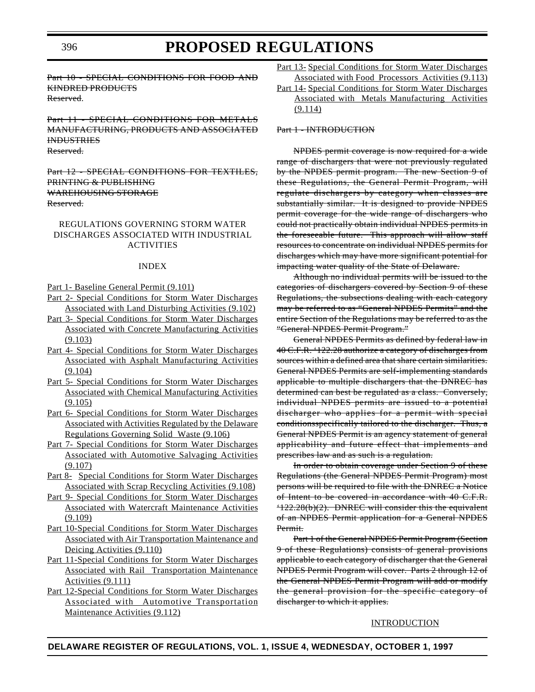Part 10 - SPECIAL CONDITIONS FOR FOOD AND KINDRED PRODUCTS Reserved.

Part 11 - SPECIAL CONDITIONS FOR METALS MANUFACTURING, PRODUCTS AND ASSOCIATED INDUSTRIES Reserved.

Part 12 - SPECIAL CONDITIONS FOR TEXTILES, PRINTING & PUBLISHING WAREHOUSING STORAGE Reserved.

### REGULATIONS GOVERNING STORM WATER DISCHARGES ASSOCIATED WITH INDUSTRIAL ACTIVITIES

#### INDEX

Part 1- Baseline General Permit (9.101)

- Part 2- Special Conditions for Storm Water Discharges Associated with Land Disturbing Activities (9.102)
- Part 3- Special Conditions for Storm Water Discharges Associated with Concrete Manufacturing Activities (9.103)
- Part 4- Special Conditions for Storm Water Discharges Associated with Asphalt Manufacturing Activities  $(9.104)$
- Part 5- Special Conditions for Storm Water Discharges Associated with Chemical Manufacturing Activities  $(9.105)$
- Part 6- Special Conditions for Storm Water Discharges Associated with Activities Regulated by the Delaware Regulations Governing Solid Waste (9.106)
- Part 7- Special Conditions for Storm Water Discharges Associated with Automotive Salvaging Activities  $(9.107)$
- Part 8- Special Conditions for Storm Water Discharges Associated with Scrap Recycling Activities (9.108)
- Part 9- Special Conditions for Storm Water Discharges Associated with Watercraft Maintenance Activities (9.109)
- Part 10-Special Conditions for Storm Water Discharges Associated with Air Transportation Maintenance and Deicing Activities (9.110)
- Part 11-Special Conditions for Storm Water Discharges Associated with Rail Transportation Maintenance Activities (9.111)
- Part 12-Special Conditions for Storm Water Discharges Associated with Automotive Transportation Maintenance Activities (9.112)
- Part 13- Special Conditions for Storm Water Discharges Associated with Food Processors Activities (9.113)
- Part 14- Special Conditions for Storm Water Discharges Associated with Metals Manufacturing Activities (9.114)

#### Part 1 - INTRODUCTION

NPDES permit coverage is now required for a wide range of dischargers that were not previously regulated by the NPDES permit program. The new Section 9 of these Regulations, the General Permit Program, will regulate dischargers by category when classes are substantially similar. It is designed to provide NPDES permit coverage for the wide range of dischargers who could not practically obtain individual NPDES permits in the foreseeable future. This approach will allow staff resources to concentrate on individual NPDES permits for discharges which may have more significant potential for impacting water quality of the State of Delaware.

Although no individual permits will be issued to the categories of dischargers covered by Section 9 of these Regulations, the subsections dealing with each category may be referred to as "General NPDES Permits" and the entire Section of the Regulations may be referred to as the "General NPDES Permit Program."

General NPDES Permits as defined by federal law in 40 C.F.R. '122.28 authorize a category of discharges from sources within a defined area that share certain similarities. General NPDES Permits are self-implementing standards applicable to multiple dischargers that the DNREC has determined can best be regulated as a class. Conversely, individual NPDES permits are issued to a potential discharger who applies for a permit with special conditionsspecifically tailored to the discharger. Thus, a General NPDES Permit is an agency statement of general applicability and future effect that implements and prescribes law and as such is a regulation.

In order to obtain coverage under Section 9 of these Regulations (the General NPDES Permit Program) most persons will be required to file with the DNREC a Notice of Intent to be covered in accordance with 40 C.F.R. '122.28(b)(2). DNREC will consider this the equivalent of an NPDES Permit application for a General NPDES Permit.

Part 1 of the General NPDES Permit Program (Section 9 of these Regulations) consists of general provisions applicable to each category of discharger that the General NPDES Permit Program will cover. Parts 2 through 12 of the General NPDES Permit Program will add or modify the general provision for the specific category of discharger to which it applies.

### **INTRODUCTION**

#### **DELAWARE REGISTER OF REGULATIONS, VOL. 1, ISSUE 4, WEDNESDAY, OCTOBER 1, 1997**

396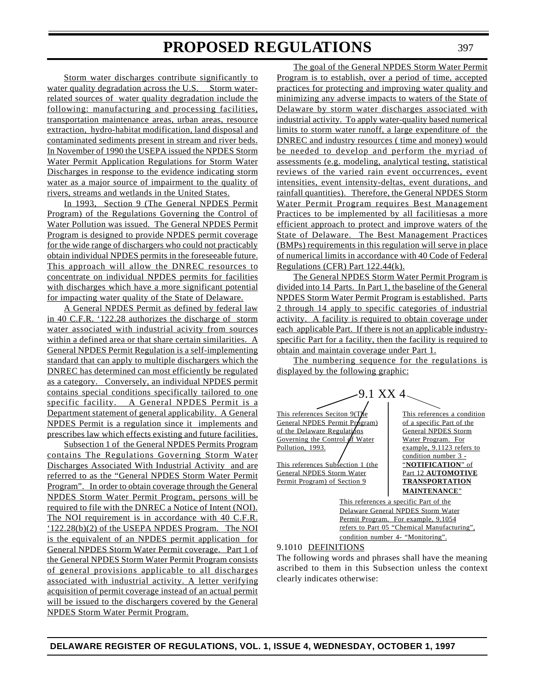Storm water discharges contribute significantly to water quality degradation across the U.S. Storm waterrelated sources of water quality degradation include the following: manufacturing and processing facilities, transportation maintenance areas, urban areas, resource extraction, hydro-habitat modification, land disposal and contaminated sediments present in stream and river beds. In November of 1990 the USEPA issued the NPDES Storm Water Permit Application Regulations for Storm Water Discharges in response to the evidence indicating storm water as a major source of impairment to the quality of rivers, streams and wetlands in the United States.

In 1993, Section 9 (The General NPDES Permit Program) of the Regulations Governing the Control of Water Pollution was issued. The General NPDES Permit Program is designed to provide NPDES permit coverage for the wide range of dischargers who could not practicably obtain individual NPDES permits in the foreseeable future. This approach will allow the DNREC resources to concentrate on individual NPDES permits for facilities with discharges which have a more significant potential for impacting water quality of the State of Delaware.

A General NPDES Permit as defined by federal law in 40 C.F.R. '122.28 authorizes the discharge of storm water associated with industrial acivity from sources within a defined area or that share certain similarities. A General NPDES Permit Regulation is a self-implementing standard that can apply to multiple dischargers which the DNREC has determined can most efficiently be regulated as a category. Conversely, an individual NPDES permit contains special conditions specifically tailored to one specific facility. A General NPDES Permit is a Department statement of general applicability. A General NPDES Permit is a regulation since it implements and prescribes law which effects existing and future facilities.

Subsection 1 of the General NPDES Permits Program contains The Regulations Governing Storm Water Discharges Associated With Industrial Activity and are referred to as the "General NPDES Storm Water Permit Program". In order to obtain coverage through the General NPDES Storm Water Permit Program, persons will be required to file with the DNREC a Notice of Intent (NOI). The NOI requirement is in accordance with 40 C.F.R. '122.28(b)(2) of the USEPA NPDES Program. The NOI is the equivalent of an NPDES permit application for General NPDES Storm Water Permit coverage. Part 1 of the General NPDES Storm Water Permit Program consists of general provisions applicable to all discharges associated with industrial activity. A letter verifying acquisition of permit coverage instead of an actual permit will be issued to the dischargers covered by the General NPDES Storm Water Permit Program.

The goal of the General NPDES Storm Water Permit Program is to establish, over a period of time, accepted practices for protecting and improving water quality and minimizing any adverse impacts to waters of the State of Delaware by storm water discharges associated with industrial activity. To apply water-quality based numerical limits to storm water runoff, a large expenditure of the DNREC and industry resources ( time and money) would be needed to develop and perform the myriad of assessments (e.g. modeling, analytical testing, statistical reviews of the varied rain event occurrences, event intensities, event intensity-deltas, event durations, and rainfall quantities). Therefore, the General NPDES Storm Water Permit Program requires Best Management Practices to be implemented by all facilitiesas a more efficient approach to protect and improve waters of the State of Delaware. The Best Management Practices (BMPs) requirements in this regulation will serve in place of numerical limits in accordance with 40 Code of Federal Regulations (CFR) Part 122.44(k).

The General NPDES Storm Water Permit Program is divided into 14 Parts. In Part 1, the baseline of the General NPDES Storm Water Permit Program is established. Parts 2 through 14 apply to specific categories of industrial activity. A facility is required to obtain coverage under each applicable Part. If there is not an applicable industryspecific Part for a facility, then the facility is required to obtain and maintain coverage under Part 1.

The numbering sequence for the regulations is displayed by the following graphic:

 $-9.1$  XX 4. This references Seciton  $9(T)/e$ <br>
This references a condition<br>
of a specific Part of the General NPDES Permit  $Pr_{\text{ogram}}$ of the Delaware Regulations General NPDES Storm Governing the Control  $\oint f$  Water  $\bigcup$  Water Program. For Pollution, 1993. / example, 9.1123 refers to

This references Subsection 1 (the General NPDES Storm Water **Part 12 AUTOMOTIVE** Permit Program) of Section 9 **TRANSPORTATION** 

condition number 3 -<br>"NOTIFICATION" of **MAINTENANCE**"

This references a specific Part of the Delaware General NPDES Storm Water Permit Program. For example, 9.1054 refers to Part 05 "Chemical Manufacturing", condition number 4- "Monitoring".

9.1010 DEFINITIONS

The following words and phrases shall have the meaning ascribed to them in this Subsection unless the context clearly indicates otherwise: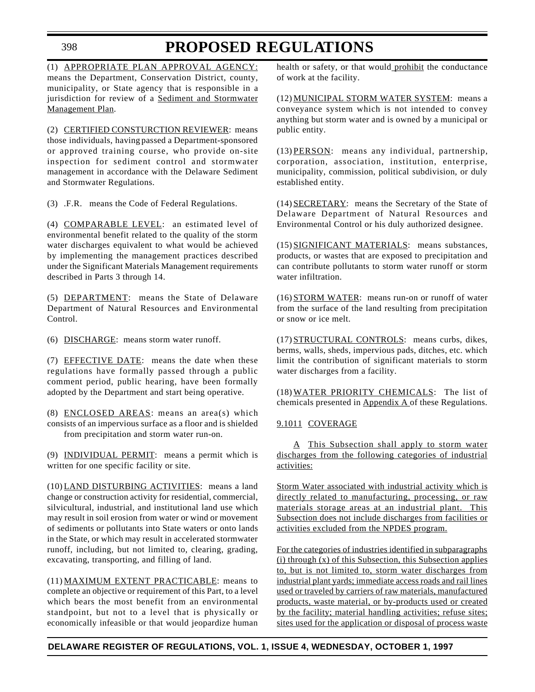### 398

# **PROPOSED REGULATIONS**

(1) APPROPRIATE PLAN APPROVAL AGENCY: means the Department, Conservation District, county, municipality, or State agency that is responsible in a jurisdiction for review of a Sediment and Stormwater Management Plan.

(2) CERTIFIED CONSTURCTION REVIEWER: means those individuals, having passed a Department-sponsored or approved training course, who provide on-site inspection for sediment control and stormwater management in accordance with the Delaware Sediment and Stormwater Regulations.

(3) .F.R. means the Code of Federal Regulations.

(4) COMPARABLE LEVEL: an estimated level of environmental benefit related to the quality of the storm water discharges equivalent to what would be achieved by implementing the management practices described under the Significant Materials Management requirements described in Parts 3 through 14.

(5) DEPARTMENT: means the State of Delaware Department of Natural Resources and Environmental Control.

(6) DISCHARGE: means storm water runoff.

(7) EFFECTIVE DATE: means the date when these regulations have formally passed through a public comment period, public hearing, have been formally adopted by the Department and start being operative.

(8) ENCLOSED AREAS: means an area(s) which consists of an impervious surface as a floor and is shielded from precipitation and storm water run-on.

(9) INDIVIDUAL PERMIT: means a permit which is written for one specific facility or site.

(10) LAND DISTURBING ACTIVITIES: means a land change or construction activity for residential, commercial, silvicultural, industrial, and institutional land use which may result in soil erosion from water or wind or movement of sediments or pollutants into State waters or onto lands in the State, or which may result in accelerated stormwater runoff, including, but not limited to, clearing, grading, excavating, transporting, and filling of land.

(11) MAXIMUM EXTENT PRACTICABLE: means to complete an objective or requirement of this Part, to a level which bears the most benefit from an environmental standpoint, but not to a level that is physically or economically infeasible or that would jeopardize human

health or safety, or that would prohibit the conductance of work at the facility.

(12) MUNICIPAL STORM WATER SYSTEM: means a conveyance system which is not intended to convey anything but storm water and is owned by a municipal or public entity.

(13) PERSON: means any individual, partnership, corporation, association, institution, enterprise, municipality, commission, political subdivision, or duly established entity.

(14) SECRETARY: means the Secretary of the State of Delaware Department of Natural Resources and Environmental Control or his duly authorized designee.

(15) SIGNIFICANT MATERIALS: means substances, products, or wastes that are exposed to precipitation and can contribute pollutants to storm water runoff or storm water infiltration.

(16) STORM WATER: means run-on or runoff of water from the surface of the land resulting from precipitation or snow or ice melt.

(17) STRUCTURAL CONTROLS: means curbs, dikes, berms, walls, sheds, impervious pads, ditches, etc. which limit the contribution of significant materials to storm water discharges from a facility.

(18) WATER PRIORITY CHEMICALS: The list of chemicals presented in Appendix A of these Regulations.

# 9.1011 COVERAGE

A This Subsection shall apply to storm water discharges from the following categories of industrial activities:

Storm Water associated with industrial activity which is directly related to manufacturing, processing, or raw materials storage areas at an industrial plant. This Subsection does not include discharges from facilities or activities excluded from the NPDES program.

For the categories of industries identified in subparagraphs (i) through (x) of this Subsection, this Subsection applies to, but is not limited to, storm water discharges from industrial plant yards; immediate access roads and rail lines used or traveled by carriers of raw materials, manufactured products, waste material, or by-products used or created by the facility; material handling activities; refuse sites; sites used for the application or disposal of process waste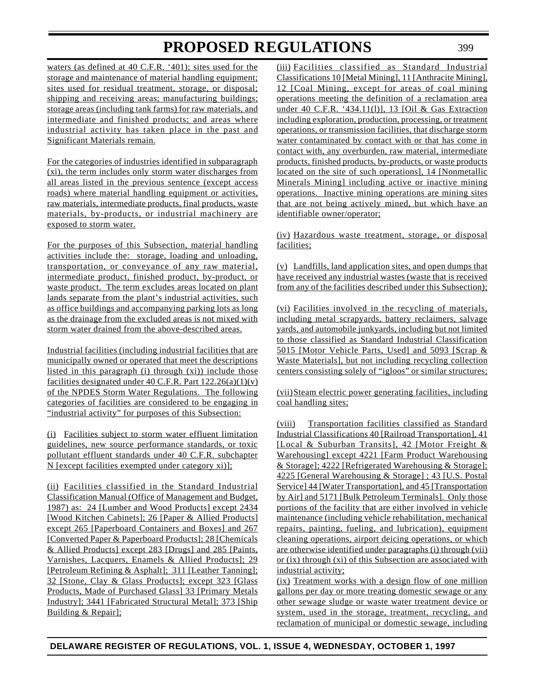waters (as defined at 40 C.F.R. '401); sites used for the storage and maintenance of material handling equipment; sites used for residual treatment, storage, or disposal; shipping and receiving areas; manufacturing buildings; storage areas (including tank farms) for raw materials, and intermediate and finished products; and areas where industrial activity has taken place in the past and Significant Materials remain.

For the categories of industries identified in subparagraph (xi), the term includes only storm water discharges from all areas listed in the previous sentence (except access roads) where material handling equipment or activities, raw materials, intermediate products, final products, waste materials, by-products, or industrial machinery are exposed to storm water.

For the purposes of this Subsection, material handling activities include the: storage, loading and unloading, transportation, or conveyance of any raw material, intermediate product, finished product, by-product, or waste product. The term excludes areas located on plant lands separate from the plant's industrial activities, such as office buildings and accompanying parking lots as long as the drainage from the excluded areas is not mixed with storm water drained from the above-described areas.

Industrial facilities (including industrial facilities that are municipally owned or operated that meet the descriptions listed in this paragraph (i) through (xi)) include those facilities designated under 40 C.F.R. Part 122.26(a)(1)(v) of the NPDES Storm Water Regulations. The following categories of facilities are considered to be engaging in "industrial activity" for purposes of this Subsection:

(i) Facilities subject to storm water effluent limitation guidelines, new source performance standards, or toxic pollutant effluent standards under 40 C.F.R. subchapter N [except facilities exempted under category xi)];

(ii) Facilities classified in the Standard Industrial Classification Manual (Office of Management and Budget, 1987) as: 24 [Lumber and Wood Products] except 2434 [Wood Kitchen Cabinets]; 26 [Paper & Allied Products] except 265 [Paperboard Containers and Boxes] and 267 [Converted Paper & Paperboard Products]; 28 [Chemicals & Allied Products] except 283 [Drugs] and 285 [Paints, Varnishes, Lacquers, Enamels & Allied Products]; 29 [Petroleum Refining & Asphalt]; 311 [Leather Tanning]; 32 [Stone, Clay & Glass Products]; except 323 [Glass Products, Made of Purchased Glass] 33 [Primary Metals Industry]; 3441 [Fabricated Structural Metal]; 373 [Ship Building & Repair];

(iii) Facilities classified as Standard Industrial Classifications 10 [Metal Mining], 11 [Anthracite Mining], 12 [Coal Mining, except for areas of coal mining operations meeting the definition of a reclamation area under 40 C.F.R. '434.11(1)], 13 [Oil & Gas Extraction including exploration, production, processing, or treatment operations, or transmission facilities, that discharge storm water contaminated by contact with or that has come in contact with, any overburden, raw material, intermediate products, finished products, by-products, or waste products located on the site of such operations], 14 [Nonmetallic] Minerals Mining] including active or inactive mining operations. Inactive mining operations are mining sites that are not being actively mined, but which have an identifiable owner/operator;

(iv) Hazardous waste treatment, storage, or disposal facilities;

(v) Landfills, land application sites, and open dumps that have received any industrial wastes (waste that is received from any of the facilities described under this Subsection);

(vi) Facilities involved in the recycling of materials, including metal scrapyards, battery reclaimers, salvage yards, and automobile junkyards, including but not limited to those classified as Standard Industrial Classification 5015 [Motor Vehicle Parts, Used] and 5093 [Scrap & Waste Materials], but not including recycling collection centers consisting solely of "igloos" or similar structures;

(vii)Steam electric power generating facilities, including coal handling sites;

(viii) Transportation facilities classified as Standard Industrial Classifications 40 [Railroad Transportation], 41 [Local & Suburban Transits], 42 [Motor Freight & Warehousing] except 4221 [Farm Product Warehousing & Storage]; 4222 [Refrigerated Warehousing & Storage]; 4225 [General Warehousing & Storage] ; 43 [U.S. Postal Service] 44 [Water Transportation], and 45 [Transportation by Air] and 5171 [Bulk Petroleum Terminals]. Only those portions of the facility that are either involved in vehicle maintenance (including vehicle rehabilitation, mechanical repairs, painting, fueling, and lubrication), equipment cleaning operations, airport deicing operations, or which are otherwise identified under paragraphs (i) through (vii) or (ix) through (xi) of this Subsection are associated with industrial activity;

(ix) Treatment works with a design flow of one million gallons per day or more treating domestic sewage or any other sewage sludge or waste water treatment device or system, used in the storage, treatment, recycling, and reclamation of municipal or domestic sewage, including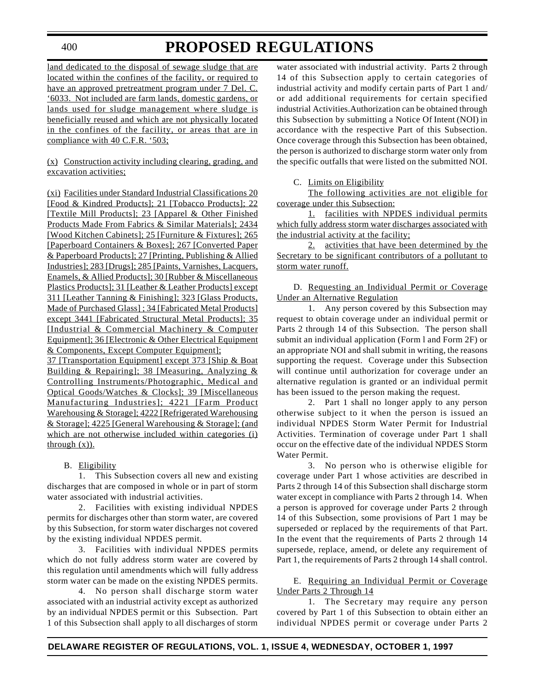400

# **PROPOSED REGULATIONS**

land dedicated to the disposal of sewage sludge that are located within the confines of the facility, or required to have an approved pretreatment program under 7 Del. C. '6033. Not included are farm lands, domestic gardens, or lands used for sludge management where sludge is beneficially reused and which are not physically located in the confines of the facility, or areas that are in compliance with 40 C.F.R. '503;

(x) Construction activity including clearing, grading, and excavation activities;

(xi) Facilities under Standard Industrial Classifications 20 [Food & Kindred Products]; 21 [Tobacco Products]; 22 [Textile Mill Products]; 23 [Apparel & Other Finished Products Made From Fabrics & Similar Materials]; 2434 [Wood Kitchen Cabinets]; 25 [Furniture & Fixtures]; 265 [Paperboard Containers & Boxes]; 267 [Converted Paper & Paperboard Products]; 27 [Printing, Publishing & Allied Industries]; 283 [Drugs]; 285 [Paints, Varnishes, Lacquers, Enamels, & Allied Products]; 30 [Rubber & Miscellaneous Plastics Products]; 31 [Leather & Leather Products] except 311 [Leather Tanning & Finishing]; 323 [Glass Products, Made of Purchased Glass] ; 34 [Fabricated Metal Products] except 3441 [Fabricated Structural Metal Products]; 35 [Industrial & Commercial Machinery & Computer Equipment]; 36 [Electronic & Other Electrical Equipment & Components, Except Computer Equipment];

37 [Transportation Equipment] except 373 [Ship & Boat Building & Repairing]; 38 [Measuring, Analyzing & Controlling Instruments/Photographic, Medical and Optical Goods/Watches & Clocks]; 39 [Miscellaneous Manufacturing Industries]; 4221 [Farm Product Warehousing & Storage]; 4222 [Refrigerated Warehousing & Storage]; 4225 [General Warehousing & Storage]; (and which are not otherwise included within categories (i) through  $(x)$ ).

# B. Eligibility

1. This Subsection covers all new and existing discharges that are composed in whole or in part of storm water associated with industrial activities.

2. Facilities with existing individual NPDES permits for discharges other than storm water, are covered by this Subsection, for storm water discharges not covered by the existing individual NPDES permit.

3. Facilities with individual NPDES permits which do not fully address storm water are covered by this regulation until amendments which will fully address storm water can be made on the existing NPDES permits.

4. No person shall discharge storm water associated with an industrial activity except as authorized by an individual NPDES permit or this Subsection. Part 1 of this Subsection shall apply to all discharges of storm

water associated with industrial activity. Parts 2 through 14 of this Subsection apply to certain categories of industrial activity and modify certain parts of Part 1 and/ or add additional requirements for certain specified industrial Activities.Authorization can be obtained through this Subsection by submitting a Notice Of Intent (NOI) in accordance with the respective Part of this Subsection. Once coverage through this Subsection has been obtained, the person is authorized to discharge storm water only from the specific outfalls that were listed on the submitted NOI.

### C. Limits on Eligibility

The following activities are not eligible for coverage under this Subsection:

1. facilities with NPDES individual permits which fully address storm water discharges associated with the industrial activity at the facility;

2. activities that have been determined by the Secretary to be significant contributors of a pollutant to storm water runoff.

D. Requesting an Individual Permit or Coverage Under an Alternative Regulation

1. Any person covered by this Subsection may request to obtain coverage under an individual permit or Parts 2 through 14 of this Subsection. The person shall submit an individual application (Form l and Form 2F) or an appropriate NOI and shall submit in writing, the reasons supporting the request. Coverage under this Subsection will continue until authorization for coverage under an alternative regulation is granted or an individual permit has been issued to the person making the request.

2. Part 1 shall no longer apply to any person otherwise subject to it when the person is issued an individual NPDES Storm Water Permit for Industrial Activities. Termination of coverage under Part 1 shall occur on the effective date of the individual NPDES Storm Water Permit.

3. No person who is otherwise eligible for coverage under Part 1 whose activities are described in Parts 2 through 14 of this Subsection shall discharge storm water except in compliance with Parts 2 through 14. When a person is approved for coverage under Parts 2 through 14 of this Subsection, some provisions of Part 1 may be superseded or replaced by the requirements of that Part. In the event that the requirements of Parts 2 through 14 supersede, replace, amend, or delete any requirement of Part 1, the requirements of Parts 2 through 14 shall control.

E. Requiring an Individual Permit or Coverage Under Parts 2 Through 14

1. The Secretary may require any person covered by Part 1 of this Subsection to obtain either an individual NPDES permit or coverage under Parts 2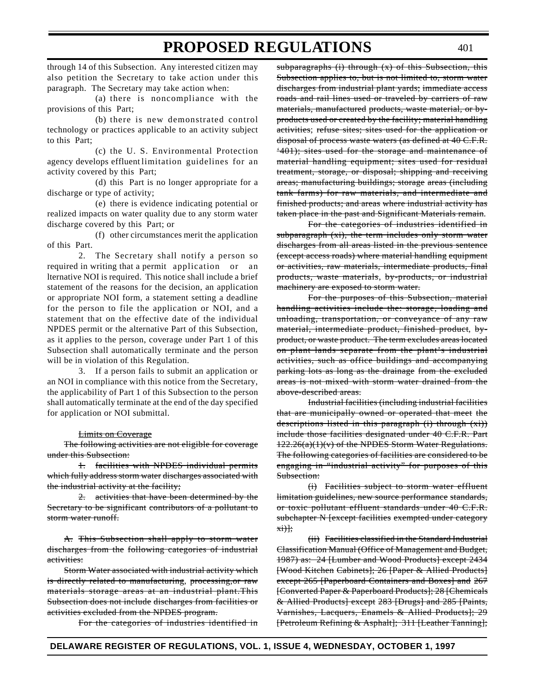through 14 of this Subsection. Any interested citizen may also petition the Secretary to take action under this paragraph. The Secretary may take action when:

(a) there is noncompliance with the provisions of this Part;

(b) there is new demonstrated control technology or practices applicable to an activity subject to this Part;

(c) the U. S. Environmental Protection agency develops effluent limitation guidelines for an activity covered by this Part;

(d) this Part is no longer appropriate for a discharge or type of activity;

(e) there is evidence indicating potential or realized impacts on water quality due to any storm water discharge covered by this Part; or

(f) other circumstances merit the application of this Part.

2. The Secretary shall notify a person so required in writing that a permit application or an lternative NOI is required. This notice shall include a brief statement of the reasons for the decision, an application or appropriate NOI form, a statement setting a deadline for the person to file the application or NOI, and a statement that on the effective date of the individual NPDES permit or the alternative Part of this Subsection, as it applies to the person, coverage under Part 1 of this Subsection shall automatically terminate and the person will be in violation of this Regulation.

3. If a person fails to submit an application or an NOI in compliance with this notice from the Secretary, the applicability of Part 1 of this Subsection to the person shall automatically terminate at the end of the day specified for application or NOI submittal.

#### **Limits on Coverage**

The following activities are not eligible for coverage under this Subsection:

1. facilities with NPDES individual permits which fully address storm water discharges associated with the industrial activity at the facility;

2. activities that have been determined by the Secretary to be significant contributors of a pollutant to storm water runoff.

A. This Subsection shall apply to storm water discharges from the following categories of industrial activities:

Storm Water associated with industrial activity which is directly related to manufacturing, processing,or raw materials storage areas at an industrial plant.This Subsection does not include discharges from facilities or activities excluded from the NPDES program.

For the categories of industries identified in

 $subparagnhs$  (i) through  $(x)$  of this Subsection, this Subsection applies to, but is not limited to, storm water discharges from industrial plant yards; immediate access roads and rail lines used or traveled by carriers of raw materials, manufactured products, waste material, or byproducts used or created by the facility; material handling activities; refuse sites; sites used for the application or disposal of process waste waters (as defined at 40 C.F.R. '401); sites used for the storage and maintenance of material handling equipment; sites used for residual treatment, storage, or disposal; shipping and receiving areas; manufacturing buildings; storage areas (including tank farms) for raw materials, and intermediate and finished products; and areas where industrial activity has taken place in the past and Significant Materials remain.

For the categories of industries identified in subparagraph (xi), the term includes only storm water discharges from all areas listed in the previous sentence (except access roads) where material handling equipment or activities, raw materials, intermediate products, final products, waste materials, by-products, or industrial machinery are exposed to storm water.

For the purposes of this Subsection, material handling activities include the: storage, loading and unloading, transportation, or conveyance of any raw material, intermediate product, finished product, byproduct, or waste product. The term excludes areas located on plant lands separate from the plant's industrial activities, such as office buildings and accompanying parking lots as long as the drainage from the excluded areas is not mixed with storm water drained from the above-described areas.

Industrial facilities (including industrial facilities that are municipally owned or operated that meet the descriptions listed in this paragraph (i) through  $(x_i)$ ) include those facilities designated under 40 C.F.R. Part  $122.26(a)(1)(v)$  of the NPDES Storm Water Regulations. The following categories of facilities are considered to be engaging in "industrial activity" for purposes of this Subsection:

(i) Facilities subject to storm water effluent limitation guidelines, new source performance standards, or toxic pollutant effluent standards under 40 C.F.R. subchapter N [except facilities exempted under category  $\overrightarrow{x}$ i)];

(ii) Facilities classified in the Standard Industrial Classification Manual (Office of Management and Budget, 1987) as: 24 [Lumber and Wood Products] except 2434 [Wood Kitchen Cabinets]; 26 [Paper & Allied Products] except 265 [Paperboard Containers and Boxes] and 267 [Converted Paper & Paperboard Products]; 28 [Chemicals & Allied Products] except 283 [Drugs] and 285 [Paints, Varnishes, Lacquers, Enamels & Allied Products]; 29 [Petroleum Refining & Asphalt]; 311 [Leather Tanning];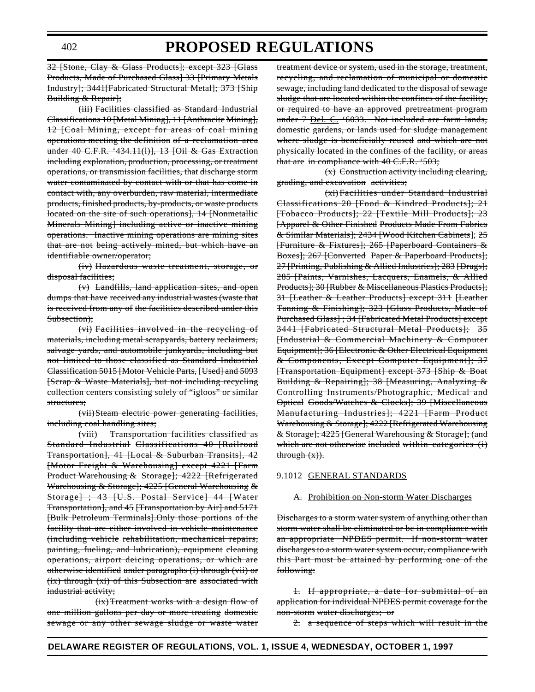32 [Stone, Clay & Glass Products]; except 323 [Glass Products, Made of Purchased Glass] 33 [Primary Metals Industry]; 3441[Fabricated Structural Metal]; 373 [Ship Building & Repair];

(iii) Facilities classified as Standard Industrial Classifications 10 [Metal Mining], 11 [Anthracite Mining], 12 [Coal Mining, except for areas of coal mining operations meeting the definition of a reclamation area under 40 C.F.R. '434.11(l)], 13 [Oil & Gas Extraction including exploration, production, processing, or treatment operations, or transmission facilities, that discharge storm water contaminated by contact with or that has come in contact with, any overburden, raw material, intermediate products, finished products, by-products, or waste products located on the site of such operations], 14 [Nonmetallic Minerals Mining] including active or inactive mining operations. Inactive mining operations are mining sites that are not being actively mined, but which have an identifiable owner/operator;

(iv) Hazardous waste treatment, storage, or disposal facilities;

(v) Landfills, land application sites, and open dumps that have received any industrial wastes (waste that is received from any of the facilities described under this Subsection);

(vi) Facilities involved in the recycling of materials, including metal scrapyards, battery reclaimers, salvage yards, and automobile junkyards, including but not limited to those classified as Standard Industrial Classification 5015 [Motor Vehicle Parts, [Used] and 5093 [Scrap & Waste Materials], but not including recycling collection centers consisting solely of "igloos" or similar structures;

(vii)Steam electric power generating facilities, including coal handling sites;

(viii) Transportation facilities classified as Standard Industrial Classifications 40 [Railroad Transportation], 41 [Local & Suburban Transits], 42 [Motor Freight & Warehousing] except 4221 [Farm Product Warehousing & Storage]; 4222 [Refrigerated Warehousing & Storage]; 4225 [General Warehousing & Storage] ; 43 [U.S. Postal Service] 44 [Water Transportation], and 45 [Transportation by Air] and 5171 [Bulk Petroleum Terminals].Only those portions of the facility that are either involved in vehicle maintenance (including vehicle rehabilitation, mechanical repairs, painting, fueling, and lubrication), equipment cleaning operations, airport deicing operations, or which are otherwise identified under paragraphs (i) through (vii) or (ix) through (xi) of this Subsection are associated with industrial activity;

(ix) Treatment works with a design flow of one million gallons per day or more treating domestic sewage or any other sewage sludge or waste water

treatment device or system, used in the storage, treatment, recycling, and reclamation of municipal or domestic sewage, including land dedicated to the disposal of sewage sludge that are located within the confines of the facility, or required to have an approved pretreatment program under 7 Del. C. '6033. Not included are farm lands, domestic gardens, or lands used for sludge management where sludge is beneficially reused and which are not physically located in the confines of the facility, or areas that are in compliance with 40 C.F.R. '503;

(x) Construction activity including clearing, grading, and excavation activities;

(xi) Facilities under Standard Industrial Classifications 20 [Food & Kindred Products]; 21 [Tobacco Products]; 22 [Textile Mill Products]; 23 [Apparel & Other Finished Products Made From Fabrics & Similar Materials]; 2434 [Wood Kitchen Cabinets]; 25 [Furniture & Fixtures]; 265 [Paperboard Containers & Boxes]; 267 [Converted Paper & Paperboard Products]; 27 [Printing, Publishing & Allied Industries]; 283 [Drugs]; 285 [Paints, Varnishes, Lacquers, Enamels, & Allied Products]; 30 [Rubber & Miscellaneous Plastics Products]; 31 [Leather & Leather Products] except 311 [Leather Tanning & Finishing]; 323 [Glass Products, Made of Purchased Glass] ; 34 [Fabricated Metal Products] except 3441 [Fabricated Structural Metal Products]; 35 [Industrial & Commercial Machinery & Computer Equipment]; 36 [Electronic & Other Electrical Equipment & Components, Except Computer Equipment]; 37 [Transportation Equipment] except 373 [Ship & Boat Building & Repairing]; 38 [Measuring, Analyzing & Controlling Instruments/Photographic, Medical and Optical Goods/Watches & Clocks]; 39 [Miscellaneous Manufacturing Industries]; 4221 [Farm Product Warehousing & Storage]; 4222 [Refrigerated Warehousing & Storage]; 4225 [General Warehousing & Storage]; (and which are not otherwise included within categories (i) through  $(x)$ ).

#### 9.1012 GENERAL STANDARDS

#### A. Prohibition on Non-storm Water Discharges

Discharges to a storm water system of anything other than storm water shall be eliminated or be in compliance with an appropriate NPDES permit. If non-storm water discharges to a storm water system occur, compliance with this Part must be attained by performing one of the following:

1. If appropriate, a date for submittal of an application for individual NPDES permit coverage for the non-storm water discharges; or

2. a sequence of steps which will result in the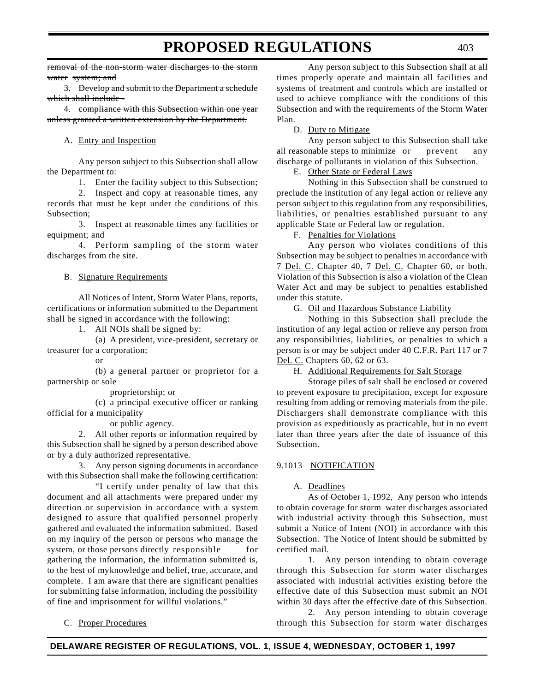removal of the non-storm water discharges to the storm water system; and

3. Develop and submit to the Department a schedule which shall include -

4. compliance with this Subsection within one year unless granted a written extension by the Department.

### A. Entry and Inspection

Any person subject to this Subsection shall allow the Department to:

1. Enter the facility subject to this Subsection;

2. Inspect and copy at reasonable times, any records that must be kept under the conditions of this Subsection;

3. Inspect at reasonable times any facilities or equipment; and

4. Perform sampling of the storm water discharges from the site.

### B. Signature Requirements

All Notices of Intent, Storm Water Plans, reports, certifications or information submitted to the Department shall be signed in accordance with the following:

1. All NOIs shall be signed by:

(a) A president, vice-president, secretary or treasurer for a corporation;

or

(b) a general partner or proprietor for a partnership or sole

proprietorship; or

(c) a principal executive officer or ranking official for a municipality

or public agency.

2. All other reports or information required by this Subsection shall be signed by a person described above or by a duly authorized representative.

3. Any person signing documents in accordance with this Subsection shall make the following certification:

"I certify under penalty of law that this document and all attachments were prepared under my direction or supervision in accordance with a system designed to assure that qualified personnel properly gathered and evaluated the information submitted. Based on my inquiry of the person or persons who manage the system, or those persons directly responsible for gathering the information, the information submitted is, to the best of myknowledge and belief, true, accurate, and complete. I am aware that there are significant penalties for submitting false information, including the possibility of fine and imprisonment for willful violations."

C. Proper Procedures

Any person subject to this Subsection shall at all times properly operate and maintain all facilities and systems of treatment and controls which are installed or used to achieve compliance with the conditions of this Subsection and with the requirements of the Storm Water Plan.

### D. Duty to Mitigate

Any person subject to this Subsection shall take all reasonable steps to minimize or prevent any discharge of pollutants in violation of this Subsection.

E. Other State or Federal Laws

Nothing in this Subsection shall be construed to preclude the institution of any legal action or relieve any person subject to this regulation from any responsibilities, liabilities, or penalties established pursuant to any applicable State or Federal law or regulation.

F. Penalties for Violations

Any person who violates conditions of this Subsection may be subject to penalties in accordance with 7 Del. C. Chapter 40, 7 Del. C. Chapter 60, or both. Violation of this Subsection is also a violation of the Clean Water Act and may be subject to penalties established under this statute.

G. Oil and Hazardous Substance Liability

Nothing in this Subsection shall preclude the institution of any legal action or relieve any person from any responsibilities, liabilities, or penalties to which a person is or may be subject under 40 C.F.R. Part 117 or 7 Del. C. Chapters 60, 62 or 63.

H. Additional Requirements for Salt Storage

Storage piles of salt shall be enclosed or covered to prevent exposure to precipitation, except for exposure resulting from adding or removing materials from the pile. Dischargers shall demonstrate compliance with this provision as expeditiously as practicable, but in no event later than three years after the date of issuance of this Subsection.

# 9.1013 NOTIFICATION

# A. Deadlines

As of October 1, 1992, Any person who intends to obtain coverage for storm water discharges associated with industrial activity through this Subsection, must submit a Notice of Intent (NOI) in accordance with this Subsection. The Notice of Intent should be submitted by certified mail.

1. Any person intending to obtain coverage through this Subsection for storm water discharges associated with industrial activities existing before the effective date of this Subsection must submit an NOI within 30 days after the effective date of this Subsection.

2. Any person intending to obtain coverage through this Subsection for storm water discharges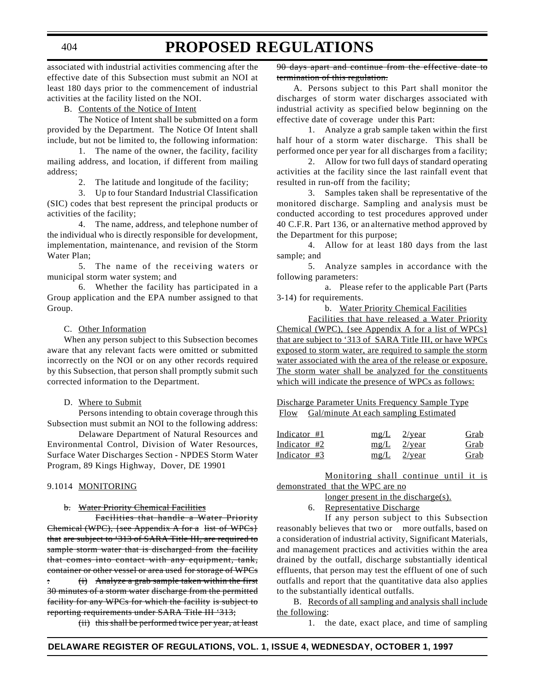associated with industrial activities commencing after the

effective date of this Subsection must submit an NOI at least 180 days prior to the commencement of industrial activities at the facility listed on the NOI.

B. Contents of the Notice of Intent

The Notice of Intent shall be submitted on a form provided by the Department. The Notice Of Intent shall include, but not be limited to, the following information:

1. The name of the owner, the facility, facility mailing address, and location, if different from mailing address;

2. The latitude and longitude of the facility;

3. Up to four Standard Industrial Classification (SIC) codes that best represent the principal products or activities of the facility;

4. The name, address, and telephone number of the individual who is directly responsible for development, implementation, maintenance, and revision of the Storm Water Plan;

5. The name of the receiving waters or municipal storm water system; and

6. Whether the facility has participated in a Group application and the EPA number assigned to that Group.

#### C. Other Information

When any person subject to this Subsection becomes aware that any relevant facts were omitted or submitted incorrectly on the NOI or on any other records required by this Subsection, that person shall promptly submit such corrected information to the Department.

#### D. Where to Submit

Persons intending to obtain coverage through this Subsection must submit an NOI to the following address:

Delaware Department of Natural Resources and Environmental Control, Division of Water Resources, Surface Water Discharges Section - NPDES Storm Water Program, 89 Kings Highway, Dover, DE 19901

#### 9.1014 MONITORING

#### b. Water Priority Chemical Facilities

Facilities that handle a Water Priority Chemical (WPC), {see Appendix A for a list of WPCs} that are subject to '313 of SARA Title III, are required to sample storm water that is discharged from the facility that comes into contact with any equipment, tank, container or other vessel or area used for storage of WPCs : (i) Analyze a grab sample taken within the first 30 minutes of a storm water discharge from the permitted facility for any WPCs for which the facility is subject to reporting requirements under SARA Title III '313;

(ii) this shall be performed twice per year, at least

90 days apart and continue from the effective date to termination of this regulation.

**PROPOSED REGULATIONS**

A. Persons subject to this Part shall monitor the discharges of storm water discharges associated with industrial activity as specified below beginning on the effective date of coverage under this Part:

1. Analyze a grab sample taken within the first half hour of a storm water discharge. This shall be performed once per year for all discharges from a facility;

2. Allow for two full days of standard operating activities at the facility since the last rainfall event that resulted in run-off from the facility;

3. Samples taken shall be representative of the monitored discharge. Sampling and analysis must be conducted according to test procedures approved under 40 C.F.R. Part 136, or an alternative method approved by the Department for this purpose;

4. Allow for at least 180 days from the last sample; and

5. Analyze samples in accordance with the following parameters:

a. Please refer to the applicable Part (Parts 3-14) for requirements.

b. Water Priority Chemical Facilities

Facilities that have released a Water Priority Chemical (WPC), {see Appendix A for a list of WPCs} that are subject to '313 of SARA Title III, or have WPCs exposed to storm water, are required to sample the storm water associated with the area of the release or exposure. The storm water shall be analyzed for the constituents which will indicate the presence of WPCs as follows:

Discharge Parameter Units Frequency Sample Type Flow Gal/minute At each sampling Estimated

| Indicator #1 | $mg/L$ 2/year | Grab |
|--------------|---------------|------|
| Indicator #2 | $mg/L$ 2/year | Grab |
| Indicator #3 | $mg/L$ 2/year | Grab |

Monitoring shall continue until it is demonstrated that the WPC are no

longer present in the discharge(s).

6. Representative Discharge

If any person subject to this Subsection reasonably believes that two or more outfalls, based on a consideration of industrial activity, Significant Materials, and management practices and activities within the area drained by the outfall, discharge substantially identical effluents, that person may test the effluent of one of such outfalls and report that the quantitative data also applies to the substantially identical outfalls.

B. Records of all sampling and analysis shall include the following:

1. the date, exact place, and time of sampling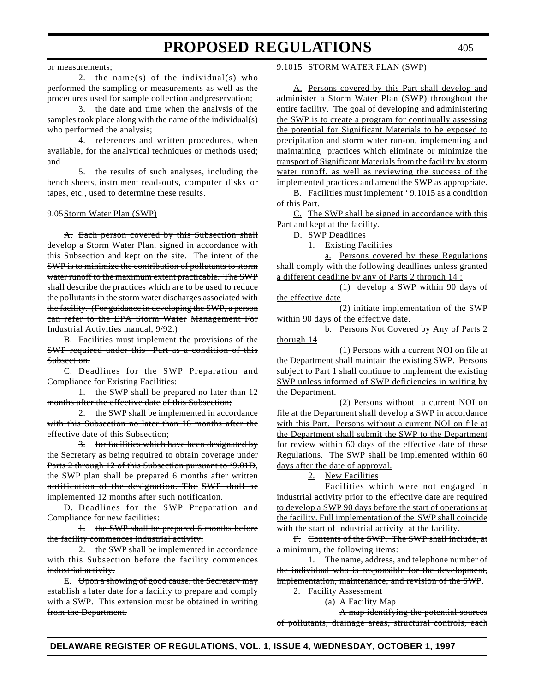#### or measurements;

2. the name(s) of the individual(s) who performed the sampling or measurements as well as the procedures used for sample collection andpreservation;

3. the date and time when the analysis of the samples took place along with the name of the individual(s) who performed the analysis;

4. references and written procedures, when available, for the analytical techniques or methods used; and

5. the results of such analyses, including the bench sheets, instrument read-outs, computer disks or tapes, etc., used to determine these results.

#### 9.05Storm Water Plan (SWP)

A. Each person covered by this Subsection shall develop a Storm Water Plan, signed in accordance with this Subsection and kept on the site. The intent of the SWP is to minimize the contribution of pollutants to storm water runoff to the maximum extent practicable. The SWP shall describe the practices which are to be used to reduce the pollutants in the storm water discharges associated with the facility. (For guidance in developing the SWP, a person can refer to the EPA Storm Water Management For Industrial Activities manual, 9/92.)

B. Facilities must implement the provisions of the SWP required under this Part as a condition of this Subsection.

C. Deadlines for the SWP Preparation and Compliance for Existing Facilities:

1. the SWP shall be prepared no later than 12 months after the effective date of this Subsection;

2. the SWP shall be implemented in accordance with this Subsection no later than 18 months after the effective date of this Subsection;

3. for facilities which have been designated by the Secretary as being required to obtain coverage under Parts 2 through 12 of this Subsection pursuant to '9.01D, the SWP plan shall be prepared 6 months after written notification of the designation. The SWP shall be implemented 12 months after such notification.

D. Deadlines for the SWP Preparation and Compliance for new facilities:

1. the SWP shall be prepared 6 months before the facility commences industrial activity;

2. the SWP shall be implemented in accordance with this Subsection before the facility commences industrial activity.

E. Upon a showing of good cause, the Secretary may establish a later date for a facility to prepare and comply with a SWP. This extension must be obtained in writing from the Department.

### 9.1015 STORM WATER PLAN (SWP)

A. Persons covered by this Part shall develop and administer a Storm Water Plan (SWP) throughout the entire facility. The goal of developing and administering the SWP is to create a program for continually assessing the potential for Significant Materials to be exposed to precipitation and storm water run-on, implementing and maintaining practices which eliminate or minimize the transport of Significant Materials from the facility by storm water runoff, as well as reviewing the success of the implemented practices and amend the SWP as appropriate.

B. Facilities must implement ' 9.1015 as a condition of this Part.

C. The SWP shall be signed in accordance with this Part and kept at the facility.

D. SWP Deadlines

1. Existing Facilities

a. Persons covered by these Regulations shall comply with the following deadlines unless granted a different deadline by any of Parts 2 through 14 :

(1) develop a SWP within 90 days of the effective date

(2) initiate implementation of the SWP within 90 days of the effective date.

b. Persons Not Covered by Any of Parts 2 thorugh 14

(1) Persons with a current NOI on file at the Department shall maintain the existing SWP. Persons subject to Part 1 shall continue to implement the existing SWP unless informed of SWP deficiencies in writing by the Department.

(2) Persons without a current NOI on file at the Department shall develop a SWP in accordance with this Part. Persons without a current NOI on file at the Department shall submit the SWP to the Department for review within 60 days of the effective date of these Regulations. The SWP shall be implemented within 60 days after the date of approval.

2. New Facilities

Facilities which were not engaged in industrial activity prior to the effective date are required to develop a SWP 90 days before the start of operations at the facility. Full implementation of the SWP shall coincide with the start of industrial activity at the facility.

F. Contents of the SWP. The SWP shall include, at a minimum, the following items:

1. The name, address, and telephone number of the individual who is responsible for the development, implementation, maintenance, and revision of the SWP.

2. Facility Assessment

(a) A Facility Map

A map identifying the potential sources of pollutants, drainage areas, structural controls, each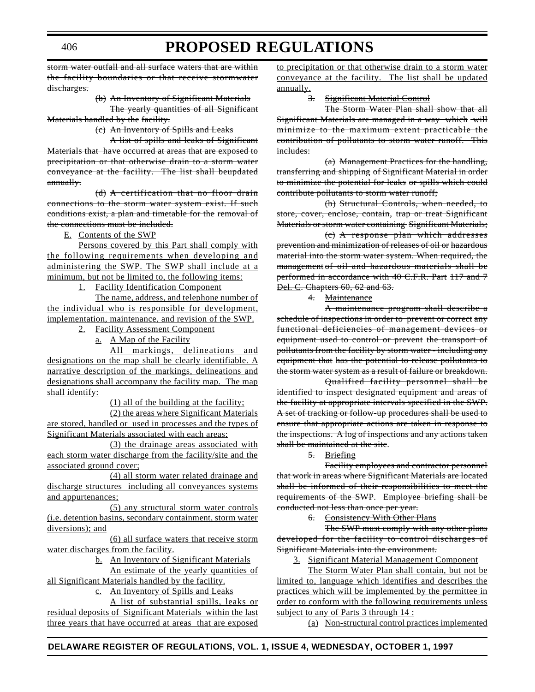storm water outfall and all surface waters that are within the facility boundaries or that receive stormwater discharges.

> (b) An Inventory of Significant Materials The yearly quantities of all Significant

Materials handled by the facility.

(c) An Inventory of Spills and Leaks

A list of spills and leaks of Significant Materials that have occurred at areas that are exposed to precipitation or that otherwise drain to a storm water conveyance at the facility. The list shall beupdated annually.

(d) A certification that no floor drain connections to the storm water system exist. If such conditions exist, a plan and timetable for the removal of the connections must be included.

E. Contents of the SWP

Persons covered by this Part shall comply with the following requirements when developing and administering the SWP. The SWP shall include at a minimum, but not be limited to, the following items:

1. Facility Identification Component

The name, address, and telephone number of the individual who is responsible for development, implementation, maintenance, and revision of the SWP.

2. Facility Assessment Component

a. A Map of the Facility

All markings, delineations and designations on the map shall be clearly identifiable. A narrative description of the markings, delineations and designations shall accompany the facility map. The map shall identify:

(1) all of the building at the facility;

(2) the areas where Significant Materials are stored, handled or used in processes and the types of Significant Materials associated with each areas;

(3) the drainage areas associated with each storm water discharge from the facility/site and the associated ground cover;

(4) all storm water related drainage and discharge structures including all conveyances systems and appurtenances;

(5) any structural storm water controls (i.e. detention basins, secondary containment, storm water diversions); and

(6) all surface waters that receive storm water discharges from the facility.

b. An Inventory of Significant Materials

An estimate of the yearly quantities of all Significant Materials handled by the facility.

c. An Inventory of Spills and Leaks

A list of substantial spills, leaks or residual deposits of Significant Materials within the last three years that have occurred at areas that are exposed

to precipitation or that otherwise drain to a storm water conveyance at the facility. The list shall be updated annually.

3. Significant Material Control

The Storm Water Plan shall show that all Significant Materials are managed in a way which will minimize to the maximum extent practicable the contribution of pollutants to storm water runoff. This includes:

(a) Management Practices for the handling, transferring and shipping of Significant Material in order to minimize the potential for leaks or spills which could contribute pollutants to storm water runoff;

(b) Structural Controls, when needed, to store, cover, enclose, contain, trap or treat Significant Materials or storm water containing Significant Materials;

(c) A response plan which addresses prevention and minimization of releases of oil or hazardous material into the storm water system. When required, the management of oil and hazardous materials shall be performed in accordance with 40 C.F.R. Part 117 and 7 **Del. C. Chapters 60, 62 and 63.** 

4. Maintenance

A maintenance program shall describe a schedule of inspections in order to prevent or correct any functional deficiencies of management devices or equipment used to control or prevent the transport of pollutants from the facility by storm water - including any equipment that has the potential to release pollutants to the storm water system as a result of failure or breakdown.

Qualified facility personnel shall be identified to inspect designated equipment and areas of the facility at appropriate intervals specified in the SWP. A set of tracking or follow-up procedures shall be used to ensure that appropriate actions are taken in response to the inspections. A log of inspections and any actions taken shall be maintained at the site.

5. Briefing

Facility employees and contractor personnel that work in areas where Significant Materials are located shall be informed of their responsibilities to meet the requirements of the SWP. Employee briefing shall be conducted not less than once per year.

6. Consistency With Other Plans

The SWP must comply with any other plans developed for the facility to control discharges of Significant Materials into the environment.

3. Significant Material Management Component

The Storm Water Plan shall contain, but not be limited to, language which identifies and describes the practices which will be implemented by the permittee in order to conform with the following requirements unless subject to any of Parts 3 through 14 :

(a) Non-structural control practices implemented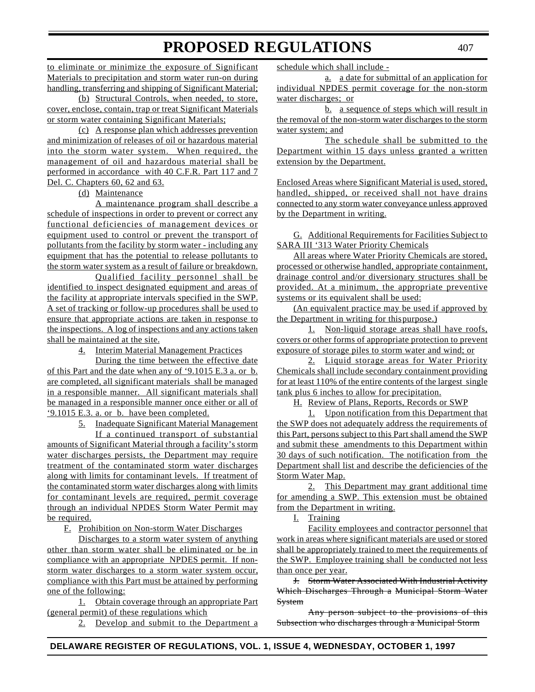to eliminate or minimize the exposure of Significant Materials to precipitation and storm water run-on during handling, transferring and shipping of Significant Material; (b) Structural Controls, when needed, to store,

cover, enclose, contain, trap or treat Significant Materials or storm water containing Significant Materials;

(c) A response plan which addresses prevention and minimization of releases of oil or hazardous material into the storm water system. When required, the management of oil and hazardous material shall be performed in accordance with 40 C.F.R. Part 117 and 7 Del. C. Chapters 60, 62 and 63.

(d) Maintenance

A maintenance program shall describe a schedule of inspections in order to prevent or correct any functional deficiencies of management devices or equipment used to control or prevent the transport of pollutants from the facility by storm water - including any equipment that has the potential to release pollutants to the storm water system as a result of failure or breakdown.

Qualified facility personnel shall be identified to inspect designated equipment and areas of the facility at appropriate intervals specified in the SWP. A set of tracking or follow-up procedures shall be used to ensure that appropriate actions are taken in response to the inspections. A log of inspections and any actions taken shall be maintained at the site.

4. Interim Material Management Practices

During the time between the effective date of this Part and the date when any of '9.1015 E.3 a. or b. are completed, all significant materials shall be managed in a responsible manner. All significant materials shall be managed in a responsible manner once either or all of '9.1015 E.3. a. or b. have been completed.

5. Inadequate Significant Material Management If a continued transport of substantial amounts of Significant Material through a facility's storm water discharges persists, the Department may require treatment of the contaminated storm water discharges along with limits for contaminant levels. If treatment of the contaminated storm water discharges along with limits for contaminant levels are required, permit coverage through an individual NPDES Storm Water Permit may be required.

F. Prohibition on Non-storm Water Discharges

Discharges to a storm water system of anything other than storm water shall be eliminated or be in compliance with an appropriate NPDES permit. If nonstorm water discharges to a storm water system occur, compliance with this Part must be attained by performing one of the following:

1. Obtain coverage through an appropriate Part (general permit) of these regulations which

2. Develop and submit to the Department a

schedule which shall include -

a. a date for submittal of an application for individual NPDES permit coverage for the non-storm water discharges; or

b. a sequence of steps which will result in the removal of the non-storm water discharges to the storm water system; and

The schedule shall be submitted to the Department within 15 days unless granted a written extension by the Department.

Enclosed Areas where Significant Material is used, stored, handled, shipped, or received shall not have drains connected to any storm water conveyance unless approved by the Department in writing.

G. Additional Requirements for Facilities Subject to SARA III '313 Water Priority Chemicals

All areas where Water Priority Chemicals are stored, processed or otherwise handled, appropriate containment, drainage control and/or diversionary structures shall be provided. At a minimum, the appropriate preventive systems or its equivalent shall be used:

(An equivalent practice may be used if approved by the Department in writing for thispurpose.)

1. Non-liquid storage areas shall have roofs, covers or other forms of appropriate protection to prevent exposure of storage piles to storm water and wind; or

2. Liquid storage areas for Water Priority Chemicals shall include secondary containment providing for at least 110% of the entire contents of the largest single tank plus 6 inches to allow for precipitation.

H. Review of Plans, Reports, Records or SWP

1. Upon notification from this Department that the SWP does not adequately address the requirements of this Part, persons subject to this Part shall amend the SWP and submit these amendments to this Department within 30 days of such notification. The notification from the Department shall list and describe the deficiencies of the Storm Water Map.

2. This Department may grant additional time for amending a SWP. This extension must be obtained from the Department in writing.

I. Training

Facility employees and contractor personnel that work in areas where significant materials are used or stored shall be appropriately trained to meet the requirements of the SWP. Employee training shall be conducted not less than once per year.

J. Storm Water Associated With Industrial Activity Which Discharges Through a Municipal Storm Water System

Any person subject to the provisions of this Subsection who discharges through a Municipal Storm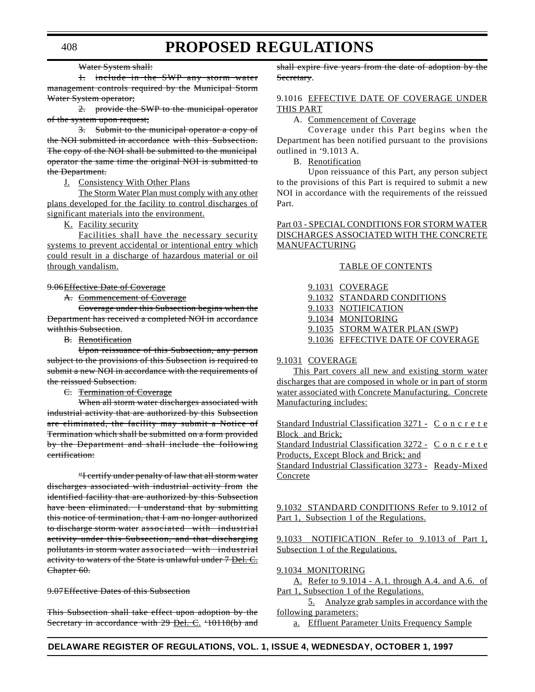#### Water System shall:

1. include in the SWP any storm water management controls required by the Municipal Storm Water System operator;

2. provide the SWP to the municipal operator of the system upon request;

3. Submit to the municipal operator a copy of the NOI submitted in accordance with this Subsection. The copy of the NOI shall be submitted to the municipal operator the same time the original NOI is submitted to the Department.

#### J. Consistency With Other Plans

The Storm Water Plan must comply with any other plans developed for the facility to control discharges of significant materials into the environment.

K. Facility security

Facilities shall have the necessary security systems to prevent accidental or intentional entry which could result in a discharge of hazardous material or oil through vandalism.

#### 9.06Effective Date of Coverage

A. Commencement of Coverage

Coverage under this Subsection begins when the Department has received a completed NOI in accordance withthis Subsection.

#### B. Renotification

Upon reissuance of this Subsection, any person subject to the provisions of this Subsection is required to submit a new NOI in accordance with the requirements of the reissued Subsection.

#### C. Termination of Coverage

When all storm water discharges associated with industrial activity that are authorized by this Subsection are eliminated, the facility may submit a Notice of Termination which shall be submitted on a form provided by the Department and shall include the following certification:

"I certify under penalty of law that all storm water discharges associated with industrial activity from the identified facility that are authorized by this Subsection have been eliminated. I understand that by submitting this notice of termination, that I am no longer authorized to discharge storm water associated with industrial activity under this Subsection, and that discharging pollutants in storm water associated with industrial activity to waters of the State is unlawful under 7 Del. C. Chapter 60.

#### 9.07Effective Dates of this Subsection

This Subsection shall take effect upon adoption by the Secretary in accordance with 29 Del. C. '10118(b) and shall expire five years from the date of adoption by the Secretary.

### 9.1016 EFFECTIVE DATE OF COVERAGE UNDER THIS PART

A. Commencement of Coverage

Coverage under this Part begins when the Department has been notified pursuant to the provisions outlined in '9.1013 A.

B. Renotification

Upon reissuance of this Part, any person subject to the provisions of this Part is required to submit a new NOI in accordance with the requirements of the reissued Part.

#### Part 03 - SPECIAL CONDITIONS FOR STORM WATER DISCHARGES ASSOCIATED WITH THE CONCRETE MANUFACTURING

#### TABLE OF CONTENTS

| 9.1031 COVERAGE                   |
|-----------------------------------|
| 9.1032 STANDARD CONDITIONS        |
| 9.1033 NOTIFICATION               |
| 9.1034 MONITORING                 |
| 9.1035 STORM WATER PLAN (SWP)     |
| 9.1036 EFFECTIVE DATE OF COVERAGE |

#### 9.1031 COVERAGE

This Part covers all new and existing storm water discharges that are composed in whole or in part of storm water associated with Concrete Manufacturing. Concrete Manufacturing includes:

Standard Industrial Classification 3271 - Concrete **Block** and Brick; Standard Industrial Classification 3272 - Concrete Products, Except Block and Brick; and Standard Industrial Classification 3273 - Ready-Mixed **Concrete** 

9.1032 STANDARD CONDITIONS Refer to 9.1012 of Part 1, Subsection 1 of the Regulations.

9.1033 NOTIFICATION Refer to 9.1013 of Part 1, Subsection 1 of the Regulations.

#### 9.1034 MONITORING

A. Refer to 9.1014 - A.1. through A.4. and A.6. of Part 1, Subsection 1 of the Regulations.

5. Analyze grab samples in accordance with the following parameters:

a. Effluent Parameter Units Frequency Sample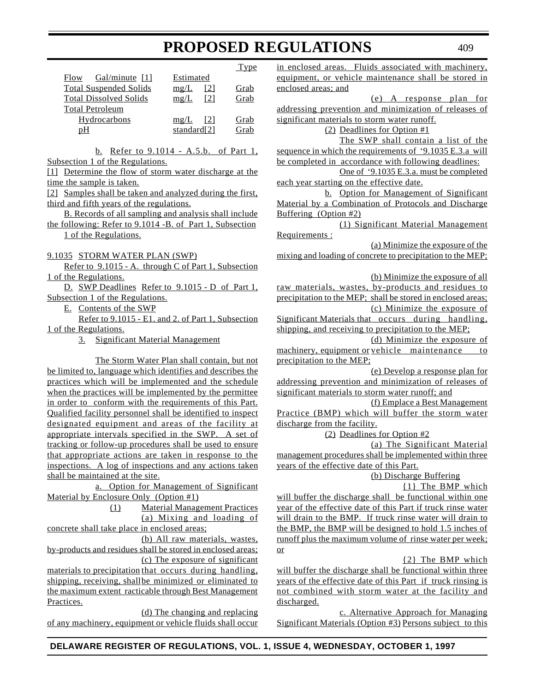|                               |                    | Type |
|-------------------------------|--------------------|------|
| Gal/minute $[1]$<br>Flow      | Estimated          |      |
| <b>Total Suspended Solids</b> | mg/L<br>[2]        | Grab |
| <b>Total Dissolved Solids</b> | [2]<br>mg/L        | Grab |
| <b>Total Petroleum</b>        |                    |      |
| Hydrocarbons                  | mg/L<br><b>121</b> | Grab |
| рH                            | standard $[2]$     | Grab |
|                               |                    |      |

b. Refer to 9.1014 - A.5.b. of Part 1, Subsection 1 of the Regulations.

[1] Determine the flow of storm water discharge at the time the sample is taken.

[2] Samples shall be taken and analyzed during the first, third and fifth years of the regulations.

B. Records of all sampling and analysis shall include the following: Refer to 9.1014 -B. of Part 1, Subsection 1 of the Regulations.

9.1035 STORM WATER PLAN (SWP)

Refer to 9.1015 - A. through C of Part 1, Subsection 1 of the Regulations.

D. SWP Deadlines Refer to 9.1015 - D of Part 1, Subsection 1 of the Regulations.

E. Contents of the SWP

Refer to 9.1015 - E1. and 2. of Part 1, Subsection 1 of the Regulations.

3. Significant Material Management

The Storm Water Plan shall contain, but not be limited to, language which identifies and describes the practices which will be implemented and the schedule when the practices will be implemented by the permittee in order to conform with the requirements of this Part. Qualified facility personnel shall be identified to inspect designated equipment and areas of the facility at appropriate intervals specified in the SWP. A set of tracking or follow-up procedures shall be used to ensure that appropriate actions are taken in response to the inspections. A log of inspections and any actions taken shall be maintained at the site.

a. Option for Management of Significant Material by Enclosure Only (Option #1)

> (1) Material Management Practices (a) Mixing and loading of

concrete shall take place in enclosed areas;

(b) All raw materials, wastes, by-products and residues shall be stored in enclosed areas; (c) The exposure of significant

materials to precipitation that occurs during handling, shipping, receiving, shallbe minimized or eliminated to the maximum extent racticable through Best Management Practices.

(d) The changing and replacing of any machinery, equipment or vehicle fluids shall occur in enclosed areas. Fluids associated with machinery, equipment, or vehicle maintenance shall be stored in enclosed areas; and (e) A response plan for addressing prevention and minimization of releases of significant materials to storm water runoff. (2) Deadlines for Option #1 The SWP shall contain a list of the sequence in which the requirements of '9.1035 E.3.a will be completed in accordance with following deadlines: One of '9.1035 E.3.a. must be completed each year starting on the effective date. b. Option for Management of Significant Material by a Combination of Protocols and Discharge Buffering (Option #2) (1) Significant Material Management Requirements : (a) Minimize the exposure of the mixing and loading of concrete to precipitation to the MEP; (b) Minimize the exposure of all raw materials, wastes, by-products and residues to precipitation to the MEP; shall be stored in enclosed areas; (c) Minimize the exposure of Significant Materials that occurs during handling, shipping, and receiving to precipitation to the MEP; (d) Minimize the exposure of machinery, equipment or vehicle maintenance to precipitation to the MEP; (e) Develop a response plan for addressing prevention and minimization of releases of significant materials to storm water runoff; and (f) Emplace a Best Management Practice (BMP) which will buffer the storm water discharge from the facility. (2) Deadlines for Option #2 (a) The Significant Material management procedures shall be implemented within three years of the effective date of this Part. (b) Discharge Buffering {1} The BMP which will buffer the discharge shall be functional within one year of the effective date of this Part if truck rinse water will drain to the BMP. If truck rinse water will drain to the BMP, the BMP will be designed to hold 1.5 inches of runoff plus the maximum volume of rinse water per week; or {2} The BMP which will buffer the discharge shall be functional within three years of the effective date of this Part if truck rinsing is not combined with storm water at the facility and

discharged. c. Alternative Approach for Managing Significant Materials (Option #3) Persons subject to this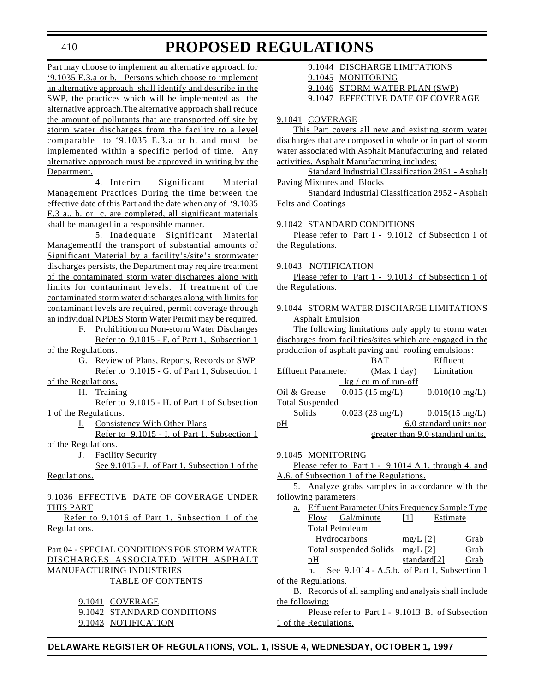410

# **PROPOSED REGULATIONS**

Part may choose to implement an alternative approach for '9.1035 E.3.a or b. Persons which choose to implement an alternative approach shall identify and describe in the SWP, the practices which will be implemented as the alternative approach.The alternative approach shall reduce the amount of pollutants that are transported off site by storm water discharges from the facility to a level comparable to '9.1035 E.3.a or b. and must be implemented within a specific period of time. Any alternative approach must be approved in writing by the Department.

4. Interim Significant Material Management Practices During the time between the effective date of this Part and the date when any of '9.1035 E.3 a., b. or c. are completed, all significant materials shall be managed in a responsible manner.

5. Inadequate Significant Material ManagementIf the transport of substantial amounts of Significant Material by a facility's/site's stormwater discharges persists, the Department may require treatment of the contaminated storm water discharges along with limits for contaminant levels. If treatment of the contaminated storm water discharges along with limits for contaminant levels are required, permit coverage through an individual NPDES Storm Water Permit may be required.

F. Prohibition on Non-storm Water Discharges Refer to 9.1015 - F. of Part 1, Subsection 1 of the Regulations.

G. Review of Plans, Reports, Records or SWP Refer to 9.1015 - G. of Part 1, Subsection 1

of the Regulations.

H. Training

Refer to 9.1015 - H. of Part 1 of Subsection 1 of the Regulations.

I. Consistency With Other Plans

Refer to 9.1015 - I. of Part 1, Subsection 1 of the Regulations.

**J.** Facility Security

See 9.1015 - J. of Part 1, Subsection 1 of the Regulations.

### 9.1036 EFFECTIVE DATE OF COVERAGE UNDER THIS PART

Refer to 9.1016 of Part 1, Subsection 1 of the Regulations.

### Part 04 - SPECIAL CONDITIONS FOR STORM WATER DISCHARGES ASSOCIATED WITH ASPHALT MANUFACTURING INDUSTRIES TABLE OF CONTENTS

9.1041 COVERAGE

9.1042 STANDARD CONDITIONS

9.1043 NOTIFICATION

| 9.1044 DISCHARGE LIMITATIONS  |
|-------------------------------|
| 9.1045 MONITORING             |
| 9.1046 STORM WATER PLAN (SWP) |

9.1047 EFFECTIVE DATE OF COVERAGE

#### 9.1041 COVERAGE

This Part covers all new and existing storm water discharges that are composed in whole or in part of storm water associated with Asphalt Manufacturing and related activities. Asphalt Manufacturing includes:

Standard Industrial Classification 2951 - Asphalt Paving Mixtures and Blocks

Standard Industrial Classification 2952 - Asphalt Felts and Coatings

#### 9.1042 STANDARD CONDITIONS

Please refer to Part 1 - 9.1012 of Subsection 1 of the Regulations.

#### 9.1043 NOTIFICATION

Please refer to Part 1 - 9.1013 of Subsection 1 of the Regulations.

# 9.1044 STORM WATER DISCHARGE LIMITATIONS Asphalt Emulsion

The following limitations only apply to storm water discharges from facilities/sites which are engaged in the production of asphalt paving and roofing emulsions:

|                           | <b>BAT</b>                      | Effluent                                   |
|---------------------------|---------------------------------|--------------------------------------------|
| <b>Effluent Parameter</b> | (Max 1 day)                     | Limitation                                 |
|                           | $\frac{kg}{cm}$ cu m of run-off |                                            |
| Oil & Grease              | $0.015$ (15 mg/L)               | $0.010(10 \text{ mg/L})$                   |
| <b>Total Suspended</b>    |                                 |                                            |
| Solids                    |                                 | $0.023$ (23 mg/L) $0.015(15 \text{ mg/L})$ |
| pH                        |                                 | 6.0 standard units nor                     |
|                           |                                 | greater than 9.0 standard units.           |

#### 9.1045 MONITORING

Please refer to Part 1 - 9.1014 A.1. through 4. and A.6. of Subsection 1 of the Regulations.

5. Analyze grabs samples in accordance with the following parameters:

a. Effluent Parameter Units Frequency Sample Type Flow Gal/minute [1] Estimate Total Petroleum Hydrocarbons mg/L [2] Grab Total suspended Solids mg/L [2] Grab pH standard[2] Grab b. See 9.1014 - A.5.b. of Part 1, Subsection 1 of the Regulations.

B. Records of all sampling and analysis shall include the following:

Please refer to Part 1 - 9.1013 B. of Subsection 1 of the Regulations.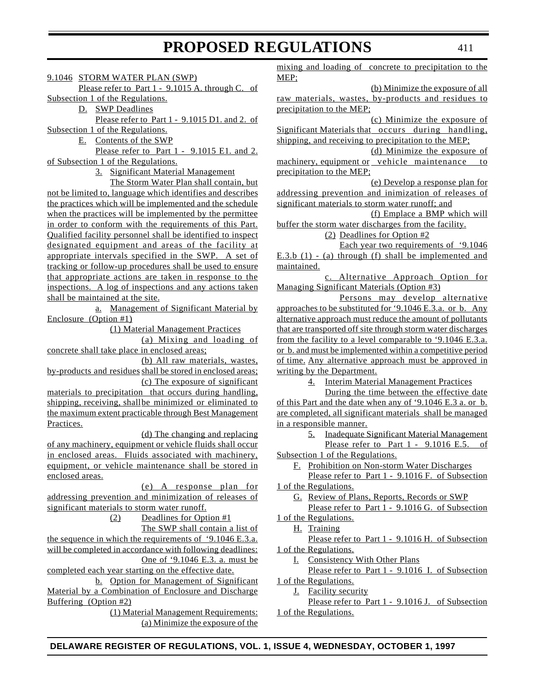#### 9.1046 STORM WATER PLAN (SWP)

Please refer to Part 1 - 9.1015 A. through C. of

Subsection 1 of the Regulations.

D. SWP Deadlines

Please refer to Part 1 - 9.1015 D1. and 2. of Subsection 1 of the Regulations.

E. Contents of the SWP

Please refer to Part 1 - 9.1015 E1. and 2. of Subsection 1 of the Regulations.

3. Significant Material Management

The Storm Water Plan shall contain, but not be limited to, language which identifies and describes the practices which will be implemented and the schedule when the practices will be implemented by the permittee in order to conform with the requirements of this Part. Qualified facility personnel shall be identified to inspect designated equipment and areas of the facility at appropriate intervals specified in the SWP. A set of tracking or follow-up procedures shall be used to ensure that appropriate actions are taken in response to the inspections. A log of inspections and any actions taken shall be maintained at the site.

a. Management of Significant Material by Enclosure (Option #1)

(1) Material Management Practices

(a) Mixing and loading of concrete shall take place in enclosed areas;

(b) All raw materials, wastes, by-products and residues shall be stored in enclosed areas; (c) The exposure of significant

materials to precipitation that occurs during handling, shipping, receiving, shallbe minimized or eliminated to the maximum extent practicable through Best Management Practices.

(d) The changing and replacing of any machinery, equipment or vehicle fluids shall occur in enclosed areas. Fluids associated with machinery, equipment, or vehicle maintenance shall be stored in enclosed areas.

(e) A response plan for addressing prevention and minimization of releases of significant materials to storm water runoff.

(2) Deadlines for Option #1

The SWP shall contain a list of the sequence in which the requirements of '9.1046 E.3.a. will be completed in accordance with following deadlines: One of '9.1046 E.3. a. must be

completed each year starting on the effective date.

b. Option for Management of Significant Material by a Combination of Enclosure and Discharge Buffering (Option #2)

(1) Material Management Requirements: (a) Minimize the exposure of the mixing and loading of concrete to precipitation to the MEP;

(b) Minimize the exposure of all raw materials, wastes, by-products and residues to precipitation to the MEP;

(c) Minimize the exposure of Significant Materials that occurs during handling, shipping, and receiving to precipitation to the MEP;

(d) Minimize the exposure of machinery, equipment or vehicle maintenance to precipitation to the MEP;

(e) Develop a response plan for addressing prevention and inimization of releases of significant materials to storm water runoff; and

(f) Emplace a BMP which will buffer the storm water discharges from the facility.

(2) Deadlines for Option #2

Each year two requirements of '9.1046 E.3.b (1) - (a) through (f) shall be implemented and maintained.

c. Alternative Approach Option for Managing Significant Materials (Option #3)

Persons may develop alternative approaches to be substituted for '9.1046 E.3.a. or b. Any alternative approach must reduce the amount of pollutants that are transported off site through storm water discharges from the facility to a level comparable to '9.1046 E.3.a. or b. and must be implemented within a competitive period of time. Any alternative approach must be approved in writing by the Department.

4. Interim Material Management Practices

During the time between the effective date of this Part and the date when any of '9.1046 E.3 a. or b. are completed, all significant materials shall be managed in a responsible manner.

5. Inadequate Significant Material Management

Please refer to Part 1 - 9.1016 E.5. of Subsection 1 of the Regulations.

F. Prohibition on Non-storm Water Discharges

Please refer to Part 1 - 9.1016 F. of Subsection 1 of the Regulations.

G. Review of Plans, Reports, Records or SWP

Please refer to Part 1 - 9.1016 G. of Subsection 1 of the Regulations.

H. Training

Please refer to Part 1 - 9.1016 H. of Subsection 1 of the Regulations.

I. Consistency With Other Plans

Please refer to Part 1 - 9.1016 I. of Subsection 1 of the Regulations.

J. Facility security

Please refer to Part 1 - 9.1016 J. of Subsection 1 of the Regulations.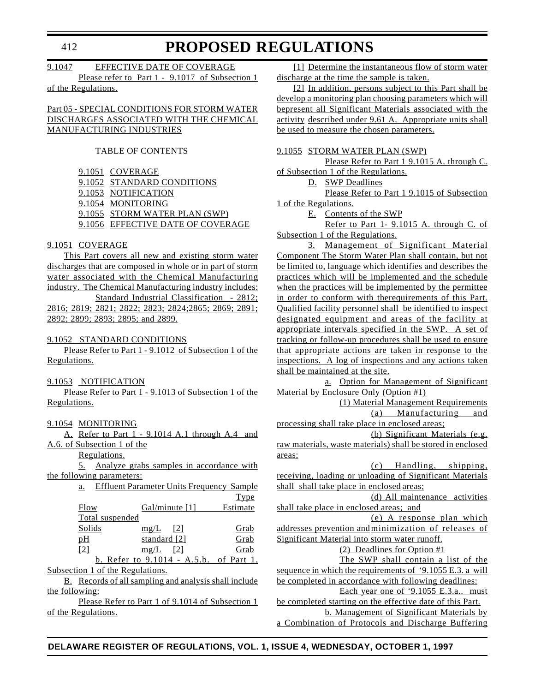# 9.1047 EFFECTIVE DATE OF COVERAGE Please refer to Part 1 - 9.1017 of Subsection 1

of the Regulations.

## Part 05 - SPECIAL CONDITIONS FOR STORM WATER DISCHARGES ASSOCIATED WITH THE CHEMICAL MANUFACTURING INDUSTRIES

#### TABLE OF CONTENTS

9.1051 COVERAGE 9.1052 STANDARD CONDITIONS 9.1053 NOTIFICATION 9.1054 MONITORING 9.1055 STORM WATER PLAN (SWP) 9.1056 EFFECTIVE DATE OF COVERAGE

## 9.1051 COVERAGE

This Part covers all new and existing storm water discharges that are composed in whole or in part of storm water associated with the Chemical Manufacturing industry. The Chemical Manufacturing industry includes: Standard Industrial Classification - 2812;

2816; 2819; 2821; 2822; 2823; 2824;2865; 2869; 2891; 2892; 2899; 2893; 2895; and 2899.

#### 9.1052 STANDARD CONDITIONS

Please Refer to Part 1 - 9.1012 of Subsection 1 of the Regulations.

#### 9.1053 NOTIFICATION

Please Refer to Part 1 - 9.1013 of Subsection 1 of the Regulations.

### 9.1054 MONITORING

A. Refer to Part 1 - 9.1014 A.1 through A.4 and A.6. of Subsection 1 of the Regulations.

5. Analyze grabs samples in accordance with the following parameters:

| a.                | <b>Effluent Parameter Units Frequency Sample</b> |             |
|-------------------|--------------------------------------------------|-------------|
|                   |                                                  | <b>Type</b> |
| Flow              | $Gal/minute$ [1]                                 | Estimate    |
|                   | Total suspended                                  |             |
| Solids            | mg/L<br>$\vert$ 121                              | Grab        |
| pH                | standard [2]                                     | Grab        |
| $\lceil 2 \rceil$ | mg/L<br> 2                                       | Grab        |
|                   | b. Refer to 9.1014 - A.5.b. of Part 1,           |             |
|                   | $4.04 \times 1.1$                                |             |

Subsection 1 of the Regulations.

B. Records of all sampling and analysis shall include the following:

Please Refer to Part 1 of 9.1014 of Subsection 1 of the Regulations.

[1] Determine the instantaneous flow of storm water discharge at the time the sample is taken.

[2] In addition, persons subject to this Part shall be develop a monitoring plan choosing parameters which will bepresent all Significant Materials associated with the activity described under 9.61 A. Appropriate units shall be used to measure the chosen parameters.

#### 9.1055 STORM WATER PLAN (SWP)

Please Refer to Part 1 9.1015 A. through C. of Subsection 1 of the Regulations.

D. SWP Deadlines

Please Refer to Part 1 9.1015 of Subsection 1 of the Regulations.

E. Contents of the SWP

Refer to Part 1- 9.1015 A. through C. of Subsection 1 of the Regulations.

3. Management of Significant Material Component The Storm Water Plan shall contain, but not be limited to, language which identifies and describes the practices which will be implemented and the schedule when the practices will be implemented by the permittee in order to conform with therequirements of this Part. Qualified facility personnel shall be identified to inspect designated equipment and areas of the facility at appropriate intervals specified in the SWP. A set of tracking or follow-up procedures shall be used to ensure that appropriate actions are taken in response to the inspections. A log of inspections and any actions taken shall be maintained at the site.

a. Option for Management of Significant Material by Enclosure Only (Option #1)

- (1) Material Management Requirements
	- (a) Manufacturing and

processing shall take place in enclosed areas; (b) Significant Materials (e.g. raw materials, waste materials) shall be stored in enclosed areas;

(c) Handling, shipping, receiving, loading or unloading of Significant Materials shall shall take place in enclosed areas;

(d) All maintenance activities shall take place in enclosed areas; and

(e) A response plan which

addresses prevention andminimization of releases of Significant Material into storm water runoff.

(2) Deadlines for Option #1

The SWP shall contain a list of the sequence in which the requirements of '9.1055 E.3. a will be completed in accordance with following deadlines:

Each year one of '9.1055 E.3.a.. must

be completed starting on the effective date of this Part. b. Management of Significant Materials by a Combination of Protocols and Discharge Buffering

# **DELAWARE REGISTER OF REGULATIONS, VOL. 1, ISSUE 4, WEDNESDAY, OCTOBER 1, 1997**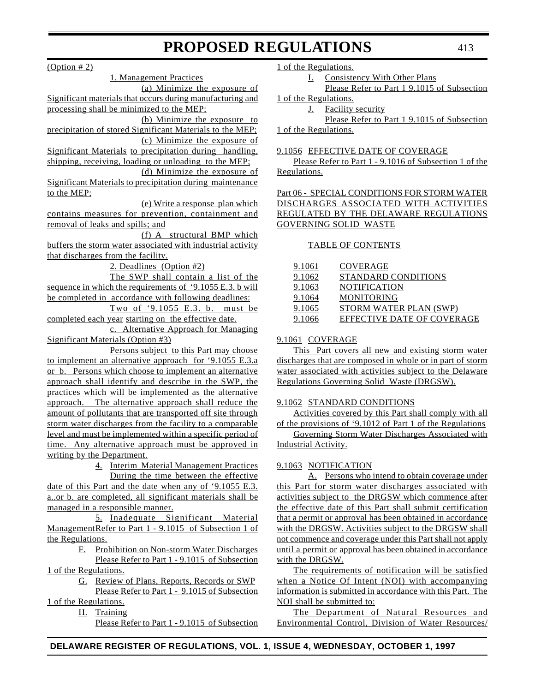$(Option # 2)$ 

to the MEP;

1. Management Practices (a) Minimize the exposure of Significant materials that occurs during manufacturing and processing shall be minimized to the MEP; (b) Minimize the exposure to precipitation of stored Significant Materials to the MEP; (c) Minimize the exposure of Significant Materials to precipitation during handling, shipping, receiving, loading or unloading to the MEP; (d) Minimize the exposure of Significant Materials to precipitation during maintenance (e) Write a response plan which contains measures for prevention, containment and removal of leaks and spills; and (f) A structural BMP which buffers the storm water associated with industrial activity that discharges from the facility. 2. Deadlines (Option #2) The SWP shall contain a list of the sequence in which the requirements of '9.1055 E.3. b will be completed in accordance with following deadlines: Two of '9.1055 E.3. b. must be completed each year starting on the effective date. c. Alternative Approach for Managing Significant Materials (Option #3) Persons subject to this Part may choose to implement an alternative approach for '9.1055 E.3.a

or b. Persons which choose to implement an alternative approach shall identify and describe in the SWP, the practices which will be implemented as the alternative approach. The alternative approach shall reduce the amount of pollutants that are transported off site through storm water discharges from the facility to a comparable level and must be implemented within a specific period of time. Any alternative approach must be approved in writing by the Department.

> 4. Interim Material Management Practices During the time between the effective

date of this Part and the date when any of '9.1055 E.3. a..or b. are completed, all significant materials shall be managed in a responsible manner.

5. Inadequate Significant Material ManagementRefer to Part 1 - 9.1015 of Subsection 1 of the Regulations.

F. Prohibition on Non-storm Water Discharges Please Refer to Part 1 - 9.1015 of Subsection

1 of the Regulations.

G. Review of Plans, Reports, Records or SWP Please Refer to Part 1 - 9.1015 of Subsection

1 of the Regulations.

H. Training

Please Refer to Part 1 - 9.1015 of Subsection

1 of the Regulations.

I. Consistency With Other Plans

Please Refer to Part 1 9.1015 of Subsection 1 of the Regulations.

J. Facility security

Please Refer to Part 1 9.1015 of Subsection 1 of the Regulations.

### 9.1056 EFFECTIVE DATE OF COVERAGE

Please Refer to Part 1 - 9.1016 of Subsection 1 of the Regulations.

Part 06 - SPECIAL CONDITIONS FOR STORM WATER DISCHARGES ASSOCIATED WITH ACTIVITIES REGULATED BY THE DELAWARE REGULATIONS GOVERNING SOLID WASTE

# TABLE OF CONTENTS

| 9.1061 | COVERAGE                   |
|--------|----------------------------|
| 9.1062 | STANDARD CONDITIONS        |
| 9.1063 | <b>NOTIFICATION</b>        |
| 9.1064 | <b>MONITORING</b>          |
| 9.1065 | STORM WATER PLAN (SWP)     |
| 9.1066 | EFFECTIVE DATE OF COVERAGE |
|        |                            |

# 9.1061 COVERAGE

This Part covers all new and existing storm water discharges that are composed in whole or in part of storm water associated with activities subject to the Delaware Regulations Governing Solid Waste (DRGSW).

# 9.1062 STANDARD CONDITIONS

Activities covered by this Part shall comply with all of the provisions of '9.1012 of Part 1 of the Regulations

Governing Storm Water Discharges Associated with Industrial Activity.

# 9.1063 NOTIFICATION

A. Persons who intend to obtain coverage under this Part for storm water discharges associated with activities subject to the DRGSW which commence after the effective date of this Part shall submit certification that a permit or approval has been obtained in accordance with the DRGSW. Activities subject to the DRGSW shall not commence and coverage under this Part shall not apply until a permit or approval has been obtained in accordance with the DRGSW.

The requirements of notification will be satisfied when a Notice Of Intent (NOI) with accompanying information is submitted in accordance with this Part. The NOI shall be submitted to:

The Department of Natural Resources and Environmental Control, Division of Water Resources/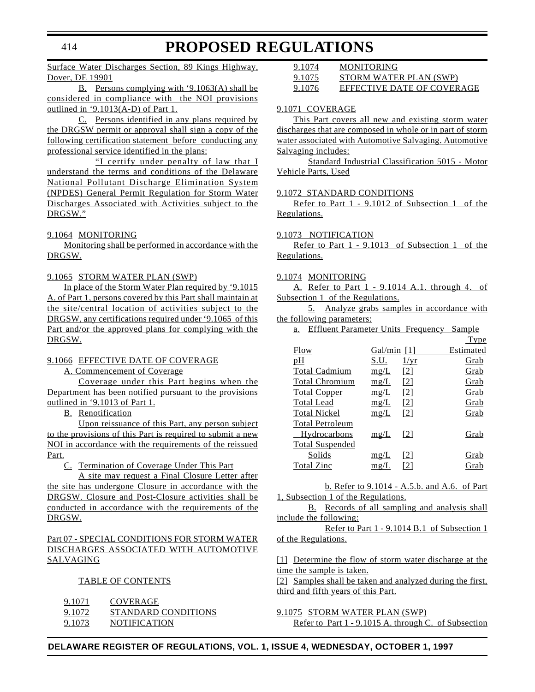### Surface Water Discharges Section, 89 Kings Highway, Dover, DE 19901

#### B. Persons complying with '9.1063(A) shall be considered in compliance with the NOI provisions outlined in  $\cdot$ 9.1013(A-D) of Part 1.

C. Persons identified in any plans required by the DRGSW permit or approval shall sign a copy of the following certification statement before conducting any professional service identified in the plans:

"I certify under penalty of law that I understand the terms and conditions of the Delaware National Pollutant Discharge Elimination System (NPDES) General Permit Regulation for Storm Water Discharges Associated with Activities subject to the DRGSW."

#### 9.1064 MONITORING

Monitoring shall be performed in accordance with the DRGSW.

#### 9.1065 STORM WATER PLAN (SWP)

In place of the Storm Water Plan required by '9.1015 A. of Part 1, persons covered by this Part shall maintain at the site/central location of activities subject to the DRGSW, any certifications required under '9.1065 of this Part and/or the approved plans for complying with the DRGSW.

#### 9.1066 EFFECTIVE DATE OF COVERAGE

A. Commencement of Coverage

Coverage under this Part begins when the Department has been notified pursuant to the provisions outlined in '9.1013 of Part 1.

B. Renotification

Upon reissuance of this Part, any person subject to the provisions of this Part is required to submit a new NOI in accordance with the requirements of the reissued Part.

C. Termination of Coverage Under This Part

A site may request a Final Closure Letter after the site has undergone Closure in accordance with the DRGSW. Closure and Post-Closure activities shall be conducted in accordance with the requirements of the DRGSW.

## Part 07 - SPECIAL CONDITIONS FOR STORM WATER DISCHARGES ASSOCIATED WITH AUTOMOTIVE SALVAGING

#### TABLE OF CONTENTS

| 9.1071 | <b>COVERAGE</b>     |
|--------|---------------------|
| 9.1072 | STANDARD CONDITIONS |
| 9.1073 | <b>NOTIFICATION</b> |

| 9.1074 | <b>MONITORING</b>          |
|--------|----------------------------|
| 9.1075 | STORM WATER PLAN (SWP)     |
| 9.1076 | EFFECTIVE DATE OF COVERAGE |

#### 9.1071 COVERAGE

This Part covers all new and existing storm water discharges that are composed in whole or in part of storm water associated with Automotive Salvaging. Automotive Salvaging includes:

Standard Industrial Classification 5015 - Motor Vehicle Parts, Used

#### 9.1072 STANDARD CONDITIONS

Refer to Part 1 - 9.1012 of Subsection 1 of the Regulations.

#### 9.1073 NOTIFICATION

Refer to Part 1 - 9.1013 of Subsection 1 of the Regulations.

#### 9.1074 MONITORING

A. Refer to Part 1 - 9.1014 A.1. through 4. of Subsection 1 of the Regulations.

5. Analyze grabs samples in accordance with the following parameters:

a. Effluent Parameter Units Frequency Sample

|                        |             |                   | Type      |
|------------------------|-------------|-------------------|-----------|
| Flow                   | Gal/min [1] |                   | Estimated |
| pH                     | S.U.        | $1/\mathrm{yr}$   | Grab      |
| <b>Total Cadmium</b>   | mg/L        | [2]               | Grab      |
| <b>Total Chromium</b>  | mg/L        | [2]               | Grab      |
| <b>Total Copper</b>    | mg/L        | $\lceil 2 \rceil$ | Grab      |
| <b>Total Lead</b>      | mg/L        | $\lceil 2 \rceil$ | Grab      |
| <b>Total Nickel</b>    | mg/L        | $\lceil 2 \rceil$ | Grab      |
| <b>Total Petroleum</b> |             |                   |           |
| Hydrocarbons           | mg/L        | [2]               | Grab      |
| <b>Total Suspended</b> |             |                   |           |
| Solids                 | mg/L        | [2]               | Grab      |
| <b>Total Zinc</b>      | mg          |                   | Grab      |
|                        |             |                   |           |

b. Refer to 9.1014 - A.5.b. and A.6. of Part 1, Subsection 1 of the Regulations.

B. Records of all sampling and analysis shall include the following:

Refer to Part 1 - 9.1014 B.1 of Subsection 1 of the Regulations.

[1] Determine the flow of storm water discharge at the time the sample is taken.

[2] Samples shall be taken and analyzed during the first, third and fifth years of this Part.

9.1075 STORM WATER PLAN (SWP)

Refer to Part 1 - 9.1015 A. through C. of Subsection

#### **DELAWARE REGISTER OF REGULATIONS, VOL. 1, ISSUE 4, WEDNESDAY, OCTOBER 1, 1997**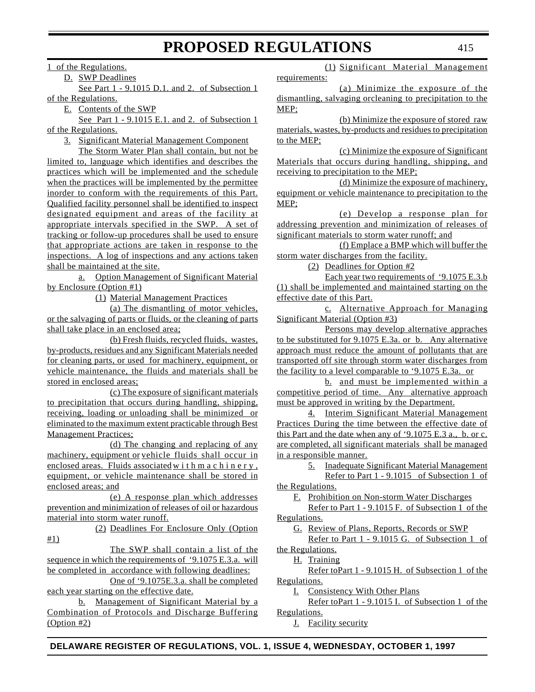1 of the Regulations.

D. SWP Deadlines

See Part 1 - 9.1015 D.1. and 2. of Subsection 1 of the Regulations.

E. Contents of the SWP

See Part 1 - 9.1015 E.1. and 2. of Subsection 1 of the Regulations.

3. Significant Material Management Component

The Storm Water Plan shall contain, but not be limited to, language which identifies and describes the practices which will be implemented and the schedule when the practices will be implemented by the permittee inorder to conform with the requirements of this Part. Qualified facility personnel shall be identified to inspect designated equipment and areas of the facility at appropriate intervals specified in the SWP. A set of tracking or follow-up procedures shall be used to ensure that appropriate actions are taken in response to the inspections. A log of inspections and any actions taken shall be maintained at the site.

a. Option Management of Significant Material by Enclosure (Option #1)

(1) Material Management Practices

(a) The dismantling of motor vehicles, or the salvaging of parts or fluids, or the cleaning of parts shall take place in an enclosed area;

(b) Fresh fluids, recycled fluids, wastes, by-products, residues and any Significant Materials needed for cleaning parts, or used for machinery, equipment, or vehicle maintenance, the fluids and materials shall be stored in enclosed areas;

(c) The exposure of significant materials to precipitation that occurs during handling, shipping, receiving, loading or unloading shall be minimized or eliminated to the maximum extent practicable through Best Management Practices;

(d) The changing and replacing of any machinery, equipment or vehicle fluids shall occur in enclosed areas. Fluids associated withmachinery, equipment, or vehicle maintenance shall be stored in enclosed areas; and

(e) A response plan which addresses prevention and minimization of releases of oil or hazardous material into storm water runoff.

(2) Deadlines For Enclosure Only (Option #1)

The SWP shall contain a list of the sequence in which the requirements of '9.1075 E.3.a. will be completed in accordance with following deadlines:

One of '9.1075E.3.a. shall be completed each year starting on the effective date.

b. Management of Significant Material by a Combination of Protocols and Discharge Buffering (Option #2)

(1) Significant Material Management requirements:

(a) Minimize the exposure of the dismantling, salvaging orcleaning to precipitation to the MEP;

(b) Minimize the exposure of stored raw materials, wastes, by-products and residues to precipitation to the MEP;

(c) Minimize the exposure of Significant Materials that occurs during handling, shipping, and receiving to precipitation to the MEP;

(d) Minimize the exposure of machinery, equipment or vehicle maintenance to precipitation to the MEP;

(e) Develop a response plan for addressing prevention and minimization of releases of significant materials to storm water runoff; and

(f) Emplace a BMP which will buffer the storm water discharges from the facility.

(2) Deadlines for Option #2

Each year two requirements of '9.1075 E.3.b (1) shall be implemented and maintained starting on the effective date of this Part.

c. Alternative Approach for Managing Significant Material (Option #3)

Persons may develop alternative appraches to be substituted for 9.1075 E.3a. or b. Any alternative approach must reduce the amount of pollutants that are transported off site through storm water discharges from the facility to a level comparable to '9.1075 E.3a. or

b. and must be implemented within a competitive period of time. Any alternative approach must be approved in writing by the Department.

4. Interim Significant Material Management Practices During the time between the effective date of this Part and the date when any of '9.1075 E.3 a., b. or c. are completed, all significant materials shall be managed in a responsible manner.

> 5. Inadequate Significant Material Management Refer to Part 1 - 9.1015 of Subsection 1 of

the Regulations.

F. Prohibition on Non-storm Water Discharges

Refer to Part 1 - 9.1015 F. of Subsection 1 of the Regulations.

G. Review of Plans, Reports, Records or SWP

Refer to Part 1 - 9.1015 G. of Subsection 1 of the Regulations.

H. Training

Refer toPart 1 - 9.1015 H. of Subsection 1 of the Regulations.

I. Consistency With Other Plans

Refer toPart 1 - 9.1015 I. of Subsection 1 of the Regulations.

J. Facility security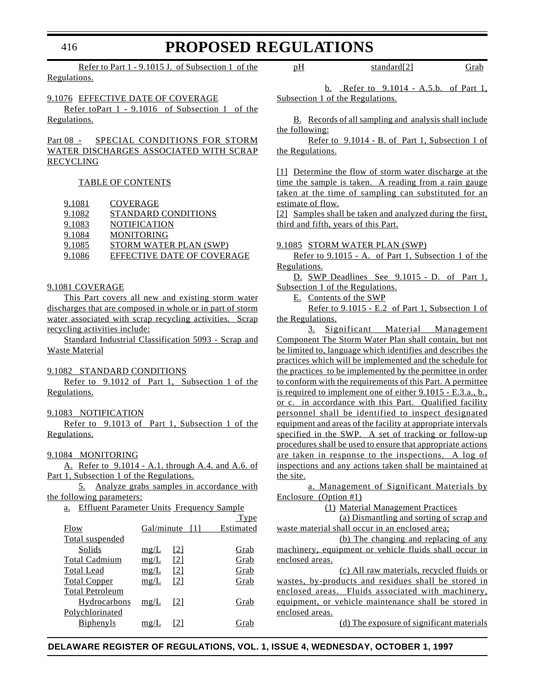# 416

# **PROPOSED REGULATIONS**

Refer to Part 1 - 9.1015 J. of Subsection 1 of the Regulations.

9.1076 EFFECTIVE DATE OF COVERAGE Refer toPart 1 - 9.1016 of Subsection 1 of the

Regulations.

### Part 08 - SPECIAL CONDITIONS FOR STORM WATER DISCHARGES ASSOCIATED WITH SCRAP RECYCLING

#### TABLE OF CONTENTS

| 9.1081 | <b>COVERAGE</b>            |
|--------|----------------------------|
| 9.1082 | STANDARD CONDITIONS        |
| 9.1083 | <b>NOTIFICATION</b>        |
| 9.1084 | <b>MONITORING</b>          |
| 9.1085 | STORM WATER PLAN (SWP)     |
| 9.1086 | EFFECTIVE DATE OF COVERAGE |
|        |                            |

### 9.1081 COVERAGE

This Part covers all new and existing storm water discharges that are composed in whole or in part of storm water associated with scrap recycling activities. Scrap recycling activities include:

Standard Industrial Classification 5093 - Scrap and Waste Material

#### 9.1082 STANDARD CONDITIONS

Refer to 9.1012 of Part 1, Subsection 1 of the Regulations.

#### 9.1083 NOTIFICATION

Refer to 9.1013 of Part 1, Subsection 1 of the Regulations.

#### 9.1084 MONITORING

A. Refer to 9.1014 - A.1. through A.4. and A.6. of Part 1, Subsection 1 of the Regulations.

5. Analyze grabs samples in accordance with the following parameters:

a. Effluent Parameter Units Frequency Sample

|                        |            |                   | Type      |
|------------------------|------------|-------------------|-----------|
| Flow                   | Gal/minute |                   | Estimated |
| Total suspended        |            |                   |           |
| Solids                 | mg/L       | [2]               | Grab      |
| <b>Total Cadmium</b>   | mg/L       | [2]               | Grab      |
| <b>Total Lead</b>      | mg/L       | $\lceil 2 \rceil$ | Grab      |
| <b>Total Copper</b>    | mg/L       | [2]               | Grab      |
| <b>Total Petroleum</b> |            |                   |           |
| Hydrocarbons           | mg/L       | 121               | Grab      |
| Polychlorinated        |            |                   |           |
| <b>B</b> iphenyls      | mg/        |                   | Grab      |
|                        |            |                   |           |

pH standard[2] Grab

b. Refer to 9.1014 - A.5.b. of Part 1, Subsection 1 of the Regulations.

B. Records of all sampling and analysis shall include the following:

Refer to 9.1014 - B. of Part 1, Subsection 1 of the Regulations.

[1] Determine the flow of storm water discharge at the time the sample is taken. A reading from a rain gauge taken at the time of sampling can substituted for an estimate of flow.

[2] Samples shall be taken and analyzed during the first, third and fifth, years of this Part.

#### 9.1085 STORM WATER PLAN (SWP)

Refer to 9.1015 - A. of Part 1, Subsection 1 of the Regulations.

D. SWP Deadlines See 9.1015 - D. of Part 1, Subsection 1 of the Regulations.

E. Contents of the SWP

Refer to 9.1015 - E.2 of Part 1, Subsection 1 of the Regulations.

3. Significant Material Management Component The Storm Water Plan shall contain, but not be limited to, language which identifies and describes the practices which will be implemented and the schedule for the practices to be implemented by the permittee in order to conform with the requirements of this Part. A permittee is required to implement one of either 9.1015 - E.3.a., b., or c. in accordance with this Part. Qualified facility personnel shall be identified to inspect designated equipment and areas of the facility at appropriate intervals specified in the SWP. A set of tracking or follow-up procedures shall be used to ensure that appropriate actions are taken in response to the inspections. A log of inspections and any actions taken shall be maintained at the site.

a. Management of Significant Materials by Enclosure (Option #1)

(1) Material Management Practices

(a) Dismantling and sorting of scrap and waste material shall occur in an enclosed area;

(b) The changing and replacing of any machinery, equipment or vehicle fluids shall occur in enclosed areas.

(c) All raw materials, recycled fluids or wastes, by-products and residues shall be stored in enclosed areas. Fluids associated with machinery, equipment, or vehicle maintenance shall be stored in enclosed areas.

(d) The exposure of significant materials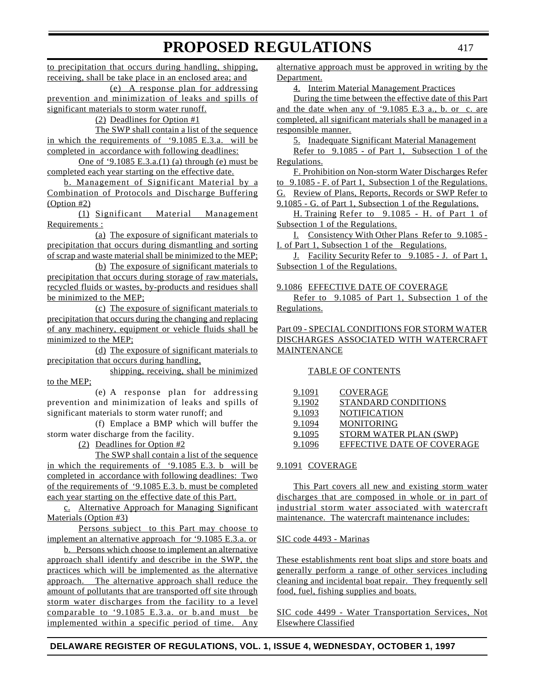to precipitation that occurs during handling, shipping, receiving, shall be take place in an enclosed area; and (e) A response plan for addressing

prevention and minimization of leaks and spills of significant materials to storm water runoff.

(2) Deadlines for Option #1

The SWP shall contain a list of the sequence in which the requirements of '9.1085 E.3.a. will be completed in accordance with following deadlines:

One of '9.1085 E.3.a.(1) (a) through (e) must be completed each year starting on the effective date.

b. Management of Significant Material by a Combination of Protocols and Discharge Buffering (Option #2)

(1) Significant Material Management Requirements :

(a) The exposure of significant materials to precipitation that occurs during dismantling and sorting of scrap and waste material shall be minimized to the MEP;

(b) The exposure of significant materials to precipitation that occurs during storage of raw materials, recycled fluids or wastes, by-products and residues shall be minimized to the MEP;

(c) The exposure of significant materials to precipitation that occurs during the changing and replacing of any machinery, equipment or vehicle fluids shall be minimized to the MEP;

(d) The exposure of significant materials to precipitation that occurs during handling,

shipping, receiving, shall be minimized to the MEP;

(e) A response plan for addressing prevention and minimization of leaks and spills of significant materials to storm water runoff; and

(f) Emplace a BMP which will buffer the storm water discharge from the facility.

(2) Deadlines for Option #2

The SWP shall contain a list of the sequence in which the requirements of '9.1085 E.3. b will be completed in accordance with following deadlines: Two of the requirements of '9.1085 E.3. b. must be completed each year starting on the effective date of this Part.

c. Alternative Approach for Managing Significant Materials (Option #3)

Persons subject to this Part may choose to implement an alternative approach for '9.1085 E.3.a. or

b. Persons which choose to implement an alternative approach shall identify and describe in the SWP, the practices which will be implemented as the alternative approach. The alternative approach shall reduce the amount of pollutants that are transported off site through storm water discharges from the facility to a level comparable to '9.1085 E.3.a. or b.and must be implemented within a specific period of time. Any

alternative approach must be approved in writing by the Department.

4. Interim Material Management Practices

During the time between the effective date of this Part and the date when any of '9.1085 E.3 a., b. or c. are completed, all significant materials shall be managed in a responsible manner.

5. Inadequate Significant Material Management

Refer to 9.1085 - of Part 1, Subsection 1 of the Regulations.

F. Prohibition on Non-storm Water Discharges Refer to 9.1085 - F. of Part 1, Subsection 1 of the Regulations. G. Review of Plans, Reports, Records or SWP Refer to 9.1085 - G. of Part 1, Subsection 1 of the Regulations.

H. Training Refer to 9.1085 - H. of Part 1 of Subsection 1 of the Regulations.

I. Consistency With Other Plans Refer to 9.1085 - I. of Part 1, Subsection 1 of the Regulations.

J. Facility Security Refer to 9.1085 - J. of Part 1, Subsection 1 of the Regulations.

9.1086 EFFECTIVE DATE OF COVERAGE

Refer to 9.1085 of Part 1, Subsection 1 of the Regulations.

### Part 09 - SPECIAL CONDITIONS FOR STORM WATER DISCHARGES ASSOCIATED WITH WATERCRAFT **MAINTENANCE**

# TABLE OF CONTENTS

| COVERAGE                   |
|----------------------------|
| <b>STANDARD CONDITIONS</b> |
| <b>NOTIFICATION</b>        |
| <b>MONITORING</b>          |
| STORM WATER PLAN (SWP)     |
| EFFECTIVE DATE OF COVERAGE |
|                            |

# 9.1091 COVERAGE

This Part covers all new and existing storm water discharges that are composed in whole or in part of industrial storm water associated with watercraft maintenance. The watercraft maintenance includes:

# SIC code 4493 - Marinas

These establishments rent boat slips and store boats and generally perform a range of other services including cleaning and incidental boat repair. They frequently sell food, fuel, fishing supplies and boats.

SIC code 4499 - Water Transportation Services, Not Elsewhere Classified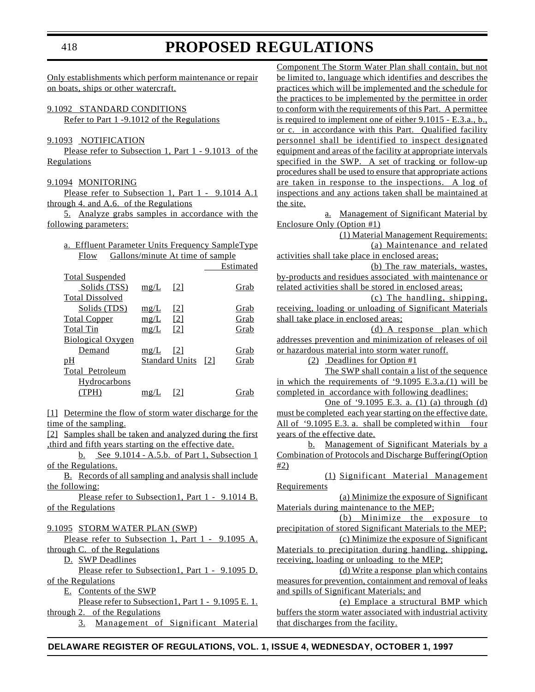Only establishments which perform maintenance or repair on boats, ships or other watercraft.

9.1092 STANDARD CONDITIONS

Refer to Part 1 -9.1012 of the Regulations

#### 9.1093 NOTIFICATION

Please refer to Subsection 1, Part 1 - 9.1013 of the **Regulations** 

#### 9.1094 MONITORING

Please refer to Subsection 1, Part 1 - 9.1014 A.1 through 4. and A.6. of the Regulations

5. Analyze grabs samples in accordance with the following parameters:

|             | a. Effluent Parameter Units Frequency SampleType |  |
|-------------|--------------------------------------------------|--|
| <b>Flow</b> | Gallons/minute At time of sample                 |  |

|                          |      |                       |     | Estimated |
|--------------------------|------|-----------------------|-----|-----------|
| <b>Total Suspended</b>   |      |                       |     |           |
| Solids (TSS)             | mg/L | [2]                   |     | Grab      |
| <b>Total Dissolved</b>   |      |                       |     |           |
| Solids (TDS)             | mg/L | [2]                   |     | Grab      |
| <b>Total Copper</b>      | mg/L | $\lceil 2 \rceil$     |     | Grab      |
| <b>Total Tin</b>         | mg/L | $\lceil 2 \rceil$     |     | Grab      |
| <b>Biological Oxygen</b> |      |                       |     |           |
| Demand                   | mg/L | [2]                   |     | Grab      |
| pH                       |      | <b>Standard Units</b> | [2] | Grab      |
| Total Petroleum          |      |                       |     |           |
| Hydrocarbons             |      |                       |     |           |
| (TPH)                    | mg.  |                       |     | Gra       |
|                          |      |                       |     |           |

[1] Determine the flow of storm water discharge for the time of the sampling.

[2] Samples shall be taken and analyzed during the first ,third and fifth years starting on the effective date.

b. See 9.1014 - A.5.b. of Part 1, Subsection 1 of the Regulations.

B. Records of all sampling and analysis shall include the following:

Please refer to Subsection1, Part 1 - 9.1014 B. of the Regulations

#### 9.1095 STORM WATER PLAN (SWP)

Please refer to Subsection 1, Part 1 - 9.1095 A. through C. of the Regulations

D. SWP Deadlines

Please refer to Subsection1, Part 1 - 9.1095 D. of the Regulations

E. Contents of the SWP Please refer to Subsection1, Part 1 - 9.1095 E. 1.

through 2. of the Regulations

3. Management of Significant Material

Component The Storm Water Plan shall contain, but not be limited to, language which identifies and describes the practices which will be implemented and the schedule for the practices to be implemented by the permittee in order to conform with the requirements of this Part. A permittee is required to implement one of either 9.1015 - E.3.a., b., or c. in accordance with this Part. Qualified facility personnel shall be identified to inspect designated equipment and areas of the facility at appropriate intervals specified in the SWP. A set of tracking or follow-up procedures shall be used to ensure that appropriate actions are taken in response to the inspections. A log of inspections and any actions taken shall be maintained at the site.

a. Management of Significant Material by Enclosure Only (Option #1)

(1) Material Management Requirements: (a) Maintenance and related

activities shall take place in enclosed areas; (b) The raw materials, wastes, by-products and residues associated with maintenance or

related activities shall be stored in enclosed areas; (c) The handling, shipping, receiving, loading or unloading of Significant Materials

shall take place in enclosed areas; (d) A response plan which addresses prevention and minimization of releases of oil or hazardous material into storm water runoff.

(2) Deadlines for Option #1

The SWP shall contain a list of the sequence

in which the requirements of '9.1095 E.3.a.(1) will be completed in accordance with following deadlines:

One of '9.1095 E.3. a. (1) (a) through (d) must be completed each year starting on the effective date. All of '9.1095 E.3. a. shall be completed within four years of the effective date.

b. Management of Significant Materials by a Combination of Protocols and Discharge Buffering(Option  $#2)$ 

(1) Significant Material Management **Requirements** 

(a) Minimize the exposure of Significant Materials during maintenance to the MEP;

(b) Minimize the exposure to precipitation of stored Significant Materials to the MEP;

(c) Minimize the exposure of Significant Materials to precipitation during handling, shipping, receiving, loading or unloading to the MEP;

(d) Write a response plan which contains measures for prevention, containment and removal of leaks and spills of Significant Materials; and

(e) Emplace a structural BMP which buffers the storm water associated with industrial activity that discharges from the facility.

#### **DELAWARE REGISTER OF REGULATIONS, VOL. 1, ISSUE 4, WEDNESDAY, OCTOBER 1, 1997**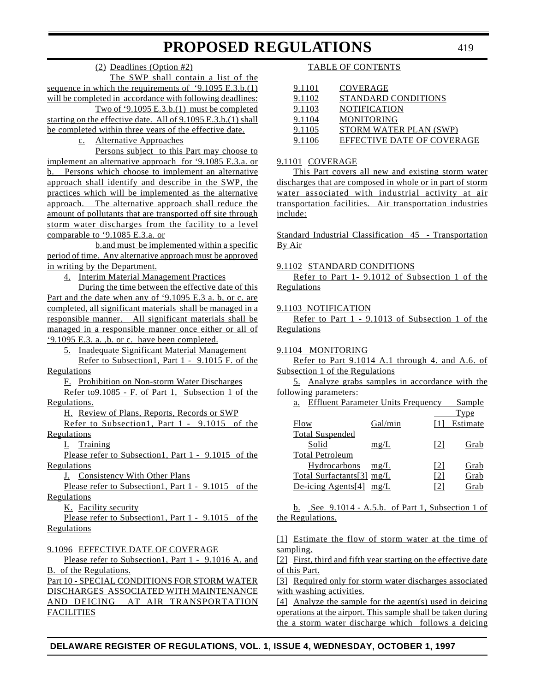### (2) Deadlines (Option #2)

The SWP shall contain a list of the sequence in which the requirements of '9.1095 E.3.b.(1) will be completed in accordance with following deadlines:

Two of '9.1095 E.3.b.(1) must be completed starting on the effective date. All of 9.1095 E.3.b.(1) shall be completed within three years of the effective date.

c. Alternative Approaches

Persons subject to this Part may choose to implement an alternative approach for '9.1085 E.3.a. or b. Persons which choose to implement an alternative approach shall identify and describe in the SWP, the practices which will be implemented as the alternative approach. The alternative approach shall reduce the amount of pollutants that are transported off site through storm water discharges from the facility to a level comparable to '9.1085 E.3.a. or

b.and must be implemented within a specific period of time. Any alternative approach must be approved in writing by the Department.

4. Interim Material Management Practices

During the time between the effective date of this Part and the date when any of '9.1095 E.3 a. b, or c. are completed, all significant materials shall be managed in a responsible manner. All significant materials shall be managed in a responsible manner once either or all of '9.1095 E.3. a. ,b. or c. have been completed.

5. Inadequate Significant Material Management

Refer to Subsection1, Part 1 - 9.1015 F. of the Regulations

F. Prohibition on Non-storm Water Discharges

Refer to9.1085 - F. of Part 1, Subsection 1 of the Regulations.

H. Review of Plans, Reports, Records or SWP

Refer to Subsection1, Part 1 - 9.1015 of the **Regulations** 

I. Training

Please refer to Subsection1, Part 1 - 9.1015 of the **Regulations** 

J. Consistency With Other Plans

Please refer to Subsection1, Part 1 - 9.1015 of the **Regulations** 

K. Facility security

Please refer to Subsection1, Part 1 - 9.1015 of the **Regulations** 

# 9.1096 EFFECTIVE DATE OF COVERAGE

Please refer to Subsection1, Part 1 - 9.1016 A. and B. of the Regulations.

Part 10 - SPECIAL CONDITIONS FOR STORM WATER DISCHARGES ASSOCIATED WITH MAINTENANCE AND DEICING AT AIR TRANSPORTATION **FACILITIES** 

### TABLE OF CONTENTS

| 9.1101 | <b>COVERAGE</b>            |
|--------|----------------------------|
| 9.1102 | STANDARD CONDITIONS        |
| 9.1103 | <b>NOTIFICATION</b>        |
| 9.1104 | <b>MONITORING</b>          |
| 9.1105 | STORM WATER PLAN (SWP)     |
| 9.1106 | EFFECTIVE DATE OF COVERAGE |

#### 9.1101 COVERAGE

This Part covers all new and existing storm water discharges that are composed in whole or in part of storm water associated with industrial activity at air transportation facilities. Air transportation industries include:

Standard Industrial Classification 45 - Transportation By Air

#### 9.1102 STANDARD CONDITIONS

Refer to Part 1- 9.1012 of Subsection 1 of the **Regulations** 

#### 9.1103 NOTIFICATION

Refer to Part 1 - 9.1013 of Subsection 1 of the **Regulations** 

#### 9.1104 MONITORING

Refer to Part 9.1014 A.1 through 4. and A.6. of Subsection 1 of the Regulations

5. Analyze grabs samples in accordance with the following parameters:

| a.                         | <b>Effluent Parameter Units Frequency</b> |                   | Sample   |
|----------------------------|-------------------------------------------|-------------------|----------|
|                            |                                           |                   | Type     |
| Flow                       | Gal/min                                   |                   | Estimate |
| <b>Total Suspended</b>     |                                           |                   |          |
| Solid                      | mg/L                                      | $\lceil 2 \rceil$ | Grab     |
| <b>Total Petroleum</b>     |                                           |                   |          |
| Hydrocarbons               | mg/L                                      | $\lceil 2 \rceil$ | Grab     |
| Total Surfactants[3] mg/L  |                                           | $\lceil 2 \rceil$ | Grab     |
| De-icing Agents $[4]$ mg/L |                                           | 121               | Grab     |

b. See 9.1014 - A.5.b. of Part 1, Subsection 1 of the Regulations.

[1] Estimate the flow of storm water at the time of sampling.

[2] First, third and fifth year starting on the effective date of this Part.

[3] Required only for storm water discharges associated with washing activities.

[4] Analyze the sample for the agent(s) used in deicing operations at the airport. This sample shall be taken during the a storm water discharge which follows a deicing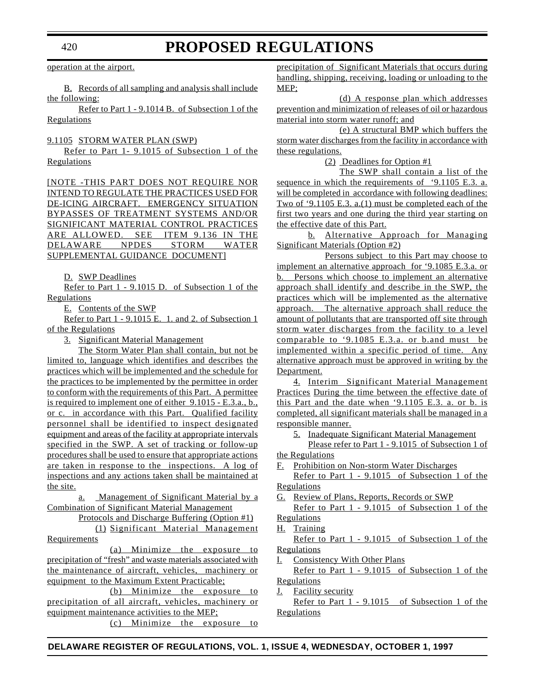operation at the airport.

B. Records of all sampling and analysis shall include the following:

Refer to Part 1 - 9.1014 B. of Subsection 1 of the Regulations

9.1105 STORM WATER PLAN (SWP)

Refer to Part 1- 9.1015 of Subsection 1 of the **Regulations** 

[NOTE -THIS PART DOES NOT REQUIRE NOR INTEND TO REGULATE THE PRACTICES USED FOR DE-ICING AIRCRAFT. EMERGENCY SITUATION BYPASSES OF TREATMENT SYSTEMS AND/OR SIGNIFICANT MATERIAL CONTROL PRACTICES ARE ALLOWED. SEE ITEM 9.136 IN THE DELAWARE NPDES STORM WATER SUPPLEMENTAL GUIDANCE DOCUMENT]

D. SWP Deadlines

Refer to Part 1 - 9.1015 D. of Subsection 1 of the **Regulations** 

E. Contents of the SWP

Refer to Part 1 - 9.1015 E. 1. and 2. of Subsection 1 of the Regulations

3. Significant Material Management

The Storm Water Plan shall contain, but not be limited to, language which identifies and describes the practices which will be implemented and the schedule for the practices to be implemented by the permittee in order to conform with the requirements of this Part. A permittee is required to implement one of either 9.1015 - E.3.a., b., or c. in accordance with this Part. Qualified facility personnel shall be identified to inspect designated equipment and areas of the facility at appropriate intervals specified in the SWP. A set of tracking or follow-up procedures shall be used to ensure that appropriate actions are taken in response to the inspections. A log of inspections and any actions taken shall be maintained at the site.

a. Management of Significant Material by a Combination of Significant Material Management

Protocols and Discharge Buffering (Option #1)

(1) Significant Material Management **Requirements** 

(a) Minimize the exposure to precipitation of "fresh" and waste materials associated with the maintenance of aircraft, vehicles, machinery or equipment to the Maximum Extent Practicable;

(b) Minimize the exposure to precipitation of all aircraft, vehicles, machinery or equipment maintenance activities to the MEP; (c) Minimize the exposure to

precipitation of Significant Materials that occurs during handling, shipping, receiving, loading or unloading to the MEP;

(d) A response plan which addresses prevention and minimization of releases of oil or hazardous material into storm water runoff; and

(e) A structural BMP which buffers the storm water discharges from the facility in accordance with these regulations.

(2) Deadlines for Option #1

The SWP shall contain a list of the sequence in which the requirements of '9.1105 E.3. a. will be completed in accordance with following deadlines: Two of '9.1105 E.3. a.(1) must be completed each of the first two years and one during the third year starting on the effective date of this Part.

b. Alternative Approach for Managing Significant Materials (Option #2)

Persons subject to this Part may choose to implement an alternative approach for '9.1085 E.3.a. or b. Persons which choose to implement an alternative approach shall identify and describe in the SWP, the practices which will be implemented as the alternative approach. The alternative approach shall reduce the amount of pollutants that are transported off site through storm water discharges from the facility to a level comparable to '9.1085 E.3.a. or b.and must be implemented within a specific period of time. Any alternative approach must be approved in writing by the Department.

4. Interim Significant Material Management Practices During the time between the effective date of this Part and the date when '9.1105 E.3. a. or b. is completed, all significant materials shall be managed in a responsible manner.

5. Inadequate Significant Material Management

Please refer to Part 1 - 9.1015 of Subsection 1 of the Regulations

F. Prohibition on Non-storm Water Discharges

Refer to Part 1 - 9.1015 of Subsection 1 of the Regulations

G. Review of Plans, Reports, Records or SWP

Refer to Part 1 - 9.1015 of Subsection 1 of the **Regulations** 

H. Training

Refer to Part 1 - 9.1015 of Subsection 1 of the **Regulations** 

Consistency With Other Plans

Refer to Part 1 - 9.1015 of Subsection 1 of the Regulations

J. Facility security

Refer to Part 1 - 9.1015 of Subsection 1 of the **Regulations**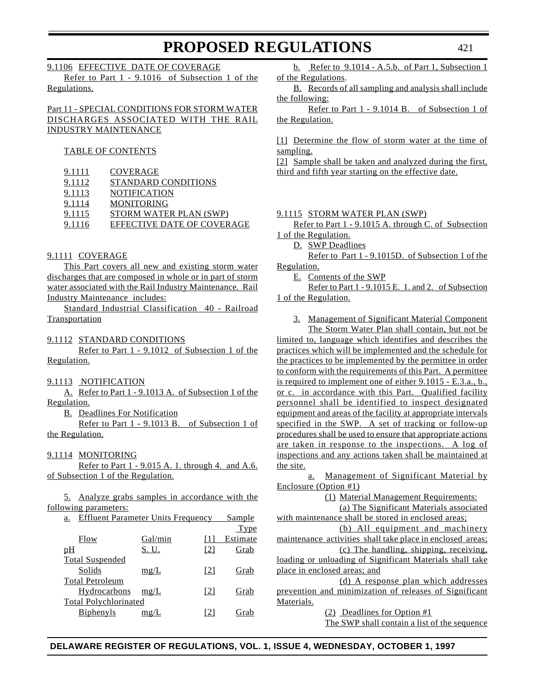#### 9.1106 EFFECTIVE DATE OF COVERAGE

Refer to Part 1 - 9.1016 of Subsection 1 of the Regulations.

### Part 11 - SPECIAL CONDITIONS FOR STORM WATER DISCHARGES ASSOCIATED WITH THE RAIL INDUSTRY MAINTENANCE

#### TABLE OF CONTENTS

| 9.1111 | COVERAGE                          |
|--------|-----------------------------------|
| 9.1112 | STANDARD CONDITIONS               |
| 9.1113 | <b>NOTIFICATION</b>               |
| 9.1114 | <b>MONITORING</b>                 |
| 9.1115 | STORM WATER PLAN (SWP)            |
| 9.1116 | <b>EFFECTIVE DATE OF COVERAGE</b> |
|        |                                   |

#### 9.1111 COVERAGE

This Part covers all new and existing storm water discharges that are composed in whole or in part of storm water associated with the Rail Industry Maintenance. Rail Industry Maintenance includes:

Standard Industrial Classification 40 - Railroad **Transportation** 

#### 9.1112 STANDARD CONDITIONS

Refer to Part 1 - 9.1012 of Subsection 1 of the Regulation.

#### 9.1113 NOTIFICATION

A. Refer to Part 1 - 9.1013 A. of Subsection 1 of the Regulation.

B. Deadlines For Notification

Refer to Part 1 - 9.1013 B. of Subsection 1 of the Regulation.

#### 9.1114 MONITORING

Refer to Part 1 - 9.015 A. 1. through 4. and A.6. of Subsection 1 of the Regulation.

5. Analyze grabs samples in accordance with the following parameters:

| a. | <b>Effluent Parameter Units Frequency</b> |  | Sample |
|----|-------------------------------------------|--|--------|
|    |                                           |  |        |

|                              |              |     | Type     |
|------------------------------|--------------|-----|----------|
| Flow                         | Gal/min      |     | Estimate |
| pH                           | <u>S. U.</u> | [2] | Grab     |
| <b>Total Suspended</b>       |              |     |          |
| Solids                       | mg/L         | 121 | Grab     |
| <b>Total Petroleum</b>       |              |     |          |
| Hydrocarbons                 | mg/L         | [2] | Grab     |
| <b>Total Polychlorinated</b> |              |     |          |
| Biphenyls                    | $m\varrho/L$ | [2] | Grab     |
|                              |              |     |          |

b. Refer to 9.1014 - A.5.b. of Part 1, Subsection 1 of the Regulations.

B. Records of all sampling and analysis shall include the following:

Refer to Part 1 - 9.1014 B. of Subsection 1 of the Regulation.

[1] Determine the flow of storm water at the time of sampling.

[2] Sample shall be taken and analyzed during the first, third and fifth year starting on the effective date.

#### 9.1115 STORM WATER PLAN (SWP)

Refer to Part 1 - 9.1015 A. through C. of Subsection 1 of the Regulation.

D. SWP Deadlines

Refer to Part 1 - 9.1015D. of Subsection 1 of the Regulation.

E. Contents of the SWP

Refer to Part 1 - 9.1015 E. 1. and 2. of Subsection 1 of the Regulation.

3. Management of Significant Material Component The Storm Water Plan shall contain, but not be

limited to, language which identifies and describes the practices which will be implemented and the schedule for the practices to be implemented by the permittee in order to conform with the requirements of this Part. A permittee is required to implement one of either 9.1015 - E.3.a., b., or c. in accordance with this Part. Qualified facility personnel shall be identified to inspect designated equipment and areas of the facility at appropriate intervals specified in the SWP. A set of tracking or follow-up procedures shall be used to ensure that appropriate actions are taken in response to the inspections. A log of inspections and any actions taken shall be maintained at the site.

a. Management of Significant Material by Enclosure (Option #1)

(1) Material Management Requirements:

(a) The Significant Materials associated with maintenance shall be stored in enclosed areas;

(b) All equipment and machinery maintenance activities shall take place in enclosed areas;

(c) The handling, shipping, receiving, loading or unloading of Significant Materials shall take place in enclosed areas; and

(d) A response plan which addresses prevention and minimization of releases of Significant Materials.

(2) Deadlines for Option #1

The SWP shall contain a list of the sequence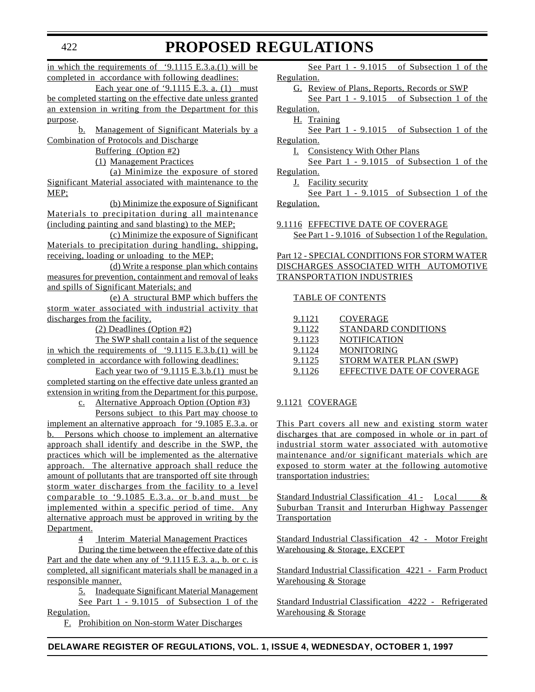in which the requirements of '9.1115 E.3.a.(1) will be completed in accordance with following deadlines:

Each year one of '9.1115 E.3. a. (1) must be completed starting on the effective date unless granted an extension in writing from the Department for this purpose.

b. Management of Significant Materials by a Combination of Protocols and Discharge

Buffering (Option #2)

(1) Management Practices

(a) Minimize the exposure of stored Significant Material associated with maintenance to the MEP;

(b) Minimize the exposure of Significant Materials to precipitation during all maintenance (including painting and sand blasting) to the MEP;

(c) Minimize the exposure of Significant Materials to precipitation during handling, shipping, receiving, loading or unloading to the MEP;

(d) Write a response plan which contains measures for prevention, containment and removal of leaks and spills of Significant Materials; and

(e) A structural BMP which buffers the storm water associated with industrial activity that discharges from the facility.

(2) Deadlines (Option #2)

The SWP shall contain a list of the sequence in which the requirements of '9.1115 E.3.b.(1) will be completed in accordance with following deadlines:

Each year two of '9.1115 E.3.b.(1) must be completed starting on the effective date unless granted an extension in writing from the Department for this purpose.

c. Alternative Approach Option (Option #3)

Persons subject to this Part may choose to implement an alternative approach for '9.1085 E.3.a. or b. Persons which choose to implement an alternative approach shall identify and describe in the SWP, the practices which will be implemented as the alternative approach. The alternative approach shall reduce the amount of pollutants that are transported off site through storm water discharges from the facility to a level comparable to '9.1085 E.3.a. or b.and must be implemented within a specific period of time. Any alternative approach must be approved in writing by the Department.

4 Interim Material Management Practices

During the time between the effective date of this Part and the date when any of '9.1115 E.3. a., b. or c. is completed, all significant materials shall be managed in a responsible manner.

5. Inadequate Significant Material Management See Part 1 - 9.1015 of Subsection 1 of the Regulation.

F. Prohibition on Non-storm Water Discharges

See Part 1 - 9.1015 of Subsection 1 of the Regulation.

G. Review of Plans, Reports, Records or SWP

See Part 1 - 9.1015 of Subsection 1 of the Regulation.

H. Training

See Part 1 - 9.1015 of Subsection 1 of the Regulation.

I. Consistency With Other Plans

See Part 1 - 9.1015 of Subsection 1 of the Regulation.

J. Facility security

See Part 1 - 9.1015 of Subsection 1 of the Regulation.

9.1116 EFFECTIVE DATE OF COVERAGE See Part 1 - 9.1016 of Subsection 1 of the Regulation.

Part 12 - SPECIAL CONDITIONS FOR STORM WATER DISCHARGES ASSOCIATED WITH AUTOMOTIVE TRANSPORTATION INDUSTRIES

#### TABLE OF CONTENTS

| 9.1121 | COVERAGE                   |
|--------|----------------------------|
| 9.1122 | STANDARD CONDITIONS        |
| 9.1123 | <b>NOTIFICATION</b>        |
| 9.1124 | <b>MONITORING</b>          |
| 9.1125 | STORM WATER PLAN (SWP)     |
| 9.1126 | EFFECTIVE DATE OF COVERAGE |

### 9.1121 COVERAGE

This Part covers all new and existing storm water discharges that are composed in whole or in part of industrial storm water associated with automotive maintenance and/or significant materials which are exposed to storm water at the following automotive transportation industries:

Standard Industrial Classification 41 - Local & Suburban Transit and Interurban Highway Passenger **Transportation** 

Standard Industrial Classification 42 - Motor Freight Warehousing & Storage, EXCEPT

Standard Industrial Classification 4221 - Farm Product Warehousing & Storage

Standard Industrial Classification 4222 - Refrigerated Warehousing & Storage

# **PROPOSED REGULATIONS**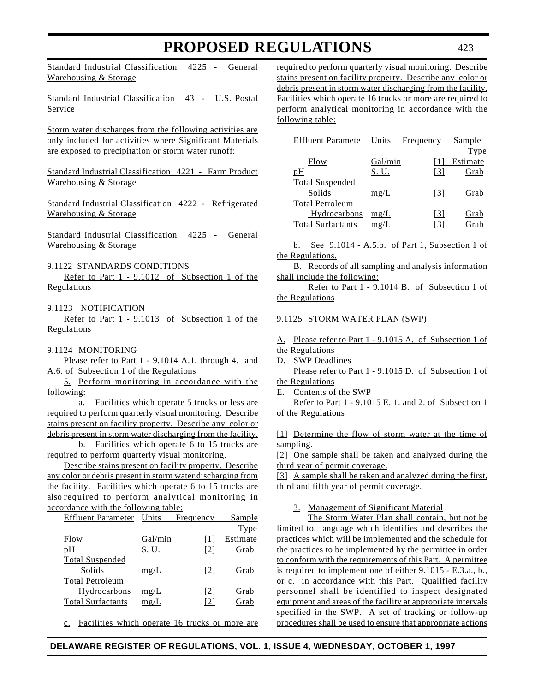Standard Industrial Classification 4225 - General Warehousing & Storage

Standard Industrial Classification 43 - U.S. Postal Service

Storm water discharges from the following activities are only included for activities where Significant Materials are exposed to precipitation or storm water runoff:

Standard Industrial Classification 4221 - Farm Product Warehousing & Storage

Standard Industrial Classification 4222 - Refrigerated Warehousing & Storage

Standard Industrial Classification 4225 - General Warehousing & Storage

9.1122 STANDARDS CONDITIONS

Refer to Part 1 - 9.1012 of Subsection 1 of the **Regulations** 

# 9.1123 NOTIFICATION

Refer to Part 1 - 9.1013 of Subsection 1 of the Regulations

#### 9.1124 MONITORING

Please refer to Part 1 - 9.1014 A.1. through 4. and A.6. of Subsection 1 of the Regulations

5. Perform monitoring in accordance with the following:

a. Facilities which operate 5 trucks or less are required to perform quarterly visual monitoring. Describe stains present on facility property. Describe any color or debris present in storm water discharging from the facility.

b. Facilities which operate 6 to 15 trucks are required to perform quarterly visual monitoring.

Describe stains present on facility property. Describe any color or debris present in storm water discharging from the facility. Facilities which operate 6 to 15 trucks are also required to perform analytical monitoring in accordance with the following table:

| <b>Effluent Parameter</b> | Units        | Frequency         | Sample   |
|---------------------------|--------------|-------------------|----------|
|                           |              |                   | Type     |
| Flow                      | Gal/min      | Ш                 | Estimate |
| pH                        | <u>S. U.</u> | $\lceil 2 \rceil$ | Grab     |
| <b>Total Suspended</b>    |              |                   |          |
| Solids                    | mg/L         | $\lceil 2 \rceil$ | Grab     |
| <b>Total Petroleum</b>    |              |                   |          |
| Hydrocarbons              | mg/L         | [2]               | Grab     |
| <b>Total Surfactants</b>  | mg/L         | [2]               | Grab     |
|                           |              |                   |          |

c. Facilities which operate 16 trucks or more are

required to perform quarterly visual monitoring. Describe stains present on facility property. Describe any color or debris present in storm water discharging from the facility. Facilities which operate 16 trucks or more are required to perform analytical monitoring in accordance with the following table:

| <b>Effluent Paramete</b> | Units       | Frequency | Sample   |
|--------------------------|-------------|-----------|----------|
|                          |             |           | Type     |
| Flow                     | Gal/min     |           | Estimate |
| pH                       | S. U.       | 131       | Grab     |
| <b>Total Suspended</b>   |             |           |          |
| Solids                   | mg/L        | [3]       | Grab     |
| <b>Total Petroleum</b>   |             |           |          |
| Hydrocarbons             | mg/L        | [3]       | Grab     |
| <b>Total Surfactants</b> | $m\Omega/L$ | [3]       | Grab     |

b. See 9.1014 - A.5.b. of Part 1, Subsection 1 of the Regulations.

B. Records of all sampling and analysis information shall include the following:

Refer to Part 1 - 9.1014 B. of Subsection 1 of the Regulations

#### 9.1125 STORM WATER PLAN (SWP)

A. Please refer to Part 1 - 9.1015 A. of Subsection 1 of the Regulations

D. **SWP** Deadlines

Please refer to Part 1 - 9.1015 D. of Subsection 1 of the Regulations

E. Contents of the SWP

Refer to Part 1 - 9.1015 E. 1. and 2. of Subsection 1 of the Regulations

[1] Determine the flow of storm water at the time of sampling.

[2] One sample shall be taken and analyzed during the third year of permit coverage.

[3] A sample shall be taken and analyzed during the first, third and fifth year of permit coverage.

#### 3. Management of Significant Material

The Storm Water Plan shall contain, but not be limited to, language which identifies and describes the practices which will be implemented and the schedule for the practices to be implemented by the permittee in order to conform with the requirements of this Part. A permittee is required to implement one of either 9.1015 - E.3.a., b., or c. in accordance with this Part. Qualified facility personnel shall be identified to inspect designated equipment and areas of the facility at appropriate intervals specified in the SWP. A set of tracking or follow-up procedures shall be used to ensure that appropriate actions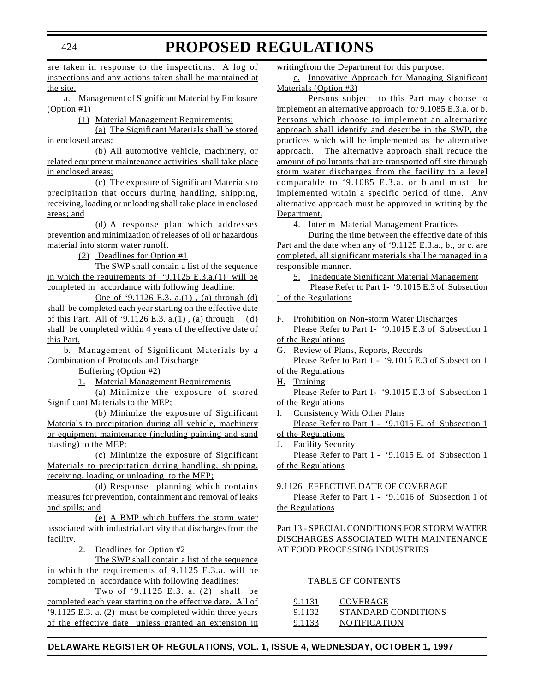are taken in response to the inspections. A log of inspections and any actions taken shall be maintained at the site.

a. Management of Significant Material by Enclosure (Option #1)

(1) Material Management Requirements:

(a) The Significant Materials shall be stored in enclosed areas;

(b) All automotive vehicle, machinery, or related equipment maintenance activities shall take place in enclosed areas;

(c) The exposure of Significant Materials to precipitation that occurs during handling, shipping, receiving, loading or unloading shall take place in enclosed areas; and

(d) A response plan which addresses prevention and minimization of releases of oil or hazardous material into storm water runoff.

(2) Deadlines for Option #1

The SWP shall contain a list of the sequence in which the requirements of '9.1125 E.3.a.(1) will be completed in accordance with following deadline:

One of '9.1126 E.3. a.(1), (a) through (d) shall be completed each year starting on the effective date of this Part. All of '9.1126 E.3. a.(1), (a) through  $(d)$ shall be completed within 4 years of the effective date of this Part.

b. Management of Significant Materials by a Combination of Protocols and Discharge

Buffering (Option #2)

1. Material Management Requirements

(a) Minimize the exposure of stored Significant Materials to the MEP;

(b) Minimize the exposure of Significant Materials to precipitation during all vehicle, machinery or equipment maintenance (including painting and sand blasting) to the MEP;

(c) Minimize the exposure of Significant Materials to precipitation during handling, shipping, receiving, loading or unloading to the MEP;

(d) Response planning which contains measures for prevention, containment and removal of leaks and spills; and

(e) A BMP which buffers the storm water associated with industrial activity that discharges from the facility.

2. Deadlines for Option #2

The SWP shall contain a list of the sequence in which the requirements of 9.1125 E.3.a. will be completed in accordance with following deadlines:

Two of '9.1125 E.3. a. (2) shall be completed each year starting on the effective date. All of '9.1125 E.3. a. (2) must be completed within three years of the effective date unless granted an extension in

writingfrom the Department for this purpose.

c. Innovative Approach for Managing Significant Materials (Option #3)

Persons subject to this Part may choose to implement an alternative approach for 9.1085 E.3.a. or b. Persons which choose to implement an alternative approach shall identify and describe in the SWP, the practices which will be implemented as the alternative approach. The alternative approach shall reduce the amount of pollutants that are transported off site through storm water discharges from the facility to a level comparable to '9.1085 E.3.a. or b.and must be implemented within a specific period of time. Any alternative approach must be approved in writing by the Department.

4. Interim Material Management Practices

During the time between the effective date of this Part and the date when any of '9.1125 E.3.a., b., or c. are completed, all significant materials shall be managed in a responsible manner.

5. Inadequate Significant Material Management

Please Refer to Part 1- '9.1015 E.3 of Subsection 1 of the Regulations

F. Prohibition on Non-storm Water Discharges Please Refer to Part 1- '9.1015 E.3 of Subsection 1

of the Regulations

G. Review of Plans, Reports, Records Please Refer to Part 1 - '9.1015 E.3 of Subsection 1

of the Regulations H. Training

Please Refer to Part 1- '9.1015 E.3 of Subsection 1 of the Regulations

I. Consistency With Other Plans

Please Refer to Part 1 - '9.1015 E. of Subsection 1 of the Regulations

J. Facility Security

Please Refer to Part 1 - '9.1015 E. of Subsection 1 of the Regulations

# 9.1126 EFFECTIVE DATE OF COVERAGE

Please Refer to Part 1 - '9.1016 of Subsection 1 of the Regulations

## Part 13 - SPECIAL CONDITIONS FOR STORM WATER DISCHARGES ASSOCIATED WITH MAINTENANCE AT FOOD PROCESSING INDUSTRIES

# TABLE OF CONTENTS

| 9.1131 | COVERAGE            |
|--------|---------------------|
| 9.1132 | STANDARD CONDITIONS |
| 9.1133 | <b>NOTIFICATION</b> |

# **DELAWARE REGISTER OF REGULATIONS, VOL. 1, ISSUE 4, WEDNESDAY, OCTOBER 1, 1997**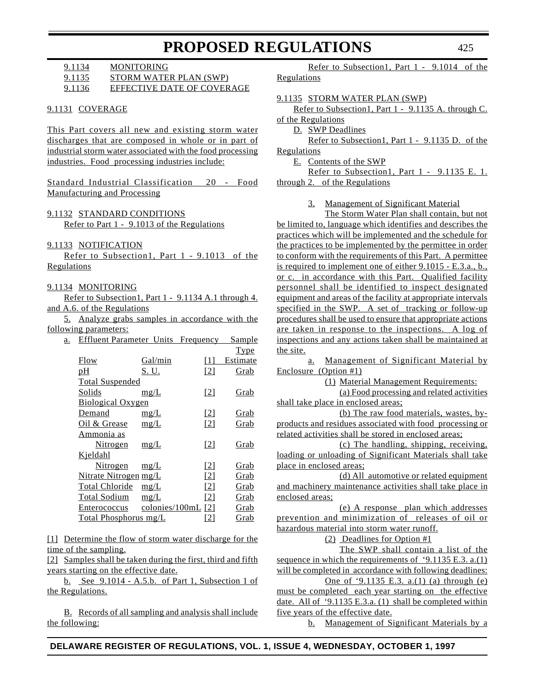9.1134 MONITORING 9.1135 STORM WATER PLAN (SWP)

| 9.1136 | EFFECTIVE DATE OF COVERAGE |  |
|--------|----------------------------|--|
|        |                            |  |

#### 9.1131 COVERAGE

This Part covers all new and existing storm water discharges that are composed in whole or in part of industrial storm water associated with the food processing industries. Food processing industries include:

Standard Industrial Classification 20 - Food Manufacturing and Processing

## 9.1132 STANDARD CONDITIONS

Refer to Part 1 - 9.1013 of the Regulations

9.1133 NOTIFICATION

Refer to Subsection1, Part 1 - 9.1013 of the **Regulations** 

## 9.1134 MONITORING

Refer to Subsection1, Part 1 - 9.1134 A.1 through 4. and A.6. of the Regulations

5. Analyze grabs samples in accordance with the following parameters:

| a. | <b>Effluent Parameter Units</b> |                      | Frequency         | Sample      |
|----|---------------------------------|----------------------|-------------------|-------------|
|    |                                 |                      |                   | <b>Type</b> |
|    | Flow                            | Gal/min              | [1]               | Estimate    |
|    | pH                              | <u>S. U.</u>         | $\lceil 2 \rceil$ | Grab        |
|    | <b>Total Suspended</b>          |                      |                   |             |
|    | Solids                          | mg/L                 | $\lceil 2 \rceil$ | Grab        |
|    | <b>Biological Oxygen</b>        |                      |                   |             |
|    | Demand                          | mg/L                 | $\lceil 2 \rceil$ | <u>Grab</u> |
|    | Oil & Grease                    | mg/L                 | $\lceil 2 \rceil$ | Grab        |
|    | Ammonia as                      |                      |                   |             |
|    | Nitrogen                        | mg/L                 | $\lceil 2 \rceil$ | Grab        |
|    | Kjeldahl                        |                      |                   |             |
|    | <u>Nitrogen</u>                 | mg/L                 | 121               | Grab        |
|    | Nitrate Nitrogen mg/L           |                      | $\lceil 2 \rceil$ | Grab        |
|    | <b>Total Chloride</b>           | mg/L                 | $\lceil 2 \rceil$ | Grab        |
|    | <b>Total Sodium</b>             | mg/L                 | [2]               | Grab        |
|    | <b>Enterococcus</b>             | colonies/100mL $[2]$ |                   | Grab        |
|    | <b>Total Phosphorus mg/L</b>    |                      | $\lceil 2 \rceil$ | Grab        |
|    |                                 |                      |                   |             |

[1] Determine the flow of storm water discharge for the time of the sampling.

[2] Samples shall be taken during the first, third and fifth years starting on the effective date.

b. See 9.1014 - A.5.b. of Part 1, Subsection 1 of the Regulations.

B. Records of all sampling and analysis shall include the following:

Refer to Subsection1, Part 1 - 9.1014 of the Regulations

#### 9.1135 STORM WATER PLAN (SWP)

Refer to Subsection1, Part 1 - 9.1135 A. through C. of the Regulations

D. SWP Deadlines

Refer to Subsection1, Part 1 - 9.1135 D. of the Regulations

E. Contents of the SWP

Refer to Subsection1, Part 1 - 9.1135 E. 1. through 2. of the Regulations

3. Management of Significant Material

The Storm Water Plan shall contain, but not be limited to, language which identifies and describes the practices which will be implemented and the schedule for the practices to be implemented by the permittee in order to conform with the requirements of this Part. A permittee is required to implement one of either 9.1015 - E.3.a., b., or c. in accordance with this Part. Qualified facility personnel shall be identified to inspect designated equipment and areas of the facility at appropriate intervals specified in the SWP. A set of tracking or follow-up procedures shall be used to ensure that appropriate actions are taken in response to the inspections. A log of inspections and any actions taken shall be maintained at the site.

a. Management of Significant Material by Enclosure (Option #1)

(1) Material Management Requirements:

(a) Food processing and related activities shall take place in enclosed areas;

(b) The raw food materials, wastes, byproducts and residues associated with food processing or related activities shall be stored in enclosed areas;

(c) The handling, shipping, receiving, loading or unloading of Significant Materials shall take place in enclosed areas;

(d) All automotive or related equipment and machinery maintenance activities shall take place in enclosed areas;

(e) A response plan which addresses prevention and minimization of releases of oil or hazardous material into storm water runoff.

(2) Deadlines for Option #1

The SWP shall contain a list of the sequence in which the requirements of '9.1135 E.3. a.(1) will be completed in accordance with following deadlines: One of '9.1135 E.3. a.(1) (a) through (e)

must be completed each year starting on the effective date. All of '9.1135 E.3.a. (1) shall be completed within five years of the effective date.

b. Management of Significant Materials by a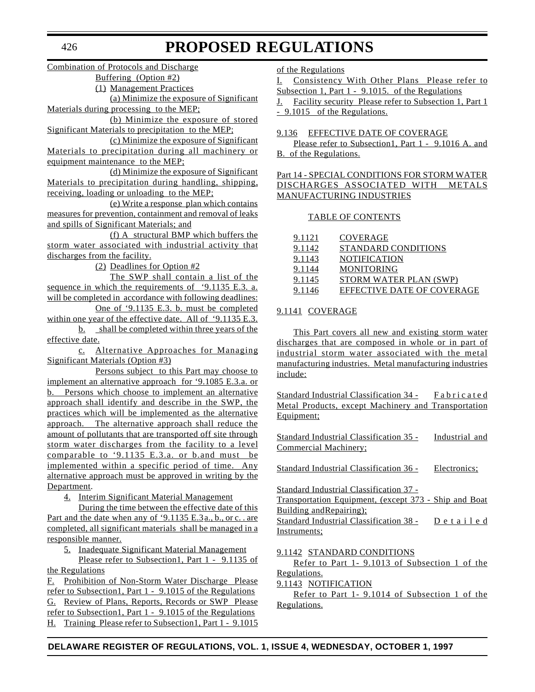Combination of Protocols and Discharge

Buffering (Option #2)

(1) Management Practices

(a) Minimize the exposure of Significant Materials during processing to the MEP;

(b) Minimize the exposure of stored Significant Materials to precipitation to the MEP;

(c) Minimize the exposure of Significant Materials to precipitation during all machinery or equipment maintenance to the MEP;

(d) Minimize the exposure of Significant Materials to precipitation during handling, shipping, receiving, loading or unloading to the MEP;

(e) Write a response plan which contains measures for prevention, containment and removal of leaks and spills of Significant Materials; and

(f) A structural BMP which buffers the storm water associated with industrial activity that discharges from the facility.

(2) Deadlines for Option #2

The SWP shall contain a list of the sequence in which the requirements of '9.1135 E.3. a. will be completed in accordance with following deadlines: One of '9.1135 E.3. b. must be completed

within one year of the effective date. All of '9.1135 E.3. b. shall be completed within three years of the

effective date.

c. Alternative Approaches for Managing Significant Materials (Option #3)

Persons subject to this Part may choose to implement an alternative approach for '9.1085 E.3.a. or b. Persons which choose to implement an alternative approach shall identify and describe in the SWP, the practices which will be implemented as the alternative approach. The alternative approach shall reduce the amount of pollutants that are transported off site through storm water discharges from the facility to a level comparable to '9.1135 E.3.a. or b.and must be implemented within a specific period of time. Any alternative approach must be approved in writing by the Department.

4. Interim Significant Material Management

During the time between the effective date of this Part and the date when any of '9.1135 E.3 a., b., or c. . are completed, all significant materials shall be managed in a responsible manner.

5. Inadequate Significant Material Management

Please refer to Subsection1, Part 1 - 9.1135 of the Regulations

F. Prohibition of Non-Storm Water Discharge Please refer to Subsection1, Part 1 - 9.1015 of the Regulations G. Review of Plans, Reports, Records or SWP Please refer to Subsection1, Part 1 - 9.1015 of the Regulations H. Training Please refer to Subsection1, Part 1 - 9.1015

of the Regulations

I. Consistency With Other Plans Please refer to Subsection 1, Part 1 - 9.1015. of the Regulations

J. Facility security Please refer to Subsection 1, Part 1 - 9.1015 of the Regulations.

9.136 EFFECTIVE DATE OF COVERAGE

Please refer to Subsection1, Part 1 - 9.1016 A. and B. of the Regulations.

Part 14 - SPECIAL CONDITIONS FOR STORM WATER DISCHARGES ASSOCIATED WITH METALS MANUFACTURING INDUSTRIES

### TABLE OF CONTENTS

| 9.1121 | COVERAGE                   |
|--------|----------------------------|
| 9.1142 | STANDARD CONDITIONS        |
| 9.1143 | <b>NOTIFICATION</b>        |
| 9.1144 | <b>MONITORING</b>          |
| 9.1145 | STORM WATER PLAN (SWP)     |
| 9.1146 | EFFECTIVE DATE OF COVERAGE |

# 9.1141 COVERAGE

This Part covers all new and existing storm water discharges that are composed in whole or in part of industrial storm water associated with the metal manufacturing industries. Metal manufacturing industries include:

Standard Industrial Classification 34 - Fabricated Metal Products, except Machinery and Transportation Equipment;

| Standard Industrial Classification 35 - | Industrial and |
|-----------------------------------------|----------------|
| Commercial Machinery;                   |                |
|                                         |                |

Standard Industrial Classification 36 - Electronics;

Standard Industrial Classification 37 - Transportation Equipment, (except 373 - Ship and Boat Building andRepairing); Standard Industrial Classification 38 - Detailed Instruments;

#### 9.1142 STANDARD CONDITIONS

Refer to Part 1- 9.1013 of Subsection 1 of the Regulations.

9.1143 NOTIFICATION

Refer to Part 1- 9.1014 of Subsection 1 of the Regulations.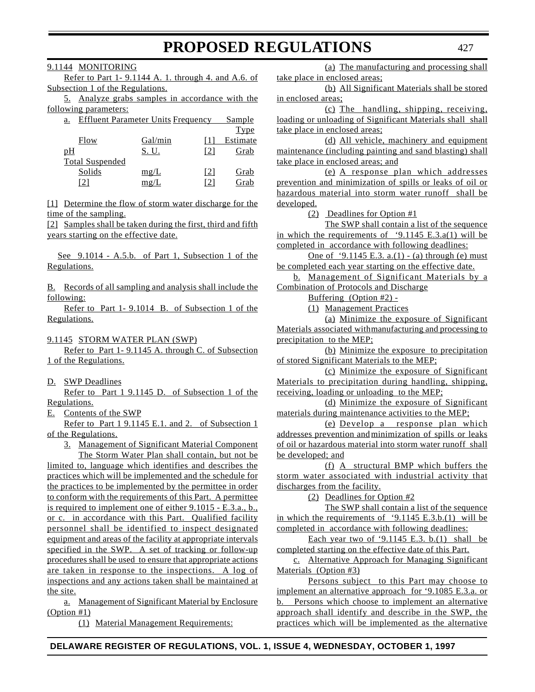9.1144 MONITORING

Refer to Part 1- 9.1144 A. 1. through 4. and A.6. of Subsection 1 of the Regulations.

5. Analyze grabs samples in accordance with the following parameters:

| <b>Effluent Parameter Units Frequency</b><br>a. |         |      | Sample      |
|-------------------------------------------------|---------|------|-------------|
|                                                 |         |      | <b>Type</b> |
| Flow                                            | Gal/min |      | Estimate    |
| pH                                              | S. U.   | [2]  | Grab        |
| <b>Total Suspended</b>                          |         |      |             |
| Solids                                          | mg/L    | 121  | Grab        |
|                                                 | mg/L    | l'21 | Grab        |

[1] Determine the flow of storm water discharge for the time of the sampling.

[2] Samples shall be taken during the first, third and fifth years starting on the effective date.

See 9.1014 - A.5.b. of Part 1, Subsection 1 of the Regulations.

B. Records of all sampling and analysis shall include the following:

Refer to Part 1- 9.1014 B. of Subsection 1 of the Regulations.

9.1145 STORM WATER PLAN (SWP)

Refer to Part 1- 9.1145 A. through C. of Subsection 1 of the Regulations.

D. SWP Deadlines

Refer to Part 1 9.1145 D. of Subsection 1 of the Regulations.

E. Contents of the SWP

Refer to Part 1 9.1145 E.1. and 2. of Subsection 1 of the Regulations.

3. Management of Significant Material Component

The Storm Water Plan shall contain, but not be limited to, language which identifies and describes the practices which will be implemented and the schedule for the practices to be implemented by the permittee in order to conform with the requirements of this Part. A permittee is required to implement one of either 9.1015 - E.3.a., b., or c. in accordance with this Part. Qualified facility personnel shall be identified to inspect designated equipment and areas of the facility at appropriate intervals specified in the SWP. A set of tracking or follow-up procedures shall be used to ensure that appropriate actions are taken in response to the inspections. A log of inspections and any actions taken shall be maintained at the site.

a. Management of Significant Material by Enclosure (Option #1)

(1) Material Management Requirements:

(a) The manufacturing and processing shall take place in enclosed areas;

(b) All Significant Materials shall be stored in enclosed areas;

(c) The handling, shipping, receiving, loading or unloading of Significant Materials shall shall take place in enclosed areas;

(d) All vehicle, machinery and equipment maintenance (including painting and sand blasting) shall take place in enclosed areas; and

(e) A response plan which addresses prevention and minimization of spills or leaks of oil or hazardous material into storm water runoff shall be developed.

(2) Deadlines for Option #1

The SWP shall contain a list of the sequence in which the requirements of '9.1145 E.3.a(1) will be completed in accordance with following deadlines:

One of '9.1145 E.3. a.(1) - (a) through (e) must be completed each year starting on the effective date.

b. Management of Significant Materials by a Combination of Protocols and Discharge

Buffering (Option #2) -

(1) Management Practices

(a) Minimize the exposure of Significant Materials associated withmanufacturing and processing to precipitation to the MEP;

(b) Minimize the exposure to precipitation of stored Significant Materials to the MEP;

(c) Minimize the exposure of Significant Materials to precipitation during handling, shipping, receiving, loading or unloading to the MEP;

(d) Minimize the exposure of Significant materials during maintenance activities to the MEP;

(e) Develop a response plan which addresses prevention andminimization of spills or leaks of oil or hazardous material into storm water runoff shall be developed; and

(f) A structural BMP which buffers the storm water associated with industrial activity that discharges from the facility.

(2) Deadlines for Option #2

The SWP shall contain a list of the sequence in which the requirements of '9.1145 E.3.b. $(1)$  will be completed in accordance with following deadlines:

Each year two of '9.1145 E.3. b. $(1)$  shall be completed starting on the effective date of this Part.

c. Alternative Approach for Managing Significant Materials (Option #3)

Persons subject to this Part may choose to implement an alternative approach for '9.1085 E.3.a. or b. Persons which choose to implement an alternative approach shall identify and describe in the SWP, the practices which will be implemented as the alternative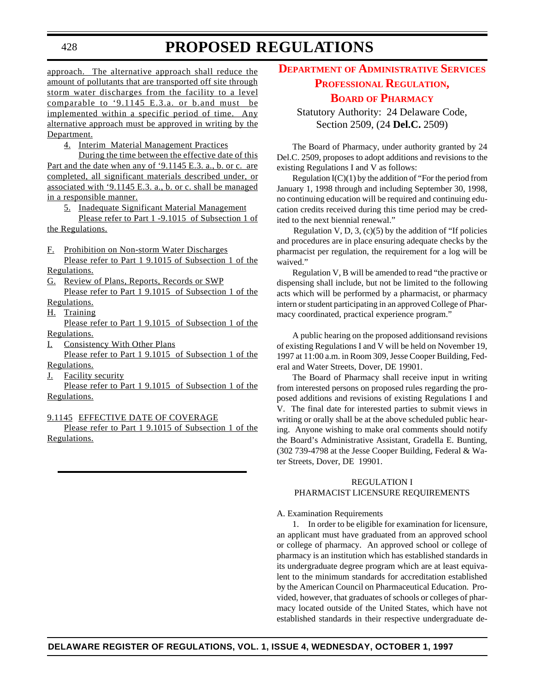approach. The alternative approach shall reduce the amount of pollutants that are transported off site through storm water discharges from the facility to a level comparable to '9.1145 E.3.a. or b.and must be implemented within a specific period of time. Any alternative approach must be approved in writing by the Department.

4. Interim Material Management Practices

During the time between the effective date of this Part and the date when any of '9.1145 E.3. a., b. or c. are completed, all significant materials described under, or associated with '9.1145 E.3. a., b. or c. shall be managed in a responsible manner.

5. Inadequate Significant Material Management

Please refer to Part 1 -9.1015 of Subsection 1 of the Regulations.

- F. Prohibition on Non-storm Water Discharges Please refer to Part 1 9.1015 of Subsection 1 of the
- Regulations.
- G. Review of Plans, Reports, Records or SWP Please refer to Part 1 9.1015 of Subsection 1 of the
- Regulations.
- H. Training

Please refer to Part 1 9.1015 of Subsection 1 of the Regulations.

I. Consistency With Other Plans

Please refer to Part 1 9.1015 of Subsection 1 of the Regulations.

J. Facility security

Please refer to Part 1 9.1015 of Subsection 1 of the Regulations.

#### 9.1145 EFFECTIVE DATE OF COVERAGE

Please refer to Part 1 9.1015 of Subsection 1 of the Regulations.

# **DEPARTMENT OF [ADMINISTRATIVE](#page-3-0) SERVICES PROFESSIONAL REGULATION,**

# **BOARD OF PHARMACY**

Statutory Authority: 24 Delaware Code, Section 2509, (24 **Del.C.** 2509)

The Board of Pharmacy, under authority granted by 24 Del.C. 2509, proposes to adopt additions and revisions to the existing Regulations I and V as follows:

Regulation  $I(C)(1)$  by the addition of "For the period from January 1, 1998 through and including September 30, 1998, no continuing education will be required and continuing education credits received during this time period may be credited to the next biennial renewal."

Regulation V, D, 3,  $(c)(5)$  by the addition of "If policies" and procedures are in place ensuring adequate checks by the pharmacist per regulation, the requirement for a log will be waived."

Regulation V, B will be amended to read "the practive or dispensing shall include, but not be limited to the following acts which will be performed by a pharmacist, or pharmacy intern or student participating in an approved College of Pharmacy coordinated, practical experience program."

A public hearing on the proposed additionsand revisions of existing Regulations I and V will be held on November 19, 1997 at 11:00 a.m. in Room 309, Jesse Cooper Building, Federal and Water Streets, Dover, DE 19901.

The Board of Pharmacy shall receive input in writing from interested persons on proposed rules regarding the proposed additions and revisions of existing Regulations I and V. The final date for interested parties to submit views in writing or orally shall be at the above scheduled public hearing. Anyone wishing to make oral comments should notify the Board's Administrative Assistant, Gradella E. Bunting, (302 739-4798 at the Jesse Cooper Building, Federal & Water Streets, Dover, DE 19901.

#### REGULATION I PHARMACIST LICENSURE REQUIREMENTS

#### A. Examination Requirements

1. In order to be eligible for examination for licensure, an applicant must have graduated from an approved school or college of pharmacy. An approved school or college of pharmacy is an institution which has established standards in its undergraduate degree program which are at least equivalent to the minimum standards for accreditation established by the American Council on Pharmaceutical Education. Provided, however, that graduates of schools or colleges of pharmacy located outside of the United States, which have not established standards in their respective undergraduate de-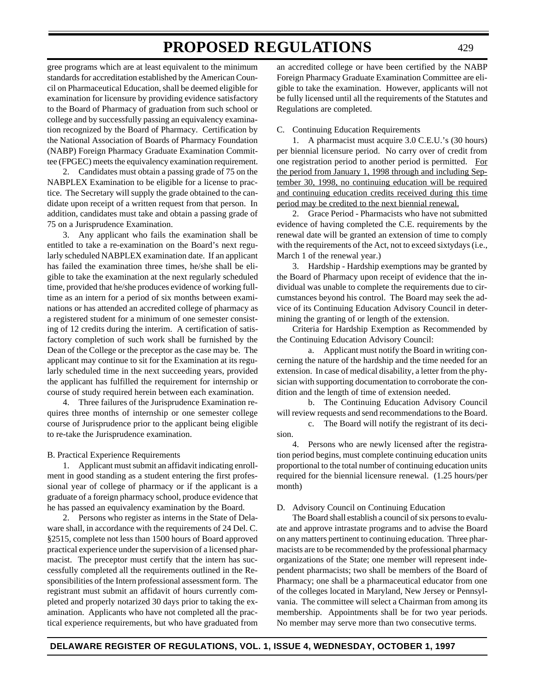gree programs which are at least equivalent to the minimum standards for accreditation established by the American Council on Pharmaceutical Education, shall be deemed eligible for examination for licensure by providing evidence satisfactory to the Board of Pharmacy of graduation from such school or college and by successfully passing an equivalency examination recognized by the Board of Pharmacy. Certification by the National Association of Boards of Pharmacy Foundation (NABP) Foreign Pharmacy Graduate Examination Committee (FPGEC) meets the equivalency examination requirement.

2. Candidates must obtain a passing grade of 75 on the NABPLEX Examination to be eligible for a license to practice. The Secretary will supply the grade obtained to the candidate upon receipt of a written request from that person. In addition, candidates must take and obtain a passing grade of 75 on a Jurisprudence Examination.

3. Any applicant who fails the examination shall be entitled to take a re-examination on the Board's next regularly scheduled NABPLEX examination date. If an applicant has failed the examination three times, he/she shall be eligible to take the examination at the next regularly scheduled time, provided that he/she produces evidence of working fulltime as an intern for a period of six months between examinations or has attended an accredited college of pharmacy as a registered student for a minimum of one semester consisting of 12 credits during the interim. A certification of satisfactory completion of such work shall be furnished by the Dean of the College or the preceptor as the case may be. The applicant may continue to sit for the Examination at its regularly scheduled time in the next succeeding years, provided the applicant has fulfilled the requirement for internship or course of study required herein between each examination.

4. Three failures of the Jurisprudence Examination requires three months of internship or one semester college course of Jurisprudence prior to the applicant being eligible to re-take the Jurisprudence examination.

#### B. Practical Experience Requirements

1. Applicant must submit an affidavit indicating enrollment in good standing as a student entering the first professional year of college of pharmacy or if the applicant is a graduate of a foreign pharmacy school, produce evidence that he has passed an equivalency examination by the Board.

2. Persons who register as interns in the State of Delaware shall, in accordance with the requirements of 24 Del. C. §2515, complete not less than 1500 hours of Board approved practical experience under the supervision of a licensed pharmacist. The preceptor must certify that the intern has successfully completed all the requirements outlined in the Responsibilities of the Intern professional assessment form. The registrant must submit an affidavit of hours currently completed and properly notarized 30 days prior to taking the examination. Applicants who have not completed all the practical experience requirements, but who have graduated from

an accredited college or have been certified by the NABP Foreign Pharmacy Graduate Examination Committee are eligible to take the examination. However, applicants will not be fully licensed until all the requirements of the Statutes and Regulations are completed.

#### C. Continuing Education Requirements

1. A pharmacist must acquire 3.0 C.E.U.'s (30 hours) per biennial licensure period. No carry over of credit from one registration period to another period is permitted. For the period from January 1, 1998 through and including September 30, 1998, no continuing education will be required and continuing education credits received during this time period may be credited to the next biennial renewal.

2. Grace Period - Pharmacists who have not submitted evidence of having completed the C.E. requirements by the renewal date will be granted an extension of time to comply with the requirements of the Act, not to exceed sixtydays (i.e., March 1 of the renewal year.)

3. Hardship - Hardship exemptions may be granted by the Board of Pharmacy upon receipt of evidence that the individual was unable to complete the requirements due to circumstances beyond his control. The Board may seek the advice of its Continuing Education Advisory Council in determining the granting of or length of the extension.

Criteria for Hardship Exemption as Recommended by the Continuing Education Advisory Council:

a. Applicant must notify the Board in writing concerning the nature of the hardship and the time needed for an extension. In case of medical disability, a letter from the physician with supporting documentation to corroborate the condition and the length of time of extension needed.

b. The Continuing Education Advisory Council will review requests and send recommendations to the Board.

c. The Board will notify the registrant of its decision.

4. Persons who are newly licensed after the registration period begins, must complete continuing education units proportional to the total number of continuing education units required for the biennial licensure renewal. (1.25 hours/per month)

#### D. Advisory Council on Continuing Education

The Board shall establish a council of six persons to evaluate and approve intrastate programs and to advise the Board on any matters pertinent to continuing education. Three pharmacists are to be recommended by the professional pharmacy organizations of the State; one member will represent independent pharmacists; two shall be members of the Board of Pharmacy; one shall be a pharmaceutical educator from one of the colleges located in Maryland, New Jersey or Pennsylvania. The committee will select a Chairman from among its membership. Appointments shall be for two year periods. No member may serve more than two consecutive terms.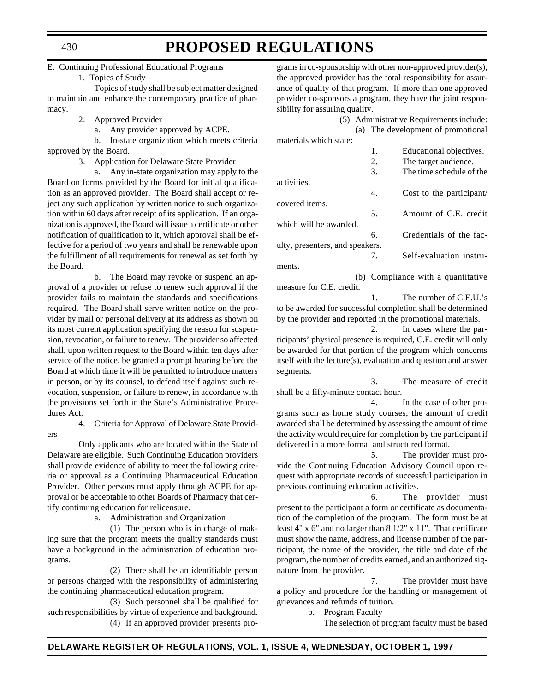#### E. Continuing Professional Educational Programs

1. Topics of Study

Topics of study shall be subject matter designed to maintain and enhance the contemporary practice of pharmacy.

- 2. Approved Provider
	- a. Any provider approved by ACPE.

b. In-state organization which meets criteria approved by the Board.

3. Application for Delaware State Provider

a. Any in-state organization may apply to the Board on forms provided by the Board for initial qualification as an approved provider. The Board shall accept or reject any such application by written notice to such organization within 60 days after receipt of its application. If an organization is approved, the Board will issue a certificate or other notification of qualification to it, which approval shall be effective for a period of two years and shall be renewable upon the fulfillment of all requirements for renewal as set forth by the Board.

b. The Board may revoke or suspend an approval of a provider or refuse to renew such approval if the provider fails to maintain the standards and specifications required. The Board shall serve written notice on the provider by mail or personal delivery at its address as shown on its most current application specifying the reason for suspension, revocation, or failure to renew. The provider so affected shall, upon written request to the Board within ten days after service of the notice, be granted a prompt hearing before the Board at which time it will be permitted to introduce matters in person, or by its counsel, to defend itself against such revocation, suspension, or failure to renew, in accordance with the provisions set forth in the State's Administrative Procedures Act.

4. Criteria for Approval of Delaware State Provid-

Only applicants who are located within the State of Delaware are eligible. Such Continuing Education providers shall provide evidence of ability to meet the following criteria or approval as a Continuing Pharmaceutical Education Provider. Other persons must apply through ACPE for approval or be acceptable to other Boards of Pharmacy that certify continuing education for relicensure.

a. Administration and Organization

(1) The person who is in charge of making sure that the program meets the quality standards must have a background in the administration of education programs.

(2) There shall be an identifiable person or persons charged with the responsibility of administering the continuing pharmaceutical education program.

(3) Such personnel shall be qualified for such responsibilities by virtue of experience and background. (4) If an approved provider presents pro-

grams in co-sponsorship with other non-approved provider(s), the approved provider has the total responsibility for assurance of quality of that program. If more than one approved provider co-sponsors a program, they have the joint responsibility for assuring quality.

(5) Administrative Requirements include: (a) The development of promotional materials which state:

| materiais which state.          |    |                                    |
|---------------------------------|----|------------------------------------|
|                                 | 1. | Educational objectives.            |
|                                 | 2. | The target audience.               |
|                                 | 3. | The time schedule of the           |
| activities.                     |    |                                    |
|                                 | 4. | Cost to the participant/           |
| covered items.                  |    |                                    |
|                                 | 5. | Amount of C.E. credit              |
| which will be awarded.          |    |                                    |
|                                 | 6. | Credentials of the fac-            |
| ulty, presenters, and speakers. |    |                                    |
|                                 | 7. | Self-evaluation instru-            |
| ments.                          |    |                                    |
|                                 |    | (b) Compliance with a quantitative |

(b) Compliance with a quantitative measure for C.E. credit. 1. The number of C.E.U.'s

to be awarded for successful completion shall be determined by the provider and reported in the promotional materials.

2. In cases where the participants' physical presence is required, C.E. credit will only be awarded for that portion of the program which concerns itself with the lecture(s), evaluation and question and answer segments.

3. The measure of credit shall be a fifty-minute contact hour.

4. In the case of other programs such as home study courses, the amount of credit awarded shall be determined by assessing the amount of time the activity would require for completion by the participant if delivered in a more formal and structured format.

5. The provider must provide the Continuing Education Advisory Council upon request with appropriate records of successful participation in previous continuing education activities.

6. The provider must present to the participant a form or certificate as documentation of the completion of the program. The form must be at least 4" x 6" and no larger than 8 1/2" x 11". That certificate must show the name, address, and license number of the participant, the name of the provider, the title and date of the program, the number of credits earned, and an authorized signature from the provider.

7. The provider must have a policy and procedure for the handling or management of grievances and refunds of tuition.

b. Program Faculty

The selection of program faculty must be based

#### 430

ers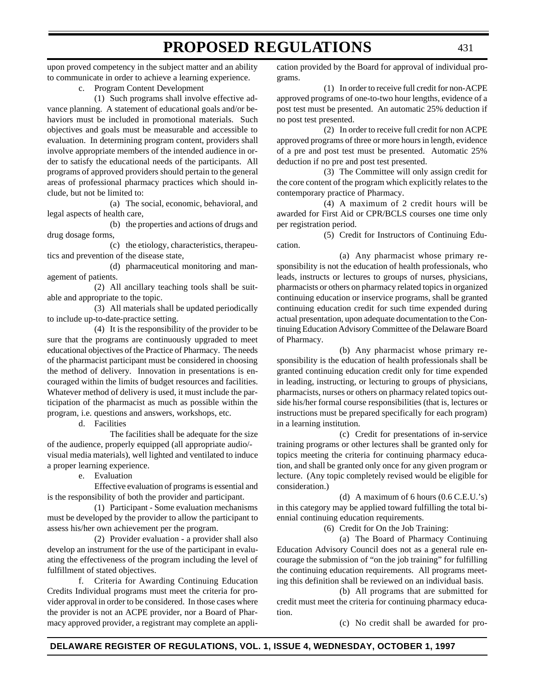upon proved competency in the subject matter and an ability to communicate in order to achieve a learning experience.

c. Program Content Development

(1) Such programs shall involve effective advance planning. A statement of educational goals and/or behaviors must be included in promotional materials. Such objectives and goals must be measurable and accessible to evaluation. In determining program content, providers shall involve appropriate members of the intended audience in order to satisfy the educational needs of the participants. All programs of approved providers should pertain to the general areas of professional pharmacy practices which should include, but not be limited to:

(a) The social, economic, behavioral, and legal aspects of health care,

(b) the properties and actions of drugs and drug dosage forms,

(c) the etiology, characteristics, therapeutics and prevention of the disease state,

(d) pharmaceutical monitoring and management of patients.

(2) All ancillary teaching tools shall be suitable and appropriate to the topic.

(3) All materials shall be updated periodically to include up-to-date-practice setting.

(4) It is the responsibility of the provider to be sure that the programs are continuously upgraded to meet educational objectives of the Practice of Pharmacy. The needs of the pharmacist participant must be considered in choosing the method of delivery. Innovation in presentations is encouraged within the limits of budget resources and facilities. Whatever method of delivery is used, it must include the participation of the pharmacist as much as possible within the program, i.e. questions and answers, workshops, etc.

d. Facilities

The facilities shall be adequate for the size of the audience, properly equipped (all appropriate audio/ visual media materials), well lighted and ventilated to induce a proper learning experience.

e. Evaluation

Effective evaluation of programs is essential and is the responsibility of both the provider and participant.

(1) Participant - Some evaluation mechanisms must be developed by the provider to allow the participant to assess his/her own achievement per the program.

(2) Provider evaluation - a provider shall also develop an instrument for the use of the participant in evaluating the effectiveness of the program including the level of fulfillment of stated objectives.

f. Criteria for Awarding Continuing Education Credits Individual programs must meet the criteria for provider approval in order to be considered. In those cases where the provider is not an ACPE provider, nor a Board of Pharmacy approved provider, a registrant may complete an application provided by the Board for approval of individual programs.

(1) In order to receive full credit for non-ACPE approved programs of one-to-two hour lengths, evidence of a post test must be presented. An automatic 25% deduction if no post test presented.

(2) In order to receive full credit for non ACPE approved programs of three or more hours in length, evidence of a pre and post test must be presented. Automatic 25% deduction if no pre and post test presented.

(3) The Committee will only assign credit for the core content of the program which explicitly relates to the contemporary practice of Pharmacy.

(4) A maximum of 2 credit hours will be awarded for First Aid or CPR/BCLS courses one time only per registration period.

(5) Credit for Instructors of Continuing Education.

(a) Any pharmacist whose primary responsibility is not the education of health professionals, who leads, instructs or lectures to groups of nurses, physicians, pharmacists or others on pharmacy related topics in organized continuing education or inservice programs, shall be granted continuing education credit for such time expended during actual presentation, upon adequate documentation to the Continuing Education Advisory Committee of the Delaware Board of Pharmacy.

(b) Any pharmacist whose primary responsibility is the education of health professionals shall be granted continuing education credit only for time expended in leading, instructing, or lecturing to groups of physicians, pharmacists, nurses or others on pharmacy related topics outside his/her formal course responsibilities (that is, lectures or instructions must be prepared specifically for each program) in a learning institution.

(c) Credit for presentations of in-service training programs or other lectures shall be granted only for topics meeting the criteria for continuing pharmacy education, and shall be granted only once for any given program or lecture. (Any topic completely revised would be eligible for consideration.)

(d) A maximum of 6 hours (0.6 C.E.U.'s) in this category may be applied toward fulfilling the total biennial continuing education requirements.

(6) Credit for On the Job Training:

(a) The Board of Pharmacy Continuing Education Advisory Council does not as a general rule encourage the submission of "on the job training" for fulfilling the continuing education requirements. All programs meeting this definition shall be reviewed on an individual basis.

(b) All programs that are submitted for credit must meet the criteria for continuing pharmacy education.

(c) No credit shall be awarded for pro-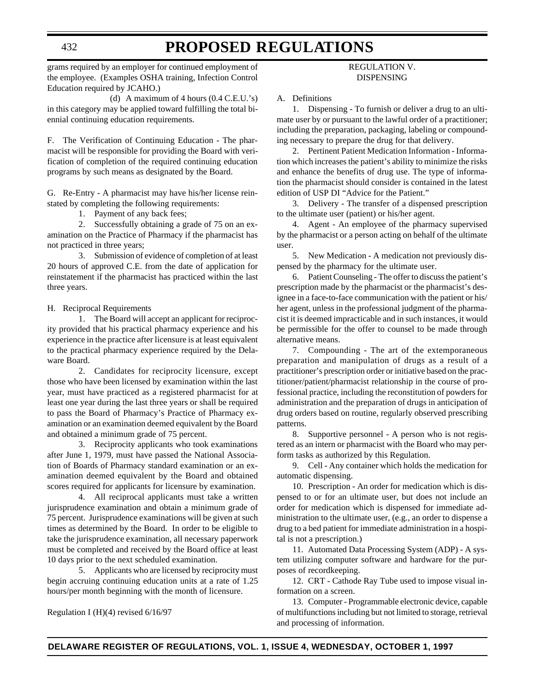grams required by an employer for continued employment of the employee. (Examples OSHA training, Infection Control Education required by JCAHO.)

(d) A maximum of 4 hours (0.4 C.E.U.'s) in this category may be applied toward fulfilling the total biennial continuing education requirements.

F. The Verification of Continuing Education - The pharmacist will be responsible for providing the Board with verification of completion of the required continuing education programs by such means as designated by the Board.

G. Re-Entry - A pharmacist may have his/her license reinstated by completing the following requirements:

1. Payment of any back fees;

2. Successfully obtaining a grade of 75 on an examination on the Practice of Pharmacy if the pharmacist has not practiced in three years;

3. Submission of evidence of completion of at least 20 hours of approved C.E. from the date of application for reinstatement if the pharmacist has practiced within the last three years.

H. Reciprocal Requirements

1. The Board will accept an applicant for reciprocity provided that his practical pharmacy experience and his experience in the practice after licensure is at least equivalent to the practical pharmacy experience required by the Delaware Board.

2. Candidates for reciprocity licensure, except those who have been licensed by examination within the last year, must have practiced as a registered pharmacist for at least one year during the last three years or shall be required to pass the Board of Pharmacy's Practice of Pharmacy examination or an examination deemed equivalent by the Board and obtained a minimum grade of 75 percent.

3. Reciprocity applicants who took examinations after June 1, 1979, must have passed the National Association of Boards of Pharmacy standard examination or an examination deemed equivalent by the Board and obtained scores required for applicants for licensure by examination.

4. All reciprocal applicants must take a written jurisprudence examination and obtain a minimum grade of 75 percent. Jurisprudence examinations will be given at such times as determined by the Board. In order to be eligible to take the jurisprudence examination, all necessary paperwork must be completed and received by the Board office at least 10 days prior to the next scheduled examination.

5. Applicants who are licensed by reciprocity must begin accruing continuing education units at a rate of 1.25 hours/per month beginning with the month of licensure.

Regulation I (H)(4) revised 6/16/97

### REGULATION V. DISPENSING

A. Definitions

1. Dispensing - To furnish or deliver a drug to an ultimate user by or pursuant to the lawful order of a practitioner; including the preparation, packaging, labeling or compounding necessary to prepare the drug for that delivery.

2. Pertinent Patient Medication Information - Information which increases the patient's ability to minimize the risks and enhance the benefits of drug use. The type of information the pharmacist should consider is contained in the latest edition of USP DI "Advice for the Patient."

3. Delivery - The transfer of a dispensed prescription to the ultimate user (patient) or his/her agent.

4. Agent - An employee of the pharmacy supervised by the pharmacist or a person acting on behalf of the ultimate user.

5. New Medication - A medication not previously dispensed by the pharmacy for the ultimate user.

6. Patient Counseling - The offer to discuss the patient's prescription made by the pharmacist or the pharmacist's designee in a face-to-face communication with the patient or his/ her agent, unless in the professional judgment of the pharmacist it is deemed impracticable and in such instances, it would be permissible for the offer to counsel to be made through alternative means.

7. Compounding - The art of the extemporaneous preparation and manipulation of drugs as a result of a practitioner's prescription order or initiative based on the practitioner/patient/pharmacist relationship in the course of professional practice, including the reconstitution of powders for administration and the preparation of drugs in anticipation of drug orders based on routine, regularly observed prescribing patterns.

8. Supportive personnel - A person who is not registered as an intern or pharmacist with the Board who may perform tasks as authorized by this Regulation.

9. Cell - Any container which holds the medication for automatic dispensing.

10. Prescription - An order for medication which is dispensed to or for an ultimate user, but does not include an order for medication which is dispensed for immediate administration to the ultimate user, (e.g., an order to dispense a drug to a bed patient for immediate administration in a hospital is not a prescription.)

11. Automated Data Processing System (ADP) - A system utilizing computer software and hardware for the purposes of recordkeeping.

12. CRT - Cathode Ray Tube used to impose visual information on a screen.

13. Computer - Programmable electronic device, capable of multifunctions including but not limited to storage, retrieval and processing of information.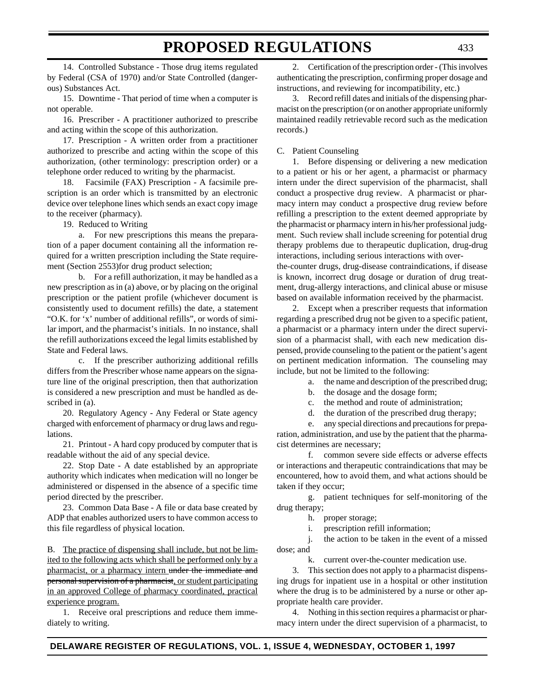14. Controlled Substance - Those drug items regulated by Federal (CSA of 1970) and/or State Controlled (dangerous) Substances Act.

15. Downtime - That period of time when a computer is not operable.

16. Prescriber - A practitioner authorized to prescribe and acting within the scope of this authorization.

17. Prescription - A written order from a practitioner authorized to prescribe and acting within the scope of this authorization, (other terminology: prescription order) or a telephone order reduced to writing by the pharmacist.

18. Facsimile (FAX) Prescription - A facsimile prescription is an order which is transmitted by an electronic device over telephone lines which sends an exact copy image to the receiver (pharmacy).

19. Reduced to Writing

a. For new prescriptions this means the preparation of a paper document containing all the information required for a written prescription including the State requirement (Section 2553)for drug product selection;

b. For a refill authorization, it may be handled as a new prescription as in (a) above, or by placing on the original prescription or the patient profile (whichever document is consistently used to document refills) the date, a statement "O.K. for 'x' number of additional refills", or words of similar import, and the pharmacist's initials. In no instance, shall the refill authorizations exceed the legal limits established by State and Federal laws.

c. If the prescriber authorizing additional refills differs from the Prescriber whose name appears on the signature line of the original prescription, then that authorization is considered a new prescription and must be handled as described in (a).

20. Regulatory Agency - Any Federal or State agency charged with enforcement of pharmacy or drug laws and regulations.

21. Printout - A hard copy produced by computer that is readable without the aid of any special device.

22. Stop Date - A date established by an appropriate authority which indicates when medication will no longer be administered or dispensed in the absence of a specific time period directed by the prescriber.

23. Common Data Base - A file or data base created by ADP that enables authorized users to have common access to this file regardless of physical location.

B. The practice of dispensing shall include, but not be limited to the following acts which shall be performed only by a pharmacist, or a pharmacy intern under the immediate and personal supervision of a pharmacist, or student participating in an approved College of pharmacy coordinated, practical experience program.

1. Receive oral prescriptions and reduce them immediately to writing.

2. Certification of the prescription order - (This involves authenticating the prescription, confirming proper dosage and instructions, and reviewing for incompatibility, etc.)

3. Record refill dates and initials of the dispensing pharmacist on the prescription (or on another appropriate uniformly maintained readily retrievable record such as the medication records.)

#### C. Patient Counseling

1. Before dispensing or delivering a new medication to a patient or his or her agent, a pharmacist or pharmacy intern under the direct supervision of the pharmacist, shall conduct a prospective drug review. A pharmacist or pharmacy intern may conduct a prospective drug review before refilling a prescription to the extent deemed appropriate by the pharmacist or pharmacy intern in his/her professional judgment. Such review shall include screening for potential drug therapy problems due to therapeutic duplication, drug-drug interactions, including serious interactions with over-

the-counter drugs, drug-disease contraindications, if disease is known, incorrect drug dosage or duration of drug treatment, drug-allergy interactions, and clinical abuse or misuse based on available information received by the pharmacist.

2. Except when a prescriber requests that information regarding a prescribed drug not be given to a specific patient, a pharmacist or a pharmacy intern under the direct supervision of a pharmacist shall, with each new medication dispensed, provide counseling to the patient or the patient's agent on pertinent medication information. The counseling may include, but not be limited to the following:

- a. the name and description of the prescribed drug;
- b. the dosage and the dosage form;
- c. the method and route of administration;
- d. the duration of the prescribed drug therapy;

e. any special directions and precautions for preparation, administration, and use by the patient that the pharmacist determines are necessary;

f. common severe side effects or adverse effects or interactions and therapeutic contraindications that may be encountered, how to avoid them, and what actions should be taken if they occur;

g. patient techniques for self-monitoring of the drug therapy;

h. proper storage;

i. prescription refill information;

j. the action to be taken in the event of a missed dose; and

k. current over-the-counter medication use.

3. This section does not apply to a pharmacist dispensing drugs for inpatient use in a hospital or other institution where the drug is to be administered by a nurse or other appropriate health care provider.

4. Nothing in this section requires a pharmacist or pharmacy intern under the direct supervision of a pharmacist, to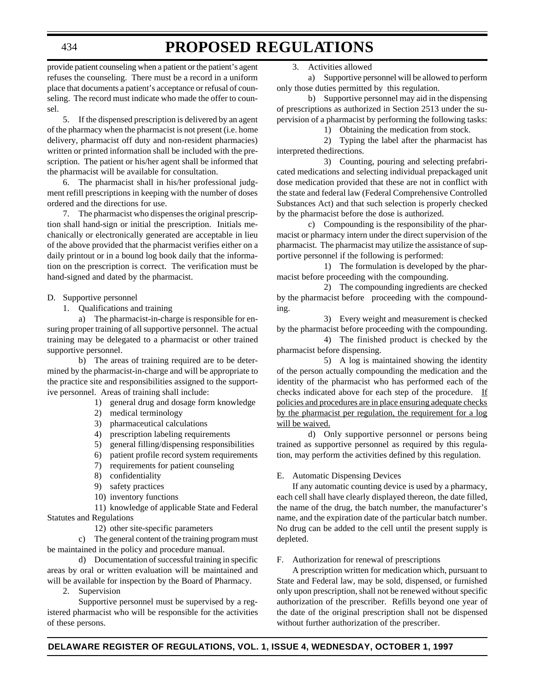434

# **PROPOSED REGULATIONS**

provide patient counseling when a patient or the patient's agent refuses the counseling. There must be a record in a uniform place that documents a patient's acceptance or refusal of counseling. The record must indicate who made the offer to counsel.

5. If the dispensed prescription is delivered by an agent of the pharmacy when the pharmacist is not present (i.e. home delivery, pharmacist off duty and non-resident pharmacies) written or printed information shall be included with the prescription. The patient or his/her agent shall be informed that the pharmacist will be available for consultation.

6. The pharmacist shall in his/her professional judgment refill prescriptions in keeping with the number of doses ordered and the directions for use.

7. The pharmacist who dispenses the original prescription shall hand-sign or initial the prescription. Initials mechanically or electronically generated are acceptable in lieu of the above provided that the pharmacist verifies either on a daily printout or in a bound log book daily that the information on the prescription is correct. The verification must be hand-signed and dated by the pharmacist.

#### D. Supportive personnel

1. Qualifications and training

a) The pharmacist-in-charge is responsible for ensuring proper training of all supportive personnel. The actual training may be delegated to a pharmacist or other trained supportive personnel.

b) The areas of training required are to be determined by the pharmacist-in-charge and will be appropriate to the practice site and responsibilities assigned to the supportive personnel. Areas of training shall include:

- 1) general drug and dosage form knowledge
- 2) medical terminology
- 3) pharmaceutical calculations
- 4) prescription labeling requirements
- 5) general filling/dispensing responsibilities
- 6) patient profile record system requirements
- 7) requirements for patient counseling
- 8) confidentiality
- 9) safety practices
- 10) inventory functions

11) knowledge of applicable State and Federal Statutes and Regulations

12) other site-specific parameters

c) The general content of the training program must be maintained in the policy and procedure manual.

d) Documentation of successful training in specific areas by oral or written evaluation will be maintained and will be available for inspection by the Board of Pharmacy.

2. Supervision

Supportive personnel must be supervised by a registered pharmacist who will be responsible for the activities of these persons.

3. Activities allowed

a) Supportive personnel will be allowed to perform only those duties permitted by this regulation.

b) Supportive personnel may aid in the dispensing of prescriptions as authorized in Section 2513 under the supervision of a pharmacist by performing the following tasks:

1) Obtaining the medication from stock.

2) Typing the label after the pharmacist has interpreted thedirections.

3) Counting, pouring and selecting prefabricated medications and selecting individual prepackaged unit dose medication provided that these are not in conflict with the state and federal law (Federal Comprehensive Controlled Substances Act) and that such selection is properly checked by the pharmacist before the dose is authorized.

c) Compounding is the responsibility of the pharmacist or pharmacy intern under the direct supervision of the pharmacist. The pharmacist may utilize the assistance of supportive personnel if the following is performed:

1) The formulation is developed by the pharmacist before proceeding with the compounding.

2) The compounding ingredients are checked by the pharmacist before proceeding with the compounding.

3) Every weight and measurement is checked by the pharmacist before proceeding with the compounding.

4) The finished product is checked by the pharmacist before dispensing.

5) A log is maintained showing the identity of the person actually compounding the medication and the identity of the pharmacist who has performed each of the checks indicated above for each step of the procedure. If policies and procedures are in place ensuring adequate checks by the pharmacist per regulation, the requirement for a log will be waived.

d) Only supportive personnel or persons being trained as supportive personnel as required by this regulation, may perform the activities defined by this regulation.

#### E. Automatic Dispensing Devices

If any automatic counting device is used by a pharmacy, each cell shall have clearly displayed thereon, the date filled, the name of the drug, the batch number, the manufacturer's name, and the expiration date of the particular batch number. No drug can be added to the cell until the present supply is depleted.

#### F. Authorization for renewal of prescriptions

A prescription written for medication which, pursuant to State and Federal law, may be sold, dispensed, or furnished only upon prescription, shall not be renewed without specific authorization of the prescriber. Refills beyond one year of the date of the original prescription shall not be dispensed without further authorization of the prescriber.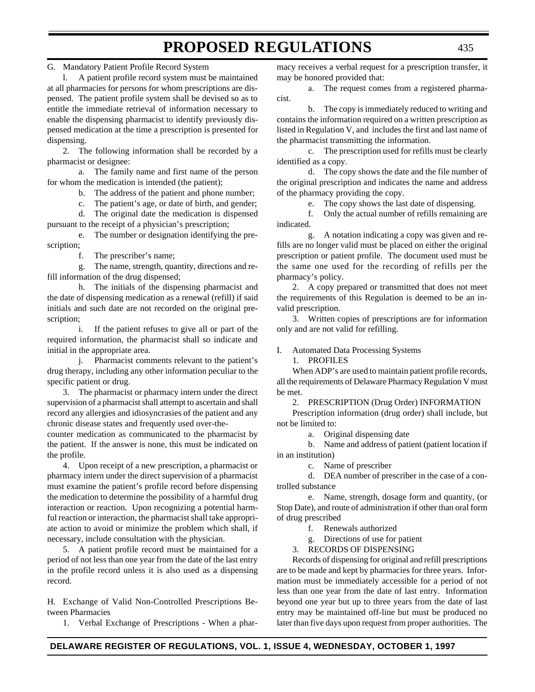G. Mandatory Patient Profile Record System

l. A patient profile record system must be maintained at all pharmacies for persons for whom prescriptions are dispensed. The patient profile system shall be devised so as to entitle the immediate retrieval of information necessary to enable the dispensing pharmacist to identify previously dispensed medication at the time a prescription is presented for dispensing.

2. The following information shall be recorded by a pharmacist or designee:

a. The family name and first name of the person for whom the medication is intended (the patient);

b. The address of the patient and phone number;

c. The patient's age, or date of birth, and gender;

d. The original date the medication is dispensed pursuant to the receipt of a physician's prescription;

e. The number or designation identifying the prescription;

f. The prescriber's name;

g. The name, strength, quantity, directions and refill information of the drug dispensed;

h. The initials of the dispensing pharmacist and the date of dispensing medication as a renewal (refill) if said initials and such date are not recorded on the original prescription;

i. If the patient refuses to give all or part of the required information, the pharmacist shall so indicate and initial in the appropriate area.

j. Pharmacist comments relevant to the patient's drug therapy, including any other information peculiar to the specific patient or drug.

3. The pharmacist or pharmacy intern under the direct supervision of a pharmacist shall attempt to ascertain and shall record any allergies and idiosyncrasies of the patient and any chronic disease states and frequently used over-the-

counter medication as communicated to the pharmacist by the patient. If the answer is none, this must be indicated on the profile.

4. Upon receipt of a new prescription, a pharmacist or pharmacy intern under the direct supervision of a pharmacist must examine the patient's profile record before dispensing the medication to determine the possibility of a harmful drug interaction or reaction. Upon recognizing a potential harmful reaction or interaction, the pharmacist shall take appropriate action to avoid or minimize the problem which shall, if necessary, include consultation with the physician.

5. A patient profile record must be maintained for a period of not less than one year from the date of the last entry in the profile record unless it is also used as a dispensing record.

H. Exchange of Valid Non-Controlled Prescriptions Between Pharmacies

1. Verbal Exchange of Prescriptions - When a phar-

macy receives a verbal request for a prescription transfer, it may be honored provided that:

a. The request comes from a registered pharmacist.

b. The copy is immediately reduced to writing and contains the information required on a written prescription as listed in Regulation V, and includes the first and last name of the pharmacist transmitting the information.

c. The prescription used for refills must be clearly identified as a copy.

d. The copy shows the date and the file number of the original prescription and indicates the name and address of the pharmacy providing the copy.

e. The copy shows the last date of dispensing.

f. Only the actual number of refills remaining are indicated.

g. A notation indicating a copy was given and refills are no longer valid must be placed on either the original prescription or patient profile. The document used must be the same one used for the recording of refills per the pharmacy's policy.

2. A copy prepared or transmitted that does not meet the requirements of this Regulation is deemed to be an invalid prescription.

3. Written copies of prescriptions are for information only and are not valid for refilling.

I. Automated Data Processing Systems

1. PROFILES

When ADP's are used to maintain patient profile records, all the requirements of Delaware Pharmacy Regulation V must be met.

2. PRESCRIPTION (Drug Order) INFORMATION

Prescription information (drug order) shall include, but not be limited to:

a. Original dispensing date

b. Name and address of patient (patient location if in an institution)

c. Name of prescriber

d. DEA number of prescriber in the case of a controlled substance

e. Name, strength, dosage form and quantity, (or Stop Date), and route of administration if other than oral form of drug prescribed

f. Renewals authorized

g. Directions of use for patient

3. RECORDS OF DISPENSING

Records of dispensing for original and refill prescriptions are to be made and kept by pharmacies for three years. Information must be immediately accessible for a period of not less than one year from the date of last entry. Information beyond one year but up to three years from the date of last entry may be maintained off-line but must be produced no later than five days upon request from proper authorities. The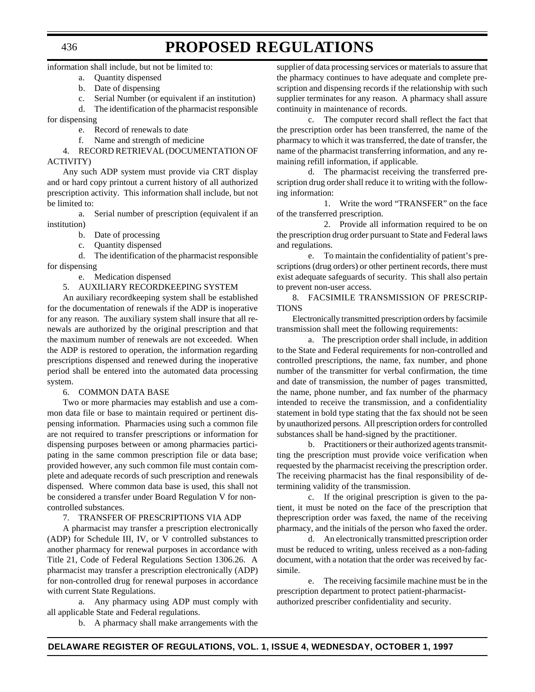information shall include, but not be limited to:

- a. Quantity dispensed
- b. Date of dispensing
- c. Serial Number (or equivalent if an institution)

d. The identification of the pharmacist responsible

for dispensing

- e. Record of renewals to date
- f. Name and strength of medicine

4. RECORD RETRIEVAL (DOCUMENTATION OF ACTIVITY)

Any such ADP system must provide via CRT display and or hard copy printout a current history of all authorized prescription activity. This information shall include, but not be limited to:

a. Serial number of prescription (equivalent if an institution)

- b. Date of processing
- c. Quantity dispensed

d. The identification of the pharmacist responsible for dispensing

- e. Medication dispensed
- 5. AUXILIARY RECORDKEEPING SYSTEM

An auxiliary recordkeeping system shall be established for the documentation of renewals if the ADP is inoperative for any reason. The auxiliary system shall insure that all renewals are authorized by the original prescription and that the maximum number of renewals are not exceeded. When the ADP is restored to operation, the information regarding prescriptions dispensed and renewed during the inoperative period shall be entered into the automated data processing system.

6. COMMON DATA BASE

Two or more pharmacies may establish and use a common data file or base to maintain required or pertinent dispensing information. Pharmacies using such a common file are not required to transfer prescriptions or information for dispensing purposes between or among pharmacies participating in the same common prescription file or data base; provided however, any such common file must contain complete and adequate records of such prescription and renewals dispensed. Where common data base is used, this shall not be considered a transfer under Board Regulation V for noncontrolled substances.

#### 7. TRANSFER OF PRESCRIPTIONS VIA ADP

A pharmacist may transfer a prescription electronically (ADP) for Schedule III, IV, or V controlled substances to another pharmacy for renewal purposes in accordance with Title 21, Code of Federal Regulations Section 1306.26. A pharmacist may transfer a prescription electronically (ADP) for non-controlled drug for renewal purposes in accordance with current State Regulations.

a. Any pharmacy using ADP must comply with all applicable State and Federal regulations.

b. A pharmacy shall make arrangements with the

supplier of data processing services or materials to assure that the pharmacy continues to have adequate and complete prescription and dispensing records if the relationship with such supplier terminates for any reason. A pharmacy shall assure continuity in maintenance of records.

c. The computer record shall reflect the fact that the prescription order has been transferred, the name of the pharmacy to which it was transferred, the date of transfer, the name of the pharmacist transferring information, and any remaining refill information, if applicable.

d. The pharmacist receiving the transferred prescription drug order shall reduce it to writing with the following information:

1. Write the word "TRANSFER" on the face of the transferred prescription.

2. Provide all information required to be on the prescription drug order pursuant to State and Federal laws and regulations.

e. To maintain the confidentiality of patient's prescriptions (drug orders) or other pertinent records, there must exist adequate safeguards of security. This shall also pertain to prevent non-user access.

8. FACSIMILE TRANSMISSION OF PRESCRIP-TIONS

Electronically transmitted prescription orders by facsimile transmission shall meet the following requirements:

a. The prescription order shall include, in addition to the State and Federal requirements for non-controlled and controlled prescriptions, the name, fax number, and phone number of the transmitter for verbal confirmation, the time and date of transmission, the number of pages transmitted, the name, phone number, and fax number of the pharmacy intended to receive the transmission, and a confidentiality statement in bold type stating that the fax should not be seen by unauthorized persons. All prescription orders for controlled substances shall be hand-signed by the practitioner.

b. Practitioners or their authorized agents transmitting the prescription must provide voice verification when requested by the pharmacist receiving the prescription order. The receiving pharmacist has the final responsibility of determining validity of the transmission.

c. If the original prescription is given to the patient, it must be noted on the face of the prescription that theprescription order was faxed, the name of the receiving pharmacy, and the initials of the person who faxed the order.

d. An electronically transmitted prescription order must be reduced to writing, unless received as a non-fading document, with a notation that the order was received by facsimile.

e. The receiving facsimile machine must be in the prescription department to protect patient-pharmacistauthorized prescriber confidentiality and security.

436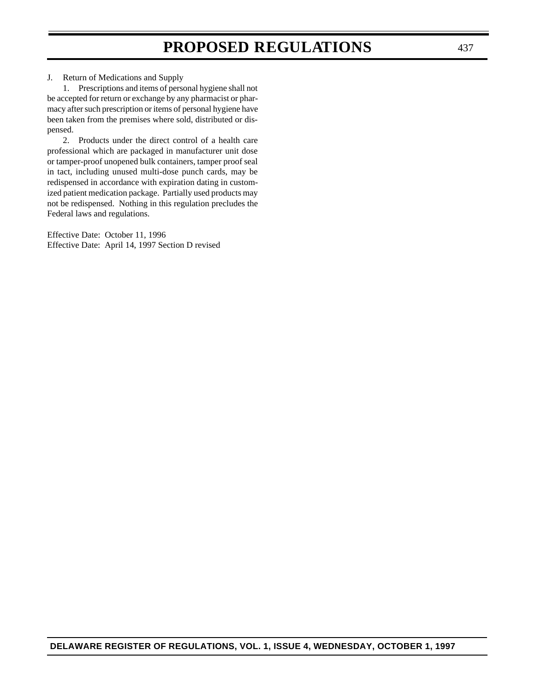J. Return of Medications and Supply

1. Prescriptions and items of personal hygiene shall not be accepted for return or exchange by any pharmacist or pharmacy after such prescription or items of personal hygiene have been taken from the premises where sold, distributed or dispensed.

2. Products under the direct control of a health care professional which are packaged in manufacturer unit dose or tamper-proof unopened bulk containers, tamper proof seal in tact, including unused multi-dose punch cards, may be redispensed in accordance with expiration dating in customized patient medication package. Partially used products may not be redispensed. Nothing in this regulation precludes the Federal laws and regulations.

Effective Date: October 11, 1996 Effective Date: April 14, 1997 Section D revised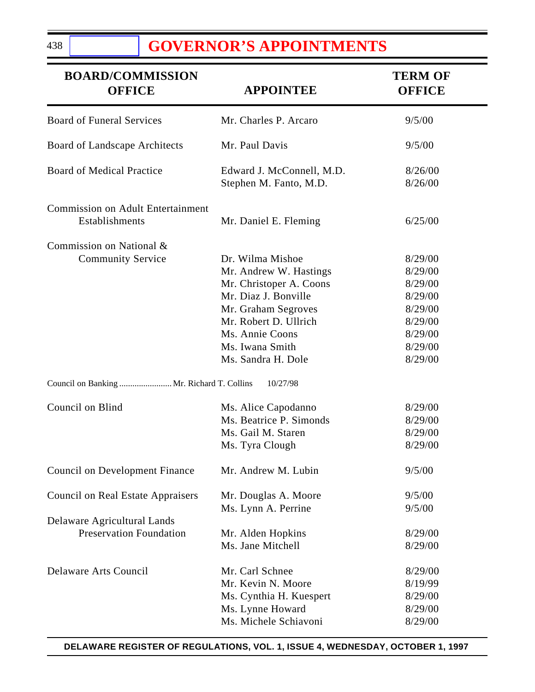# **[GOVERNOR'S APPOINTMENTS](#page-3-0)**

| <b>BOARD/COMMISSION</b><br><b>OFFICE</b>                   | <b>APPOINTEE</b>                                    | <b>TERM OF</b><br><b>OFFICE</b> |
|------------------------------------------------------------|-----------------------------------------------------|---------------------------------|
| <b>Board of Funeral Services</b>                           | Mr. Charles P. Arcaro                               | 9/5/00                          |
| Board of Landscape Architects                              | Mr. Paul Davis                                      | 9/5/00                          |
| <b>Board of Medical Practice</b>                           | Edward J. McConnell, M.D.<br>Stephen M. Fanto, M.D. | 8/26/00<br>8/26/00              |
| <b>Commission on Adult Entertainment</b><br>Establishments | Mr. Daniel E. Fleming                               | 6/25/00                         |
| Commission on National &                                   |                                                     |                                 |
| <b>Community Service</b>                                   | Dr. Wilma Mishoe                                    | 8/29/00                         |
|                                                            | Mr. Andrew W. Hastings                              | 8/29/00                         |
|                                                            | Mr. Christoper A. Coons                             | 8/29/00                         |
|                                                            | Mr. Diaz J. Bonville                                | 8/29/00                         |
|                                                            | Mr. Graham Segroves                                 | 8/29/00                         |
|                                                            | Mr. Robert D. Ullrich                               | 8/29/00                         |
|                                                            | Ms. Annie Coons                                     | 8/29/00                         |
|                                                            | Ms. Iwana Smith                                     | 8/29/00                         |
|                                                            | Ms. Sandra H. Dole                                  | 8/29/00                         |
| Council on Banking  Mr. Richard T. Collins                 | 10/27/98                                            |                                 |
| Council on Blind                                           | Ms. Alice Capodanno                                 | 8/29/00                         |
|                                                            | Ms. Beatrice P. Simonds                             | 8/29/00                         |
|                                                            | Ms. Gail M. Staren                                  | 8/29/00                         |
|                                                            | Ms. Tyra Clough                                     | 8/29/00                         |
| <b>Council on Development Finance</b>                      | Mr. Andrew M. Lubin                                 | 9/5/00                          |
| <b>Council on Real Estate Appraisers</b>                   | Mr. Douglas A. Moore                                | 9/5/00                          |
|                                                            | Ms. Lynn A. Perrine                                 | 9/5/00                          |
| Delaware Agricultural Lands                                |                                                     |                                 |
| <b>Preservation Foundation</b>                             | Mr. Alden Hopkins                                   | 8/29/00                         |
|                                                            | Ms. Jane Mitchell                                   | 8/29/00                         |
| <b>Delaware Arts Council</b>                               | Mr. Carl Schnee                                     | 8/29/00                         |
|                                                            | Mr. Kevin N. Moore                                  | 8/19/99                         |
|                                                            | Ms. Cynthia H. Kuespert                             | 8/29/00                         |
|                                                            | Ms. Lynne Howard                                    | 8/29/00                         |
|                                                            | Ms. Michele Schiavoni                               | 8/29/00                         |

438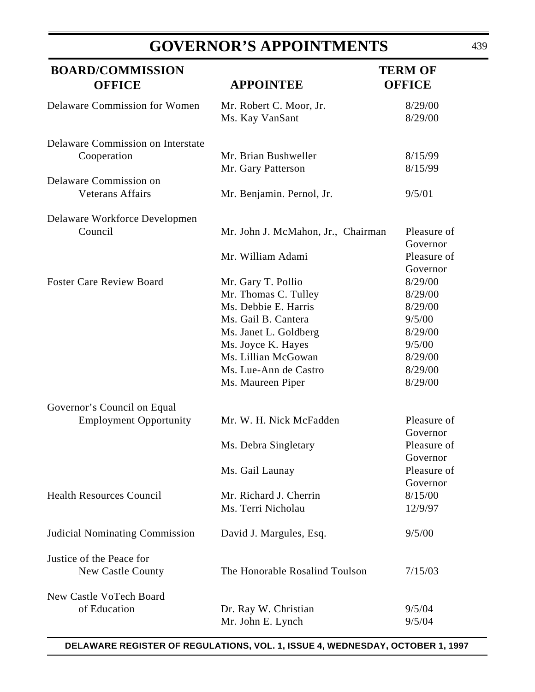# **GOVERNOR'S APPOINTMENTS**

| <b>BOARD/COMMISSION</b><br><b>OFFICE</b>                     | <b>APPOINTEE</b>                                                                                                                                                                         | <b>TERM OF</b><br><b>OFFICE</b>                                                                |
|--------------------------------------------------------------|------------------------------------------------------------------------------------------------------------------------------------------------------------------------------------------|------------------------------------------------------------------------------------------------|
| Delaware Commission for Women                                | Mr. Robert C. Moor, Jr.<br>Ms. Kay VanSant                                                                                                                                               | 8/29/00<br>8/29/00                                                                             |
| Delaware Commission on Interstate<br>Cooperation             | Mr. Brian Bushweller<br>Mr. Gary Patterson                                                                                                                                               | 8/15/99<br>8/15/99                                                                             |
| Delaware Commission on<br><b>Veterans Affairs</b>            | Mr. Benjamin. Pernol, Jr.                                                                                                                                                                | 9/5/01                                                                                         |
| Delaware Workforce Developmen<br>Council                     | Mr. John J. McMahon, Jr., Chairman<br>Mr. William Adami                                                                                                                                  | Pleasure of<br>Governor<br>Pleasure of                                                         |
| <b>Foster Care Review Board</b>                              | Mr. Gary T. Pollio<br>Mr. Thomas C. Tulley<br>Ms. Debbie E. Harris<br>Ms. Gail B. Cantera<br>Ms. Janet L. Goldberg<br>Ms. Joyce K. Hayes<br>Ms. Lillian McGowan<br>Ms. Lue-Ann de Castro | Governor<br>8/29/00<br>8/29/00<br>8/29/00<br>9/5/00<br>8/29/00<br>9/5/00<br>8/29/00<br>8/29/00 |
| Governor's Council on Equal<br><b>Employment Opportunity</b> | Ms. Maureen Piper<br>Mr. W. H. Nick McFadden                                                                                                                                             | 8/29/00<br>Pleasure of                                                                         |
|                                                              | Ms. Debra Singletary                                                                                                                                                                     | Governor<br>Pleasure of<br>Governor                                                            |
| <b>Health Resources Council</b>                              | Ms. Gail Launay<br>Mr. Richard J. Cherrin<br>Ms. Terri Nicholau                                                                                                                          | Pleasure of<br>Governor<br>8/15/00<br>12/9/97                                                  |
| <b>Judicial Nominating Commission</b>                        | David J. Margules, Esq.                                                                                                                                                                  | 9/5/00                                                                                         |
| Justice of the Peace for<br>New Castle County                | The Honorable Rosalind Toulson                                                                                                                                                           | 7/15/03                                                                                        |
| New Castle VoTech Board<br>of Education                      | Dr. Ray W. Christian<br>Mr. John E. Lynch                                                                                                                                                | 9/5/04<br>9/5/04                                                                               |

**DELAWARE REGISTER OF REGULATIONS, VOL. 1, ISSUE 4, WEDNESDAY, OCTOBER 1, 1997**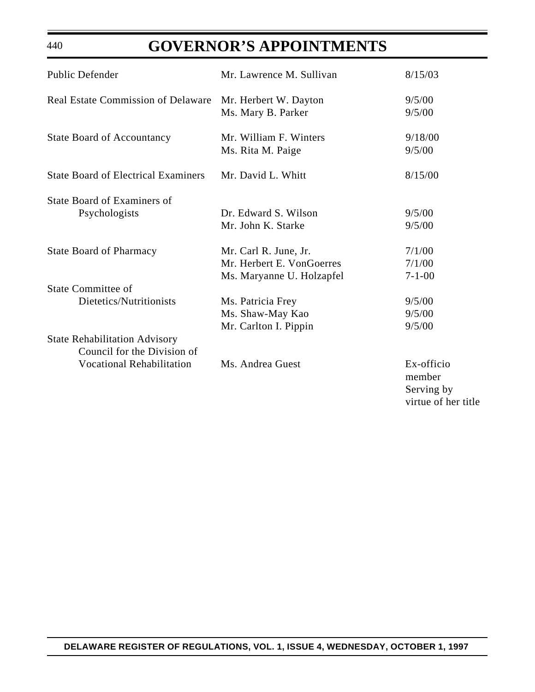# **GOVERNOR'S APPOINTMENTS**

| Public Defender                                                     | Mr. Lawrence M. Sullivan                                                        | 8/15/03                                                   |
|---------------------------------------------------------------------|---------------------------------------------------------------------------------|-----------------------------------------------------------|
| <b>Real Estate Commission of Delaware</b>                           | Mr. Herbert W. Dayton<br>Ms. Mary B. Parker                                     | 9/5/00<br>9/5/00                                          |
| <b>State Board of Accountancy</b>                                   | Mr. William F. Winters<br>Ms. Rita M. Paige                                     | 9/18/00<br>9/5/00                                         |
| <b>State Board of Electrical Examiners</b>                          | Mr. David L. Whitt                                                              | 8/15/00                                                   |
| <b>State Board of Examiners of</b><br>Psychologists                 | Dr. Edward S. Wilson<br>Mr. John K. Starke                                      | 9/5/00<br>9/5/00                                          |
| <b>State Board of Pharmacy</b>                                      | Mr. Carl R. June, Jr.<br>Mr. Herbert E. VonGoerres<br>Ms. Maryanne U. Holzapfel | 7/1/00<br>7/1/00<br>$7 - 1 - 00$                          |
| <b>State Committee of</b>                                           |                                                                                 |                                                           |
| Dietetics/Nutritionists                                             | Ms. Patricia Frey<br>Ms. Shaw-May Kao<br>Mr. Carlton I. Pippin                  | 9/5/00<br>9/5/00<br>9/5/00                                |
| <b>State Rehabilitation Advisory</b><br>Council for the Division of |                                                                                 |                                                           |
| <b>Vocational Rehabilitation</b>                                    | Ms. Andrea Guest                                                                | Ex-officio<br>member<br>Serving by<br>virtue of her title |

440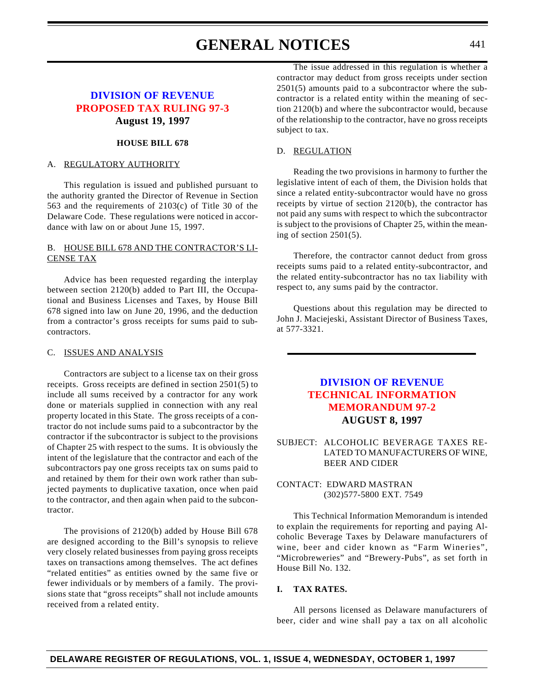# **GENERAL NOTICES** 441

### **[DIVISION OF REVENUE](http://www.state.de.us/govern/agencies/revenue/revenue.htm) [PROPOSED TAX RULING 97-3](#page-3-1) August 19, 1997**

#### **HOUSE BILL 678**

#### A. REGULATORY AUTHORITY

This regulation is issued and published pursuant to the authority granted the Director of Revenue in Section 563 and the requirements of 2103(c) of Title 30 of the Delaware Code. These regulations were noticed in accordance with law on or about June 15, 1997.

#### B. HOUSE BILL 678 AND THE CONTRACTOR'S LI-CENSE TAX

Advice has been requested regarding the interplay between section 2120(b) added to Part III, the Occupational and Business Licenses and Taxes, by House Bill 678 signed into law on June 20, 1996, and the deduction from a contractor's gross receipts for sums paid to subcontractors.

#### C. ISSUES AND ANALYSIS

Contractors are subject to a license tax on their gross receipts. Gross receipts are defined in section 2501(5) to include all sums received by a contractor for any work done or materials supplied in connection with any real property located in this State. The gross receipts of a contractor do not include sums paid to a subcontractor by the contractor if the subcontractor is subject to the provisions of Chapter 25 with respect to the sums. It is obviously the intent of the legislature that the contractor and each of the subcontractors pay one gross receipts tax on sums paid to and retained by them for their own work rather than subjected payments to duplicative taxation, once when paid to the contractor, and then again when paid to the subcontractor.

The provisions of 2120(b) added by House Bill 678 are designed according to the Bill's synopsis to relieve very closely related businesses from paying gross receipts taxes on transactions among themselves. The act defines "related entities" as entities owned by the same five or fewer individuals or by members of a family. The provisions state that "gross receipts" shall not include amounts received from a related entity.

The issue addressed in this regulation is whether a contractor may deduct from gross receipts under section 2501(5) amounts paid to a subcontractor where the subcontractor is a related entity within the meaning of section 2120(b) and where the subcontractor would, because of the relationship to the contractor, have no gross receipts subject to tax.

#### D. REGULATION

Reading the two provisions in harmony to further the legislative intent of each of them, the Division holds that since a related entity-subcontractor would have no gross receipts by virtue of section 2120(b), the contractor has not paid any sums with respect to which the subcontractor is subject to the provisions of Chapter 25, within the meaning of section 2501(5).

Therefore, the contractor cannot deduct from gross receipts sums paid to a related entity-subcontractor, and the related entity-subcontractor has no tax liability with respect to, any sums paid by the contractor.

Questions about this regulation may be directed to John J. Maciejeski, Assistant Director of Business Taxes, at 577-3321.

### **[DIVISION OF REVENUE](http://www.state.de.us/govern/agencies/revenue/revenue.htm) [TECHNICAL INFORMATION](#page-3-0) MEMORANDUM 97-2 AUGUST 8, 1997**

SUBJECT: ALCOHOLIC BEVERAGE TAXES RE-LATED TO MANUFACTURERS OF WINE, BEER AND CIDER

#### CONTACT: EDWARD MASTRAN (302)577-5800 EXT. 7549

This Technical Information Memorandum is intended to explain the requirements for reporting and paying Alcoholic Beverage Taxes by Delaware manufacturers of wine, beer and cider known as "Farm Wineries", "Microbreweries" and "Brewery-Pubs", as set forth in House Bill No. 132.

#### **I. TAX RATES.**

All persons licensed as Delaware manufacturers of beer, cider and wine shall pay a tax on all alcoholic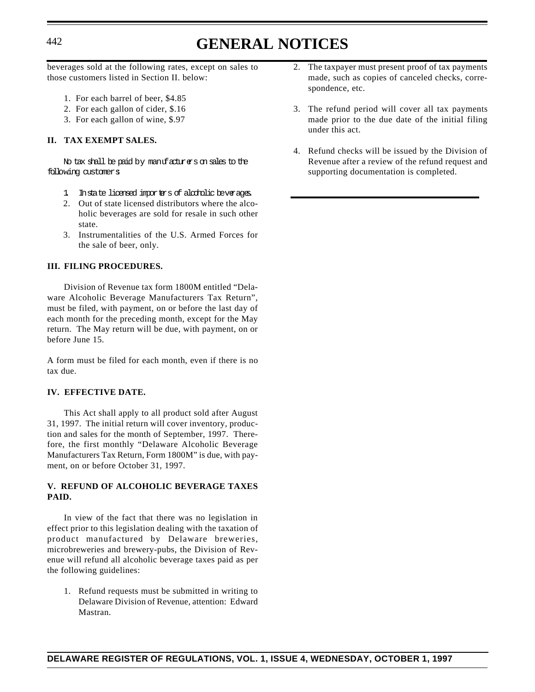# <sup>442</sup> **GENERAL NOTICES**

beverages sold at the following rates, except on sales to those customers listed in Section II. below:

- 1. For each barrel of beer, \$4.85
- 2. For each gallon of cider, \$.16
- 3. For each gallon of wine, \$.97

#### **II. TAX EXEMPT SALES.**

No tax shall be paid by manufacturers on sales to the following customers

- 1. Instate licensed importers of alcoholic beverages.
- 2. Out of state licensed distributors where the alcoholic beverages are sold for resale in such other state.
- 3. Instrumentalities of the U.S. Armed Forces for the sale of beer, only.

#### **III. FILING PROCEDURES.**

Division of Revenue tax form 1800M entitled "Delaware Alcoholic Beverage Manufacturers Tax Return", must be filed, with payment, on or before the last day of each month for the preceding month, except for the May return. The May return will be due, with payment, on or before June 15.

A form must be filed for each month, even if there is no tax due.

#### **IV. EFFECTIVE DATE.**

This Act shall apply to all product sold after August 31, 1997. The initial return will cover inventory, production and sales for the month of September, 1997. Therefore, the first monthly "Delaware Alcoholic Beverage Manufacturers Tax Return, Form 1800M" is due, with payment, on or before October 31, 1997.

#### **V. REFUND OF ALCOHOLIC BEVERAGE TAXES PAID.**

In view of the fact that there was no legislation in effect prior to this legislation dealing with the taxation of product manufactured by Delaware breweries, microbreweries and brewery-pubs, the Division of Revenue will refund all alcoholic beverage taxes paid as per the following guidelines:

1. Refund requests must be submitted in writing to Delaware Division of Revenue, attention: Edward Mastran.

- 2. The taxpayer must present proof of tax payments made, such as copies of canceled checks, correspondence, etc.
- 3. The refund period will cover all tax payments made prior to the due date of the initial filing under this act.
- 4. Refund checks will be issued by the Division of Revenue after a review of the refund request and supporting documentation is completed.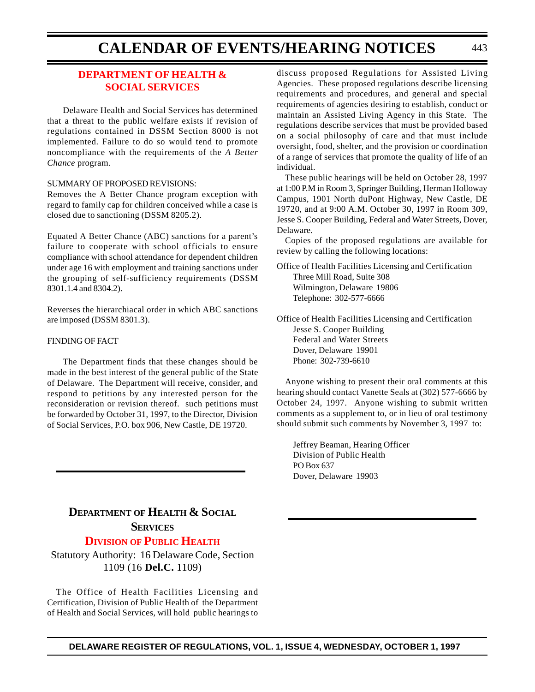### **[DEPARTMENT OF HEALTH &](#page-4-0) SOCIAL SERVICES**

Delaware Health and Social Services has determined that a threat to the public welfare exists if revision of regulations contained in DSSM Section 8000 is not implemented. Failure to do so would tend to promote noncompliance with the requirements of the *A Better Chance* program.

#### SUMMARY OF PROPOSED REVISIONS:

Removes the A Better Chance program exception with regard to family cap for children conceived while a case is closed due to sanctioning (DSSM 8205.2).

Equated A Better Chance (ABC) sanctions for a parent's failure to cooperate with school officials to ensure compliance with school attendance for dependent children under age 16 with employment and training sanctions under the grouping of self-sufficiency requirements (DSSM 8301.1.4 and 8304.2).

Reverses the hierarchiacal order in which ABC sanctions are imposed (DSSM 8301.3).

#### FINDING OF FACT

The Department finds that these changes should be made in the best interest of the general public of the State of Delaware. The Department will receive, consider, and respond to petitions by any interested person for the reconsideration or revision thereof. such petitions must be forwarded by October 31, 1997, to the Director, Division of Social Services, P.O. box 906, New Castle, DE 19720.

# **DEPARTMENT OF HEALTH & SOCIAL SERVICES**

### **[DIVISION](#page-4-0) OF PUBLIC HEALTH**

Statutory Authority: 16 Delaware Code, Section 1109 (16 **Del.C.** 1109)

The Office of Health Facilities Licensing and Certification, Division of Public Health of the Department of Health and Social Services, will hold public hearings to

discuss proposed Regulations for Assisted Living Agencies. These proposed regulations describe licensing requirements and procedures, and general and special requirements of agencies desiring to establish, conduct or maintain an Assisted Living Agency in this State. The regulations describe services that must be provided based on a social philosophy of care and that must include oversight, food, shelter, and the provision or coordination of a range of services that promote the quality of life of an individual.

These public hearings will be held on October 28, 1997 at 1:00 P.M in Room 3, Springer Building, Herman Holloway Campus, 1901 North duPont Highway, New Castle, DE 19720, and at 9:00 A.M. October 30, 1997 in Room 309, Jesse S. Cooper Building, Federal and Water Streets, Dover, Delaware.

Copies of the proposed regulations are available for review by calling the following locations:

Office of Health Facilities Licensing and Certification Three Mill Road, Suite 308 Wilmington, Delaware 19806 Telephone: 302-577-6666

Office of Health Facilities Licensing and Certification Jesse S. Cooper Building Federal and Water Streets Dover, Delaware 19901 Phone: 302-739-6610

Anyone wishing to present their oral comments at this hearing should contact Vanette Seals at (302) 577-6666 by October 24, 1997. Anyone wishing to submit written comments as a supplement to, or in lieu of oral testimony should submit such comments by November 3, 1997 to:

Jeffrey Beaman, Hearing Officer Division of Public Health PO Box 637 Dover, Delaware 19903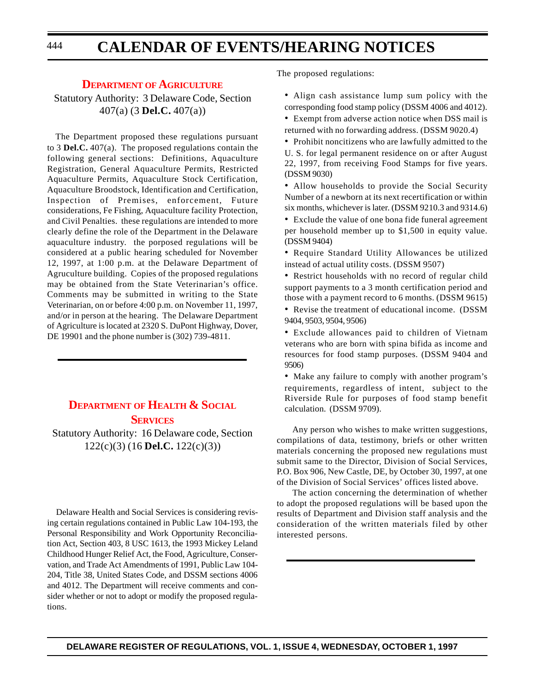#### **DEPARTMENT OF [AGRICULTURE](#page-4-0)**

Statutory Authority: 3 Delaware Code, Section 407(a) (3 **Del.C.** 407(a))

The Department proposed these regulations pursuant to 3 **Del.C.** 407(a). The proposed regulations contain the following general sections: Definitions, Aquaculture Registration, General Aquaculture Permits, Restricted Aquaculture Permits, Aquaculture Stock Certification, Aquaculture Broodstock, Identification and Certification, Inspection of Premises, enforcement, Future considerations, Fe Fishing, Aquaculture facility Protection, and Civil Penalties. these regulations are intended to more clearly define the role of the Department in the Delaware aquaculture industry. the porposed regulations will be considered at a public hearing scheduled for November 12, 1997, at 1:00 p.m. at the Delaware Department of Agruculture building. Copies of the proposed regulations may be obtained from the State Veterinarian's office. Comments may be submitted in writing to the State Veterinarian, on or before 4:00 p.m. on November 11, 1997, and/or in person at the hearing. The Delaware Department of Agriculture is located at 2320 S. DuPont Highway, Dover, DE 19901 and the phone number is (302) 739-4811.

### **DEPARTMENT OF [HEALTH & SOCIAL](#page-4-0) SERVICES**

Statutory Authority: 16 Delaware code, Section 122(c)(3) (16 **Del.C.** 122(c)(3))

Delaware Health and Social Services is considering revising certain regulations contained in Public Law 104-193, the Personal Responsibility and Work Opportunity Reconciliation Act, Section 403, 8 USC 1613, the 1993 Mickey Leland Childhood Hunger Relief Act, the Food, Agriculture, Conservation, and Trade Act Amendments of 1991, Public Law 104- 204, Title 38, United States Code, and DSSM sections 4006 and 4012. The Department will receive comments and consider whether or not to adopt or modify the proposed regulations.

The proposed regulations:

• Align cash assistance lump sum policy with the corresponding food stamp policy (DSSM 4006 and 4012).

• Exempt from adverse action notice when DSS mail is returned with no forwarding address. (DSSM 9020.4)

• Prohibit noncitizens who are lawfully admitted to the U. S. for legal permanent residence on or after August 22, 1997, from receiving Food Stamps for five years. (DSSM 9030)

• Allow households to provide the Social Security Number of a newborn at its next recertification or within six months, whichever is later. (DSSM 9210.3 and 9314.6)

• Exclude the value of one bona fide funeral agreement per household member up to \$1,500 in equity value. (DSSM 9404)

• Require Standard Utility Allowances be utilized instead of actual utility costs. (DSSM 9507)

• Restrict households with no record of regular child support payments to a 3 month certification period and those with a payment record to 6 months. (DSSM 9615)

• Revise the treatment of educational income. (DSSM 9404, 9503, 9504, 9506)

• Exclude allowances paid to children of Vietnam veterans who are born with spina bifida as income and resources for food stamp purposes. (DSSM 9404 and 9506)

• Make any failure to comply with another program's requirements, regardless of intent, subject to the Riverside Rule for purposes of food stamp benefit calculation. (DSSM 9709).

Any person who wishes to make written suggestions, compilations of data, testimony, briefs or other written materials concerning the proposed new regulations must submit same to the Director, Division of Social Services, P.O. Box 906, New Castle, DE, by October 30, 1997, at one of the Division of Social Services' offices listed above.

The action concerning the determination of whether to adopt the proposed regulations will be based upon the results of Department and Division staff analysis and the consideration of the written materials filed by other interested persons.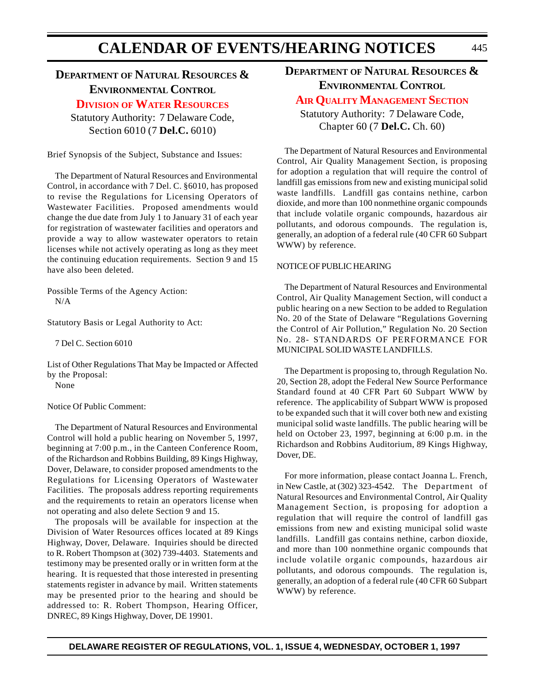### **DEPARTMENT OF NATURAL RESOURCES & ENVIRONMENTAL CONTROL**

### **DIVISION OF WATER [RESOURCES](#page-4-0)**

Statutory Authority: 7 Delaware Code, Section 6010 (7 **Del.C.** 6010)

Brief Synopsis of the Subject, Substance and Issues:

The Department of Natural Resources and Environmental Control, in accordance with 7 Del. C. §6010, has proposed to revise the Regulations for Licensing Operators of Wastewater Facilities. Proposed amendments would change the due date from July 1 to January 31 of each year for registration of wastewater facilities and operators and provide a way to allow wastewater operators to retain licenses while not actively operating as long as they meet the continuing education requirements. Section 9 and 15 have also been deleted.

Possible Terms of the Agency Action: N/A

Statutory Basis or Legal Authority to Act:

7 Del C. Section 6010

List of Other Regulations That May be Impacted or Affected by the Proposal: None

Notice Of Public Comment:

The Department of Natural Resources and Environmental Control will hold a public hearing on November 5, 1997, beginning at 7:00 p.m., in the Canteen Conference Room, of the Richardson and Robbins Building, 89 Kings Highway, Dover, Delaware, to consider proposed amendments to the Regulations for Licensing Operators of Wastewater Facilities. The proposals address reporting requirements and the requirements to retain an operators license when not operating and also delete Section 9 and 15.

The proposals will be available for inspection at the Division of Water Resources offices located at 89 Kings Highway, Dover, Delaware. Inquiries should be directed to R. Robert Thompson at (302) 739-4403. Statements and testimony may be presented orally or in written form at the hearing. It is requested that those interested in presenting statements register in advance by mail. Written statements may be presented prior to the hearing and should be addressed to: R. Robert Thompson, Hearing Officer, DNREC, 89 Kings Highway, Dover, DE 19901.

**DEPARTMENT OF NATURAL RESOURCES & ENVIRONMENTAL CONTROL**

### **AIR QUALITY [MANAGEMENT](#page-4-0) SECTION**

Statutory Authority: 7 Delaware Code, Chapter 60 (7 **Del.C.** Ch. 60)

The Department of Natural Resources and Environmental Control, Air Quality Management Section, is proposing for adoption a regulation that will require the control of landfill gas emissions from new and existing municipal solid waste landfills. Landfill gas contains nethine, carbon dioxide, and more than 100 nonmethine organic compounds that include volatile organic compounds, hazardous air pollutants, and odorous compounds. The regulation is, generally, an adoption of a federal rule (40 CFR 60 Subpart WWW) by reference.

#### NOTICE OF PUBLIC HEARING

The Department of Natural Resources and Environmental Control, Air Quality Management Section, will conduct a public hearing on a new Section to be added to Regulation No. 20 of the State of Delaware "Regulations Governing the Control of Air Pollution," Regulation No. 20 Section No. 28- STANDARDS OF PERFORMANCE FOR MUNICIPAL SOLID WASTE LANDFILLS.

The Department is proposing to, through Regulation No. 20, Section 28, adopt the Federal New Source Performance Standard found at 40 CFR Part 60 Subpart WWW by reference. The applicability of Subpart WWW is proposed to be expanded such that it will cover both new and existing municipal solid waste landfills. The public hearing will be held on October 23, 1997, beginning at 6:00 p.m. in the Richardson and Robbins Auditorium, 89 Kings Highway, Dover, DE.

For more information, please contact Joanna L. French, in New Castle, at (302) 323-4542. The Department of Natural Resources and Environmental Control, Air Quality Management Section, is proposing for adoption a regulation that will require the control of landfill gas emissions from new and existing municipal solid waste landfills. Landfill gas contains nethine, carbon dioxide, and more than 100 nonmethine organic compounds that include volatile organic compounds, hazardous air pollutants, and odorous compounds. The regulation is, generally, an adoption of a federal rule (40 CFR 60 Subpart WWW) by reference.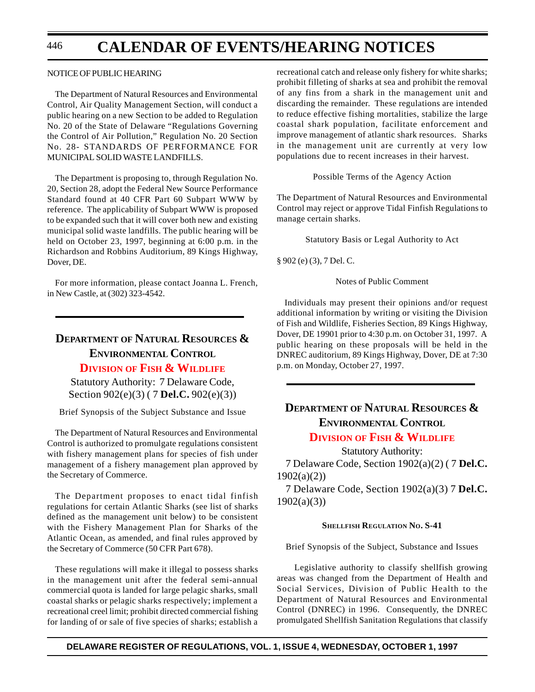#### NOTICE OF PUBLIC HEARING

The Department of Natural Resources and Environmental Control, Air Quality Management Section, will conduct a public hearing on a new Section to be added to Regulation No. 20 of the State of Delaware "Regulations Governing the Control of Air Pollution," Regulation No. 20 Section No. 28- STANDARDS OF PERFORMANCE FOR MUNICIPAL SOLID WASTE LANDFILLS.

The Department is proposing to, through Regulation No. 20, Section 28, adopt the Federal New Source Performance Standard found at 40 CFR Part 60 Subpart WWW by reference. The applicability of Subpart WWW is proposed to be expanded such that it will cover both new and existing municipal solid waste landfills. The public hearing will be held on October 23, 1997, beginning at 6:00 p.m. in the Richardson and Robbins Auditorium, 89 Kings Highway, Dover, DE.

For more information, please contact Joanna L. French, in New Castle, at (302) 323-4542.

### **DEPARTMENT OF NATURAL RESOURCES & ENVIRONMENTAL CONTROL DIVISION OF [FISH & WILDLIFE](#page-4-0)**

Statutory Authority: 7 Delaware Code, Section 902(e)(3) ( 7 **Del.C.** 902(e)(3))

Brief Synopsis of the Subject Substance and Issue

The Department of Natural Resources and Environmental Control is authorized to promulgate regulations consistent with fishery management plans for species of fish under management of a fishery management plan approved by the Secretary of Commerce.

The Department proposes to enact tidal finfish regulations for certain Atlantic Sharks (see list of sharks defined as the management unit below) to be consistent with the Fishery Management Plan for Sharks of the Atlantic Ocean, as amended, and final rules approved by the Secretary of Commerce (50 CFR Part 678).

These regulations will make it illegal to possess sharks in the management unit after the federal semi-annual commercial quota is landed for large pelagic sharks, small coastal sharks or pelagic sharks respectively; implement a recreational creel limit; prohibit directed commercial fishing for landing of or sale of five species of sharks; establish a recreational catch and release only fishery for white sharks; prohibit filleting of sharks at sea and prohibit the removal of any fins from a shark in the management unit and discarding the remainder. These regulations are intended to reduce effective fishing mortalities, stabilize the large coastal shark population, facilitate enforcement and improve management of atlantic shark resources. Sharks in the management unit are currently at very low populations due to recent increases in their harvest.

Possible Terms of the Agency Action

The Department of Natural Resources and Environmental Control may reject or approve Tidal Finfish Regulations to manage certain sharks.

Statutory Basis or Legal Authority to Act

§ 902 (e) (3), 7 Del. C.

Notes of Public Comment

Individuals may present their opinions and/or request additional information by writing or visiting the Division of Fish and Wildlife, Fisheries Section, 89 Kings Highway, Dover, DE 19901 prior to 4:30 p.m. on October 31, 1997. A public hearing on these proposals will be held in the DNREC auditorium, 89 Kings Highway, Dover, DE at 7:30 p.m. on Monday, October 27, 1997.

### **DEPARTMENT OF NATURAL RESOURCES & ENVIRONMENTAL CONTROL DIVISION OF [FISH & WILDLIFE](#page-4-0)**

Statutory Authority: 7 Delaware Code, Section 1902(a)(2) ( 7 **Del.C.** 1902(a)(2))

7 Delaware Code, Section 1902(a)(3) 7 **Del.C.** 1902(a)(3))

#### **SHELLFISH REGULATION NO. S-41**

Brief Synopsis of the Subject, Substance and Issues

Legislative authority to classify shellfish growing areas was changed from the Department of Health and Social Services, Division of Public Health to the Department of Natural Resources and Environmental Control (DNREC) in 1996. Consequently, the DNREC promulgated Shellfish Sanitation Regulations that classify

#### **DELAWARE REGISTER OF REGULATIONS, VOL. 1, ISSUE 4, WEDNESDAY, OCTOBER 1, 1997**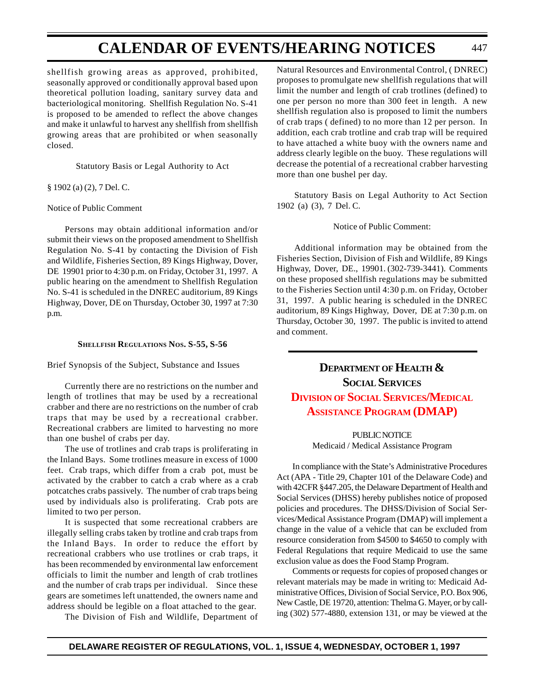shellfish growing areas as approved, prohibited, seasonally approved or conditionally approval based upon theoretical pollution loading, sanitary survey data and bacteriological monitoring. Shellfish Regulation No. S-41 is proposed to be amended to reflect the above changes and make it unlawful to harvest any shellfish from shellfish growing areas that are prohibited or when seasonally closed.

Statutory Basis or Legal Authority to Act

#### § 1902 (a) (2), 7 Del. C.

#### Notice of Public Comment

Persons may obtain additional information and/or submit their views on the proposed amendment to Shellfish Regulation No. S-41 by contacting the Division of Fish and Wildlife, Fisheries Section, 89 Kings Highway, Dover, DE 19901 prior to 4:30 p.m. on Friday, October 31, 1997. A public hearing on the amendment to Shellfish Regulation No. S-41 is scheduled in the DNREC auditorium, 89 Kings Highway, Dover, DE on Thursday, October 30, 1997 at 7:30 p.m.

#### **SHELLFISH REGULATIONS NOS. S-55, S-56**

#### Brief Synopsis of the Subject, Substance and Issues

Currently there are no restrictions on the number and length of trotlines that may be used by a recreational crabber and there are no restrictions on the number of crab traps that may be used by a recreational crabber. Recreational crabbers are limited to harvesting no more than one bushel of crabs per day.

The use of trotlines and crab traps is proliferating in the Inland Bays. Some trotlines measure in excess of 1000 feet. Crab traps, which differ from a crab pot, must be activated by the crabber to catch a crab where as a crab potcatches crabs passively. The number of crab traps being used by individuals also is proliferating. Crab pots are limited to two per person.

It is suspected that some recreational crabbers are illegally selling crabs taken by trotline and crab traps from the Inland Bays. In order to reduce the effort by recreational crabbers who use trotlines or crab traps, it has been recommended by environmental law enforcement officials to limit the number and length of crab trotlines and the number of crab traps per individual. Since these gears are sometimes left unattended, the owners name and address should be legible on a float attached to the gear.

The Division of Fish and Wildlife, Department of

Natural Resources and Environmental Control, ( DNREC) proposes to promulgate new shellfish regulations that will limit the number and length of crab trotlines (defined) to one per person no more than 300 feet in length. A new shellfish regulation also is proposed to limit the numbers of crab traps ( defined) to no more than 12 per person. In addition, each crab trotline and crab trap will be required to have attached a white buoy with the owners name and address clearly legible on the buoy. These regulations will decrease the potential of a recreational crabber harvesting more than one bushel per day.

Statutory Basis on Legal Authority to Act Section 1902 (a) (3), 7 Del. C.

#### Notice of Public Comment:

Additional information may be obtained from the Fisheries Section, Division of Fish and Wildlife, 89 Kings Highway, Dover, DE., 19901. (302-739-3441). Comments on these proposed shellfish regulations may be submitted to the Fisheries Section until 4:30 p.m. on Friday, October 31, 1997. A public hearing is scheduled in the DNREC auditorium, 89 Kings Highway, Dover, DE at 7:30 p.m. on Thursday, October 30, 1997. The public is invited to attend and comment.

## **DEPARTMENT OF HEALTH & SOCIAL SERVICES DIVISION OF SOCIAL SERVICES/MEDICAL ASSISTANCE [PROGRAM \(DMAP\)](#page-4-1)**

#### **PUBLIC NOTICE**

Medicaid / Medical Assistance Program

In compliance with the State's Administrative Procedures Act (APA - Title 29, Chapter 101 of the Delaware Code) and with 42CFR §447.205, the Delaware Department of Health and Social Services (DHSS) hereby publishes notice of proposed policies and procedures. The DHSS/Division of Social Services/Medical Assistance Program (DMAP) will implement a change in the value of a vehicle that can be excluded from resource consideration from \$4500 to \$4650 to comply with Federal Regulations that require Medicaid to use the same exclusion value as does the Food Stamp Program.

Comments or requests for copies of proposed changes or relevant materials may be made in writing to: Medicaid Administrative Offices, Division of Social Service, P.O. Box 906, New Castle, DE 19720, attention: Thelma G. Mayer, or by calling (302) 577-4880, extension 131, or may be viewed at the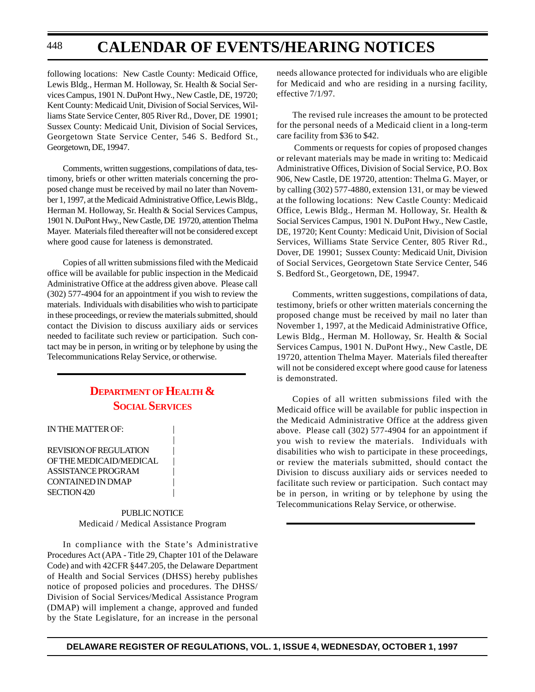following locations: New Castle County: Medicaid Office, Lewis Bldg., Herman M. Holloway, Sr. Health & Social Services Campus, 1901 N. DuPont Hwy., New Castle, DE, 19720; Kent County: Medicaid Unit, Division of Social Services, Williams State Service Center, 805 River Rd., Dover, DE 19901; Sussex County: Medicaid Unit, Division of Social Services, Georgetown State Service Center, 546 S. Bedford St., Georgetown, DE, 19947.

Comments, written suggestions, compilations of data, testimony, briefs or other written materials concerning the proposed change must be received by mail no later than November 1, 1997, at the Medicaid Administrative Office, Lewis Bldg., Herman M. Holloway, Sr. Health & Social Services Campus, 1901 N. DuPont Hwy., New Castle, DE 19720, attention Thelma Mayer. Materials filed thereafter will not be considered except where good cause for lateness is demonstrated.

Copies of all written submissions filed with the Medicaid office will be available for public inspection in the Medicaid Administrative Office at the address given above. Please call (302) 577-4904 for an appointment if you wish to review the materials. Individuals with disabilities who wish to participate in these proceedings, or review the materials submitted, should contact the Division to discuss auxiliary aids or services needed to facilitate such review or participation. Such contact may be in person, in writing or by telephone by using the Telecommunications Relay Service, or otherwise.

### **DEPARTMENT OF HEALTH & SOCIAL SERVICES**

|

#### IN THE MATTER OF:

REVISION OF REGULATION | OF THE MEDICAID/MEDICAL ASSISTANCE PROGRAM | CONTAINED IN DMAP SECTION 420

> PUBLIC NOTICE Medicaid / Medical Assistance Program

In compliance with the State's Administrative Procedures Act (APA - Title 29, Chapter 101 of the Delaware Code) and with 42CFR §447.205, the Delaware Department of Health and Social Services (DHSS) hereby publishes notice of proposed policies and procedures. The DHSS/ Division of Social Services/Medical Assistance Program (DMAP) will implement a change, approved and funded by the State Legislature, for an increase in the personal

needs allowance protected for individuals who are eligible for Medicaid and who are residing in a nursing facility, effective 7/1/97.

The revised rule increases the amount to be protected for the personal needs of a Medicaid client in a long-term care facility from \$36 to \$42.

 Comments or requests for copies of proposed changes or relevant materials may be made in writing to: Medicaid Administrative Offices, Division of Social Service, P.O. Box 906, New Castle, DE 19720, attention: Thelma G. Mayer, or by calling (302) 577-4880, extension 131, or may be viewed at the following locations: New Castle County: Medicaid Office, Lewis Bldg., Herman M. Holloway, Sr. Health & Social Services Campus, 1901 N. DuPont Hwy., New Castle, DE, 19720; Kent County: Medicaid Unit, Division of Social Services, Williams State Service Center, 805 River Rd., Dover, DE 19901; Sussex County: Medicaid Unit, Division of Social Services, Georgetown State Service Center, 546 S. Bedford St., Georgetown, DE, 19947.

Comments, written suggestions, compilations of data, testimony, briefs or other written materials concerning the proposed change must be received by mail no later than November 1, 1997, at the Medicaid Administrative Office, Lewis Bldg., Herman M. Holloway, Sr. Health & Social Services Campus, 1901 N. DuPont Hwy., New Castle, DE 19720, attention Thelma Mayer. Materials filed thereafter will not be considered except where good cause for lateness is demonstrated.

Copies of all written submissions filed with the Medicaid office will be available for public inspection in the Medicaid Administrative Office at the address given above. Please call (302) 577-4904 for an appointment if you wish to review the materials. Individuals with disabilities who wish to participate in these proceedings, or review the materials submitted, should contact the Division to discuss auxiliary aids or services needed to facilitate such review or participation. Such contact may be in person, in writing or by telephone by using the Telecommunications Relay Service, or otherwise.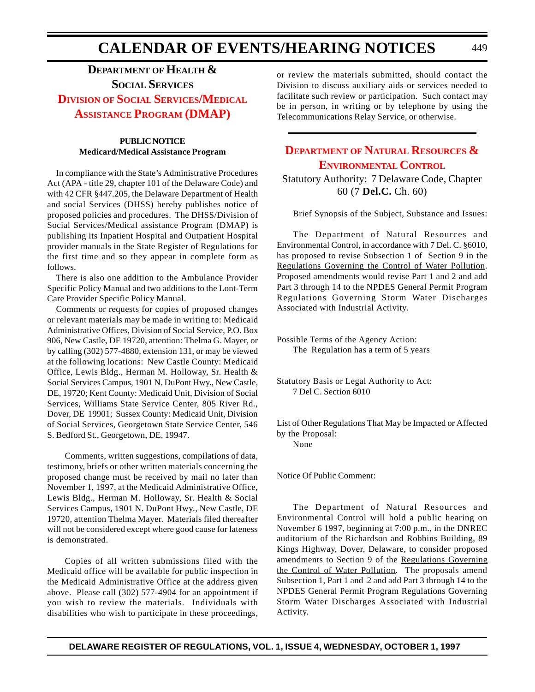## **DEPARTMENT OF HEALTH & SOCIAL SERVICES DIVISION OF SOCIAL SERVICES/MEDICAL ASSISTANCE [PROGRAM \(DMAP\)](#page-4-3)**

#### **PUBLIC NOTICE Medicard/Medical Assistance Program**

In compliance with the State's Administrative Procedures Act (APA - title 29, chapter 101 of the Delaware Code) and with 42 CFR §447.205, the Delaware Department of Health and social Services (DHSS) hereby publishes notice of proposed policies and procedures. The DHSS/Division of Social Services/Medical assistance Program (DMAP) is publishing its Inpatient Hospital and Outpatient Hospital provider manuals in the State Register of Regulations for the first time and so they appear in complete form as follows.

There is also one addition to the Ambulance Provider Specific Policy Manual and two additions to the Lont-Term Care Provider Specific Policy Manual.

Comments or requests for copies of proposed changes or relevant materials may be made in writing to: Medicaid Administrative Offices, Division of Social Service, P.O. Box 906, New Castle, DE 19720, attention: Thelma G. Mayer, or by calling (302) 577-4880, extension 131, or may be viewed at the following locations: New Castle County: Medicaid Office, Lewis Bldg., Herman M. Holloway, Sr. Health & Social Services Campus, 1901 N. DuPont Hwy., New Castle, DE, 19720; Kent County: Medicaid Unit, Division of Social Services, Williams State Service Center, 805 River Rd., Dover, DE 19901; Sussex County: Medicaid Unit, Division of Social Services, Georgetown State Service Center, 546 S. Bedford St., Georgetown, DE, 19947.

Comments, written suggestions, compilations of data, testimony, briefs or other written materials concerning the proposed change must be received by mail no later than November 1, 1997, at the Medicaid Administrative Office, Lewis Bldg., Herman M. Holloway, Sr. Health & Social Services Campus, 1901 N. DuPont Hwy., New Castle, DE 19720, attention Thelma Mayer. Materials filed thereafter will not be considered except where good cause for lateness is demonstrated.

Copies of all written submissions filed with the Medicaid office will be available for public inspection in the Medicaid Administrative Office at the address given above. Please call (302) 577-4904 for an appointment if you wish to review the materials. Individuals with disabilities who wish to participate in these proceedings, or review the materials submitted, should contact the Division to discuss auxiliary aids or services needed to facilitate such review or participation. Such contact may be in person, in writing or by telephone by using the Telecommunications Relay Service, or otherwise.

## **DEPARTMENT OF NATURAL RESOURCES & [ENVIRONMENTAL](#page-4-0) CONTROL**

Statutory Authority: 7 Delaware Code, Chapter 60 (7 **Del.C.** Ch. 60)

Brief Synopsis of the Subject, Substance and Issues:

The Department of Natural Resources and Environmental Control, in accordance with 7 Del. C. §6010, has proposed to revise Subsection 1 of Section 9 in the Regulations Governing the Control of Water Pollution. Proposed amendments would revise Part 1 and 2 and add Part 3 through 14 to the NPDES General Permit Program Regulations Governing Storm Water Discharges Associated with Industrial Activity.

Possible Terms of the Agency Action: The Regulation has a term of 5 years

Statutory Basis or Legal Authority to Act: 7 Del C. Section 6010

List of Other Regulations That May be Impacted or Affected by the Proposal: None

Notice Of Public Comment:

The Department of Natural Resources and Environmental Control will hold a public hearing on November 6 1997, beginning at 7:00 p.m., in the DNREC auditorium of the Richardson and Robbins Building, 89 Kings Highway, Dover, Delaware, to consider proposed amendments to Section 9 of the Regulations Governing the Control of Water Pollution. The proposals amend Subsection 1, Part 1 and 2 and add Part 3 through 14 to the NPDES General Permit Program Regulations Governing Storm Water Discharges Associated with Industrial Activity.